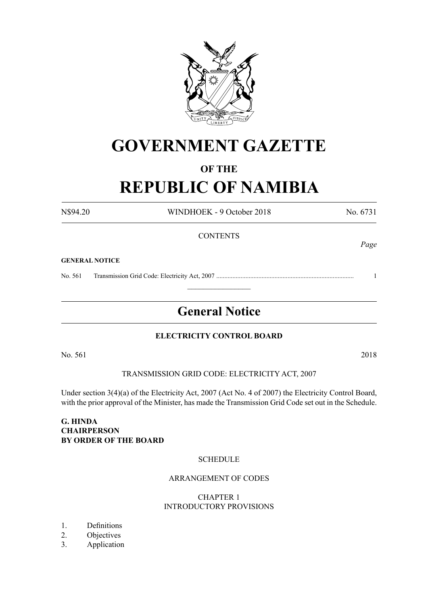

## **GOVERNMENT GAZETTE**

# **OF THE**

**REPUBLIC OF NAMIBIA**

N\$94.20 WINDHOEK - 9 October 2018 No. 6731 **CONTENTS GENERAL NOTICE** No. 561 Transmission Grid Code: Electricity Act, 2007 ..................................................................................... 1

## **General Notice**

 $\frac{1}{2}$ 

## **ELECTRICITY CONTROL BOARD**

No. 561 2018

TRANSMISSION GRID CODE: ELECTRICITY ACT, 2007

Under section 3(4)(a) of the Electricity Act, 2007 (Act No. 4 of 2007) the Electricity Control Board, with the prior approval of the Minister, has made the Transmission Grid Code set out in the Schedule.

## **G. HINDA CHAIRPERSON BY ORDER OF THE BOARD**

## **SCHEDULE**

## ARRANGEMENT OF CODES

## CHAPTER 1 INTRODUCTORY PROVISIONS

- 1. Definitions
- 2. Objectives
- 3. Application

*Page*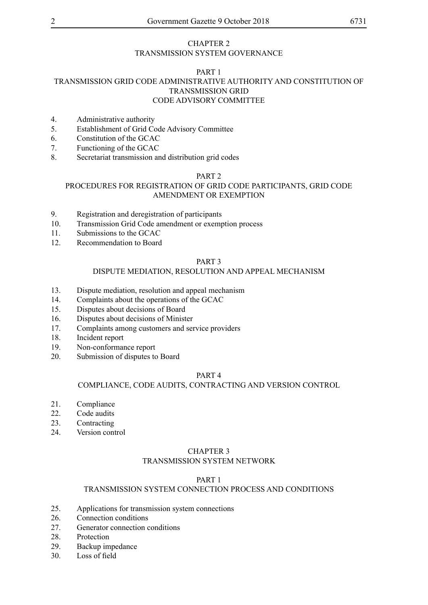## CHAPTER 2 TRANSMISSION SYSTEM GOVERNANCE

## PART 1 TRANSMISSION GRID CODE ADMINISTRATIVE AUTHORITY AND CONSTITUTION OF TRANSMISSION GRID CODE ADVISORY COMMITTEE

- 4. Administrative authority
- 5. Establishment of Grid Code Advisory Committee
- 6. Constitution of the GCAC
- 7. Functioning of the GCAC
- 8. Secretariat transmission and distribution grid codes

## PART 2

## PROCEDURES FOR REGISTRATION OF GRID CODE PARTICIPANTS, GRID CODE AMENDMENT OR EXEMPTION

- 9. Registration and deregistration of participants
- 10. Transmission Grid Code amendment or exemption process
- 11. Submissions to the GCAC
- 12. Recommendation to Board

#### PART 3

## DISPUTE MEDIATION, RESOLUTION AND APPEAL MECHANISM

- 13. Dispute mediation, resolution and appeal mechanism
- 14. Complaints about the operations of the GCAC
- 15. Disputes about decisions of Board
- 16. Disputes about decisions of Minister
- 17. Complaints among customers and service providers
- 18. Incident report
- 19. Non-conformance report
- 20. Submission of disputes to Board

#### PART 4

#### COMPLIANCE, CODE AUDITS, CONTRACTING AND VERSION CONTROL

- 21. Compliance
- 22. Code audits
- 23. Contracting
- 24. Version control

## CHAPTER 3 TRANSMISSION SYSTEM NETWORK

## PART 1

## TRANSMISSION SYSTEM CONNECTION PROCESS AND CONDITIONS

- 25. Applications for transmission system connections
- 26. Connection conditions
- 27. Generator connection conditions
- 28. Protection
- 29. Backup impedance
- 30. Loss of field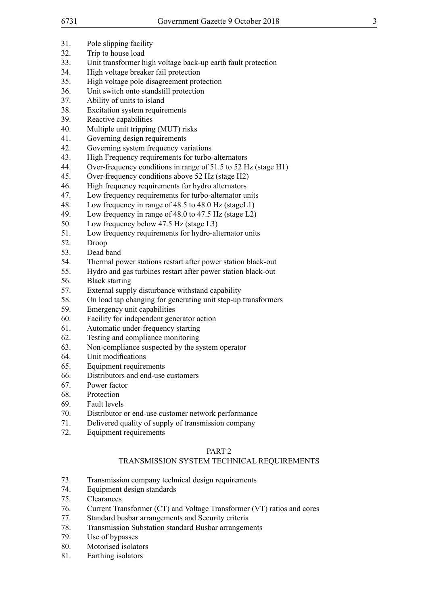- 31. Pole slipping facility
- 32. Trip to house load
- 33. Unit transformer high voltage back-up earth fault protection
- 34. High voltage breaker fail protection
- 35. High voltage pole disagreement protection
- 36. Unit switch onto standstill protection
- 37. Ability of units to island
- 38. Excitation system requirements
- 39. Reactive capabilities
- 40. Multiple unit tripping (MUT) risks
- 41. Governing design requirements
- 42. Governing system frequency variations
- 43. High Frequency requirements for turbo-alternators
- 44. Over-frequency conditions in range of 51.5 to 52 Hz (stage H1)
- 45. Over-frequency conditions above 52 Hz (stage H2)
- 46. High frequency requirements for hydro alternators
- 47. Low frequency requirements for turbo-alternator units
- 48. Low frequency in range of 48.5 to 48.0 Hz (stageL1)
- 49. Low frequency in range of 48.0 to 47.5 Hz (stage L2)
- 50. Low frequency below 47.5 Hz (stage L3)
- 51. Low frequency requirements for hydro-alternator units
- 52. Droop
- 53. Dead band
- 54. Thermal power stations restart after power station black-out
- 55. Hydro and gas turbines restart after power station black-out
- 56. Black starting
- 57. External supply disturbance withstand capability
- 58. On load tap changing for generating unit step-up transformers
- 59. Emergency unit capabilities
- 60. Facility for independent generator action
- 61. Automatic under-frequency starting
- 62. Testing and compliance monitoring
- 63. Non-compliance suspected by the system operator
- 64. Unit modifications
- 65. Equipment requirements
- 66. Distributors and end-use customers
- 67. Power factor
- 68. Protection
- 69. Fault levels
- 70. Distributor or end-use customer network performance
- 71. Delivered quality of supply of transmission company
- 72. Equipment requirements

## PART 2

## TRANSMISSION SYSTEM TECHNICAL REQUIREMENTS

- 73. Transmission company technical design requirements
- 74. Equipment design standards
- 75. Clearances
- 76. Current Transformer (CT) and Voltage Transformer (VT) ratios and cores
- 77. Standard busbar arrangements and Security criteria
- 78. Transmission Substation standard Busbar arrangements
- 79. Use of bypasses
- 80. Motorised isolators
- 81. Earthing isolators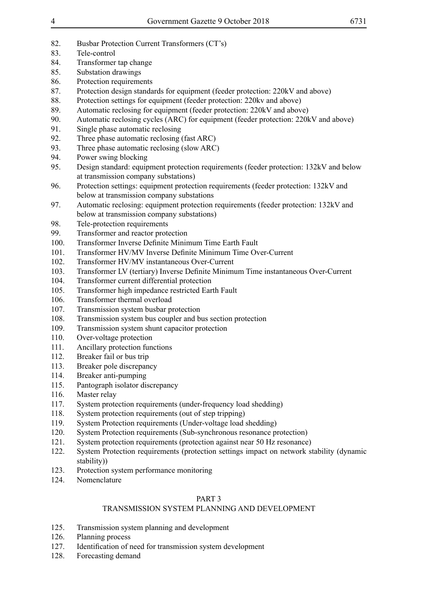- 82. Busbar Protection Current Transformers (CT's)
- 83. Tele-control
- 84. Transformer tap change
- 85. Substation drawings
- 86. Protection requirements
- 87. Protection design standards for equipment (feeder protection: 220kV and above)
- 88. Protection settings for equipment (feeder protection: 220kv and above)
- 89. Automatic reclosing for equipment (feeder protection: 220kV and above)
- 90. Automatic reclosing cycles (ARC) for equipment (feeder protection: 220kV and above)<br>91. Single phase automatic reclosing
- Single phase automatic reclosing
- 92. Three phase automatic reclosing (fast ARC)
- 93. Three phase automatic reclosing (slow ARC)
- 94. Power swing blocking
- 95. Design standard: equipment protection requirements (feeder protection: 132kV and below at transmission company substations)
- 96. Protection settings: equipment protection requirements (feeder protection: 132kV and below at transmission company substations
- 97. Automatic reclosing: equipment protection requirements (feeder protection: 132kV and below at transmission company substations)
- 98. Tele-protection requirements
- 99. Transformer and reactor protection
- 100. Transformer Inverse Definite Minimum Time Earth Fault
- 101. Transformer HV/MV Inverse Definite Minimum Time Over-Current
- 102. Transformer HV/MV instantaneous Over-Current
- 103. Transformer LV (tertiary) Inverse Definite Minimum Time instantaneous Over-Current
- 104. Transformer current differential protection
- 105. Transformer high impedance restricted Earth Fault
- 106. Transformer thermal overload
- 107. Transmission system busbar protection
- 108. Transmission system bus coupler and bus section protection
- 109. Transmission system shunt capacitor protection
- 110. Over-voltage protection
- 111. Ancillary protection functions
- 112. Breaker fail or bus trip
- 113. Breaker pole discrepancy
- 114. Breaker anti-pumping
- 115. Pantograph isolator discrepancy
- 116. Master relay
- 117. System protection requirements (under-frequency load shedding)
- 118. System protection requirements (out of step tripping)
- 119. System Protection requirements (Under-voltage load shedding)
- 120. System Protection requirements (Sub-synchronous resonance protection)
- 121. System protection requirements (protection against near 50 Hz resonance)
- 122. System Protection requirements (protection settings impact on network stability (dynamic stability))
- 123. Protection system performance monitoring
- 124. Nomenclature

## PART 3

## TRANSMISSION SYSTEM PLANNING AND DEVELOPMENT

- 125. Transmission system planning and development
- 126. Planning process
- 127. Identification of need for transmission system development
- 128. Forecasting demand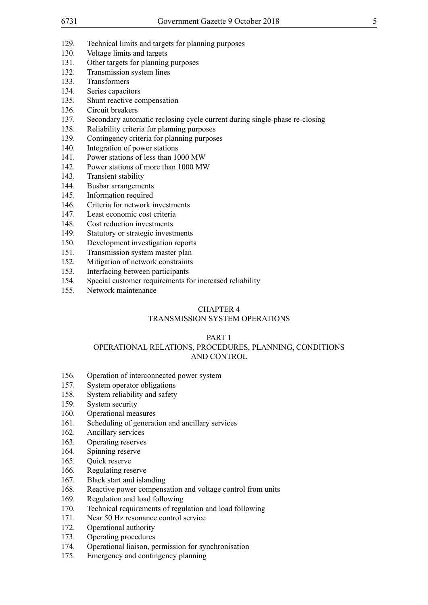- 129. Technical limits and targets for planning purposes
- 130. Voltage limits and targets
- 131. Other targets for planning purposes
- 132. Transmission system lines
- 133. Transformers
- 134. Series capacitors
- 135. Shunt reactive compensation
- 136. Circuit breakers
- 137. Secondary automatic reclosing cycle current during single-phase re-closing
- 138. Reliability criteria for planning purposes
- 139. Contingency criteria for planning purposes
- 140. Integration of power stations
- 141. Power stations of less than 1000 MW
- 142. Power stations of more than 1000 MW
- 143. Transient stability
- 144. Busbar arrangements
- 145. Information required
- 146. Criteria for network investments
- 147. Least economic cost criteria
- 148. Cost reduction investments
- 149. Statutory or strategic investments
- 150. Development investigation reports
- 151. Transmission system master plan
- 152. Mitigation of network constraints
- 153. Interfacing between participants
- 154. Special customer requirements for increased reliability
- 155. Network maintenance

## CHAPTER 4

## TRANSMISSION SYSTEM OPERATIONS

#### PART 1 OPERATIONAL RELATIONS, PROCEDURES, PLANNING, CONDITIONS AND CONTROL

- 156. Operation of interconnected power system
- 157. System operator obligations
- 158. System reliability and safety
- 159. System security
- 160. Operational measures
- 161. Scheduling of generation and ancillary services
- 162. Ancillary services
- 163. Operating reserves
- 164. Spinning reserve
- 165. Quick reserve
- 166. Regulating reserve
- 167. Black start and islanding
- 168. Reactive power compensation and voltage control from units
- 169. Regulation and load following
- 170. Technical requirements of regulation and load following
- 171. Near 50 Hz resonance control service
- 172. Operational authority
- 173. Operating procedures
- 174. Operational liaison, permission for synchronisation
- 175. Emergency and contingency planning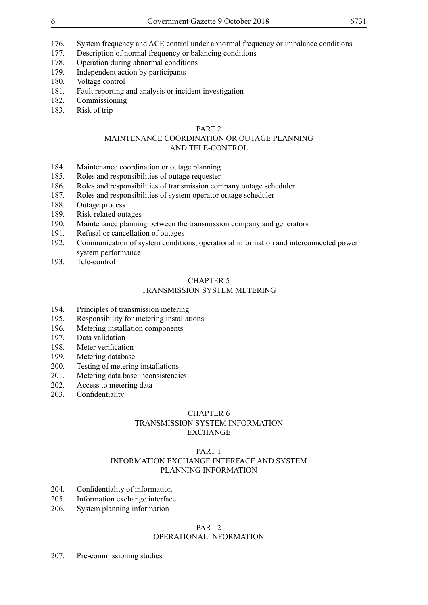- 176. System frequency and ACE control under abnormal frequency or imbalance conditions
- 177. Description of normal frequency or balancing conditions
- 178. Operation during abnormal conditions
- 179. Independent action by participants
- 180. Voltage control
- 181. Fault reporting and analysis or incident investigation<br>182 Commissioning
- **Commissioning**
- 183. Risk of trip

## PART 2

## MAINTENANCE COORDINATION OR OUTAGE PLANNING AND TELE-CONTROL

- 184. Maintenance coordination or outage planning
- 185. Roles and responsibilities of outage requester
- 186. Roles and responsibilities of transmission company outage scheduler
- 187. Roles and responsibilities of system operator outage scheduler
- 188. Outage process
- 189. Risk-related outages
- 190. Maintenance planning between the transmission company and generators
- 191. Refusal or cancellation of outages
- 192. Communication of system conditions, operational information and interconnected power system performance
- 193. Tele-control

## CHAPTER 5 TRANSMISSION SYSTEM METERING

- 194. Principles of transmission metering
- 195. Responsibility for metering installations
- 196. Metering installation components
- 197. Data validation
- 198. Meter verification
- 199. Metering database
- 200. Testing of metering installations
- 201. Metering data base inconsistencies
- 202. Access to metering data
- 203. Confidentiality

## CHAPTER 6 TRANSMISSION SYSTEM INFORMATION

## EXCHANGE

#### PART 1 INFORMATION EXCHANGE INTERFACE AND SYSTEM PLANNING INFORMATION

- 204. Confidentiality of information
- 205. Information exchange interface
- 206. System planning information

## PART<sub>2</sub>

## OPERATIONAL INFORMATION

207. Pre-commissioning studies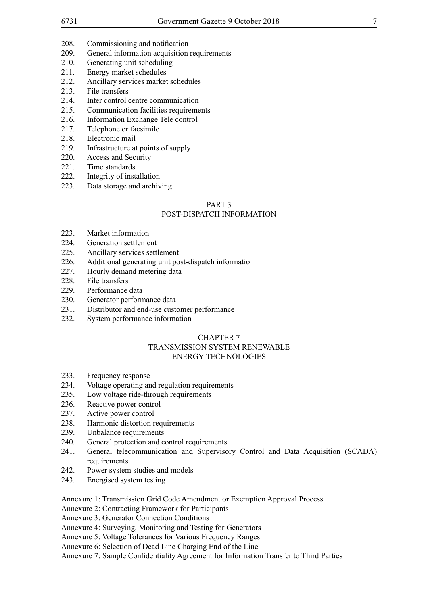- 208. Commissioning and notification
- 209. General information acquisition requirements
- 210. Generating unit scheduling
- 211. Energy market schedules
- 212. Ancillary services market schedules
- 213. File transfers
- 214. Inter control centre communication
- 215. Communication facilities requirements
- 216. Information Exchange Tele control
- 217. Telephone or facsimile
- 218. Electronic mail
- 219. Infrastructure at points of supply
- 220. Access and Security
- 221. Time standards
- 222. Integrity of installation
- 223. Data storage and archiving

## PART 3

#### POST-DISPATCH INFORMATION

- 223. Market information
- 224. Generation settlement
- 225. Ancillary services settlement
- 226. Additional generating unit post-dispatch information
- 227. Hourly demand metering data
- 228 File transfers
- 229. Performance data
- 230. Generator performance data
- 231. Distributor and end-use customer performance
- 232. System performance information

## CHAPTER 7 TRANSMISSION SYSTEM RENEWABLE

## ENERGY TECHNOLOGIES

- 233. Frequency response
- 234. Voltage operating and regulation requirements
- 235. Low voltage ride-through requirements
- 236. Reactive power control
- 237. Active power control
- 238. Harmonic distortion requirements
- 239. Unbalance requirements
- 240. General protection and control requirements
- 241. General telecommunication and Supervisory Control and Data Acquisition (SCADA) requirements
- 242. Power system studies and models
- 243. Energised system testing
- Annexure 1: Transmission Grid Code Amendment or Exemption Approval Process
- Annexure 2: Contracting Framework for Participants

Annexure 3: Generator Connection Conditions

Annexure 4: Surveying, Monitoring and Testing for Generators

Annexure 5: Voltage Tolerances for Various Frequency Ranges

Annexure 6: Selection of Dead Line Charging End of the Line

Annexure 7: Sample Confidentiality Agreement for Information Transfer to Third Parties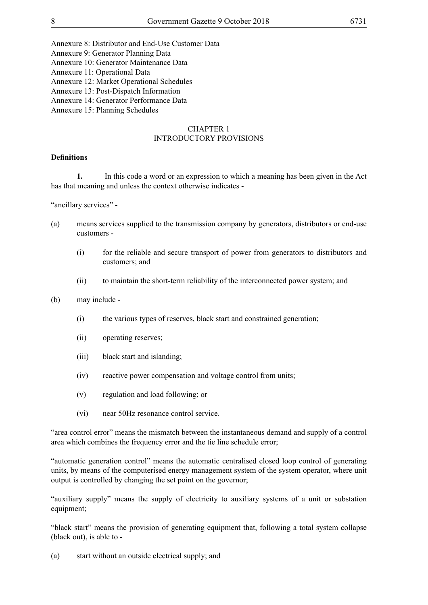Annexure 8: Distributor and End-Use Customer Data

Annexure 9: Generator Planning Data

Annexure 10: Generator Maintenance Data

Annexure 11: Operational Data

Annexure 12: Market Operational Schedules

Annexure 13: Post-Dispatch Information

Annexure 14: Generator Performance Data

Annexure 15: Planning Schedules

## CHAPTER 1 INTRODUCTORY PROVISIONS

#### **Definitions**

**1.** In this code a word or an expression to which a meaning has been given in the Act has that meaning and unless the context otherwise indicates -

"ancillary services" -

- (a) means services supplied to the transmission company by generators, distributors or end-use customers -
	- (i) for the reliable and secure transport of power from generators to distributors and customers; and
	- (ii) to maintain the short-term reliability of the interconnected power system; and

(b) may include -

- (i) the various types of reserves, black start and constrained generation;
- (ii) operating reserves;
- (iii) black start and islanding;
- (iv) reactive power compensation and voltage control from units;
- (v) regulation and load following; or
- (vi) near 50Hz resonance control service.

"area control error" means the mismatch between the instantaneous demand and supply of a control area which combines the frequency error and the tie line schedule error;

"automatic generation control" means the automatic centralised closed loop control of generating units, by means of the computerised energy management system of the system operator, where unit output is controlled by changing the set point on the governor;

"auxiliary supply" means the supply of electricity to auxiliary systems of a unit or substation equipment;

"black start" means the provision of generating equipment that, following a total system collapse (black out), is able to -

(a) start without an outside electrical supply; and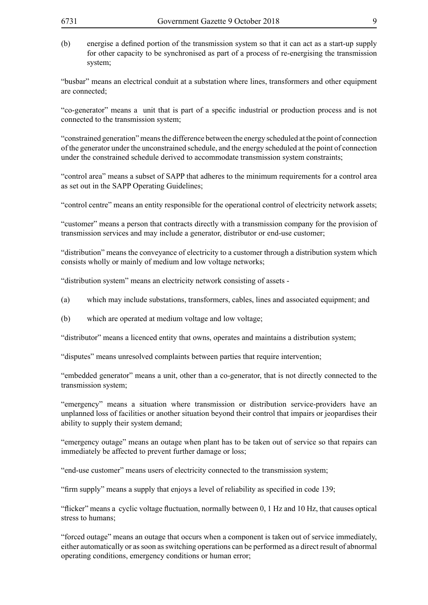(b) energise a defined portion of the transmission system so that it can act as a start-up supply for other capacity to be synchronised as part of a process of re-energising the transmission system;

"busbar" means an electrical conduit at a substation where lines, transformers and other equipment are connected;

"co-generator" means a unit that is part of a specific industrial or production process and is not connected to the transmission system;

"constrained generation" means the difference between the energy scheduled at the point of connection of the generator under the unconstrained schedule, and the energy scheduled at the point of connection under the constrained schedule derived to accommodate transmission system constraints;

"control area" means a subset of SAPP that adheres to the minimum requirements for a control area as set out in the SAPP Operating Guidelines;

"control centre" means an entity responsible for the operational control of electricity network assets;

"customer" means a person that contracts directly with a transmission company for the provision of transmission services and may include a generator, distributor or end-use customer;

"distribution" means the conveyance of electricity to a customer through a distribution system which consists wholly or mainly of medium and low voltage networks;

"distribution system" means an electricity network consisting of assets -

- (a) which may include substations, transformers, cables, lines and associated equipment; and
- (b) which are operated at medium voltage and low voltage;

"distributor" means a licenced entity that owns, operates and maintains a distribution system;

"disputes" means unresolved complaints between parties that require intervention;

"embedded generator" means a unit, other than a co-generator, that is not directly connected to the transmission system;

"emergency" means a situation where transmission or distribution service-providers have an unplanned loss of facilities or another situation beyond their control that impairs or jeopardises their ability to supply their system demand;

"emergency outage" means an outage when plant has to be taken out of service so that repairs can immediately be affected to prevent further damage or loss;

"end-use customer" means users of electricity connected to the transmission system;

"firm supply" means a supply that enjoys a level of reliability as specified in code 139;

"flicker" means a cyclic voltage fluctuation, normally between 0, 1 Hz and 10 Hz, that causes optical stress to humans;

"forced outage" means an outage that occurs when a component is taken out of service immediately, either automatically or as soon as switching operations can be performed as a direct result of abnormal operating conditions, emergency conditions or human error;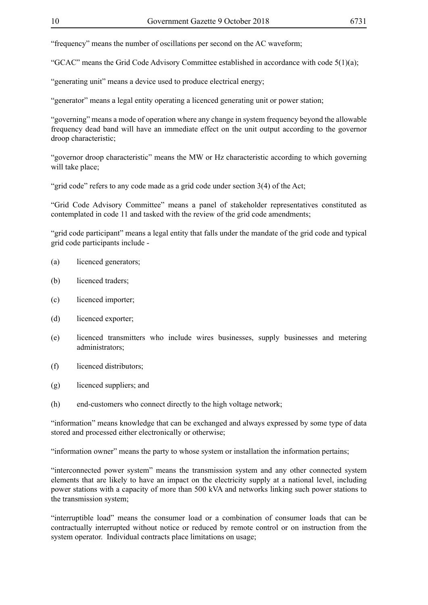"frequency" means the number of oscillations per second on the AC waveform;

"GCAC" means the Grid Code Advisory Committee established in accordance with code 5(1)(a);

"generating unit" means a device used to produce electrical energy;

"generator" means a legal entity operating a licenced generating unit or power station;

"governing" means a mode of operation where any change in system frequency beyond the allowable frequency dead band will have an immediate effect on the unit output according to the governor droop characteristic;

"governor droop characteristic" means the MW or Hz characteristic according to which governing will take place;

"grid code" refers to any code made as a grid code under section 3(4) of the Act;

"Grid Code Advisory Committee" means a panel of stakeholder representatives constituted as contemplated in code 11 and tasked with the review of the grid code amendments;

"grid code participant" means a legal entity that falls under the mandate of the grid code and typical grid code participants include -

- (a) licenced generators;
- (b) licenced traders;
- (c) licenced importer;
- (d) licenced exporter;
- (e) licenced transmitters who include wires businesses, supply businesses and metering administrators;
- (f) licenced distributors;
- (g) licenced suppliers; and
- (h) end-customers who connect directly to the high voltage network;

"information" means knowledge that can be exchanged and always expressed by some type of data stored and processed either electronically or otherwise;

"information owner" means the party to whose system or installation the information pertains;

"interconnected power system" means the transmission system and any other connected system elements that are likely to have an impact on the electricity supply at a national level, including power stations with a capacity of more than 500 kVA and networks linking such power stations to the transmission system;

"interruptible load" means the consumer load or a combination of consumer loads that can be contractually interrupted without notice or reduced by remote control or on instruction from the system operator. Individual contracts place limitations on usage;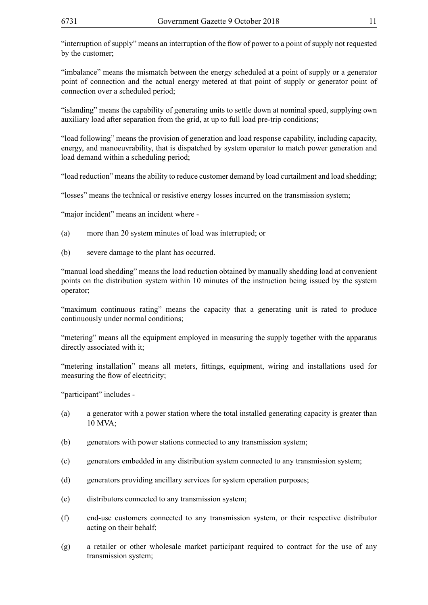"interruption of supply" means an interruption of the flow of power to a point of supply not requested by the customer;

"imbalance" means the mismatch between the energy scheduled at a point of supply or a generator point of connection and the actual energy metered at that point of supply or generator point of connection over a scheduled period;

"islanding" means the capability of generating units to settle down at nominal speed, supplying own auxiliary load after separation from the grid, at up to full load pre-trip conditions;

"load following" means the provision of generation and load response capability, including capacity, energy, and manoeuvrability, that is dispatched by system operator to match power generation and load demand within a scheduling period;

"load reduction" means the ability to reduce customer demand by load curtailment and load shedding;

"losses" means the technical or resistive energy losses incurred on the transmission system;

"major incident" means an incident where -

- (a) more than 20 system minutes of load was interrupted; or
- (b) severe damage to the plant has occurred.

"manual load shedding" means the load reduction obtained by manually shedding load at convenient points on the distribution system within 10 minutes of the instruction being issued by the system operator;

"maximum continuous rating" means the capacity that a generating unit is rated to produce continuously under normal conditions;

"metering" means all the equipment employed in measuring the supply together with the apparatus directly associated with it;

"metering installation" means all meters, fittings, equipment, wiring and installations used for measuring the flow of electricity;

"participant" includes -

- (a) a generator with a power station where the total installed generating capacity is greater than 10 MVA;
- (b) generators with power stations connected to any transmission system;
- (c) generators embedded in any distribution system connected to any transmission system;
- (d) generators providing ancillary services for system operation purposes;
- (e) distributors connected to any transmission system;
- (f) end-use customers connected to any transmission system, or their respective distributor acting on their behalf;
- (g) a retailer or other wholesale market participant required to contract for the use of any transmission system;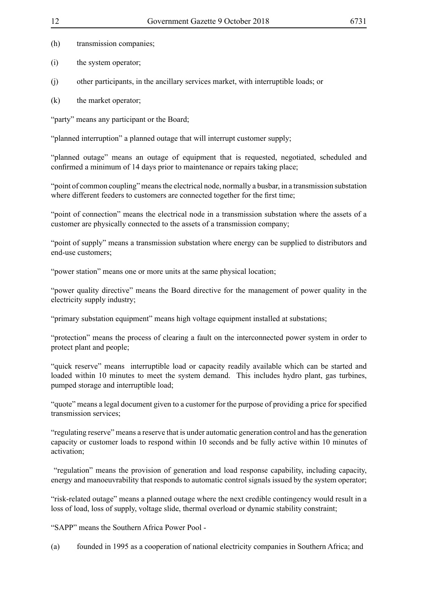- (h) transmission companies;
- (i) the system operator;
- (j) other participants, in the ancillary services market, with interruptible loads; or
- (k) the market operator:

"party" means any participant or the Board;

"planned interruption" a planned outage that will interrupt customer supply;

"planned outage" means an outage of equipment that is requested, negotiated, scheduled and confirmed a minimum of 14 days prior to maintenance or repairs taking place;

"point of common coupling" means the electrical node, normally a busbar, in a transmission substation where different feeders to customers are connected together for the first time;

"point of connection" means the electrical node in a transmission substation where the assets of a customer are physically connected to the assets of a transmission company;

"point of supply" means a transmission substation where energy can be supplied to distributors and end-use customers;

"power station" means one or more units at the same physical location;

"power quality directive" means the Board directive for the management of power quality in the electricity supply industry;

"primary substation equipment" means high voltage equipment installed at substations;

"protection" means the process of clearing a fault on the interconnected power system in order to protect plant and people;

"quick reserve" means interruptible load or capacity readily available which can be started and loaded within 10 minutes to meet the system demand. This includes hydro plant, gas turbines, pumped storage and interruptible load;

"quote" means a legal document given to a customer for the purpose of providing a price for specified transmission services;

"regulating reserve" means a reserve that is under automatic generation control and has the generation capacity or customer loads to respond within 10 seconds and be fully active within 10 minutes of activation;

 "regulation" means the provision of generation and load response capability, including capacity, energy and manoeuvrability that responds to automatic control signals issued by the system operator;

"risk-related outage" means a planned outage where the next credible contingency would result in a loss of load, loss of supply, voltage slide, thermal overload or dynamic stability constraint;

"SAPP" means the Southern Africa Power Pool -

(a) founded in 1995 as a cooperation of national electricity companies in Southern Africa; and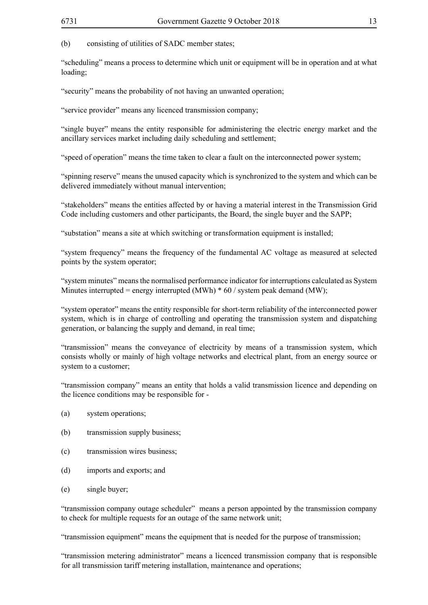(b) consisting of utilities of SADC member states;

"scheduling" means a process to determine which unit or equipment will be in operation and at what loading;

"security" means the probability of not having an unwanted operation;

"service provider" means any licenced transmission company;

"single buyer" means the entity responsible for administering the electric energy market and the ancillary services market including daily scheduling and settlement;

"speed of operation" means the time taken to clear a fault on the interconnected power system;

"spinning reserve" means the unused capacity which is synchronized to the system and which can be delivered immediately without manual intervention;

"stakeholders" means the entities affected by or having a material interest in the Transmission Grid Code including customers and other participants, the Board, the single buyer and the SAPP;

"substation" means a site at which switching or transformation equipment is installed;

"system frequency" means the frequency of the fundamental AC voltage as measured at selected points by the system operator;

"system minutes" means the normalised performance indicator for interruptions calculated as System Minutes interrupted = energy interrupted  $(MWh) * 60 /$  system peak demand  $(MW)$ ;

"system operator" means the entity responsible for short-term reliability of the interconnected power system, which is in charge of controlling and operating the transmission system and dispatching generation, or balancing the supply and demand, in real time;

"transmission" means the conveyance of electricity by means of a transmission system, which consists wholly or mainly of high voltage networks and electrical plant, from an energy source or system to a customer;

"transmission company" means an entity that holds a valid transmission licence and depending on the licence conditions may be responsible for -

- (a) system operations;
- (b) transmission supply business;
- (c) transmission wires business;
- (d) imports and exports; and
- (e) single buyer;

"transmission company outage scheduler" means a person appointed by the transmission company to check for multiple requests for an outage of the same network unit;

"transmission equipment" means the equipment that is needed for the purpose of transmission;

"transmission metering administrator" means a licenced transmission company that is responsible for all transmission tariff metering installation, maintenance and operations;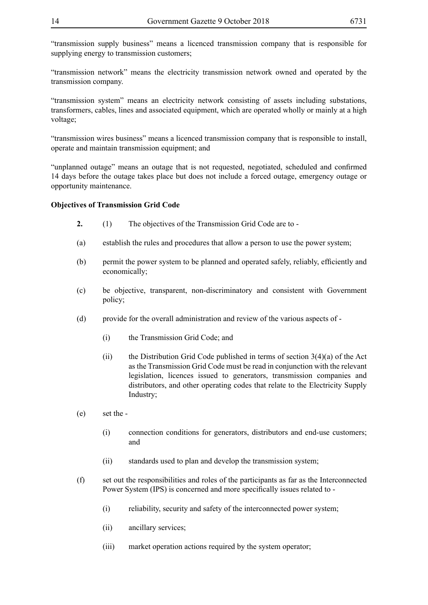"transmission supply business" means a licenced transmission company that is responsible for supplying energy to transmission customers;

"transmission network" means the electricity transmission network owned and operated by the transmission company.

"transmission system" means an electricity network consisting of assets including substations, transformers, cables, lines and associated equipment, which are operated wholly or mainly at a high voltage;

"transmission wires business" means a licenced transmission company that is responsible to install, operate and maintain transmission equipment; and

"unplanned outage" means an outage that is not requested, negotiated, scheduled and confirmed 14 days before the outage takes place but does not include a forced outage, emergency outage or opportunity maintenance.

## **Objectives of Transmission Grid Code**

- **2.** (1) The objectives of the Transmission Grid Code are to -
- (a) establish the rules and procedures that allow a person to use the power system;
- (b) permit the power system to be planned and operated safely, reliably, efficiently and economically;
- (c) be objective, transparent, non-discriminatory and consistent with Government policy;
- (d) provide for the overall administration and review of the various aspects of
	- (i) the Transmission Grid Code; and
	- (ii) the Distribution Grid Code published in terms of section  $3(4)(a)$  of the Act as the Transmission Grid Code must be read in conjunction with the relevant legislation, licences issued to generators, transmission companies and distributors, and other operating codes that relate to the Electricity Supply Industry;
- (e) set the
	- (i) connection conditions for generators, distributors and end-use customers; and
	- (ii) standards used to plan and develop the transmission system;
- (f) set out the responsibilities and roles of the participants as far as the Interconnected Power System (IPS) is concerned and more specifically issues related to -
	- (i) reliability, security and safety of the interconnected power system;
	- (ii) ancillary services;
	- (iii) market operation actions required by the system operator;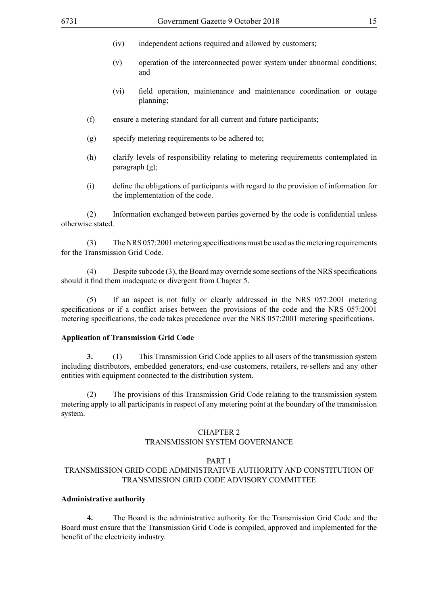- (iv) independent actions required and allowed by customers;
- (v) operation of the interconnected power system under abnormal conditions; and
- (vi) field operation, maintenance and maintenance coordination or outage planning;
- (f) ensure a metering standard for all current and future participants;
- (g) specify metering requirements to be adhered to;
- (h) clarify levels of responsibility relating to metering requirements contemplated in paragraph (g);
- (i) define the obligations of participants with regard to the provision of information for the implementation of the code.

(2) Information exchanged between parties governed by the code is confidential unless otherwise stated.

(3) The NRS 057:2001 metering specifications must be used as the metering requirements for the Transmission Grid Code.

Despite subcode  $(3)$ , the Board may override some sections of the NRS specifications should it find them inadequate or divergent from Chapter 5.

(5) If an aspect is not fully or clearly addressed in the NRS 057:2001 metering specifications or if a conflict arises between the provisions of the code and the NRS 057:2001 metering specifications, the code takes precedence over the NRS 057:2001 metering specifications.

## **Application of Transmission Grid Code**

**3.** (1) This Transmission Grid Code applies to all users of the transmission system including distributors, embedded generators, end-use customers, retailers, re-sellers and any other entities with equipment connected to the distribution system.

(2) The provisions of this Transmission Grid Code relating to the transmission system metering apply to all participants in respect of any metering point at the boundary of the transmission system.

#### CHAPTER 2 TRANSMISSION SYSTEM GOVERNANCE

#### PART 1

## TRANSMISSION GRID CODE ADMINISTRATIVE AUTHORITY AND CONSTITUTION OF TRANSMISSION GRID CODE ADVISORY COMMITTEE

## **Administrative authority**

**4.** The Board is the administrative authority for the Transmission Grid Code and the Board must ensure that the Transmission Grid Code is compiled, approved and implemented for the benefit of the electricity industry.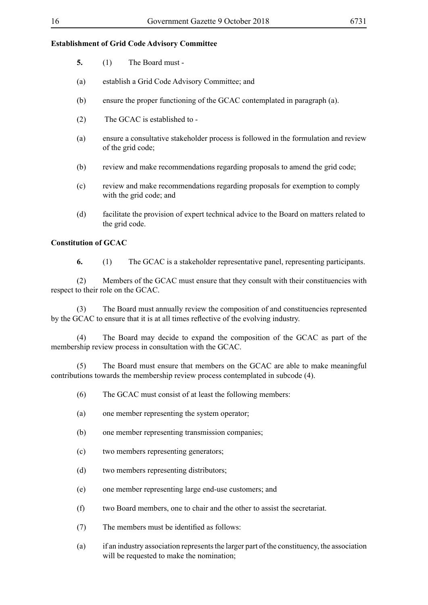## **Establishment of Grid Code Advisory Committee**

- **5.** (1) The Board must -
- (a) establish a Grid Code Advisory Committee; and
- (b) ensure the proper functioning of the GCAC contemplated in paragraph (a).
- (2) The GCAC is established to -
- (a) ensure a consultative stakeholder process is followed in the formulation and review of the grid code;
- (b) review and make recommendations regarding proposals to amend the grid code;
- (c) review and make recommendations regarding proposals for exemption to comply with the grid code; and
- (d) facilitate the provision of expert technical advice to the Board on matters related to the grid code.

## **Constitution of GCAC**

**6.** (1) The GCAC is a stakeholder representative panel, representing participants.

(2) Members of the GCAC must ensure that they consult with their constituencies with respect to their role on the GCAC.

(3) The Board must annually review the composition of and constituencies represented by the GCAC to ensure that it is at all times reflective of the evolving industry.

(4) The Board may decide to expand the composition of the GCAC as part of the membership review process in consultation with the GCAC.

(5) The Board must ensure that members on the GCAC are able to make meaningful contributions towards the membership review process contemplated in subcode (4).

- (6) The GCAC must consist of at least the following members:
- (a) one member representing the system operator;
- (b) one member representing transmission companies;
- (c) two members representing generators;
- (d) two members representing distributors;
- (e) one member representing large end-use customers; and
- (f) two Board members, one to chair and the other to assist the secretariat.
- (7) The members must be identified as follows:
- (a) if an industry association represents the larger part of the constituency, the association will be requested to make the nomination: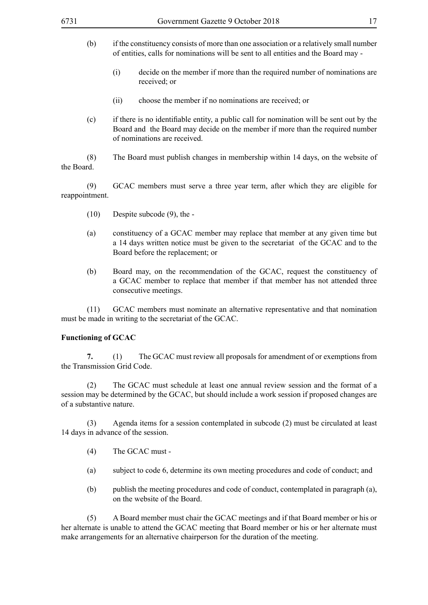- (b) if the constituency consists of more than one association or a relatively small number of entities, calls for nominations will be sent to all entities and the Board may -
	- (i) decide on the member if more than the required number of nominations are received; or
	- (ii) choose the member if no nominations are received; or
- (c) if there is no identifiable entity, a public call for nomination will be sent out by the Board and the Board may decide on the member if more than the required number of nominations are received.

(8) The Board must publish changes in membership within 14 days, on the website of the Board.

(9) GCAC members must serve a three year term, after which they are eligible for reappointment.

- (10) Despite subcode (9), the -
- (a) constituency of a GCAC member may replace that member at any given time but a 14 days written notice must be given to the secretariat of the GCAC and to the Board before the replacement; or
- (b) Board may, on the recommendation of the GCAC, request the constituency of a GCAC member to replace that member if that member has not attended three consecutive meetings.

(11) GCAC members must nominate an alternative representative and that nomination must be made in writing to the secretariat of the GCAC.

#### **Functioning of GCAC**

**7.** (1) The GCAC must review all proposals for amendment of or exemptions from the Transmission Grid Code.

(2) The GCAC must schedule at least one annual review session and the format of a session may be determined by the GCAC, but should include a work session if proposed changes are of a substantive nature.

(3) Agenda items for a session contemplated in subcode (2) must be circulated at least 14 days in advance of the session.

- (4) The GCAC must -
- (a) subject to code 6, determine its own meeting procedures and code of conduct; and
- (b) publish the meeting procedures and code of conduct, contemplated in paragraph (a), on the website of the Board.

(5) A Board member must chair the GCAC meetings and if that Board member or his or her alternate is unable to attend the GCAC meeting that Board member or his or her alternate must make arrangements for an alternative chairperson for the duration of the meeting.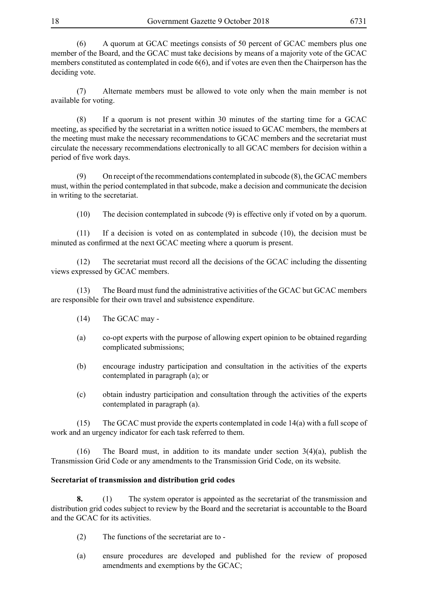(6) A quorum at GCAC meetings consists of 50 percent of GCAC members plus one member of the Board, and the GCAC must take decisions by means of a majority vote of the GCAC members constituted as contemplated in code 6(6), and if votes are even then the Chairperson has the deciding vote.

(7) Alternate members must be allowed to vote only when the main member is not available for voting.

(8) If a quorum is not present within 30 minutes of the starting time for a GCAC meeting, as specified by the secretariat in a written notice issued to GCAC members, the members at the meeting must make the necessary recommendations to GCAC members and the secretariat must circulate the necessary recommendations electronically to all GCAC members for decision within a period of five work days.

(9) On receipt of the recommendations contemplated in subcode (8), the GCAC members must, within the period contemplated in that subcode, make a decision and communicate the decision in writing to the secretariat.

(10) The decision contemplated in subcode (9) is effective only if voted on by a quorum.

(11) If a decision is voted on as contemplated in subcode (10), the decision must be minuted as confirmed at the next GCAC meeting where a quorum is present.

(12) The secretariat must record all the decisions of the GCAC including the dissenting views expressed by GCAC members.

(13) The Board must fund the administrative activities of the GCAC but GCAC members are responsible for their own travel and subsistence expenditure.

- (14) The GCAC may -
- (a) co-opt experts with the purpose of allowing expert opinion to be obtained regarding complicated submissions;
- (b) encourage industry participation and consultation in the activities of the experts contemplated in paragraph (a); or
- (c) obtain industry participation and consultation through the activities of the experts contemplated in paragraph (a).

(15) The GCAC must provide the experts contemplated in code 14(a) with a full scope of work and an urgency indicator for each task referred to them.

(16) The Board must, in addition to its mandate under section 3(4)(a), publish the Transmission Grid Code or any amendments to the Transmission Grid Code, on its website.

## **Secretariat of transmission and distribution grid codes**

**8.** (1) The system operator is appointed as the secretariat of the transmission and distribution grid codes subject to review by the Board and the secretariat is accountable to the Board and the GCAC for its activities.

- (2) The functions of the secretariat are to -
- (a) ensure procedures are developed and published for the review of proposed amendments and exemptions by the GCAC;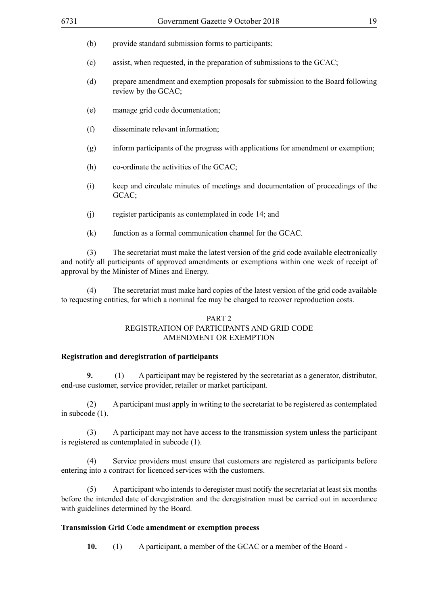- (b) provide standard submission forms to participants;
- (c) assist, when requested, in the preparation of submissions to the GCAC;
- (d) prepare amendment and exemption proposals for submission to the Board following review by the GCAC;
- (e) manage grid code documentation;
- (f) disseminate relevant information;
- (g) inform participants of the progress with applications for amendment or exemption;
- (h) co-ordinate the activities of the GCAC;
- (i) keep and circulate minutes of meetings and documentation of proceedings of the GCAC;
- (j) register participants as contemplated in code 14; and
- (k) function as a formal communication channel for the GCAC.

(3) The secretariat must make the latest version of the grid code available electronically and notify all participants of approved amendments or exemptions within one week of receipt of approval by the Minister of Mines and Energy.

(4) The secretariat must make hard copies of the latest version of the grid code available to requesting entities, for which a nominal fee may be charged to recover reproduction costs.

## PART 2 REGISTRATION OF PARTICIPANTS AND GRID CODE AMENDMENT OR EXEMPTION

#### **Registration and deregistration of participants**

**9.** (1) A participant may be registered by the secretariat as a generator, distributor, end-use customer, service provider, retailer or market participant.

(2) A participant must apply in writing to the secretariat to be registered as contemplated in subcode (1).

(3) A participant may not have access to the transmission system unless the participant is registered as contemplated in subcode (1).

(4) Service providers must ensure that customers are registered as participants before entering into a contract for licenced services with the customers.

(5) A participant who intends to deregister must notify the secretariat at least six months before the intended date of deregistration and the deregistration must be carried out in accordance with guidelines determined by the Board.

## **Transmission Grid Code amendment or exemption process**

**10.** (1) A participant, a member of the GCAC or a member of the Board -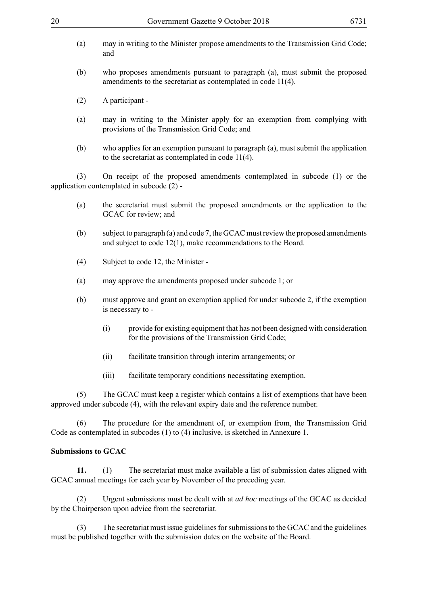- (a) may in writing to the Minister propose amendments to the Transmission Grid Code; and
- (b) who proposes amendments pursuant to paragraph (a), must submit the proposed amendments to the secretariat as contemplated in code 11(4).
- (2) A participant -
- (a) may in writing to the Minister apply for an exemption from complying with provisions of the Transmission Grid Code; and
- (b) who applies for an exemption pursuant to paragraph (a), must submit the application to the secretariat as contemplated in code 11(4).

(3) On receipt of the proposed amendments contemplated in subcode (1) or the application contemplated in subcode (2) -

- (a) the secretariat must submit the proposed amendments or the application to the GCAC for review; and
- (b) subject to paragraph (a) and code 7, the GCAC must review the proposed amendments and subject to code 12(1), make recommendations to the Board.
- (4) Subject to code 12, the Minister -
- (a) may approve the amendments proposed under subcode 1; or
- (b) must approve and grant an exemption applied for under subcode 2, if the exemption is necessary to -
	- (i) provide for existing equipment that has not been designed with consideration for the provisions of the Transmission Grid Code;
	- (ii) facilitate transition through interim arrangements; or
	- (iii) facilitate temporary conditions necessitating exemption.

(5) The GCAC must keep a register which contains a list of exemptions that have been approved under subcode (4), with the relevant expiry date and the reference number.

(6) The procedure for the amendment of, or exemption from, the Transmission Grid Code as contemplated in subcodes (1) to (4) inclusive, is sketched in Annexure 1.

## **Submissions to GCAC**

**11.** (1) The secretariat must make available a list of submission dates aligned with GCAC annual meetings for each year by November of the preceding year.

(2) Urgent submissions must be dealt with at *ad hoc* meetings of the GCAC as decided by the Chairperson upon advice from the secretariat.

(3) The secretariat must issue guidelines for submissions to the GCAC and the guidelines must be published together with the submission dates on the website of the Board.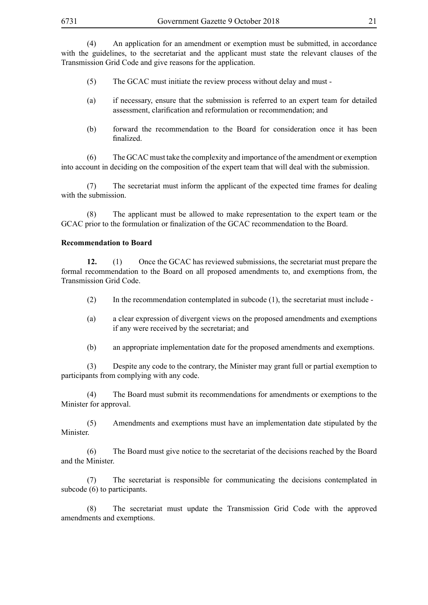(4) An application for an amendment or exemption must be submitted, in accordance with the guidelines, to the secretariat and the applicant must state the relevant clauses of the Transmission Grid Code and give reasons for the application.

- (5) The GCAC must initiate the review process without delay and must -
- (a) if necessary, ensure that the submission is referred to an expert team for detailed assessment, clarification and reformulation or recommendation; and
- (b) forward the recommendation to the Board for consideration once it has been finalized.

(6) The GCAC must take the complexity and importance of the amendment or exemption into account in deciding on the composition of the expert team that will deal with the submission.

(7) The secretariat must inform the applicant of the expected time frames for dealing with the submission.

(8) The applicant must be allowed to make representation to the expert team or the GCAC prior to the formulation or finalization of the GCAC recommendation to the Board.

## **Recommendation to Board**

**12.** (1) Once the GCAC has reviewed submissions, the secretariat must prepare the formal recommendation to the Board on all proposed amendments to, and exemptions from, the Transmission Grid Code.

- (2) In the recommendation contemplated in subcode (1), the secretariat must include -
- (a) a clear expression of divergent views on the proposed amendments and exemptions if any were received by the secretariat; and
- (b) an appropriate implementation date for the proposed amendments and exemptions.

(3) Despite any code to the contrary, the Minister may grant full or partial exemption to participants from complying with any code.

(4) The Board must submit its recommendations for amendments or exemptions to the Minister for approval.

(5) Amendments and exemptions must have an implementation date stipulated by the Minister.

(6) The Board must give notice to the secretariat of the decisions reached by the Board and the Minister.

(7) The secretariat is responsible for communicating the decisions contemplated in subcode (6) to participants.

(8) The secretariat must update the Transmission Grid Code with the approved amendments and exemptions.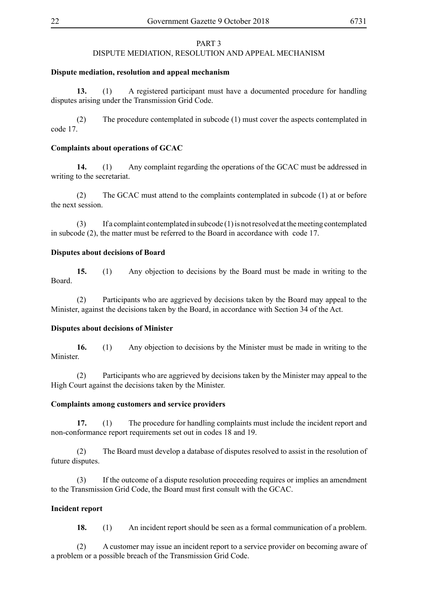## PART 3

## DISPUTE MEDIATION, RESOLUTION AND APPEAL MECHANISM

#### **Dispute mediation, resolution and appeal mechanism**

**13.** (1) A registered participant must have a documented procedure for handling disputes arising under the Transmission Grid Code.

(2) The procedure contemplated in subcode (1) must cover the aspects contemplated in code 17.

## **Complaints about operations of GCAC**

**14.** (1) Any complaint regarding the operations of the GCAC must be addressed in writing to the secretariat.

(2) The GCAC must attend to the complaints contemplated in subcode (1) at or before the next session.

(3) If a complaint contemplated in subcode (1) is not resolved at the meeting contemplated in subcode (2), the matter must be referred to the Board in accordance with code 17.

#### **Disputes about decisions of Board**

**15.** (1) Any objection to decisions by the Board must be made in writing to the Board.

(2) Participants who are aggrieved by decisions taken by the Board may appeal to the Minister, against the decisions taken by the Board, in accordance with Section 34 of the Act.

#### **Disputes about decisions of Minister**

**16.** (1) Any objection to decisions by the Minister must be made in writing to the Minister.

(2) Participants who are aggrieved by decisions taken by the Minister may appeal to the High Court against the decisions taken by the Minister.

#### **Complaints among customers and service providers**

**17.** (1) The procedure for handling complaints must include the incident report and non-conformance report requirements set out in codes 18 and 19.

(2) The Board must develop a database of disputes resolved to assist in the resolution of future disputes.

(3) If the outcome of a dispute resolution proceeding requires or implies an amendment to the Transmission Grid Code, the Board must first consult with the GCAC.

#### **Incident report**

**18.** (1) An incident report should be seen as a formal communication of a problem.

(2) A customer may issue an incident report to a service provider on becoming aware of a problem or a possible breach of the Transmission Grid Code.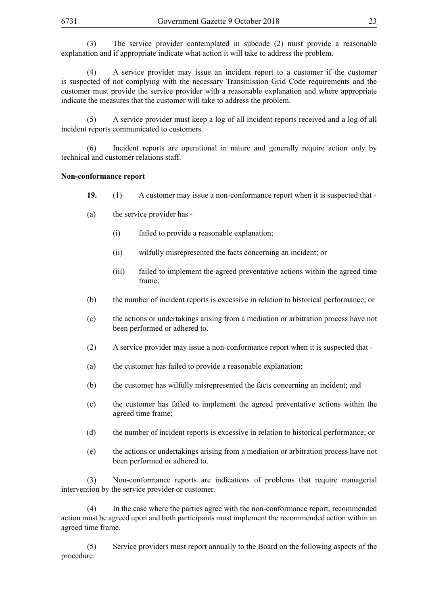(3) The service provider contemplated in subcode (2) must provide a reasonable explanation and if appropriate indicate what action it will take to address the problem.

(4) A service provider may issue an incident report to a customer if the customer is suspected of not complying with the necessary Transmission Grid Code requirements and the customer must provide the service provider with a reasonable explanation and where appropriate indicate the measures that the customer will take to address the problem.

(5) A service provider must keep a log of all incident reports received and a log of all incident reports communicated to customers.

(6) Incident reports are operational in nature and generally require action only by technical and customer relations staff.

#### **Non-conformance report**

- **19.** (1) A customer may issue a non-conformance report when it is suspected that -
- (a) the service provider has
	- (i) failed to provide a reasonable explanation;
	- (ii) wilfully misrepresented the facts concerning an incident; or
	- (iii) failed to implement the agreed preventative actions within the agreed time frame;
- (b) the number of incident reports is excessive in relation to historical performance; or
- (c) the actions or undertakings arising from a mediation or arbitration process have not been performed or adhered to.
- (2) A service provider may issue a non-conformance report when it is suspected that -
- (a) the customer has failed to provide a reasonable explanation;
- (b) the customer has wilfully misrepresented the facts concerning an incident; and
- (c) the customer has failed to implement the agreed preventative actions within the agreed time frame;
- (d) the number of incident reports is excessive in relation to historical performance; or
- (e) the actions or undertakings arising from a mediation or arbitration process have not been performed or adhered to.

(3) Non-conformance reports are indications of problems that require managerial intervention by the service provider or customer.

(4) In the case where the parties agree with the non-conformance report, recommended action must be agreed upon and both participants must implement the recommended action within an agreed time frame.

(5) Service providers must report annually to the Board on the following aspects of the procedure: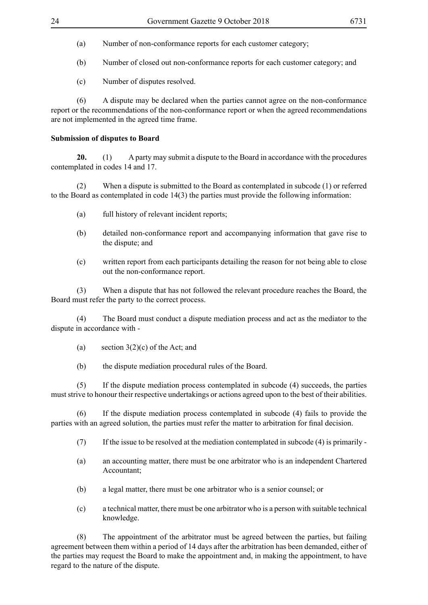- (a) Number of non-conformance reports for each customer category;
- (b) Number of closed out non-conformance reports for each customer category; and
- (c) Number of disputes resolved.

(6) A dispute may be declared when the parties cannot agree on the non-conformance report or the recommendations of the non-conformance report or when the agreed recommendations are not implemented in the agreed time frame.

## **Submission of disputes to Board**

**20.** (1) A party may submit a dispute to the Board in accordance with the procedures contemplated in codes 14 and 17.

(2) When a dispute is submitted to the Board as contemplated in subcode (1) or referred to the Board as contemplated in code 14(3) the parties must provide the following information:

- (a) full history of relevant incident reports;
- (b) detailed non-conformance report and accompanying information that gave rise to the dispute; and
- (c) written report from each participants detailing the reason for not being able to close out the non-conformance report.

(3) When a dispute that has not followed the relevant procedure reaches the Board, the Board must refer the party to the correct process.

(4) The Board must conduct a dispute mediation process and act as the mediator to the dispute in accordance with -

(a) section  $3(2)(c)$  of the Act; and

(b) the dispute mediation procedural rules of the Board.

(5) If the dispute mediation process contemplated in subcode (4) succeeds, the parties must strive to honour their respective undertakings or actions agreed upon to the best of their abilities.

(6) If the dispute mediation process contemplated in subcode (4) fails to provide the parties with an agreed solution, the parties must refer the matter to arbitration for final decision.

- (7) If the issue to be resolved at the mediation contemplated in subcode (4) is primarily -
- (a) an accounting matter, there must be one arbitrator who is an independent Chartered Accountant;
- (b) a legal matter, there must be one arbitrator who is a senior counsel; or
- (c) a technical matter, there must be one arbitrator who is a person with suitable technical knowledge.

(8) The appointment of the arbitrator must be agreed between the parties, but failing agreement between them within a period of 14 days after the arbitration has been demanded, either of the parties may request the Board to make the appointment and, in making the appointment, to have regard to the nature of the dispute.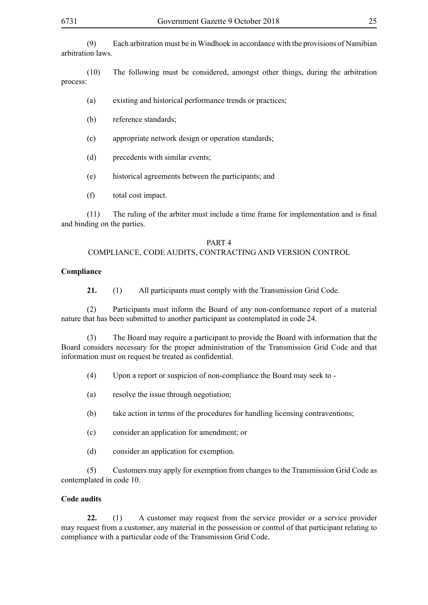(9) Each arbitration must be in Windhoek in accordance with the provisions of Namibian arbitration laws.

(10) The following must be considered, amongst other things, during the arbitration process:

- (a) existing and historical performance trends or practices;
- (b) reference standards;
- (c) appropriate network design or operation standards;
- (d) precedents with similar events;
- (e) historical agreements between the participants; and
- (f) total cost impact.

(11) The ruling of the arbiter must include a time frame for implementation and is final and binding on the parties.

#### PART 4 COMPLIANCE, CODE AUDITS, CONTRACTING AND VERSION CONTROL

#### **Compliance**

**21.** (1) All participants must comply with the Transmission Grid Code.

(2) Participants must inform the Board of any non-conformance report of a material nature that has been submitted to another participant as contemplated in code 24.

(3) The Board may require a participant to provide the Board with information that the Board considers necessary for the proper administration of the Transmission Grid Code and that information must on request be treated as confidential.

- (4) Upon a report or suspicion of non-compliance the Board may seek to -
- (a) resolve the issue through negotiation;
- (b) take action in terms of the procedures for handling licensing contraventions;
- (c) consider an application for amendment; or
- (d) consider an application for exemption.

(5) Customers may apply for exemption from changes to the Transmission Grid Code as contemplated in code 10.

## **Code audits**

**22.** (1) A customer may request from the service provider or a service provider may request from a customer, any material in the possession or control of that participant relating to compliance with a particular code of the Transmission Grid Code.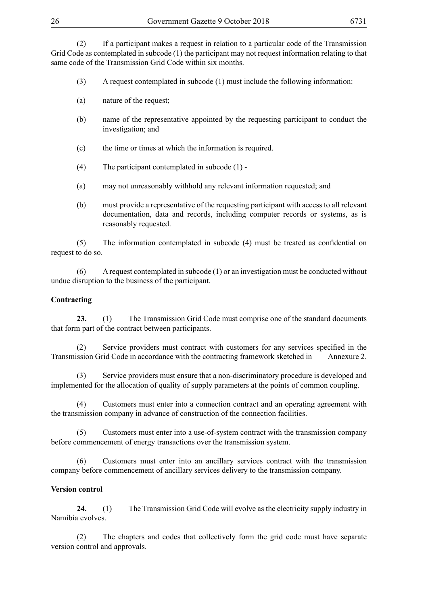(2) If a participant makes a request in relation to a particular code of the Transmission Grid Code as contemplated in subcode (1) the participant may not request information relating to that same code of the Transmission Grid Code within six months.

- (3) A request contemplated in subcode (1) must include the following information:
- (a) nature of the request;
- (b) name of the representative appointed by the requesting participant to conduct the investigation; and
- (c) the time or times at which the information is required.
- (4) The participant contemplated in subcode (1) -
- (a) may not unreasonably withhold any relevant information requested; and
- (b) must provide a representative of the requesting participant with access to all relevant documentation, data and records, including computer records or systems, as is reasonably requested.

(5) The information contemplated in subcode (4) must be treated as confidential on request to do so.

(6) A request contemplated in subcode (1) or an investigation must be conducted without undue disruption to the business of the participant.

## **Contracting**

**23.** (1) The Transmission Grid Code must comprise one of the standard documents that form part of the contract between participants.

(2) Service providers must contract with customers for any services specified in the Transmission Grid Code in accordance with the contracting framework sketched in Annexure 2.

(3) Service providers must ensure that a non-discriminatory procedure is developed and implemented for the allocation of quality of supply parameters at the points of common coupling.

(4) Customers must enter into a connection contract and an operating agreement with the transmission company in advance of construction of the connection facilities.

Customers must enter into a use-of-system contract with the transmission company before commencement of energy transactions over the transmission system.

(6) Customers must enter into an ancillary services contract with the transmission company before commencement of ancillary services delivery to the transmission company.

## **Version control**

**24.** (1) The Transmission Grid Code will evolve as the electricity supply industry in Namibia evolves.

(2) The chapters and codes that collectively form the grid code must have separate version control and approvals.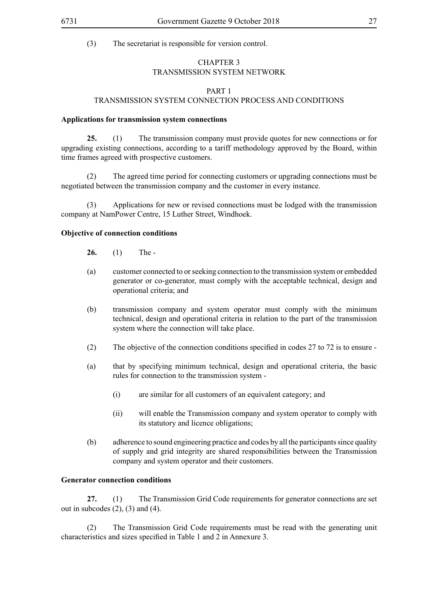## CHAPTER 3 TRANSMISSION SYSTEM NETWORK

## PART 1 TRANSMISSION SYSTEM CONNECTION PROCESS AND CONDITIONS

#### **Applications for transmission system connections**

**25.** (1) The transmission company must provide quotes for new connections or for upgrading existing connections, according to a tariff methodology approved by the Board, within time frames agreed with prospective customers.

(2) The agreed time period for connecting customers or upgrading connections must be negotiated between the transmission company and the customer in every instance.

(3) Applications for new or revised connections must be lodged with the transmission company at NamPower Centre, 15 Luther Street, Windhoek.

#### **Objective of connection conditions**

**26.** (1) The -

- (a) customer connected to or seeking connection to the transmission system or embedded generator or co-generator, must comply with the acceptable technical, design and operational criteria; and
- (b) transmission company and system operator must comply with the minimum technical, design and operational criteria in relation to the part of the transmission system where the connection will take place.
- (2) The objective of the connection conditions specified in codes 27 to 72 is to ensure -
- (a) that by specifying minimum technical, design and operational criteria, the basic rules for connection to the transmission system -
	- (i) are similar for all customers of an equivalent category; and
	- (ii) will enable the Transmission company and system operator to comply with its statutory and licence obligations;
- (b) adherence to sound engineering practice and codes by all the participants since quality of supply and grid integrity are shared responsibilities between the Transmission company and system operator and their customers.

#### **Generator connection conditions**

**27.** (1) The Transmission Grid Code requirements for generator connections are set out in subcodes  $(2)$ ,  $(3)$  and  $(4)$ .

(2) The Transmission Grid Code requirements must be read with the generating unit characteristics and sizes specified in Table 1 and 2 in Annexure 3.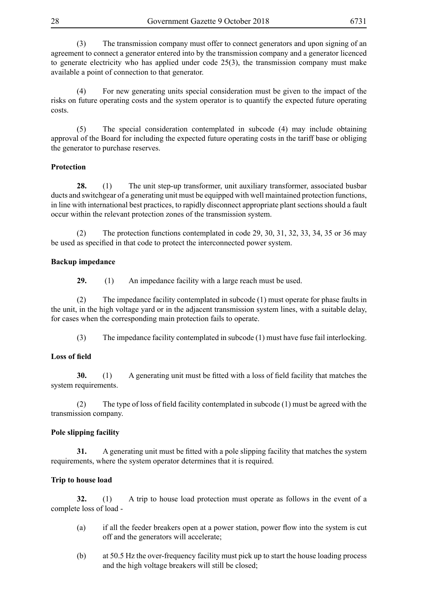(3) The transmission company must offer to connect generators and upon signing of an agreement to connect a generator entered into by the transmission company and a generator licenced to generate electricity who has applied under code 25(3), the transmission company must make available a point of connection to that generator.

(4) For new generating units special consideration must be given to the impact of the risks on future operating costs and the system operator is to quantify the expected future operating costs.

(5) The special consideration contemplated in subcode (4) may include obtaining approval of the Board for including the expected future operating costs in the tariff base or obliging the generator to purchase reserves.

## **Protection**

**28.** (1) The unit step-up transformer, unit auxiliary transformer, associated busbar ducts and switchgear of a generating unit must be equipped with well maintained protection functions, in line with international best practices, to rapidly disconnect appropriate plant sections should a fault occur within the relevant protection zones of the transmission system.

(2) The protection functions contemplated in code 29, 30, 31, 32, 33, 34, 35 or 36 may be used as specified in that code to protect the interconnected power system.

## **Backup impedance**

**29.** (1) An impedance facility with a large reach must be used.

(2) The impedance facility contemplated in subcode (1) must operate for phase faults in the unit, in the high voltage yard or in the adjacent transmission system lines, with a suitable delay, for cases when the corresponding main protection fails to operate.

(3) The impedance facility contemplated in subcode (1) must have fuse fail interlocking.

## **Loss of field**

**30.** (1) A generating unit must be fitted with a loss of field facility that matches the system requirements.

(2) The type of loss of field facility contemplated in subcode (1) must be agreed with the transmission company.

## **Pole slipping facility**

**31.** A generating unit must be fitted with a pole slipping facility that matches the system requirements, where the system operator determines that it is required.

## **Trip to house load**

**32.** (1) A trip to house load protection must operate as follows in the event of a complete loss of load -

- (a) if all the feeder breakers open at a power station, power flow into the system is cut off and the generators will accelerate;
- (b) at 50.5 Hz the over-frequency facility must pick up to start the house loading process and the high voltage breakers will still be closed;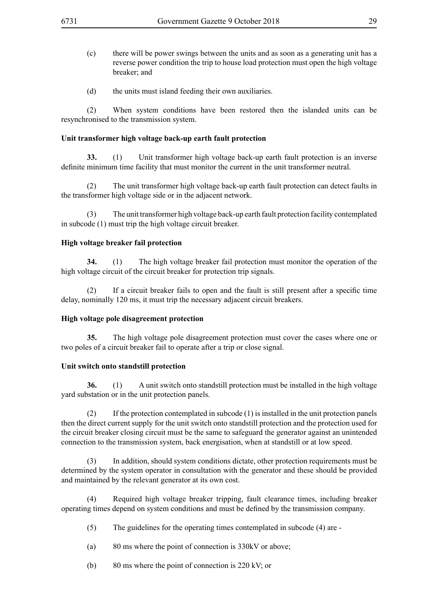- (c) there will be power swings between the units and as soon as a generating unit has a reverse power condition the trip to house load protection must open the high voltage breaker; and
- (d) the units must island feeding their own auxiliaries.

(2) When system conditions have been restored then the islanded units can be resynchronised to the transmission system.

## **Unit transformer high voltage back-up earth fault protection**

**33.** (1) Unit transformer high voltage back-up earth fault protection is an inverse definite minimum time facility that must monitor the current in the unit transformer neutral.

(2) The unit transformer high voltage back-up earth fault protection can detect faults in the transformer high voltage side or in the adjacent network.

(3) The unit transformer high voltage back-up earth fault protection facility contemplated in subcode (1) must trip the high voltage circuit breaker.

## **High voltage breaker fail protection**

**34.** (1) The high voltage breaker fail protection must monitor the operation of the high voltage circuit of the circuit breaker for protection trip signals.

(2) If a circuit breaker fails to open and the fault is still present after a specific time delay, nominally 120 ms, it must trip the necessary adjacent circuit breakers.

## **High voltage pole disagreement protection**

**35.** The high voltage pole disagreement protection must cover the cases where one or two poles of a circuit breaker fail to operate after a trip or close signal.

## **Unit switch onto standstill protection**

**36.** (1) A unit switch onto standstill protection must be installed in the high voltage yard substation or in the unit protection panels.

(2) If the protection contemplated in subcode (1) is installed in the unit protection panels then the direct current supply for the unit switch onto standstill protection and the protection used for the circuit breaker closing circuit must be the same to safeguard the generator against an unintended connection to the transmission system, back energisation, when at standstill or at low speed.

(3) In addition, should system conditions dictate, other protection requirements must be determined by the system operator in consultation with the generator and these should be provided and maintained by the relevant generator at its own cost.

(4) Required high voltage breaker tripping, fault clearance times, including breaker operating times depend on system conditions and must be defined by the transmission company.

- (5) The guidelines for the operating times contemplated in subcode (4) are -
- (a) 80 ms where the point of connection is 330kV or above;
- (b) 80 ms where the point of connection is 220 kV; or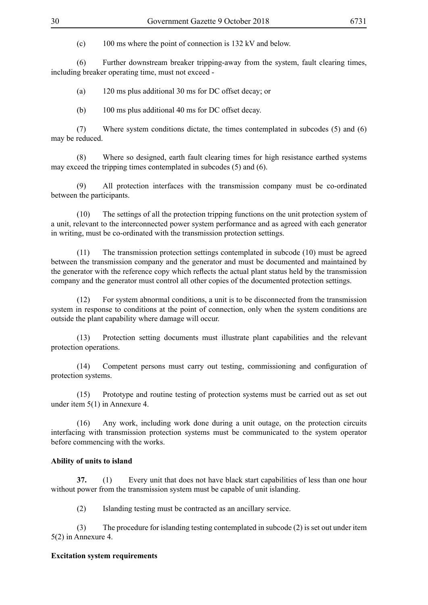(c) 100 ms where the point of connection is 132 kV and below.

(6) Further downstream breaker tripping-away from the system, fault clearing times, including breaker operating time, must not exceed -

(a) 120 ms plus additional 30 ms for DC offset decay; or

(b) 100 ms plus additional 40 ms for DC offset decay.

(7) Where system conditions dictate, the times contemplated in subcodes (5) and (6) may be reduced.

(8) Where so designed, earth fault clearing times for high resistance earthed systems may exceed the tripping times contemplated in subcodes (5) and (6).

(9) All protection interfaces with the transmission company must be co-ordinated between the participants.

(10) The settings of all the protection tripping functions on the unit protection system of a unit, relevant to the interconnected power system performance and as agreed with each generator in writing, must be co-ordinated with the transmission protection settings.

(11) The transmission protection settings contemplated in subcode (10) must be agreed between the transmission company and the generator and must be documented and maintained by the generator with the reference copy which reflects the actual plant status held by the transmission company and the generator must control all other copies of the documented protection settings.

(12) For system abnormal conditions, a unit is to be disconnected from the transmission system in response to conditions at the point of connection, only when the system conditions are outside the plant capability where damage will occur.

(13) Protection setting documents must illustrate plant capabilities and the relevant protection operations.

(14) Competent persons must carry out testing, commissioning and configuration of protection systems.

(15) Prototype and routine testing of protection systems must be carried out as set out under item 5(1) in Annexure 4.

(16) Any work, including work done during a unit outage, on the protection circuits interfacing with transmission protection systems must be communicated to the system operator before commencing with the works.

## **Ability of units to island**

**37.** (1) Every unit that does not have black start capabilities of less than one hour without power from the transmission system must be capable of unit islanding.

(2) Islanding testing must be contracted as an ancillary service.

(3) The procedure for islanding testing contemplated in subcode (2) is set out under item 5(2) in Annexure 4.

## **Excitation system requirements**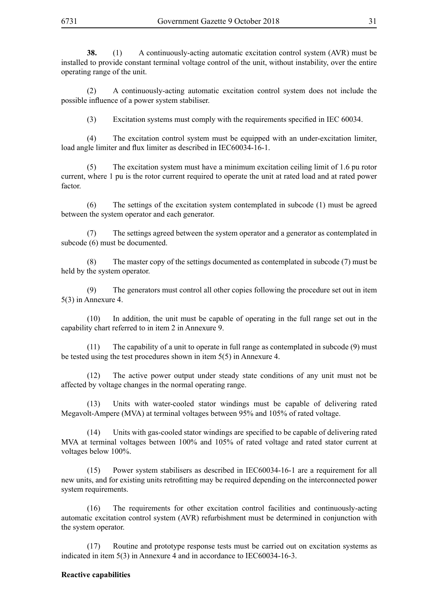**38.** (1) A continuously-acting automatic excitation control system (AVR) must be installed to provide constant terminal voltage control of the unit, without instability, over the entire operating range of the unit.

(2) A continuously-acting automatic excitation control system does not include the possible influence of a power system stabiliser.

(3) Excitation systems must comply with the requirements specified in IEC 60034.

(4) The excitation control system must be equipped with an under-excitation limiter, load angle limiter and flux limiter as described in IEC60034-16-1.

(5) The excitation system must have a minimum excitation ceiling limit of 1.6 pu rotor current, where 1 pu is the rotor current required to operate the unit at rated load and at rated power factor.

(6) The settings of the excitation system contemplated in subcode (1) must be agreed between the system operator and each generator.

(7) The settings agreed between the system operator and a generator as contemplated in subcode (6) must be documented.

(8) The master copy of the settings documented as contemplated in subcode (7) must be held by the system operator.

(9) The generators must control all other copies following the procedure set out in item 5(3) in Annexure 4.

(10) In addition, the unit must be capable of operating in the full range set out in the capability chart referred to in item 2 in Annexure 9.

(11) The capability of a unit to operate in full range as contemplated in subcode (9) must be tested using the test procedures shown in item 5(5) in Annexure 4.

(12) The active power output under steady state conditions of any unit must not be affected by voltage changes in the normal operating range.

(13) Units with water-cooled stator windings must be capable of delivering rated Megavolt-Ampere (MVA) at terminal voltages between 95% and 105% of rated voltage.

(14) Units with gas-cooled stator windings are specified to be capable of delivering rated MVA at terminal voltages between 100% and 105% of rated voltage and rated stator current at voltages below 100%.

(15) Power system stabilisers as described in IEC60034-16-1 are a requirement for all new units, and for existing units retrofitting may be required depending on the interconnected power system requirements.

(16) The requirements for other excitation control facilities and continuously-acting automatic excitation control system (AVR) refurbishment must be determined in conjunction with the system operator.

Routine and prototype response tests must be carried out on excitation systems as indicated in item 5(3) in Annexure 4 and in accordance to IEC60034-16-3.

#### **Reactive capabilities**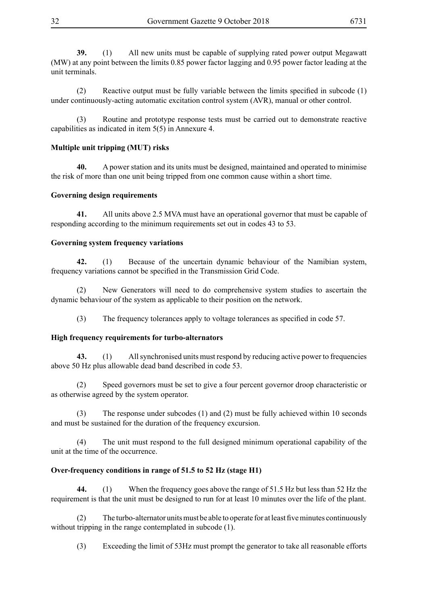**39.** (1) All new units must be capable of supplying rated power output Megawatt (MW) at any point between the limits 0.85 power factor lagging and 0.95 power factor leading at the unit terminals.

(2) Reactive output must be fully variable between the limits specified in subcode  $(1)$ under continuously-acting automatic excitation control system (AVR), manual or other control.

(3) Routine and prototype response tests must be carried out to demonstrate reactive capabilities as indicated in item 5(5) in Annexure 4.

## **Multiple unit tripping (MUT) risks**

**40.** A power station and its units must be designed, maintained and operated to minimise the risk of more than one unit being tripped from one common cause within a short time.

## **Governing design requirements**

**41.** All units above 2.5 MVA must have an operational governor that must be capable of responding according to the minimum requirements set out in codes 43 to 53.

## **Governing system frequency variations**

**42.** (1) Because of the uncertain dynamic behaviour of the Namibian system, frequency variations cannot be specified in the Transmission Grid Code.

(2) New Generators will need to do comprehensive system studies to ascertain the dynamic behaviour of the system as applicable to their position on the network.

(3) The frequency tolerances apply to voltage tolerances as specified in code 57.

## **High frequency requirements for turbo-alternators**

**43.** (1) All synchronised units must respond by reducing active power to frequencies above 50 Hz plus allowable dead band described in code 53.

Speed governors must be set to give a four percent governor droop characteristic or as otherwise agreed by the system operator.

(3) The response under subcodes (1) and (2) must be fully achieved within 10 seconds and must be sustained for the duration of the frequency excursion.

(4) The unit must respond to the full designed minimum operational capability of the unit at the time of the occurrence.

## **Over-frequency conditions in range of 51.5 to 52 Hz (stage H1)**

**44.** (1) When the frequency goes above the range of 51.5 Hz but less than 52 Hz the requirement is that the unit must be designed to run for at least 10 minutes over the life of the plant.

(2) The turbo-alternator units must be able to operate for at least five minutes continuously without tripping in the range contemplated in subcode (1).

(3) Exceeding the limit of 53Hz must prompt the generator to take all reasonable efforts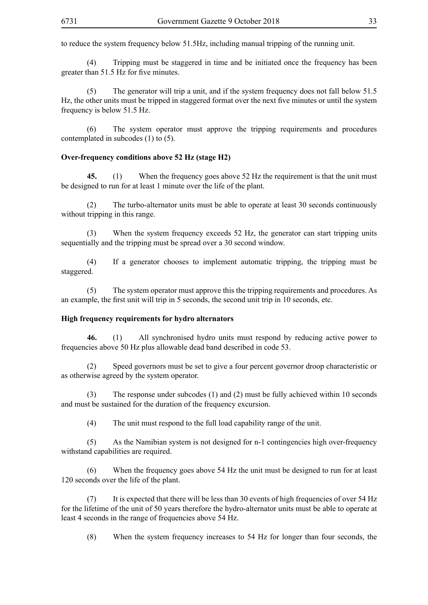to reduce the system frequency below 51.5Hz, including manual tripping of the running unit.

(4) Tripping must be staggered in time and be initiated once the frequency has been greater than 51.5 Hz for five minutes.

(5) The generator will trip a unit, and if the system frequency does not fall below 51.5 Hz, the other units must be tripped in staggered format over the next five minutes or until the system frequency is below 51.5 Hz.

(6) The system operator must approve the tripping requirements and procedures contemplated in subcodes (1) to (5).

#### **Over-frequency conditions above 52 Hz (stage H2)**

**45.** (1) When the frequency goes above 52 Hz the requirement is that the unit must be designed to run for at least 1 minute over the life of the plant.

(2) The turbo-alternator units must be able to operate at least 30 seconds continuously without tripping in this range.

(3) When the system frequency exceeds 52 Hz, the generator can start tripping units sequentially and the tripping must be spread over a 30 second window.

(4) If a generator chooses to implement automatic tripping, the tripping must be staggered.

(5) The system operator must approve this the tripping requirements and procedures. As an example, the first unit will trip in 5 seconds, the second unit trip in 10 seconds, etc.

## **High frequency requirements for hydro alternators**

**46.** (1) All synchronised hydro units must respond by reducing active power to frequencies above 50 Hz plus allowable dead band described in code 53.

(2) Speed governors must be set to give a four percent governor droop characteristic or as otherwise agreed by the system operator.

(3) The response under subcodes (1) and (2) must be fully achieved within 10 seconds and must be sustained for the duration of the frequency excursion.

(4) The unit must respond to the full load capability range of the unit.

(5) As the Namibian system is not designed for n-1 contingencies high over-frequency withstand capabilities are required.

(6) When the frequency goes above 54 Hz the unit must be designed to run for at least 120 seconds over the life of the plant.

(7) It is expected that there will be less than 30 events of high frequencies of over 54 Hz for the lifetime of the unit of 50 years therefore the hydro-alternator units must be able to operate at least 4 seconds in the range of frequencies above 54 Hz.

(8) When the system frequency increases to 54 Hz for longer than four seconds, the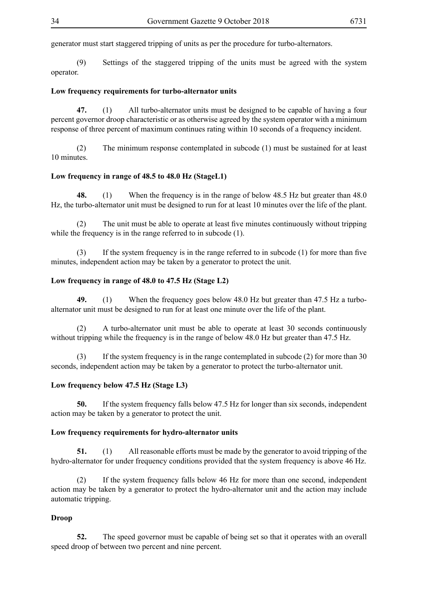generator must start staggered tripping of units as per the procedure for turbo-alternators.

(9) Settings of the staggered tripping of the units must be agreed with the system operator.

## **Low frequency requirements for turbo-alternator units**

**47.** (1) All turbo-alternator units must be designed to be capable of having a four percent governor droop characteristic or as otherwise agreed by the system operator with a minimum response of three percent of maximum continues rating within 10 seconds of a frequency incident.

(2) The minimum response contemplated in subcode (1) must be sustained for at least 10 minutes.

#### **Low frequency in range of 48.5 to 48.0 Hz (StageL1)**

**48.** (1) When the frequency is in the range of below 48.5 Hz but greater than 48.0 Hz, the turbo-alternator unit must be designed to run for at least 10 minutes over the life of the plant.

The unit must be able to operate at least five minutes continuously without tripping while the frequency is in the range referred to in subcode (1).

(3) If the system frequency is in the range referred to in subcode (1) for more than five minutes, independent action may be taken by a generator to protect the unit.

## **Low frequency in range of 48.0 to 47.5 Hz (Stage L2)**

**49.** (1) When the frequency goes below 48.0 Hz but greater than 47.5 Hz a turboalternator unit must be designed to run for at least one minute over the life of the plant.

(2) A turbo-alternator unit must be able to operate at least 30 seconds continuously without tripping while the frequency is in the range of below 48.0 Hz but greater than 47.5 Hz.

(3) If the system frequency is in the range contemplated in subcode (2) for more than 30 seconds, independent action may be taken by a generator to protect the turbo-alternator unit.

## **Low frequency below 47.5 Hz (Stage L3)**

**50.** If the system frequency falls below 47.5 Hz for longer than six seconds, independent action may be taken by a generator to protect the unit.

#### **Low frequency requirements for hydro-alternator units**

**51.** (1) All reasonable efforts must be made by the generator to avoid tripping of the hydro-alternator for under frequency conditions provided that the system frequency is above 46 Hz.

(2) If the system frequency falls below 46 Hz for more than one second, independent action may be taken by a generator to protect the hydro-alternator unit and the action may include automatic tripping.

## **Droop**

**52.** The speed governor must be capable of being set so that it operates with an overall speed droop of between two percent and nine percent.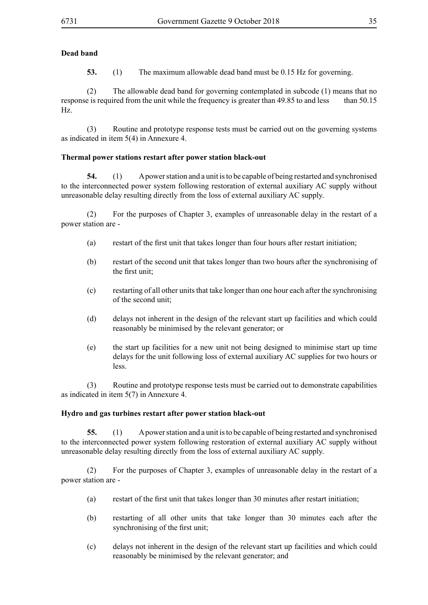## **Dead band**

**53.** (1) The maximum allowable dead band must be 0.15 Hz for governing.

(2) The allowable dead band for governing contemplated in subcode (1) means that no response is required from the unit while the frequency is greater than 49.85 to and less than 50.15 Hz.

(3) Routine and prototype response tests must be carried out on the governing systems as indicated in item 5(4) in Annexure 4.

## **Thermal power stations restart after power station black-out**

**54.** (1) A power station and a unit is to be capable of being restarted and synchronised to the interconnected power system following restoration of external auxiliary AC supply without unreasonable delay resulting directly from the loss of external auxiliary AC supply.

(2) For the purposes of Chapter 3, examples of unreasonable delay in the restart of a power station are -

- (a) restart of the first unit that takes longer than four hours after restart initiation;
- (b) restart of the second unit that takes longer than two hours after the synchronising of the first unit;
- (c) restarting of all other units that take longer than one hour each after the synchronising of the second unit;
- (d) delays not inherent in the design of the relevant start up facilities and which could reasonably be minimised by the relevant generator; or
- (e) the start up facilities for a new unit not being designed to minimise start up time delays for the unit following loss of external auxiliary AC supplies for two hours or less.

(3) Routine and prototype response tests must be carried out to demonstrate capabilities as indicated in item 5(7) in Annexure 4.

## **Hydro and gas turbines restart after power station black-out**

**55.** (1) A power station and a unit is to be capable of being restarted and synchronised to the interconnected power system following restoration of external auxiliary AC supply without unreasonable delay resulting directly from the loss of external auxiliary AC supply.

(2) For the purposes of Chapter 3, examples of unreasonable delay in the restart of a power station are -

- (a) restart of the first unit that takes longer than 30 minutes after restart initiation;
- (b) restarting of all other units that take longer than 30 minutes each after the synchronising of the first unit;
- (c) delays not inherent in the design of the relevant start up facilities and which could reasonably be minimised by the relevant generator; and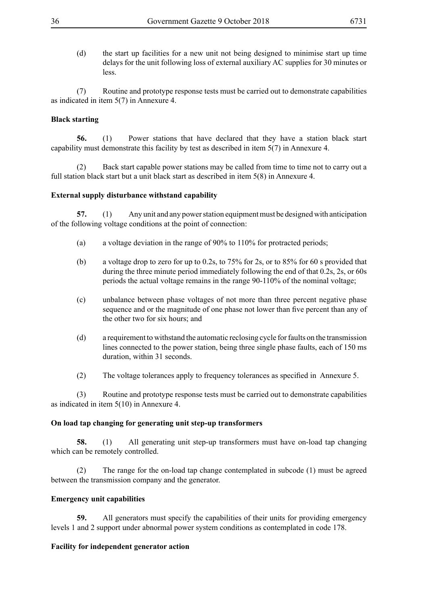(d) the start up facilities for a new unit not being designed to minimise start up time delays for the unit following loss of external auxiliary AC supplies for 30 minutes or less.

(7) Routine and prototype response tests must be carried out to demonstrate capabilities as indicated in item 5(7) in Annexure 4.

## **Black starting**

**56.** (1) Power stations that have declared that they have a station black start capability must demonstrate this facility by test as described in item 5(7) in Annexure 4.

(2) Back start capable power stations may be called from time to time not to carry out a full station black start but a unit black start as described in item 5(8) in Annexure 4.

#### **External supply disturbance withstand capability**

**57.** (1) Any unit and any power station equipment must be designed with anticipation of the following voltage conditions at the point of connection:

- (a) a voltage deviation in the range of 90% to 110% for protracted periods;
- (b) a voltage drop to zero for up to 0.2s, to 75% for 2s, or to 85% for 60 s provided that during the three minute period immediately following the end of that 0.2s, 2s, or 60s periods the actual voltage remains in the range 90-110% of the nominal voltage;
- (c) unbalance between phase voltages of not more than three percent negative phase sequence and or the magnitude of one phase not lower than five percent than any of the other two for six hours; and
- (d) a requirement to withstand the automatic reclosing cycle for faults on the transmission lines connected to the power station, being three single phase faults, each of 150 ms duration, within 31 seconds.
- (2) The voltage tolerances apply to frequency tolerances as specified in Annexure 5.

(3) Routine and prototype response tests must be carried out to demonstrate capabilities as indicated in item 5(10) in Annexure 4.

#### **On load tap changing for generating unit step-up transformers**

**58.** (1) All generating unit step-up transformers must have on-load tap changing which can be remotely controlled.

(2) The range for the on-load tap change contemplated in subcode (1) must be agreed between the transmission company and the generator.

## **Emergency unit capabilities**

**59.** All generators must specify the capabilities of their units for providing emergency levels 1 and 2 support under abnormal power system conditions as contemplated in code 178.

## **Facility for independent generator action**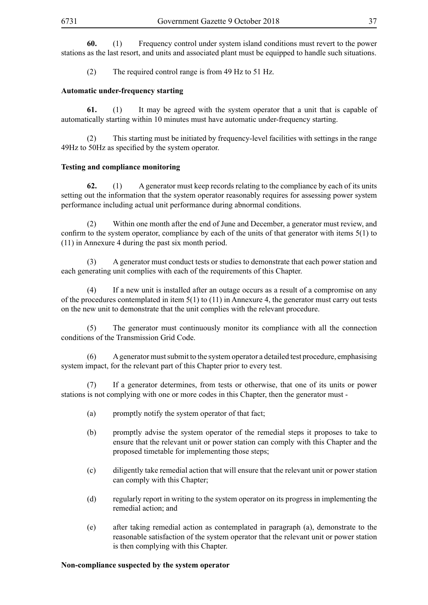**60.** (1) Frequency control under system island conditions must revert to the power stations as the last resort, and units and associated plant must be equipped to handle such situations.

(2) The required control range is from 49 Hz to 51 Hz.

## **Automatic under-frequency starting**

**61.** (1) It may be agreed with the system operator that a unit that is capable of automatically starting within 10 minutes must have automatic under-frequency starting.

(2) This starting must be initiated by frequency-level facilities with settings in the range 49Hz to 50Hz as specified by the system operator.

## **Testing and compliance monitoring**

**62.** (1) A generator must keep records relating to the compliance by each of its units setting out the information that the system operator reasonably requires for assessing power system performance including actual unit performance during abnormal conditions.

(2) Within one month after the end of June and December, a generator must review, and confirm to the system operator, compliance by each of the units of that generator with items 5(1) to (11) in Annexure 4 during the past six month period.

(3) A generator must conduct tests or studies to demonstrate that each power station and each generating unit complies with each of the requirements of this Chapter.

(4) If a new unit is installed after an outage occurs as a result of a compromise on any of the procedures contemplated in item 5(1) to (11) in Annexure 4, the generator must carry out tests on the new unit to demonstrate that the unit complies with the relevant procedure.

(5) The generator must continuously monitor its compliance with all the connection conditions of the Transmission Grid Code.

(6) A generator must submit to the system operator a detailed test procedure, emphasising system impact, for the relevant part of this Chapter prior to every test.

(7) If a generator determines, from tests or otherwise, that one of its units or power stations is not complying with one or more codes in this Chapter, then the generator must -

- (a) promptly notify the system operator of that fact;
- (b) promptly advise the system operator of the remedial steps it proposes to take to ensure that the relevant unit or power station can comply with this Chapter and the proposed timetable for implementing those steps;
- (c) diligently take remedial action that will ensure that the relevant unit or power station can comply with this Chapter;
- (d) regularly report in writing to the system operator on its progress in implementing the remedial action; and
- (e) after taking remedial action as contemplated in paragraph (a), demonstrate to the reasonable satisfaction of the system operator that the relevant unit or power station is then complying with this Chapter.

#### **Non-compliance suspected by the system operator**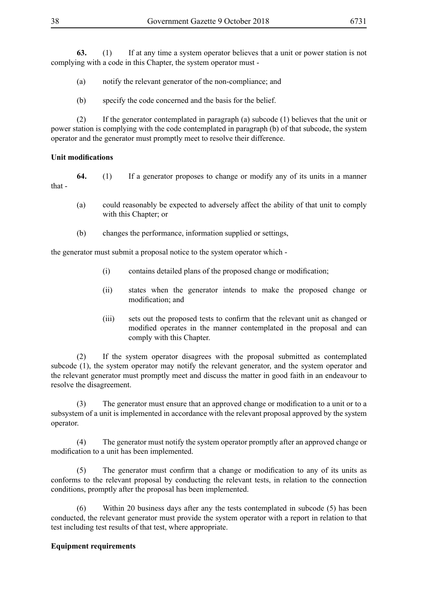**63.** (1) If at any time a system operator believes that a unit or power station is not complying with a code in this Chapter, the system operator must -

(a) notify the relevant generator of the non-compliance; and

(b) specify the code concerned and the basis for the belief.

(2) If the generator contemplated in paragraph (a) subcode (1) believes that the unit or power station is complying with the code contemplated in paragraph (b) of that subcode, the system operator and the generator must promptly meet to resolve their difference.

## **Unit modifications**

**64.** (1) If a generator proposes to change or modify any of its units in a manner that -

- (a) could reasonably be expected to adversely affect the ability of that unit to comply with this Chapter; or
- (b) changes the performance, information supplied or settings,

the generator must submit a proposal notice to the system operator which -

- (i) contains detailed plans of the proposed change or modification;
- (ii) states when the generator intends to make the proposed change or modification; and
- (iii) sets out the proposed tests to confirm that the relevant unit as changed or modified operates in the manner contemplated in the proposal and can comply with this Chapter.

(2) If the system operator disagrees with the proposal submitted as contemplated subcode (1), the system operator may notify the relevant generator, and the system operator and the relevant generator must promptly meet and discuss the matter in good faith in an endeavour to resolve the disagreement.

(3) The generator must ensure that an approved change or modification to a unit or to a subsystem of a unit is implemented in accordance with the relevant proposal approved by the system operator.

(4) The generator must notify the system operator promptly after an approved change or modification to a unit has been implemented.

 (5) The generator must confirm that a change or modification to any of its units as conforms to the relevant proposal by conducting the relevant tests, in relation to the connection conditions, promptly after the proposal has been implemented.

(6) Within 20 business days after any the tests contemplated in subcode (5) has been conducted, the relevant generator must provide the system operator with a report in relation to that test including test results of that test, where appropriate.

# **Equipment requirements**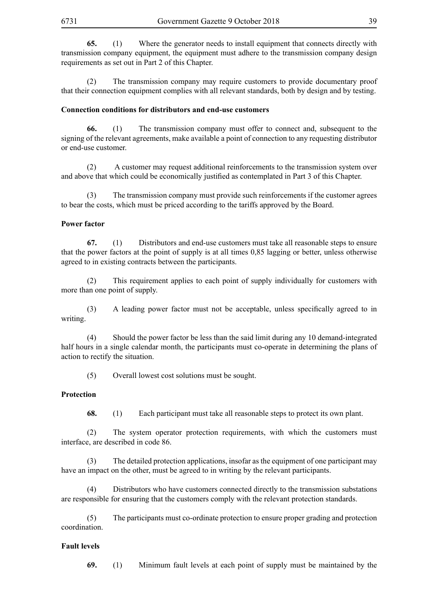**65.** (1) Where the generator needs to install equipment that connects directly with transmission company equipment, the equipment must adhere to the transmission company design requirements as set out in Part 2 of this Chapter.

(2) The transmission company may require customers to provide documentary proof that their connection equipment complies with all relevant standards, both by design and by testing.

#### **Connection conditions for distributors and end-use customers**

**66.** (1) The transmission company must offer to connect and, subsequent to the signing of the relevant agreements, make available a point of connection to any requesting distributor or end-use customer.

(2) A customer may request additional reinforcements to the transmission system over and above that which could be economically justified as contemplated in Part 3 of this Chapter.

(3) The transmission company must provide such reinforcements if the customer agrees to bear the costs, which must be priced according to the tariffs approved by the Board.

#### **Power factor**

**67.** (1) Distributors and end-use customers must take all reasonable steps to ensure that the power factors at the point of supply is at all times 0,85 lagging or better, unless otherwise agreed to in existing contracts between the participants.

(2) This requirement applies to each point of supply individually for customers with more than one point of supply.

(3) A leading power factor must not be acceptable, unless specifically agreed to in writing.

(4) Should the power factor be less than the said limit during any 10 demand-integrated half hours in a single calendar month, the participants must co-operate in determining the plans of action to rectify the situation.

(5) Overall lowest cost solutions must be sought.

#### **Protection**

**68.** (1) Each participant must take all reasonable steps to protect its own plant.

(2) The system operator protection requirements, with which the customers must interface, are described in code 86.

(3) The detailed protection applications, insofar as the equipment of one participant may have an impact on the other, must be agreed to in writing by the relevant participants.

(4) Distributors who have customers connected directly to the transmission substations are responsible for ensuring that the customers comply with the relevant protection standards.

(5) The participants must co-ordinate protection to ensure proper grading and protection coordination.

#### **Fault levels**

**69.** (1) Minimum fault levels at each point of supply must be maintained by the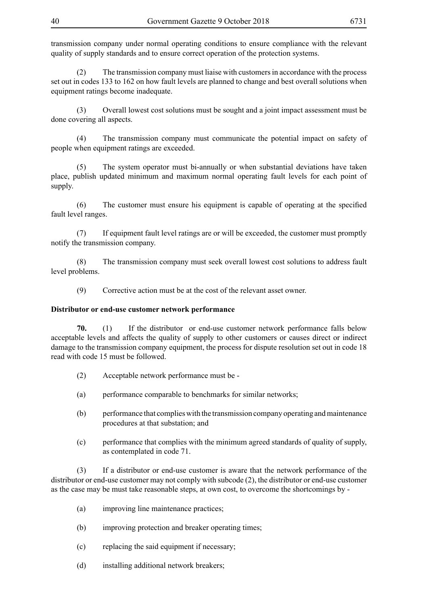transmission company under normal operating conditions to ensure compliance with the relevant quality of supply standards and to ensure correct operation of the protection systems.

(2) The transmission company must liaise with customers in accordance with the process set out in codes 133 to 162 on how fault levels are planned to change and best overall solutions when equipment ratings become inadequate.

(3) Overall lowest cost solutions must be sought and a joint impact assessment must be done covering all aspects.

(4) The transmission company must communicate the potential impact on safety of people when equipment ratings are exceeded.

(5) The system operator must bi-annually or when substantial deviations have taken place, publish updated minimum and maximum normal operating fault levels for each point of supply.

(6) The customer must ensure his equipment is capable of operating at the specified fault level ranges.

(7) If equipment fault level ratings are or will be exceeded, the customer must promptly notify the transmission company.

(8) The transmission company must seek overall lowest cost solutions to address fault level problems.

(9) Corrective action must be at the cost of the relevant asset owner.

## **Distributor or end-use customer network performance**

**70.** (1) If the distributor or end-use customer network performance falls below acceptable levels and affects the quality of supply to other customers or causes direct or indirect damage to the transmission company equipment, the process for dispute resolution set out in code 18 read with code 15 must be followed.

- (2) Acceptable network performance must be -
- (a) performance comparable to benchmarks for similar networks;
- (b) performance that complies with the transmission company operating and maintenance procedures at that substation; and
- (c) performance that complies with the minimum agreed standards of quality of supply, as contemplated in code 71.

(3) If a distributor or end-use customer is aware that the network performance of the distributor or end-use customer may not comply with subcode (2), the distributor or end-use customer as the case may be must take reasonable steps, at own cost, to overcome the shortcomings by -

- (a) improving line maintenance practices;
- (b) improving protection and breaker operating times;
- (c) replacing the said equipment if necessary;
- (d) installing additional network breakers;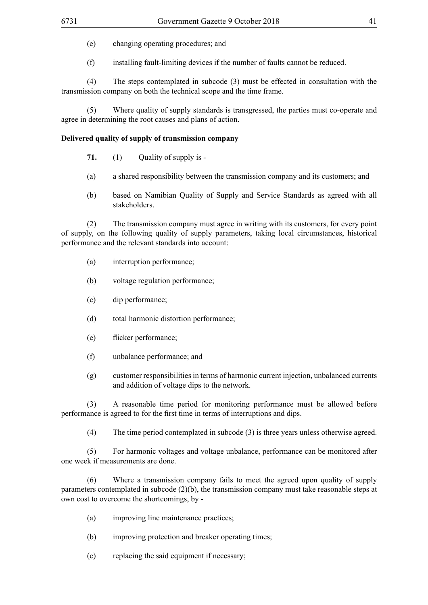(e) changing operating procedures; and

(f) installing fault-limiting devices if the number of faults cannot be reduced.

(4) The steps contemplated in subcode (3) must be effected in consultation with the transmission company on both the technical scope and the time frame.

(5) Where quality of supply standards is transgressed, the parties must co-operate and agree in determining the root causes and plans of action.

## **Delivered quality of supply of transmission company**

- **71.** (1) Ouality of supply is -
- (a) a shared responsibility between the transmission company and its customers; and
- (b) based on Namibian Quality of Supply and Service Standards as agreed with all stakeholders.

(2) The transmission company must agree in writing with its customers, for every point of supply, on the following quality of supply parameters, taking local circumstances, historical performance and the relevant standards into account:

- (a) interruption performance;
- (b) voltage regulation performance;
- (c) dip performance;
- (d) total harmonic distortion performance;
- (e) flicker performance;
- (f) unbalance performance; and
- (g) customer responsibilities in terms of harmonic current injection, unbalanced currents and addition of voltage dips to the network.

(3) A reasonable time period for monitoring performance must be allowed before performance is agreed to for the first time in terms of interruptions and dips.

(4) The time period contemplated in subcode (3) is three years unless otherwise agreed.

(5) For harmonic voltages and voltage unbalance, performance can be monitored after one week if measurements are done.

(6) Where a transmission company fails to meet the agreed upon quality of supply parameters contemplated in subcode (2)(b), the transmission company must take reasonable steps at own cost to overcome the shortcomings, by -

- (a) improving line maintenance practices;
- (b) improving protection and breaker operating times;
- (c) replacing the said equipment if necessary;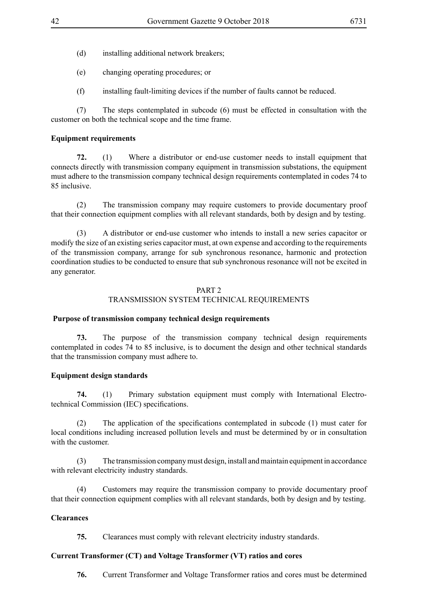- (d) installing additional network breakers;
- (e) changing operating procedures; or
- (f) installing fault-limiting devices if the number of faults cannot be reduced.

(7) The steps contemplated in subcode (6) must be effected in consultation with the customer on both the technical scope and the time frame.

# **Equipment requirements**

**72.** (1) Where a distributor or end-use customer needs to install equipment that connects directly with transmission company equipment in transmission substations, the equipment must adhere to the transmission company technical design requirements contemplated in codes 74 to 85 inclusive.

(2) The transmission company may require customers to provide documentary proof that their connection equipment complies with all relevant standards, both by design and by testing.

(3) A distributor or end-use customer who intends to install a new series capacitor or modify the size of an existing series capacitor must, at own expense and according to the requirements of the transmission company, arrange for sub synchronous resonance, harmonic and protection coordination studies to be conducted to ensure that sub synchronous resonance will not be excited in any generator.

## PART 2

# TRANSMISSION SYSTEM TECHNICAL REQUIREMENTS

# **Purpose of transmission company technical design requirements**

**73.** The purpose of the transmission company technical design requirements contemplated in codes 74 to 85 inclusive, is to document the design and other technical standards that the transmission company must adhere to.

# **Equipment design standards**

**74.** (1) Primary substation equipment must comply with International Electrotechnical Commission (IEC) specifications.

(2) The application of the specifications contemplated in subcode (1) must cater for local conditions including increased pollution levels and must be determined by or in consultation with the customer.

(3) The transmission company must design, install and maintain equipment in accordance with relevant electricity industry standards.

(4) Customers may require the transmission company to provide documentary proof that their connection equipment complies with all relevant standards, both by design and by testing.

# **Clearances**

**75.** Clearances must comply with relevant electricity industry standards.

# **Current Transformer (CT) and Voltage Transformer (VT) ratios and cores**

**76.** Current Transformer and Voltage Transformer ratios and cores must be determined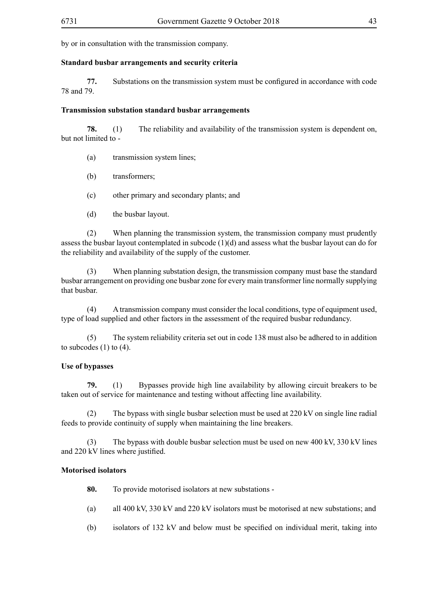by or in consultation with the transmission company.

## **Standard busbar arrangements and security criteria**

**77.** Substations on the transmission system must be configured in accordance with code 78 and 79.

## **Transmission substation standard busbar arrangements**

**78.** (1) The reliability and availability of the transmission system is dependent on, but not limited to -

- (a) transmission system lines;
- (b) transformers;
- (c) other primary and secondary plants; and
- (d) the busbar layout.

(2) When planning the transmission system, the transmission company must prudently assess the busbar layout contemplated in subcode (1)(d) and assess what the busbar layout can do for the reliability and availability of the supply of the customer.

(3) When planning substation design, the transmission company must base the standard busbar arrangement on providing one busbar zone for every main transformer line normally supplying that busbar.

(4) A transmission company must consider the local conditions, type of equipment used, type of load supplied and other factors in the assessment of the required busbar redundancy.

(5) The system reliability criteria set out in code 138 must also be adhered to in addition to subcodes  $(1)$  to  $(4)$ .

# **Use of bypasses**

**79.** (1) Bypasses provide high line availability by allowing circuit breakers to be taken out of service for maintenance and testing without affecting line availability.

(2) The bypass with single busbar selection must be used at 220 kV on single line radial feeds to provide continuity of supply when maintaining the line breakers.

(3) The bypass with double busbar selection must be used on new 400 kV, 330 kV lines and 220 kV lines where justified.

# **Motorised isolators**

- **80.** To provide motorised isolators at new substations -
- (a) all 400 kV, 330 kV and 220 kV isolators must be motorised at new substations; and
- (b) isolators of 132 kV and below must be specified on individual merit, taking into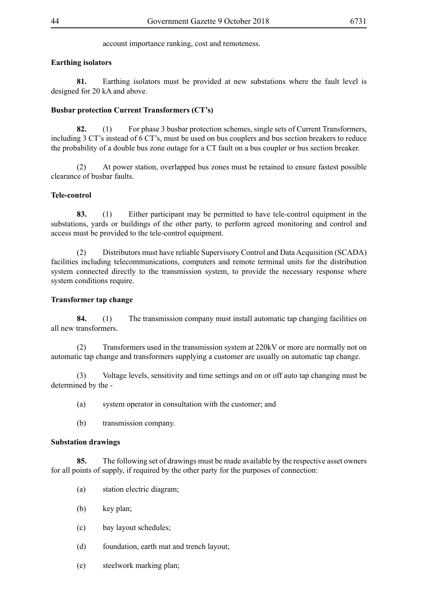account importance ranking, cost and remoteness.

# **Earthing isolators**

**81.** Earthing isolators must be provided at new substations where the fault level is designed for 20 kA and above.

# **Busbar protection Current Transformers (CT's)**

**82.** (1) For phase 3 busbar protection schemes, single sets of Current Transformers, including 3 CT's instead of 6 CT's, must be used on bus couplers and bus section breakers to reduce the probability of a double bus zone outage for a CT fault on a bus coupler or bus section breaker.

(2) At power station, overlapped bus zones must be retained to ensure fastest possible clearance of busbar faults.

## **Tele-control**

**83.** (1) Either participant may be permitted to have tele-control equipment in the substations, yards or buildings of the other party, to perform agreed monitoring and control and access must be provided to the tele-control equipment.

(2) Distributors must have reliable Supervisory Control and Data Acquisition (SCADA) facilities including telecommunications, computers and remote terminal units for the distribution system connected directly to the transmission system, to provide the necessary response where system conditions require.

# **Transformer tap change**

**84.** (1) The transmission company must install automatic tap changing facilities on all new transformers.

(2) Transformers used in the transmission system at 220kV or more are normally not on automatic tap change and transformers supplying a customer are usually on automatic tap change.

(3) Voltage levels, sensitivity and time settings and on or off auto tap changing must be determined by the -

- (a) system operator in consultation with the customer; and
- (b) transmission company.

## **Substation drawings**

**85.** The following set of drawings must be made available by the respective asset owners for all points of supply, if required by the other party for the purposes of connection:

- (a) station electric diagram;
- (b) key plan;
- (c) bay layout schedules;
- (d) foundation, earth mat and trench layout;
- (e) steelwork marking plan;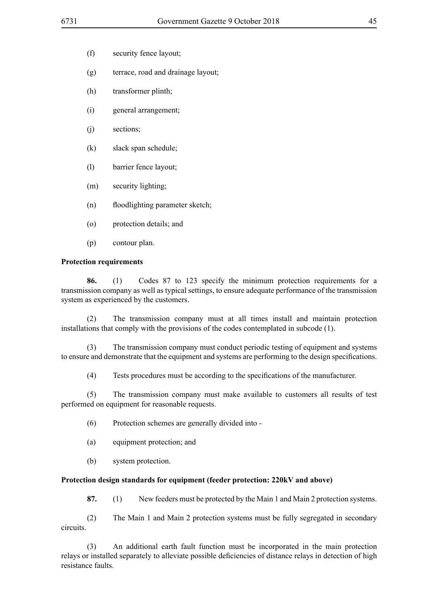- (f) security fence layout;
- (g) terrace, road and drainage layout;
- (h) transformer plinth;
- (i) general arrangement;
- (j) sections;
- (k) slack span schedule;
- (l) barrier fence layout;
- (m) security lighting;
- (n) floodlighting parameter sketch;
- (o) protection details; and
- (p) contour plan.

## **Protection requirements**

**86.** (1) Codes 87 to 123 specify the minimum protection requirements for a transmission company as well as typical settings, to ensure adequate performance of the transmission system as experienced by the customers.

(2) The transmission company must at all times install and maintain protection installations that comply with the provisions of the codes contemplated in subcode (1).

(3) The transmission company must conduct periodic testing of equipment and systems to ensure and demonstrate that the equipment and systems are performing to the design specifications.

(4) Tests procedures must be according to the specifications of the manufacturer.

(5) The transmission company must make available to customers all results of test performed on equipment for reasonable requests.

- (6) Protection schemes are generally divided into -
- (a) equipment protection; and
- (b) system protection.

## **Protection design standards for equipment (feeder protection: 220kV and above)**

**87.** (1) New feeders must be protected by the Main 1 and Main 2 protection systems.

(2) The Main 1 and Main 2 protection systems must be fully segregated in secondary circuits.

(3) An additional earth fault function must be incorporated in the main protection relays or installed separately to alleviate possible deficiencies of distance relays in detection of high resistance faults.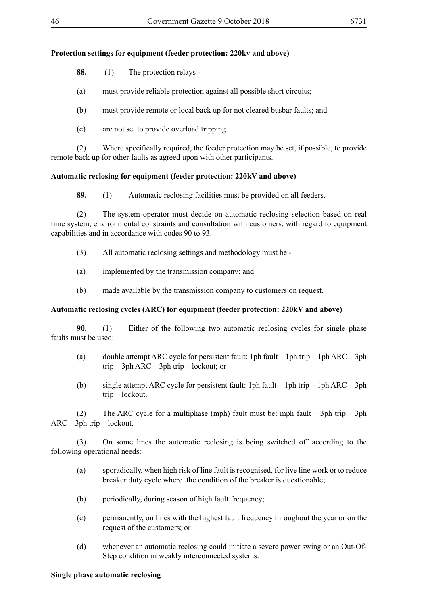## **Protection settings for equipment (feeder protection: 220kv and above)**

**88.** (1) The protection relays -

(a) must provide reliable protection against all possible short circuits;

(b) must provide remote or local back up for not cleared busbar faults; and

(c) are not set to provide overload tripping.

(2) Where specifically required, the feeder protection may be set, if possible, to provide remote back up for other faults as agreed upon with other participants.

## **Automatic reclosing for equipment (feeder protection: 220kV and above)**

**89.** (1) Automatic reclosing facilities must be provided on all feeders.

(2) The system operator must decide on automatic reclosing selection based on real time system, environmental constraints and consultation with customers, with regard to equipment capabilities and in accordance with codes 90 to 93.

(3) All automatic reclosing settings and methodology must be -

- (a) implemented by the transmission company; and
- (b) made available by the transmission company to customers on request.

## **Automatic reclosing cycles (ARC) for equipment (feeder protection: 220kV and above)**

**90.** (1) Either of the following two automatic reclosing cycles for single phase faults must be used:

- (a) double attempt ARC cycle for persistent fault: 1ph fault 1ph trip 1ph ARC 3ph trip – 3ph ARC – 3ph trip – lockout; or
- (b) single attempt ARC cycle for persistent fault: 1ph fault 1ph trip 1ph ARC 3ph trip – lockout.

(2) The ARC cycle for a multiphase (mph) fault must be: mph fault  $-$  3ph trip  $-$  3ph ARC – 3ph trip – lockout.

(3) On some lines the automatic reclosing is being switched off according to the following operational needs:

- (a) sporadically, when high risk of line fault is recognised, for live line work or to reduce breaker duty cycle where the condition of the breaker is questionable;
- (b) periodically, during season of high fault frequency;
- (c) permanently, on lines with the highest fault frequency throughout the year or on the request of the customers; or
- (d) whenever an automatic reclosing could initiate a severe power swing or an Out-Of-Step condition in weakly interconnected systems.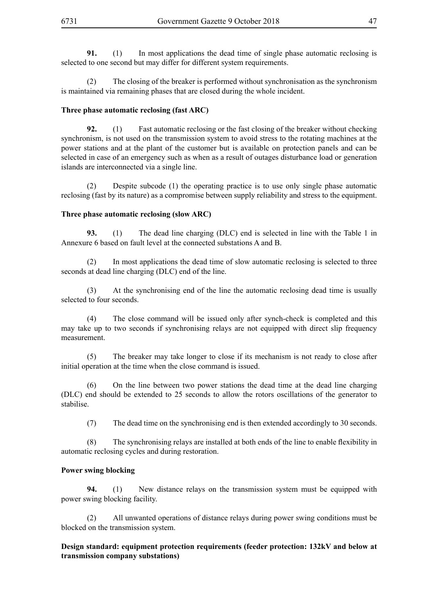**91.** (1) In most applications the dead time of single phase automatic reclosing is selected to one second but may differ for different system requirements.

(2) The closing of the breaker is performed without synchronisation as the synchronism is maintained via remaining phases that are closed during the whole incident.

## **Three phase automatic reclosing (fast ARC)**

**92.** (1) Fast automatic reclosing or the fast closing of the breaker without checking synchronism, is not used on the transmission system to avoid stress to the rotating machines at the power stations and at the plant of the customer but is available on protection panels and can be selected in case of an emergency such as when as a result of outages disturbance load or generation islands are interconnected via a single line.

(2) Despite subcode (1) the operating practice is to use only single phase automatic reclosing (fast by its nature) as a compromise between supply reliability and stress to the equipment.

## **Three phase automatic reclosing (slow ARC)**

**93.** (1) The dead line charging (DLC) end is selected in line with the Table 1 in Annexure 6 based on fault level at the connected substations A and B.

(2) In most applications the dead time of slow automatic reclosing is selected to three seconds at dead line charging (DLC) end of the line.

(3) At the synchronising end of the line the automatic reclosing dead time is usually selected to four seconds.

(4) The close command will be issued only after synch-check is completed and this may take up to two seconds if synchronising relays are not equipped with direct slip frequency measurement.

(5) The breaker may take longer to close if its mechanism is not ready to close after initial operation at the time when the close command is issued.

(6) On the line between two power stations the dead time at the dead line charging (DLC) end should be extended to 25 seconds to allow the rotors oscillations of the generator to stabilise.

(7) The dead time on the synchronising end is then extended accordingly to 30 seconds.

(8) The synchronising relays are installed at both ends of the line to enable flexibility in automatic reclosing cycles and during restoration.

## **Power swing blocking**

**94.** (1) New distance relays on the transmission system must be equipped with power swing blocking facility.

(2) All unwanted operations of distance relays during power swing conditions must be blocked on the transmission system.

**Design standard: equipment protection requirements (feeder protection: 132kV and below at transmission company substations)**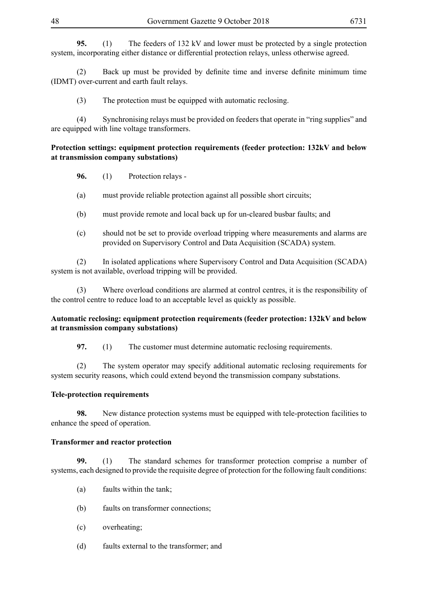**95.** (1) The feeders of 132 kV and lower must be protected by a single protection system, incorporating either distance or differential protection relays, unless otherwise agreed.

(2) Back up must be provided by definite time and inverse definite minimum time (IDMT) over-current and earth fault relays.

(3) The protection must be equipped with automatic reclosing.

(4) Synchronising relays must be provided on feeders that operate in "ring supplies" and are equipped with line voltage transformers.

## **Protection settings: equipment protection requirements (feeder protection: 132kV and below at transmission company substations)**

- **96.** (1) Protection relays -
- (a) must provide reliable protection against all possible short circuits;
- (b) must provide remote and local back up for un-cleared busbar faults; and
- (c) should not be set to provide overload tripping where measurements and alarms are provided on Supervisory Control and Data Acquisition (SCADA) system.

(2) In isolated applications where Supervisory Control and Data Acquisition (SCADA) system is not available, overload tripping will be provided.

(3) Where overload conditions are alarmed at control centres, it is the responsibility of the control centre to reduce load to an acceptable level as quickly as possible.

## **Automatic reclosing: equipment protection requirements (feeder protection: 132kV and below at transmission company substations)**

**97.** (1) The customer must determine automatic reclosing requirements.

(2) The system operator may specify additional automatic reclosing requirements for system security reasons, which could extend beyond the transmission company substations.

## **Tele-protection requirements**

**98.** New distance protection systems must be equipped with tele-protection facilities to enhance the speed of operation.

## **Transformer and reactor protection**

**99.** (1) The standard schemes for transformer protection comprise a number of systems, each designed to provide the requisite degree of protection for the following fault conditions:

- (a) faults within the tank;
- (b) faults on transformer connections;
- (c) overheating;
- (d) faults external to the transformer; and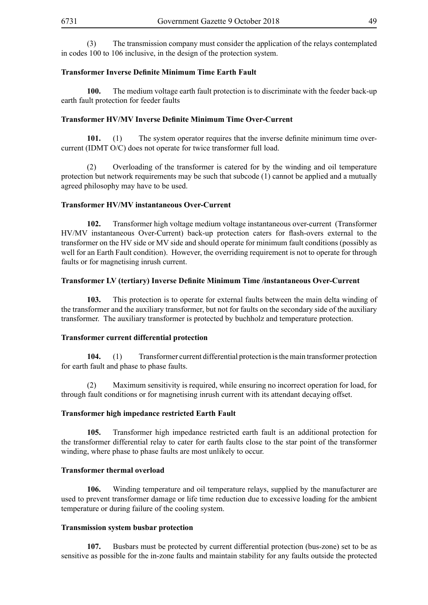(3) The transmission company must consider the application of the relays contemplated in codes 100 to 106 inclusive, in the design of the protection system.

#### **Transformer Inverse Definite Minimum Time Earth Fault**

**100.** The medium voltage earth fault protection is to discriminate with the feeder back-up earth fault protection for feeder faults

## **Transformer HV/MV Inverse Definite Minimum Time Over-Current**

**101.** (1) The system operator requires that the inverse definite minimum time overcurrent (IDMT O/C) does not operate for twice transformer full load.

(2) Overloading of the transformer is catered for by the winding and oil temperature protection but network requirements may be such that subcode (1) cannot be applied and a mutually agreed philosophy may have to be used.

#### **Transformer HV/MV instantaneous Over-Current**

**102.** Transformer high voltage medium voltage instantaneous over-current (Transformer HV/MV instantaneous Over-Current) back-up protection caters for flash-overs external to the transformer on the HV side or MV side and should operate for minimum fault conditions (possibly as well for an Earth Fault condition). However, the overriding requirement is not to operate for through faults or for magnetising inrush current.

## **Transformer LV (tertiary) Inverse Definite Minimum Time /instantaneous Over-Current**

**103.** This protection is to operate for external faults between the main delta winding of the transformer and the auxiliary transformer, but not for faults on the secondary side of the auxiliary transformer. The auxiliary transformer is protected by buchholz and temperature protection.

#### **Transformer current differential protection**

**104.** (1) Transformer current differential protection is the main transformer protection for earth fault and phase to phase faults.

(2) Maximum sensitivity is required, while ensuring no incorrect operation for load, for through fault conditions or for magnetising inrush current with its attendant decaying offset.

## **Transformer high impedance restricted Earth Fault**

**105.** Transformer high impedance restricted earth fault is an additional protection for the transformer differential relay to cater for earth faults close to the star point of the transformer winding, where phase to phase faults are most unlikely to occur.

#### **Transformer thermal overload**

**106.** Winding temperature and oil temperature relays, supplied by the manufacturer are used to prevent transformer damage or life time reduction due to excessive loading for the ambient temperature or during failure of the cooling system.

#### **Transmission system busbar protection**

**107.** Busbars must be protected by current differential protection (bus-zone) set to be as sensitive as possible for the in-zone faults and maintain stability for any faults outside the protected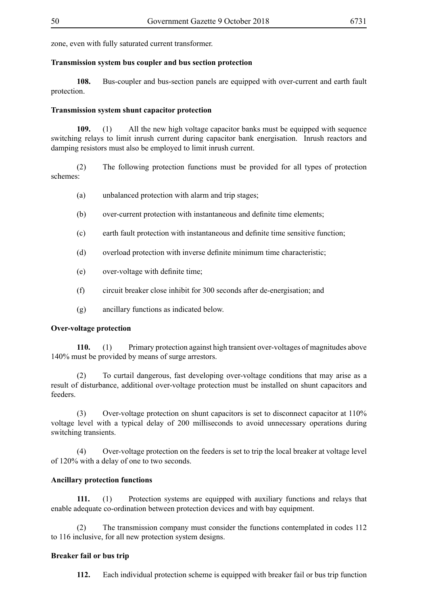zone, even with fully saturated current transformer.

## **Transmission system bus coupler and bus section protection**

**108.** Bus-coupler and bus-section panels are equipped with over-current and earth fault protection.

## **Transmission system shunt capacitor protection**

**109.** (1) All the new high voltage capacitor banks must be equipped with sequence switching relays to limit inrush current during capacitor bank energisation. Inrush reactors and damping resistors must also be employed to limit inrush current.

(2) The following protection functions must be provided for all types of protection schemes:

- (a) unbalanced protection with alarm and trip stages;
- (b) over-current protection with instantaneous and definite time elements;
- (c) earth fault protection with instantaneous and definite time sensitive function;
- (d) overload protection with inverse definite minimum time characteristic;
- (e) over-voltage with definite time;
- (f) circuit breaker close inhibit for 300 seconds after de-energisation; and
- (g) ancillary functions as indicated below.

## **Over-voltage protection**

**110.** (1) Primary protection against high transient over-voltages of magnitudes above 140% must be provided by means of surge arrestors.

(2) To curtail dangerous, fast developing over-voltage conditions that may arise as a result of disturbance, additional over-voltage protection must be installed on shunt capacitors and feeders.

(3) Over-voltage protection on shunt capacitors is set to disconnect capacitor at 110% voltage level with a typical delay of 200 milliseconds to avoid unnecessary operations during switching transients.

(4) Over-voltage protection on the feeders is set to trip the local breaker at voltage level of 120% with a delay of one to two seconds.

## **Ancillary protection functions**

**111.** (1) Protection systems are equipped with auxiliary functions and relays that enable adequate co-ordination between protection devices and with bay equipment.

(2) The transmission company must consider the functions contemplated in codes 112 to 116 inclusive, for all new protection system designs.

## **Breaker fail or bus trip**

**112.** Each individual protection scheme is equipped with breaker fail or bus trip function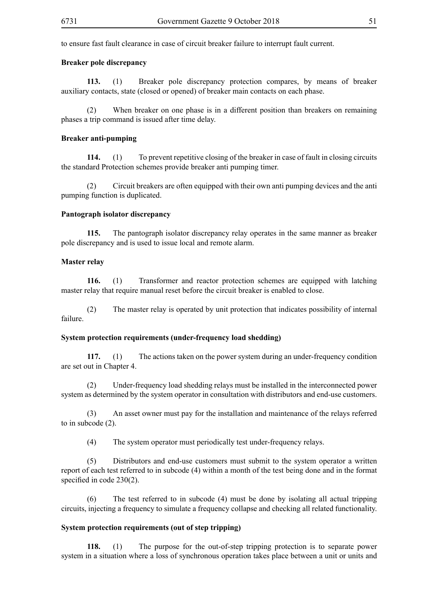to ensure fast fault clearance in case of circuit breaker failure to interrupt fault current.

#### **Breaker pole discrepancy**

**113.** (1) Breaker pole discrepancy protection compares, by means of breaker auxiliary contacts, state (closed or opened) of breaker main contacts on each phase.

(2) When breaker on one phase is in a different position than breakers on remaining phases a trip command is issued after time delay.

#### **Breaker anti-pumping**

**114.** (1) To prevent repetitive closing of the breaker in case of fault in closing circuits the standard Protection schemes provide breaker anti pumping timer.

(2) Circuit breakers are often equipped with their own anti pumping devices and the anti pumping function is duplicated.

#### **Pantograph isolator discrepancy**

**115.** The pantograph isolator discrepancy relay operates in the same manner as breaker pole discrepancy and is used to issue local and remote alarm.

#### **Master relay**

**116.** (1) Transformer and reactor protection schemes are equipped with latching master relay that require manual reset before the circuit breaker is enabled to close.

(2) The master relay is operated by unit protection that indicates possibility of internal failure.

#### **System protection requirements (under-frequency load shedding)**

**117.** (1) The actions taken on the power system during an under-frequency condition are set out in Chapter 4.

(2) Under-frequency load shedding relays must be installed in the interconnected power system as determined by the system operator in consultation with distributors and end-use customers.

(3) An asset owner must pay for the installation and maintenance of the relays referred to in subcode (2).

(4) The system operator must periodically test under-frequency relays.

(5) Distributors and end-use customers must submit to the system operator a written report of each test referred to in subcode (4) within a month of the test being done and in the format specified in code 230(2).

(6) The test referred to in subcode (4) must be done by isolating all actual tripping circuits, injecting a frequency to simulate a frequency collapse and checking all related functionality.

#### **System protection requirements (out of step tripping)**

**118.** (1) The purpose for the out-of-step tripping protection is to separate power system in a situation where a loss of synchronous operation takes place between a unit or units and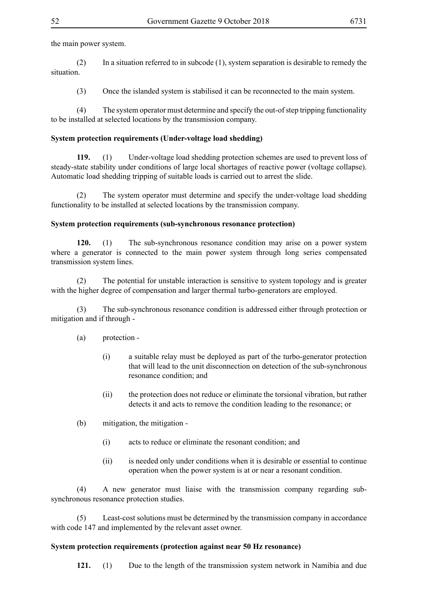the main power system.

(2) In a situation referred to in subcode (1), system separation is desirable to remedy the situation.

(3) Once the islanded system is stabilised it can be reconnected to the main system.

(4) The system operator must determine and specify the out-of step tripping functionality to be installed at selected locations by the transmission company.

## **System protection requirements (Under-voltage load shedding)**

**119.** (1) Under-voltage load shedding protection schemes are used to prevent loss of steady-state stability under conditions of large local shortages of reactive power (voltage collapse). Automatic load shedding tripping of suitable loads is carried out to arrest the slide.

(2) The system operator must determine and specify the under-voltage load shedding functionality to be installed at selected locations by the transmission company.

## **System protection requirements (sub-synchronous resonance protection)**

**120.** (1) The sub-synchronous resonance condition may arise on a power system where a generator is connected to the main power system through long series compensated transmission system lines.

(2) The potential for unstable interaction is sensitive to system topology and is greater with the higher degree of compensation and larger thermal turbo-generators are employed.

(3) The sub-synchronous resonance condition is addressed either through protection or mitigation and if through -

- (a) protection
	- (i) a suitable relay must be deployed as part of the turbo-generator protection that will lead to the unit disconnection on detection of the sub-synchronous resonance condition; and
	- (ii) the protection does not reduce or eliminate the torsional vibration, but rather detects it and acts to remove the condition leading to the resonance; or
- (b) mitigation, the mitigation
	- (i) acts to reduce or eliminate the resonant condition; and
	- (ii) is needed only under conditions when it is desirable or essential to continue operation when the power system is at or near a resonant condition.

(4) A new generator must liaise with the transmission company regarding subsynchronous resonance protection studies.

(5) Least-cost solutions must be determined by the transmission company in accordance with code 147 and implemented by the relevant asset owner.

# **System protection requirements (protection against near 50 Hz resonance)**

**121.** (1) Due to the length of the transmission system network in Namibia and due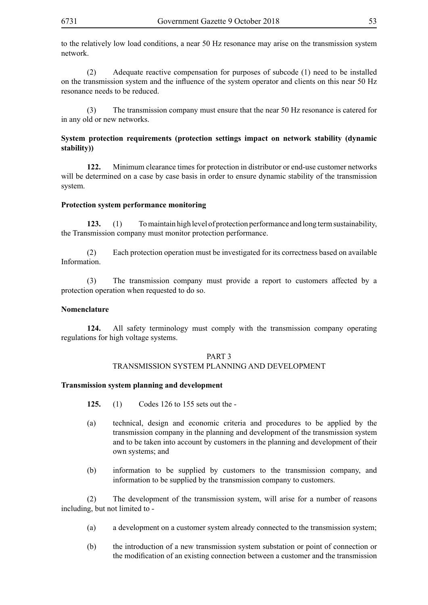to the relatively low load conditions, a near 50 Hz resonance may arise on the transmission system network.

(2) Adequate reactive compensation for purposes of subcode (1) need to be installed on the transmission system and the influence of the system operator and clients on this near 50 Hz resonance needs to be reduced.

The transmission company must ensure that the near 50 Hz resonance is catered for in any old or new networks.

# **System protection requirements (protection settings impact on network stability (dynamic stability))**

**122.** Minimum clearance times for protection in distributor or end-use customer networks will be determined on a case by case basis in order to ensure dynamic stability of the transmission system.

#### **Protection system performance monitoring**

**123.** (1) To maintain high level of protection performance and long term sustainability, the Transmission company must monitor protection performance.

(2) Each protection operation must be investigated for its correctness based on available Information.

(3) The transmission company must provide a report to customers affected by a protection operation when requested to do so.

#### **Nomenclature**

**124.** All safety terminology must comply with the transmission company operating regulations for high voltage systems.

#### PART 3 TRANSMISSION SYSTEM PLANNING AND DEVELOPMENT

#### **Transmission system planning and development**

- **125.** (1) Codes 126 to 155 sets out the -
- (a) technical, design and economic criteria and procedures to be applied by the transmission company in the planning and development of the transmission system and to be taken into account by customers in the planning and development of their own systems; and
- (b) information to be supplied by customers to the transmission company, and information to be supplied by the transmission company to customers.

(2) The development of the transmission system, will arise for a number of reasons including, but not limited to -

- (a) a development on a customer system already connected to the transmission system;
- (b) the introduction of a new transmission system substation or point of connection or the modification of an existing connection between a customer and the transmission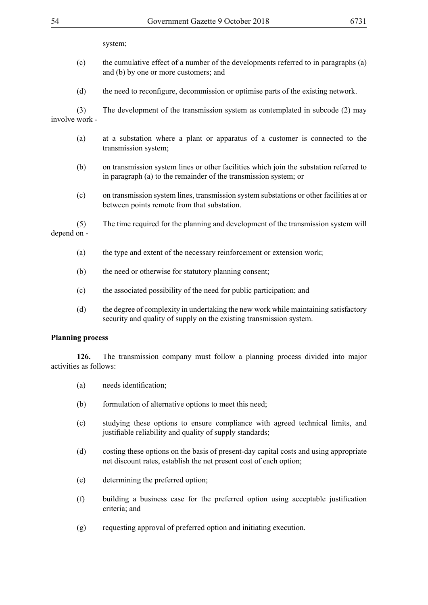system;

- (c) the cumulative effect of a number of the developments referred to in paragraphs (a) and (b) by one or more customers; and
- (d) the need to reconfigure, decommission or optimise parts of the existing network.

(3) The development of the transmission system as contemplated in subcode (2) may involve work -

- (a) at a substation where a plant or apparatus of a customer is connected to the transmission system;
- (b) on transmission system lines or other facilities which join the substation referred to in paragraph (a) to the remainder of the transmission system; or
- (c) on transmission system lines, transmission system substations or other facilities at or between points remote from that substation.

(5) The time required for the planning and development of the transmission system will depend on -

- (a) the type and extent of the necessary reinforcement or extension work;
- (b) the need or otherwise for statutory planning consent;
- (c) the associated possibility of the need for public participation; and
- (d) the degree of complexity in undertaking the new work while maintaining satisfactory security and quality of supply on the existing transmission system.

#### **Planning process**

**126.** The transmission company must follow a planning process divided into major activities as follows:

- (a) needs identification;
- (b) formulation of alternative options to meet this need;
- (c) studying these options to ensure compliance with agreed technical limits, and justifiable reliability and quality of supply standards;
- (d) costing these options on the basis of present-day capital costs and using appropriate net discount rates, establish the net present cost of each option;
- (e) determining the preferred option;
- (f) building a business case for the preferred option using acceptable justification criteria; and
- (g) requesting approval of preferred option and initiating execution.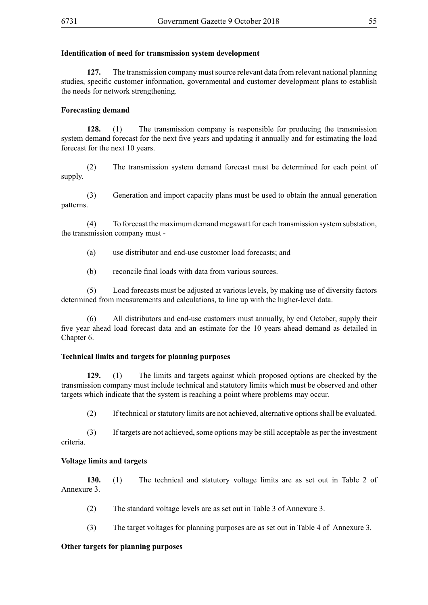## **Identification of need for transmission system development**

**127.** The transmission company must source relevant data from relevant national planning studies, specific customer information, governmental and customer development plans to establish the needs for network strengthening.

# **Forecasting demand**

**128.** (1) The transmission company is responsible for producing the transmission system demand forecast for the next five years and updating it annually and for estimating the load forecast for the next 10 years.

(2) The transmission system demand forecast must be determined for each point of supply.

(3) Generation and import capacity plans must be used to obtain the annual generation patterns.

(4) To forecast the maximum demand megawatt for each transmission system substation, the transmission company must -

- (a) use distributor and end-use customer load forecasts; and
- (b) reconcile final loads with data from various sources.

(5) Load forecasts must be adjusted at various levels, by making use of diversity factors determined from measurements and calculations, to line up with the higher-level data.

(6) All distributors and end-use customers must annually, by end October, supply their five year ahead load forecast data and an estimate for the 10 years ahead demand as detailed in Chapter 6.

## **Technical limits and targets for planning purposes**

**129.** (1) The limits and targets against which proposed options are checked by the transmission company must include technical and statutory limits which must be observed and other targets which indicate that the system is reaching a point where problems may occur.

(2) If technical or statutory limits are not achieved, alternative options shall be evaluated.

(3) If targets are not achieved, some options may be still acceptable as per the investment criteria.

## **Voltage limits and targets**

**130.** (1) The technical and statutory voltage limits are as set out in Table 2 of Annexure 3.

- (2) The standard voltage levels are as set out in Table 3 of Annexure 3.
- (3) The target voltages for planning purposes are as set out in Table 4 of Annexure 3.

## **Other targets for planning purposes**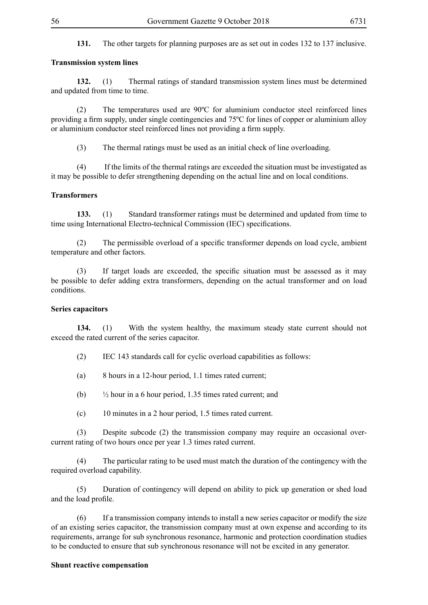**131.** The other targets for planning purposes are as set out in codes 132 to 137 inclusive.

#### **Transmission system lines**

**132.** (1) Thermal ratings of standard transmission system lines must be determined and updated from time to time.

(2) The temperatures used are 90ºC for aluminium conductor steel reinforced lines providing a firm supply, under single contingencies and 75ºC for lines of copper or aluminium alloy or aluminium conductor steel reinforced lines not providing a firm supply.

(3) The thermal ratings must be used as an initial check of line overloading.

(4) If the limits of the thermal ratings are exceeded the situation must be investigated as it may be possible to defer strengthening depending on the actual line and on local conditions.

#### **Transformers**

**133.** (1) Standard transformer ratings must be determined and updated from time to time using International Electro-technical Commission (IEC) specifications.

(2) The permissible overload of a specific transformer depends on load cycle, ambient temperature and other factors.

(3) If target loads are exceeded, the specific situation must be assessed as it may be possible to defer adding extra transformers, depending on the actual transformer and on load conditions.

#### **Series capacitors**

**134.** (1) With the system healthy, the maximum steady state current should not exceed the rated current of the series capacitor.

(2) IEC 143 standards call for cyclic overload capabilities as follows:

(a) 8 hours in a 12-hour period, 1.1 times rated current;

(b)  $\frac{1}{2}$  hour in a 6 hour period, 1.35 times rated current; and

(c) 10 minutes in a 2 hour period, 1.5 times rated current.

(3) Despite subcode (2) the transmission company may require an occasional overcurrent rating of two hours once per year 1.3 times rated current.

(4) The particular rating to be used must match the duration of the contingency with the required overload capability.

(5) Duration of contingency will depend on ability to pick up generation or shed load and the load profile.

(6) If a transmission company intends to install a new series capacitor or modify the size of an existing series capacitor, the transmission company must at own expense and according to its requirements, arrange for sub synchronous resonance, harmonic and protection coordination studies to be conducted to ensure that sub synchronous resonance will not be excited in any generator.

#### **Shunt reactive compensation**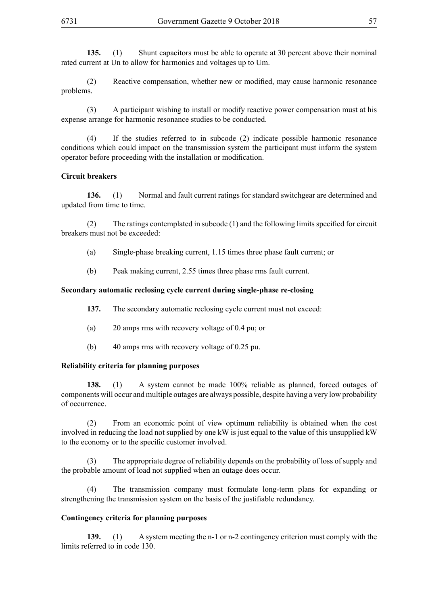**135.** (1) Shunt capacitors must be able to operate at 30 percent above their nominal rated current at Un to allow for harmonics and voltages up to Um.

(2) Reactive compensation, whether new or modified, may cause harmonic resonance problems.

(3) A participant wishing to install or modify reactive power compensation must at his expense arrange for harmonic resonance studies to be conducted.

(4) If the studies referred to in subcode (2) indicate possible harmonic resonance conditions which could impact on the transmission system the participant must inform the system operator before proceeding with the installation or modification.

## **Circuit breakers**

**136.** (1) Normal and fault current ratings for standard switchgear are determined and updated from time to time.

(2) The ratings contemplated in subcode (1) and the following limits specified for circuit breakers must not be exceeded:

- (a) Single-phase breaking current, 1.15 times three phase fault current; or
- (b) Peak making current, 2.55 times three phase rms fault current.

## **Secondary automatic reclosing cycle current during single-phase re-closing**

- **137.** The secondary automatic reclosing cycle current must not exceed:
- (a) 20 amps rms with recovery voltage of 0.4 pu; or
- (b) 40 amps rms with recovery voltage of 0.25 pu.

## **Reliability criteria for planning purposes**

**138.** (1) A system cannot be made 100% reliable as planned, forced outages of components will occur and multiple outages are always possible, despite having a very low probability of occurrence.

(2) From an economic point of view optimum reliability is obtained when the cost involved in reducing the load not supplied by one kW is just equal to the value of this unsupplied kW to the economy or to the specific customer involved.

(3) The appropriate degree of reliability depends on the probability of loss of supply and the probable amount of load not supplied when an outage does occur.

(4) The transmission company must formulate long-term plans for expanding or strengthening the transmission system on the basis of the justifiable redundancy.

## **Contingency criteria for planning purposes**

**139.** (1) A system meeting the n-1 or n-2 contingency criterion must comply with the limits referred to in code 130.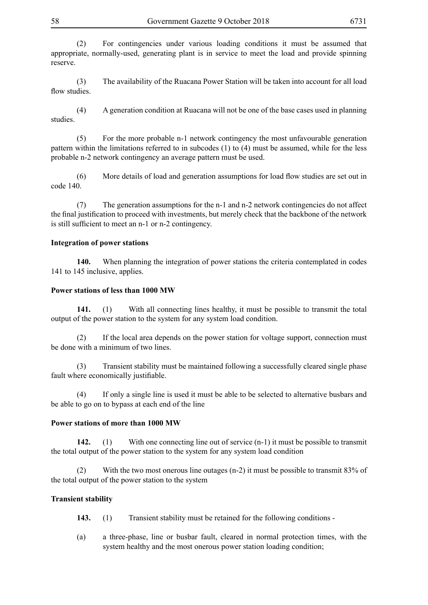(3) The availability of the Ruacana Power Station will be taken into account for all load flow studies.

(4) A generation condition at Ruacana will not be one of the base cases used in planning studies.

(5) For the more probable n-1 network contingency the most unfavourable generation pattern within the limitations referred to in subcodes (1) to (4) must be assumed, while for the less probable n-2 network contingency an average pattern must be used.

(6) More details of load and generation assumptions for load flow studies are set out in code 140.

(7) The generation assumptions for the n-1 and n-2 network contingencies do not affect the final justification to proceed with investments, but merely check that the backbone of the network is still sufficient to meet an n-1 or n-2 contingency.

# **Integration of power stations**

**140.** When planning the integration of power stations the criteria contemplated in codes 141 to 145 inclusive, applies.

## **Power stations of less than 1000 MW**

**141.** (1) With all connecting lines healthy, it must be possible to transmit the total output of the power station to the system for any system load condition.

(2) If the local area depends on the power station for voltage support, connection must be done with a minimum of two lines.

(3) Transient stability must be maintained following a successfully cleared single phase fault where economically justifiable.

(4) If only a single line is used it must be able to be selected to alternative busbars and be able to go on to bypass at each end of the line

## **Power stations of more than 1000 MW**

**142.** (1) With one connecting line out of service (n-1) it must be possible to transmit the total output of the power station to the system for any system load condition

(2) With the two most onerous line outages (n-2) it must be possible to transmit 83% of the total output of the power station to the system

## **Transient stability**

- **143.** (1) Transient stability must be retained for the following conditions -
- (a) a three-phase, line or busbar fault, cleared in normal protection times, with the system healthy and the most onerous power station loading condition;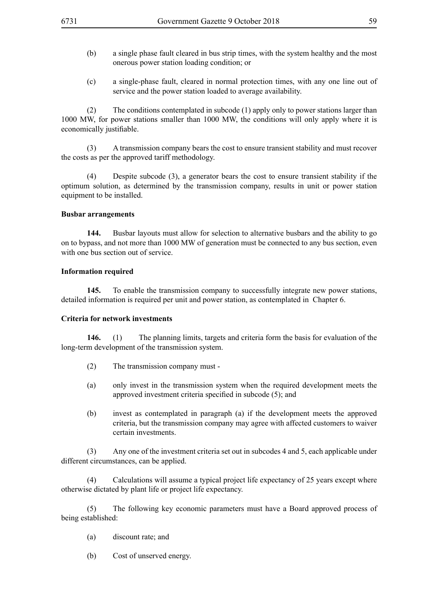- (b) a single phase fault cleared in bus strip times, with the system healthy and the most onerous power station loading condition; or
- (c) a single-phase fault, cleared in normal protection times, with any one line out of service and the power station loaded to average availability.

(2) The conditions contemplated in subcode (1) apply only to power stations larger than 1000 MW, for power stations smaller than 1000 MW, the conditions will only apply where it is economically justifiable.

(3) A transmission company bears the cost to ensure transient stability and must recover the costs as per the approved tariff methodology.

(4) Despite subcode (3), a generator bears the cost to ensure transient stability if the optimum solution, as determined by the transmission company, results in unit or power station equipment to be installed.

## **Busbar arrangements**

**144.** Busbar layouts must allow for selection to alternative busbars and the ability to go on to bypass, and not more than 1000 MW of generation must be connected to any bus section, even with one bus section out of service.

#### **Information required**

**145.** To enable the transmission company to successfully integrate new power stations, detailed information is required per unit and power station, as contemplated in Chapter 6.

## **Criteria for network investments**

**146.** (1) The planning limits, targets and criteria form the basis for evaluation of the long-term development of the transmission system.

- (2) The transmission company must -
- (a) only invest in the transmission system when the required development meets the approved investment criteria specified in subcode (5); and
- (b) invest as contemplated in paragraph (a) if the development meets the approved criteria, but the transmission company may agree with affected customers to waiver certain investments.

(3) Any one of the investment criteria set out in subcodes 4 and 5, each applicable under different circumstances, can be applied.

(4) Calculations will assume a typical project life expectancy of 25 years except where otherwise dictated by plant life or project life expectancy.

(5) The following key economic parameters must have a Board approved process of being established:

- (a) discount rate; and
- (b) Cost of unserved energy.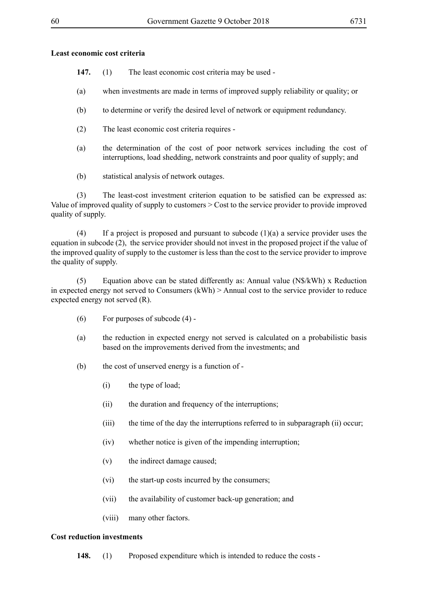## **Least economic cost criteria**

- **147.** (1) The least economic cost criteria may be used -
- (a) when investments are made in terms of improved supply reliability or quality; or
- (b) to determine or verify the desired level of network or equipment redundancy.
- (2) The least economic cost criteria requires -
- (a) the determination of the cost of poor network services including the cost of interruptions, load shedding, network constraints and poor quality of supply; and
- (b) statistical analysis of network outages.

(3) The least-cost investment criterion equation to be satisfied can be expressed as: Value of improved quality of supply to customers > Cost to the service provider to provide improved quality of supply.

(4) If a project is proposed and pursuant to subcode (1)(a) a service provider uses the equation in subcode (2), the service provider should not invest in the proposed project if the value of the improved quality of supply to the customer is less than the cost to the service provider to improve the quality of supply.

(5) Equation above can be stated differently as: Annual value (N\$/kWh) x Reduction in expected energy not served to Consumers (kWh) > Annual cost to the service provider to reduce expected energy not served (R).

- (6) For purposes of subcode (4) -
- (a) the reduction in expected energy not served is calculated on a probabilistic basis based on the improvements derived from the investments; and
- (b) the cost of unserved energy is a function of
	- (i) the type of load;
	- (ii) the duration and frequency of the interruptions;
	- (iii) the time of the day the interruptions referred to in subparagraph (ii) occur;
	- (iv) whether notice is given of the impending interruption;
	- (v) the indirect damage caused;
	- (vi) the start-up costs incurred by the consumers;
	- (vii) the availability of customer back-up generation; and
	- (viii) many other factors.

## **Cost reduction investments**

**148.** (1) Proposed expenditure which is intended to reduce the costs -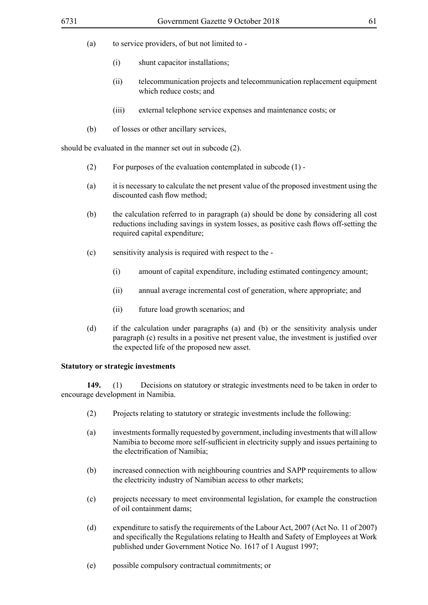- (a) to service providers, of but not limited to
	- (i) shunt capacitor installations;
	- (ii) telecommunication projects and telecommunication replacement equipment which reduce costs; and
	- (iii) external telephone service expenses and maintenance costs; or
- (b) of losses or other ancillary services,

should be evaluated in the manner set out in subcode (2).

- (2) For purposes of the evaluation contemplated in subcode (1) -
- (a) it is necessary to calculate the net present value of the proposed investment using the discounted cash flow method;
- (b) the calculation referred to in paragraph (a) should be done by considering all cost reductions including savings in system losses, as positive cash flows off-setting the required capital expenditure;
- (c) sensitivity analysis is required with respect to the
	- (i) amount of capital expenditure, including estimated contingency amount;
	- (ii) annual average incremental cost of generation, where appropriate; and
	- (ii) future load growth scenarios; and
- (d) if the calculation under paragraphs (a) and (b) or the sensitivity analysis under paragraph (c) results in a positive net present value, the investment is justified over the expected life of the proposed new asset.

## **Statutory or strategic investments**

**149.** (1) Decisions on statutory or strategic investments need to be taken in order to encourage development in Namibia.

- (2) Projects relating to statutory or strategic investments include the following:
- (a) investments formally requested by government, including investments that will allow Namibia to become more self-sufficient in electricity supply and issues pertaining to the electrification of Namibia;
- (b) increased connection with neighbouring countries and SAPP requirements to allow the electricity industry of Namibian access to other markets;
- (c) projects necessary to meet environmental legislation, for example the construction of oil containment dams;
- (d) expenditure to satisfy the requirements of the Labour Act, 2007 (Act No. 11 of 2007) and specifically the Regulations relating to Health and Safety of Employees at Work published under Government Notice No. 1617 of 1 August 1997;
- (e) possible compulsory contractual commitments; or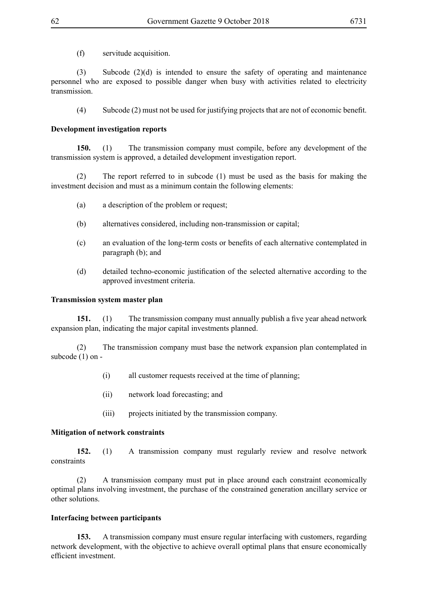(f) servitude acquisition.

(3) Subcode  $(2)(d)$  is intended to ensure the safety of operating and maintenance personnel who are exposed to possible danger when busy with activities related to electricity transmission.

(4) Subcode (2) must not be used for justifying projects that are not of economic benefit.

# **Development investigation reports**

**150.** (1) The transmission company must compile, before any development of the transmission system is approved, a detailed development investigation report.

(2) The report referred to in subcode (1) must be used as the basis for making the investment decision and must as a minimum contain the following elements:

- (a) a description of the problem or request;
- (b) alternatives considered, including non-transmission or capital;
- (c) an evaluation of the long-term costs or benefits of each alternative contemplated in paragraph (b); and
- (d) detailed techno-economic justification of the selected alternative according to the approved investment criteria.

## **Transmission system master plan**

**151.** (1) The transmission company must annually publish a five year ahead network expansion plan, indicating the major capital investments planned.

(2) The transmission company must base the network expansion plan contemplated in subcode (1) on -

- (i) all customer requests received at the time of planning;
- (ii) network load forecasting; and
- (iii) projects initiated by the transmission company.

## **Mitigation of network constraints**

**152.** (1) A transmission company must regularly review and resolve network constraints

(2) A transmission company must put in place around each constraint economically optimal plans involving investment, the purchase of the constrained generation ancillary service or other solutions.

# **Interfacing between participants**

**153.** A transmission company must ensure regular interfacing with customers, regarding network development, with the objective to achieve overall optimal plans that ensure economically efficient investment.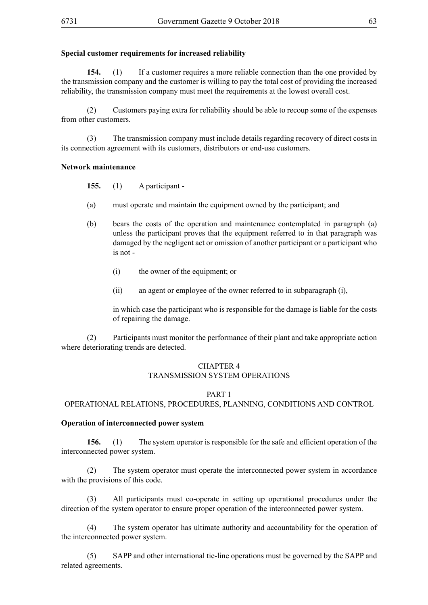## **Special customer requirements for increased reliability**

**154.** (1) If a customer requires a more reliable connection than the one provided by the transmission company and the customer is willing to pay the total cost of providing the increased reliability, the transmission company must meet the requirements at the lowest overall cost.

(2) Customers paying extra for reliability should be able to recoup some of the expenses from other customers.

(3) The transmission company must include details regarding recovery of direct costs in its connection agreement with its customers, distributors or end-use customers.

#### **Network maintenance**

**155.** (1) A participant -

- (a) must operate and maintain the equipment owned by the participant; and
- (b) bears the costs of the operation and maintenance contemplated in paragraph (a) unless the participant proves that the equipment referred to in that paragraph was damaged by the negligent act or omission of another participant or a participant who is not -
	- (i) the owner of the equipment; or
	- (ii) an agent or employee of the owner referred to in subparagraph (i),

in which case the participant who is responsible for the damage is liable for the costs of repairing the damage.

(2) Participants must monitor the performance of their plant and take appropriate action where deteriorating trends are detected.

## CHAPTER 4 TRANSMISSION SYSTEM OPERATIONS

#### PART 1

OPERATIONAL RELATIONS, PROCEDURES, PLANNING, CONDITIONS AND CONTROL

#### **Operation of interconnected power system**

**156.** (1) The system operator is responsible for the safe and efficient operation of the interconnected power system.

(2) The system operator must operate the interconnected power system in accordance with the provisions of this code.

(3) All participants must co-operate in setting up operational procedures under the direction of the system operator to ensure proper operation of the interconnected power system.

(4) The system operator has ultimate authority and accountability for the operation of the interconnected power system.

(5) SAPP and other international tie-line operations must be governed by the SAPP and related agreements.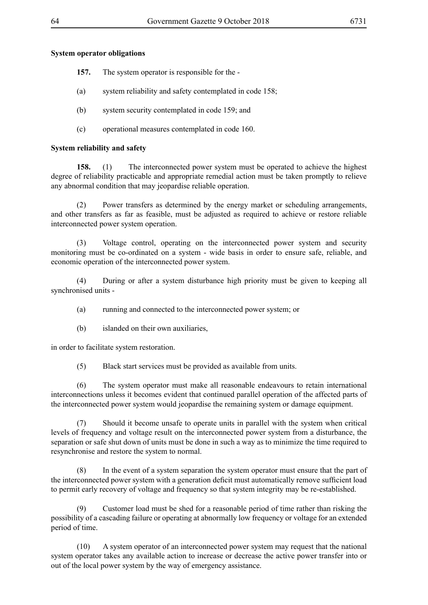## **System operator obligations**

- **157.** The system operator is responsible for the -
- (a) system reliability and safety contemplated in code 158;
- (b) system security contemplated in code 159; and
- (c) operational measures contemplated in code 160.

## **System reliability and safety**

**158.** (1) The interconnected power system must be operated to achieve the highest degree of reliability practicable and appropriate remedial action must be taken promptly to relieve any abnormal condition that may jeopardise reliable operation.

(2) Power transfers as determined by the energy market or scheduling arrangements, and other transfers as far as feasible, must be adjusted as required to achieve or restore reliable interconnected power system operation.

(3) Voltage control, operating on the interconnected power system and security monitoring must be co-ordinated on a system - wide basis in order to ensure safe, reliable, and economic operation of the interconnected power system.

(4) During or after a system disturbance high priority must be given to keeping all synchronised units -

- (a) running and connected to the interconnected power system; or
- (b) islanded on their own auxiliaries,

in order to facilitate system restoration.

(5) Black start services must be provided as available from units.

(6) The system operator must make all reasonable endeavours to retain international interconnections unless it becomes evident that continued parallel operation of the affected parts of the interconnected power system would jeopardise the remaining system or damage equipment.

(7) Should it become unsafe to operate units in parallel with the system when critical levels of frequency and voltage result on the interconnected power system from a disturbance, the separation or safe shut down of units must be done in such a way as to minimize the time required to resynchronise and restore the system to normal.

(8) In the event of a system separation the system operator must ensure that the part of the interconnected power system with a generation deficit must automatically remove sufficient load to permit early recovery of voltage and frequency so that system integrity may be re-established.

(9) Customer load must be shed for a reasonable period of time rather than risking the possibility of a cascading failure or operating at abnormally low frequency or voltage for an extended period of time.

(10) A system operator of an interconnected power system may request that the national system operator takes any available action to increase or decrease the active power transfer into or out of the local power system by the way of emergency assistance.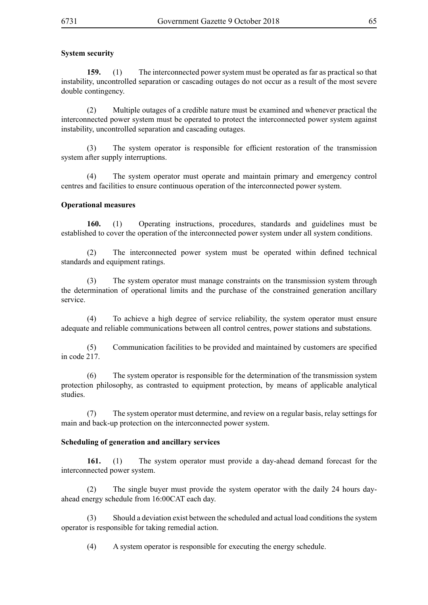# **System security**

**159.** (1) The interconnected power system must be operated as far as practical so that instability, uncontrolled separation or cascading outages do not occur as a result of the most severe double contingency.

(2) Multiple outages of a credible nature must be examined and whenever practical the interconnected power system must be operated to protect the interconnected power system against instability, uncontrolled separation and cascading outages.

(3) The system operator is responsible for efficient restoration of the transmission system after supply interruptions.

(4) The system operator must operate and maintain primary and emergency control centres and facilities to ensure continuous operation of the interconnected power system.

## **Operational measures**

**160.** (1) Operating instructions, procedures, standards and guidelines must be established to cover the operation of the interconnected power system under all system conditions.

(2) The interconnected power system must be operated within defined technical standards and equipment ratings.

(3) The system operator must manage constraints on the transmission system through the determination of operational limits and the purchase of the constrained generation ancillary service.

(4) To achieve a high degree of service reliability, the system operator must ensure adequate and reliable communications between all control centres, power stations and substations.

(5) Communication facilities to be provided and maintained by customers are specified in code 217.

(6) The system operator is responsible for the determination of the transmission system protection philosophy, as contrasted to equipment protection, by means of applicable analytical studies.

(7) The system operator must determine, and review on a regular basis, relay settings for main and back-up protection on the interconnected power system.

#### **Scheduling of generation and ancillary services**

**161.** (1) The system operator must provide a day-ahead demand forecast for the interconnected power system.

(2) The single buyer must provide the system operator with the daily 24 hours dayahead energy schedule from 16:00CAT each day.

(3) Should a deviation exist between the scheduled and actual load conditions the system operator is responsible for taking remedial action.

(4) A system operator is responsible for executing the energy schedule.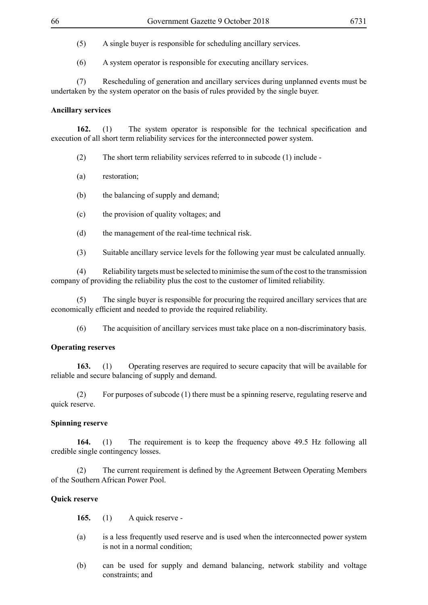(5) A single buyer is responsible for scheduling ancillary services.

(6) A system operator is responsible for executing ancillary services.

(7) Rescheduling of generation and ancillary services during unplanned events must be undertaken by the system operator on the basis of rules provided by the single buyer.

## **Ancillary services**

**162.** (1) The system operator is responsible for the technical specification and execution of all short term reliability services for the interconnected power system.

- (2) The short term reliability services referred to in subcode (1) include -
- (a) restoration;
- (b) the balancing of supply and demand;
- (c) the provision of quality voltages; and
- (d) the management of the real-time technical risk.
- (3) Suitable ancillary service levels for the following year must be calculated annually.

(4) Reliability targets must be selected to minimise the sum of the cost to the transmission company of providing the reliability plus the cost to the customer of limited reliability.

(5) The single buyer is responsible for procuring the required ancillary services that are economically efficient and needed to provide the required reliability.

(6) The acquisition of ancillary services must take place on a non-discriminatory basis.

# **Operating reserves**

**163.** (1) Operating reserves are required to secure capacity that will be available for reliable and secure balancing of supply and demand.

(2) For purposes of subcode (1) there must be a spinning reserve, regulating reserve and quick reserve.

# **Spinning reserve**

**164.** (1) The requirement is to keep the frequency above 49.5 Hz following all credible single contingency losses.

(2) The current requirement is defined by the Agreement Between Operating Members of the Southern African Power Pool.

# **Quick reserve**

**165.** (1) A quick reserve -

- (a) is a less frequently used reserve and is used when the interconnected power system is not in a normal condition;
- (b) can be used for supply and demand balancing, network stability and voltage constraints; and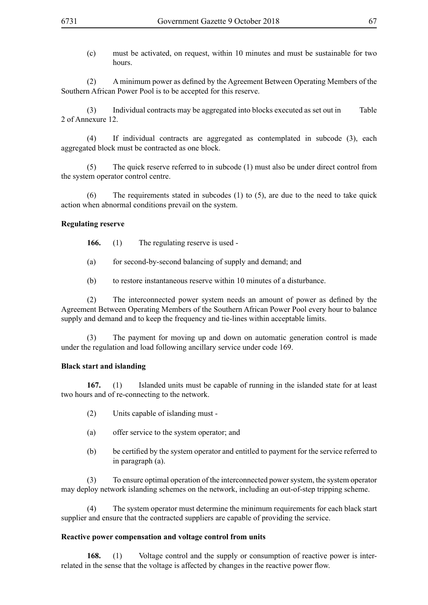(c) must be activated, on request, within 10 minutes and must be sustainable for two hours.

(2) A minimum power as defined by the Agreement Between Operating Members of the Southern African Power Pool is to be accepted for this reserve.

(3) Individual contracts may be aggregated into blocks executed as set out in Table 2 of Annexure 12.

(4) If individual contracts are aggregated as contemplated in subcode (3), each aggregated block must be contracted as one block.

(5) The quick reserve referred to in subcode (1) must also be under direct control from the system operator control centre.

(6) The requirements stated in subcodes (1) to (5), are due to the need to take quick action when abnormal conditions prevail on the system.

## **Regulating reserve**

**166.** (1) The regulating reserve is used -

- (a) for second-by-second balancing of supply and demand; and
- (b) to restore instantaneous reserve within 10 minutes of a disturbance.

(2) The interconnected power system needs an amount of power as defined by the Agreement Between Operating Members of the Southern African Power Pool every hour to balance supply and demand and to keep the frequency and tie-lines within acceptable limits.

(3) The payment for moving up and down on automatic generation control is made under the regulation and load following ancillary service under code 169.

## **Black start and islanding**

**167.** (1) Islanded units must be capable of running in the islanded state for at least two hours and of re-connecting to the network.

- (2) Units capable of islanding must -
- (a) offer service to the system operator; and
- (b) be certified by the system operator and entitled to payment for the service referred to in paragraph (a).

(3) To ensure optimal operation of the interconnected power system, the system operator may deploy network islanding schemes on the network, including an out-of-step tripping scheme.

(4) The system operator must determine the minimum requirements for each black start supplier and ensure that the contracted suppliers are capable of providing the service.

## **Reactive power compensation and voltage control from units**

**168.** (1) Voltage control and the supply or consumption of reactive power is interrelated in the sense that the voltage is affected by changes in the reactive power flow.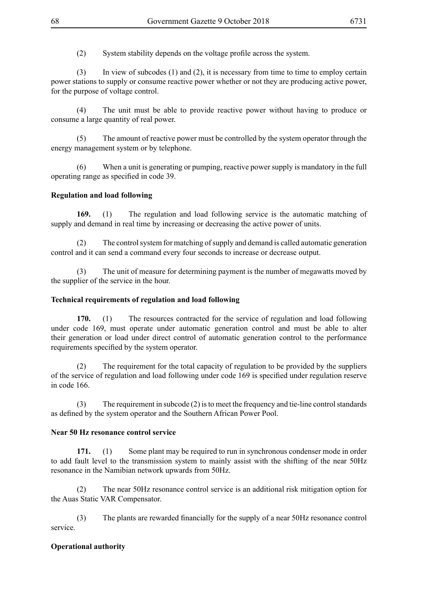(2) System stability depends on the voltage profile across the system.

(3) In view of subcodes (1) and (2), it is necessary from time to time to employ certain power stations to supply or consume reactive power whether or not they are producing active power, for the purpose of voltage control.

(4) The unit must be able to provide reactive power without having to produce or consume a large quantity of real power.

(5) The amount of reactive power must be controlled by the system operator through the energy management system or by telephone.

(6) When a unit is generating or pumping, reactive power supply is mandatory in the full operating range as specified in code 39.

## **Regulation and load following**

**169.** (1) The regulation and load following service is the automatic matching of supply and demand in real time by increasing or decreasing the active power of units.

(2) The control system for matching of supply and demand is called automatic generation control and it can send a command every four seconds to increase or decrease output.

(3) The unit of measure for determining payment is the number of megawatts moved by the supplier of the service in the hour.

#### **Technical requirements of regulation and load following**

**170.** (1) The resources contracted for the service of regulation and load following under code 169, must operate under automatic generation control and must be able to alter their generation or load under direct control of automatic generation control to the performance requirements specified by the system operator.

(2) The requirement for the total capacity of regulation to be provided by the suppliers of the service of regulation and load following under code 169 is specified under regulation reserve in code 166.

(3) The requirement in subcode (2) is to meet the frequency and tie-line control standards as defined by the system operator and the Southern African Power Pool.

#### **Near 50 Hz resonance control service**

**171.** (1) Some plant may be required to run in synchronous condenser mode in order to add fault level to the transmission system to mainly assist with the shifting of the near 50Hz resonance in the Namibian network upwards from 50Hz.

(2) The near 50Hz resonance control service is an additional risk mitigation option for the Auas Static VAR Compensator.

(3) The plants are rewarded financially for the supply of a near 50Hz resonance control service.

## **Operational authority**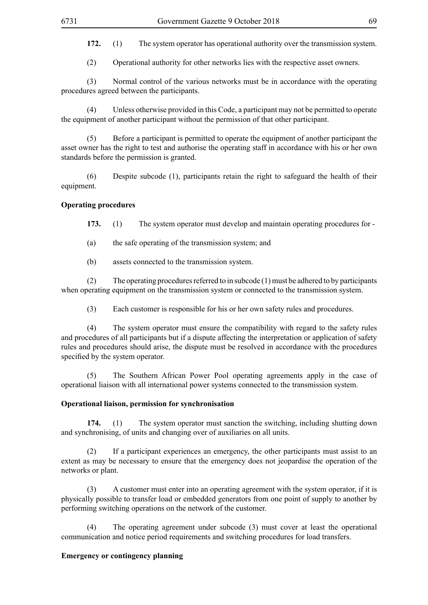**172.** (1) The system operator has operational authority over the transmission system.

(2) Operational authority for other networks lies with the respective asset owners.

(3) Normal control of the various networks must be in accordance with the operating procedures agreed between the participants.

Unless otherwise provided in this Code, a participant may not be permitted to operate the equipment of another participant without the permission of that other participant.

(5) Before a participant is permitted to operate the equipment of another participant the asset owner has the right to test and authorise the operating staff in accordance with his or her own standards before the permission is granted.

(6) Despite subcode (1), participants retain the right to safeguard the health of their equipment.

## **Operating procedures**

**173.** (1) The system operator must develop and maintain operating procedures for -

(a) the safe operating of the transmission system; and

(b) assets connected to the transmission system.

(2) The operating procedures referred to in subcode (1) must be adhered to by participants when operating equipment on the transmission system or connected to the transmission system.

(3) Each customer is responsible for his or her own safety rules and procedures.

(4) The system operator must ensure the compatibility with regard to the safety rules and procedures of all participants but if a dispute affecting the interpretation or application of safety rules and procedures should arise, the dispute must be resolved in accordance with the procedures specified by the system operator.

(5) The Southern African Power Pool operating agreements apply in the case of operational liaison with all international power systems connected to the transmission system.

#### **Operational liaison, permission for synchronisation**

**174.** (1) The system operator must sanction the switching, including shutting down and synchronising, of units and changing over of auxiliaries on all units.

(2) If a participant experiences an emergency, the other participants must assist to an extent as may be necessary to ensure that the emergency does not jeopardise the operation of the networks or plant.

(3) A customer must enter into an operating agreement with the system operator, if it is physically possible to transfer load or embedded generators from one point of supply to another by performing switching operations on the network of the customer.

(4) The operating agreement under subcode (3) must cover at least the operational communication and notice period requirements and switching procedures for load transfers.

## **Emergency or contingency planning**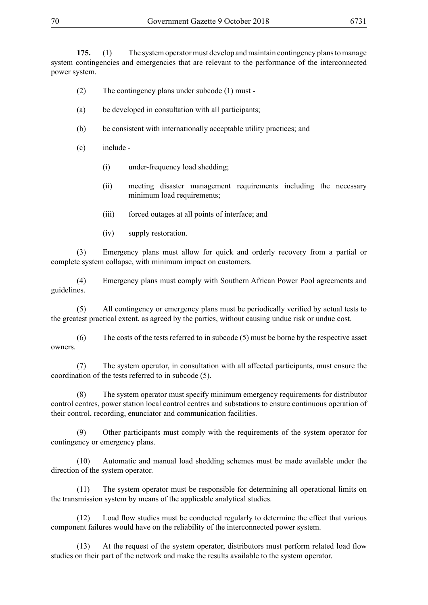**175.** (1) The system operator must develop and maintain contingency plans to manage system contingencies and emergencies that are relevant to the performance of the interconnected power system.

- (2) The contingency plans under subcode (1) must -
- (a) be developed in consultation with all participants;
- (b) be consistent with internationally acceptable utility practices; and
- (c) include
	- (i) under-frequency load shedding;
	- (ii) meeting disaster management requirements including the necessary minimum load requirements:
	- (iii) forced outages at all points of interface; and
	- (iv) supply restoration.

(3) Emergency plans must allow for quick and orderly recovery from a partial or complete system collapse, with minimum impact on customers.

(4) Emergency plans must comply with Southern African Power Pool agreements and guidelines.

(5) All contingency or emergency plans must be periodically verified by actual tests to the greatest practical extent, as agreed by the parties, without causing undue risk or undue cost.

(6) The costs of the tests referred to in subcode (5) must be borne by the respective asset owners.

(7) The system operator, in consultation with all affected participants, must ensure the coordination of the tests referred to in subcode (5).

(8) The system operator must specify minimum emergency requirements for distributor control centres, power station local control centres and substations to ensure continuous operation of their control, recording, enunciator and communication facilities.

(9) Other participants must comply with the requirements of the system operator for contingency or emergency plans.

(10) Automatic and manual load shedding schemes must be made available under the direction of the system operator.

(11) The system operator must be responsible for determining all operational limits on the transmission system by means of the applicable analytical studies.

(12) Load flow studies must be conducted regularly to determine the effect that various component failures would have on the reliability of the interconnected power system.

(13) At the request of the system operator, distributors must perform related load flow studies on their part of the network and make the results available to the system operator.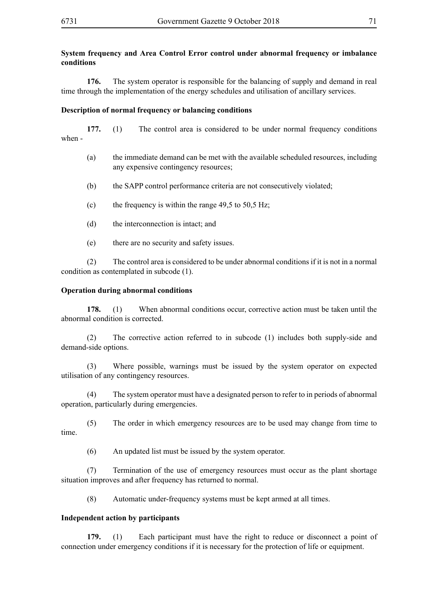## **System frequency and Area Control Error control under abnormal frequency or imbalance conditions**

**176.** The system operator is responsible for the balancing of supply and demand in real time through the implementation of the energy schedules and utilisation of ancillary services.

#### **Description of normal frequency or balancing conditions**

**177.** (1) The control area is considered to be under normal frequency conditions when -

- (a) the immediate demand can be met with the available scheduled resources, including any expensive contingency resources;
- (b) the SAPP control performance criteria are not consecutively violated;
- (c) the frequency is within the range  $49,5$  to  $50,5$  Hz;
- (d) the interconnection is intact; and
- (e) there are no security and safety issues.

(2) The control area is considered to be under abnormal conditions if it is not in a normal condition as contemplated in subcode (1).

#### **Operation during abnormal conditions**

**178.** (1) When abnormal conditions occur, corrective action must be taken until the abnormal condition is corrected.

(2) The corrective action referred to in subcode (1) includes both supply-side and demand-side options.

(3) Where possible, warnings must be issued by the system operator on expected utilisation of any contingency resources.

(4) The system operator must have a designated person to refer to in periods of abnormal operation, particularly during emergencies.

(5) The order in which emergency resources are to be used may change from time to time.

(6) An updated list must be issued by the system operator.

(7) Termination of the use of emergency resources must occur as the plant shortage situation improves and after frequency has returned to normal.

(8) Automatic under-frequency systems must be kept armed at all times.

#### **Independent action by participants**

**179.** (1) Each participant must have the right to reduce or disconnect a point of connection under emergency conditions if it is necessary for the protection of life or equipment.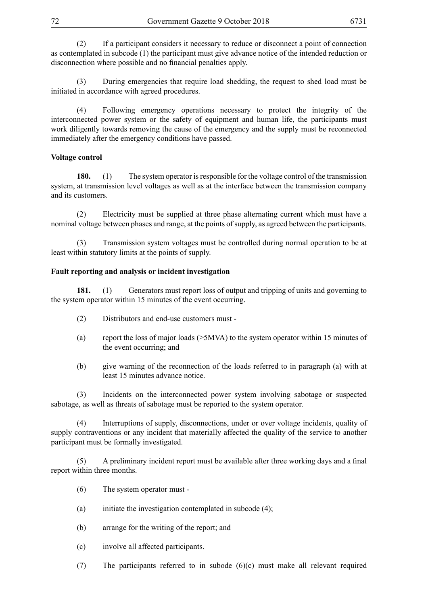(2) If a participant considers it necessary to reduce or disconnect a point of connection as contemplated in subcode (1) the participant must give advance notice of the intended reduction or disconnection where possible and no financial penalties apply.

(3) During emergencies that require load shedding, the request to shed load must be initiated in accordance with agreed procedures.

(4) Following emergency operations necessary to protect the integrity of the interconnected power system or the safety of equipment and human life, the participants must work diligently towards removing the cause of the emergency and the supply must be reconnected immediately after the emergency conditions have passed.

## **Voltage control**

**180.** (1) The system operator is responsible for the voltage control of the transmission system, at transmission level voltages as well as at the interface between the transmission company and its customers.

(2) Electricity must be supplied at three phase alternating current which must have a nominal voltage between phases and range, at the points of supply, as agreed between the participants.

(3) Transmission system voltages must be controlled during normal operation to be at least within statutory limits at the points of supply.

## **Fault reporting and analysis or incident investigation**

181. (1) Generators must report loss of output and tripping of units and governing to the system operator within 15 minutes of the event occurring.

- (2) Distributors and end-use customers must -
- (a) report the loss of major loads (>5MVA) to the system operator within 15 minutes of the event occurring; and
- (b) give warning of the reconnection of the loads referred to in paragraph (a) with at least 15 minutes advance notice.

(3) Incidents on the interconnected power system involving sabotage or suspected sabotage, as well as threats of sabotage must be reported to the system operator.

(4) Interruptions of supply, disconnections, under or over voltage incidents, quality of supply contraventions or any incident that materially affected the quality of the service to another participant must be formally investigated.

(5) A preliminary incident report must be available after three working days and a final report within three months.

- (6) The system operator must -
- (a) initiate the investigation contemplated in subcode  $(4)$ ;
- (b) arrange for the writing of the report; and
- (c) involve all affected participants.
- (7) The participants referred to in subode (6)(c) must make all relevant required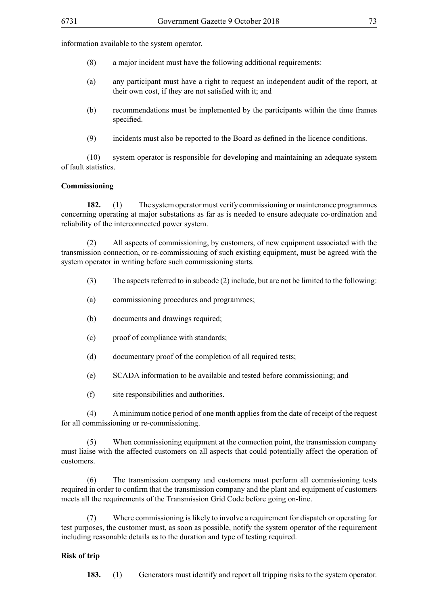information available to the system operator.

- (8) a major incident must have the following additional requirements:
- (a) any participant must have a right to request an independent audit of the report, at their own cost, if they are not satisfied with it; and
- (b) recommendations must be implemented by the participants within the time frames specified.
- (9) incidents must also be reported to the Board as defined in the licence conditions.

(10) system operator is responsible for developing and maintaining an adequate system of fault statistics.

#### **Commissioning**

**182.** (1) The system operator must verify commissioning or maintenance programmes concerning operating at major substations as far as is needed to ensure adequate co-ordination and reliability of the interconnected power system.

(2) All aspects of commissioning, by customers, of new equipment associated with the transmission connection, or re-commissioning of such existing equipment, must be agreed with the system operator in writing before such commissioning starts.

- (3) The aspects referred to in subcode (2) include, but are not be limited to the following:
- (a) commissioning procedures and programmes;
- (b) documents and drawings required;
- (c) proof of compliance with standards;
- (d) documentary proof of the completion of all required tests;
- (e) SCADA information to be available and tested before commissioning; and
- (f) site responsibilities and authorities.

(4) A minimum notice period of one month applies from the date of receipt of the request for all commissioning or re-commissioning.

(5) When commissioning equipment at the connection point, the transmission company must liaise with the affected customers on all aspects that could potentially affect the operation of customers.

(6) The transmission company and customers must perform all commissioning tests required in order to confirm that the transmission company and the plant and equipment of customers meets all the requirements of the Transmission Grid Code before going on-line.

(7) Where commissioning is likely to involve a requirement for dispatch or operating for test purposes, the customer must, as soon as possible, notify the system operator of the requirement including reasonable details as to the duration and type of testing required.

#### **Risk of trip**

**183.** (1) Generators must identify and report all tripping risks to the system operator.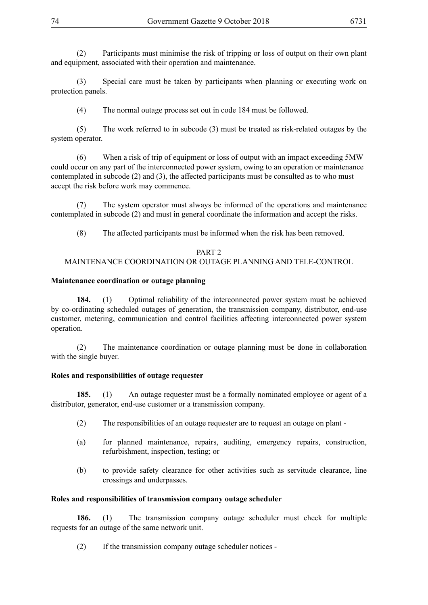(2) Participants must minimise the risk of tripping or loss of output on their own plant and equipment, associated with their operation and maintenance.

(3) Special care must be taken by participants when planning or executing work on protection panels.

(4) The normal outage process set out in code 184 must be followed.

(5) The work referred to in subcode (3) must be treated as risk-related outages by the system operator.

(6) When a risk of trip of equipment or loss of output with an impact exceeding 5MW could occur on any part of the interconnected power system, owing to an operation or maintenance contemplated in subcode (2) and (3), the affected participants must be consulted as to who must accept the risk before work may commence.

(7) The system operator must always be informed of the operations and maintenance contemplated in subcode (2) and must in general coordinate the information and accept the risks.

(8) The affected participants must be informed when the risk has been removed.

# PART<sub>2</sub>

# MAINTENANCE COORDINATION OR OUTAGE PLANNING AND TELE-CONTROL

# **Maintenance coordination or outage planning**

**184.** (1) Optimal reliability of the interconnected power system must be achieved by co-ordinating scheduled outages of generation, the transmission company, distributor, end-use customer, metering, communication and control facilities affecting interconnected power system operation.

(2) The maintenance coordination or outage planning must be done in collaboration with the single buyer.

### **Roles and responsibilities of outage requester**

**185.** (1) An outage requester must be a formally nominated employee or agent of a distributor, generator, end-use customer or a transmission company.

- (2) The responsibilities of an outage requester are to request an outage on plant -
- (a) for planned maintenance, repairs, auditing, emergency repairs, construction, refurbishment, inspection, testing; or
- (b) to provide safety clearance for other activities such as servitude clearance, line crossings and underpasses.

# **Roles and responsibilities of transmission company outage scheduler**

**186.** (1) The transmission company outage scheduler must check for multiple requests for an outage of the same network unit.

(2) If the transmission company outage scheduler notices -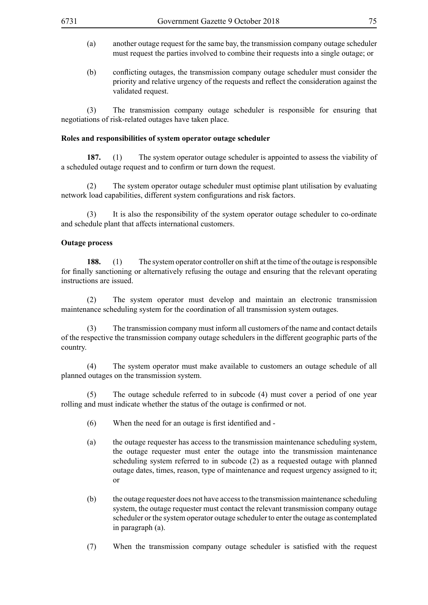- (a) another outage request for the same bay, the transmission company outage scheduler must request the parties involved to combine their requests into a single outage; or
- (b) conflicting outages, the transmission company outage scheduler must consider the priority and relative urgency of the requests and reflect the consideration against the validated request.

(3) The transmission company outage scheduler is responsible for ensuring that negotiations of risk-related outages have taken place.

### **Roles and responsibilities of system operator outage scheduler**

**187.** (1) The system operator outage scheduler is appointed to assess the viability of a scheduled outage request and to confirm or turn down the request.

(2) The system operator outage scheduler must optimise plant utilisation by evaluating network load capabilities, different system configurations and risk factors.

(3) It is also the responsibility of the system operator outage scheduler to co-ordinate and schedule plant that affects international customers.

### **Outage process**

**188.** (1) The system operator controller on shift at the time of the outage is responsible for finally sanctioning or alternatively refusing the outage and ensuring that the relevant operating instructions are issued.

(2) The system operator must develop and maintain an electronic transmission maintenance scheduling system for the coordination of all transmission system outages.

(3) The transmission company must inform all customers of the name and contact details of the respective the transmission company outage schedulers in the different geographic parts of the country.

(4) The system operator must make available to customers an outage schedule of all planned outages on the transmission system.

(5) The outage schedule referred to in subcode (4) must cover a period of one year rolling and must indicate whether the status of the outage is confirmed or not.

- $(6)$  When the need for an outage is first identified and -
- (a) the outage requester has access to the transmission maintenance scheduling system, the outage requester must enter the outage into the transmission maintenance scheduling system referred to in subcode (2) as a requested outage with planned outage dates, times, reason, type of maintenance and request urgency assigned to it; or
- (b) the outage requester does not have access to the transmission maintenance scheduling system, the outage requester must contact the relevant transmission company outage scheduler or the system operator outage scheduler to enter the outage as contemplated in paragraph (a).
- (7) When the transmission company outage scheduler is satisfied with the request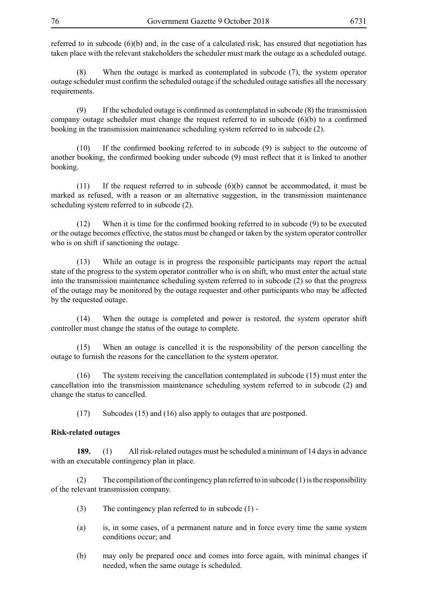referred to in subcode (6)(b) and, in the case of a calculated risk, has ensured that negotiation has taken place with the relevant stakeholders the scheduler must mark the outage as a scheduled outage.

(8) When the outage is marked as contemplated in subcode (7), the system operator outage scheduler must confirm the scheduled outage if the scheduled outage satisfies all the necessary requirements.

 $(9)$  If the scheduled outage is confirmed as contemplated in subcode  $(8)$  the transmission company outage scheduler must change the request referred to in subcode (6)(b) to a confirmed booking in the transmission maintenance scheduling system referred to in subcode (2).

(10) If the confirmed booking referred to in subcode (9) is subject to the outcome of another booking, the confirmed booking under subcode (9) must reflect that it is linked to another booking.

(11) If the request referred to in subcode (6)(b) cannot be accommodated, it must be marked as refused, with a reason or an alternative suggestion, in the transmission maintenance scheduling system referred to in subcode (2).

 $(12)$  When it is time for the confirmed booking referred to in subcode  $(9)$  to be executed or the outage becomes effective, the status must be changed or taken by the system operator controller who is on shift if sanctioning the outage.

(13) While an outage is in progress the responsible participants may report the actual state of the progress to the system operator controller who is on shift, who must enter the actual state into the transmission maintenance scheduling system referred to in subcode (2) so that the progress of the outage may be monitored by the outage requester and other participants who may be affected by the requested outage.

(14) When the outage is completed and power is restored, the system operator shift controller must change the status of the outage to complete.

(15) When an outage is cancelled it is the responsibility of the person cancelling the outage to furnish the reasons for the cancellation to the system operator.

(16) The system receiving the cancellation contemplated in subcode (15) must enter the cancellation into the transmission maintenance scheduling system referred to in subcode (2) and change the status to cancelled.

(17) Subcodes (15) and (16) also apply to outages that are postponed.

### **Risk-related outages**

**189.** (1) All risk-related outages must be scheduled a minimum of 14 days in advance with an executable contingency plan in place.

(2) The compilation of the contingency plan referred to in subcode  $(1)$  is the responsibility of the relevant transmission company.

- (3) The contingency plan referred to in subcode (1) -
- (a) is, in some cases, of a permanent nature and in force every time the same system conditions occur; and
- (b) may only be prepared once and comes into force again, with minimal changes if needed, when the same outage is scheduled.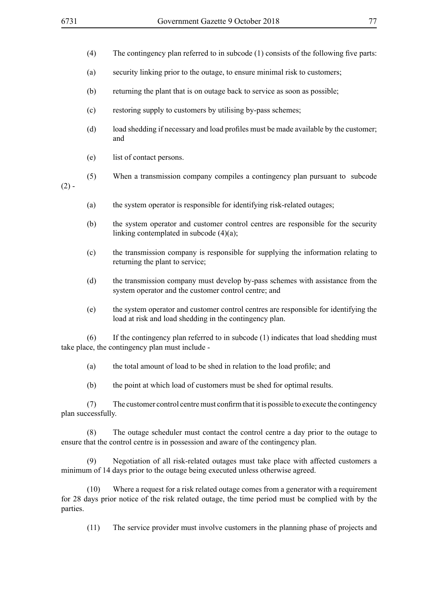- (a) security linking prior to the outage, to ensure minimal risk to customers;
- (b) returning the plant that is on outage back to service as soon as possible;
- (c) restoring supply to customers by utilising by-pass schemes;
- (d) load shedding if necessary and load profiles must be made available by the customer; and
- (e) list of contact persons.
- $(2)$  -
- (5) When a transmission company compiles a contingency plan pursuant to subcode
- (a) the system operator is responsible for identifying risk-related outages;
- (b) the system operator and customer control centres are responsible for the security linking contemplated in subcode (4)(a);
- (c) the transmission company is responsible for supplying the information relating to returning the plant to service;
- (d) the transmission company must develop by-pass schemes with assistance from the system operator and the customer control centre; and
- (e) the system operator and customer control centres are responsible for identifying the load at risk and load shedding in the contingency plan.

(6) If the contingency plan referred to in subcode (1) indicates that load shedding must take place, the contingency plan must include -

- (a) the total amount of load to be shed in relation to the load profile; and
- (b) the point at which load of customers must be shed for optimal results.

 $(7)$  The customer control centremust confirm that it is possible to execute the contingency plan successfully.

(8) The outage scheduler must contact the control centre a day prior to the outage to ensure that the control centre is in possession and aware of the contingency plan.

(9) Negotiation of all risk-related outages must take place with affected customers a minimum of 14 days prior to the outage being executed unless otherwise agreed.

(10) Where a request for a risk related outage comes from a generator with a requirement for 28 days prior notice of the risk related outage, the time period must be complied with by the parties.

(11) The service provider must involve customers in the planning phase of projects and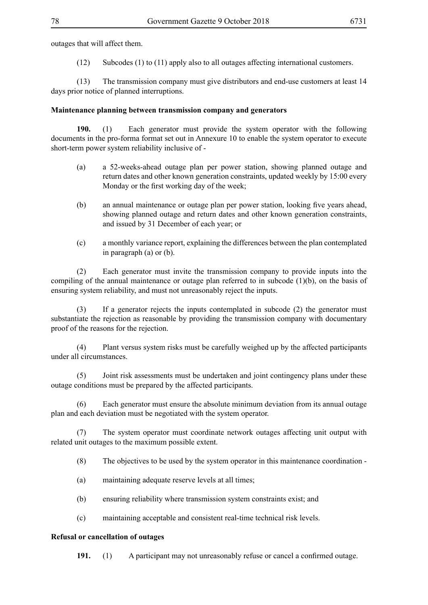outages that will affect them.

(12) Subcodes (1) to (11) apply also to all outages affecting international customers.

(13) The transmission company must give distributors and end-use customers at least 14 days prior notice of planned interruptions.

### **Maintenance planning between transmission company and generators**

**190.** (1) Each generator must provide the system operator with the following documents in the pro-forma format set out in Annexure 10 to enable the system operator to execute short-term power system reliability inclusive of -

- (a) a 52-weeks-ahead outage plan per power station, showing planned outage and return dates and other known generation constraints, updated weekly by 15:00 every Monday or the first working day of the week;
- (b) an annual maintenance or outage plan per power station, looking five years ahead, showing planned outage and return dates and other known generation constraints, and issued by 31 December of each year; or
- (c) a monthly variance report, explaining the differences between the plan contemplated in paragraph (a) or (b).

(2) Each generator must invite the transmission company to provide inputs into the compiling of the annual maintenance or outage plan referred to in subcode (1)(b), on the basis of ensuring system reliability, and must not unreasonably reject the inputs.

(3) If a generator rejects the inputs contemplated in subcode (2) the generator must substantiate the rejection as reasonable by providing the transmission company with documentary proof of the reasons for the rejection.

(4) Plant versus system risks must be carefully weighed up by the affected participants under all circumstances.

(5) Joint risk assessments must be undertaken and joint contingency plans under these outage conditions must be prepared by the affected participants.

(6) Each generator must ensure the absolute minimum deviation from its annual outage plan and each deviation must be negotiated with the system operator.

The system operator must coordinate network outages affecting unit output with related unit outages to the maximum possible extent.

(8) The objectives to be used by the system operator in this maintenance coordination -

- (a) maintaining adequate reserve levels at all times;
- (b) ensuring reliability where transmission system constraints exist; and
- (c) maintaining acceptable and consistent real-time technical risk levels.

### **Refusal or cancellation of outages**

**191.** (1) A participant may not unreasonably refuse or cancel a confirmed outage.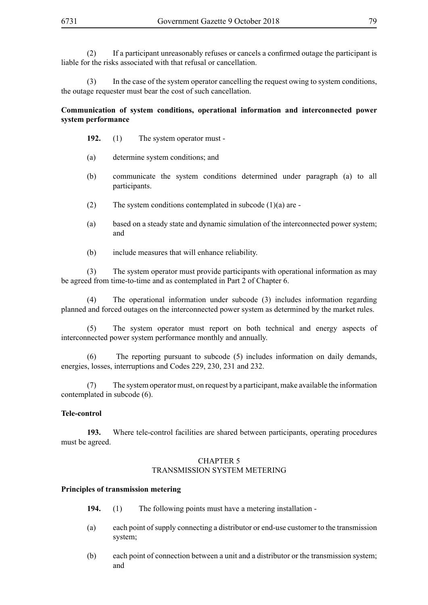(2) If a participant unreasonably refuses or cancels a confirmed outage the participant is liable for the risks associated with that refusal or cancellation.

(3) In the case of the system operator cancelling the request owing to system conditions, the outage requester must bear the cost of such cancellation.

# **Communication of system conditions, operational information and interconnected power system performance**

- **192.** (1) The system operator must -
- (a) determine system conditions; and
- (b) communicate the system conditions determined under paragraph (a) to all participants.
- (2) The system conditions contemplated in subcode  $(1)(a)$  are -
- (a) based on a steady state and dynamic simulation of the interconnected power system; and
- (b) include measures that will enhance reliability.

(3) The system operator must provide participants with operational information as may be agreed from time-to-time and as contemplated in Part 2 of Chapter 6.

(4) The operational information under subcode (3) includes information regarding planned and forced outages on the interconnected power system as determined by the market rules.

(5) The system operator must report on both technical and energy aspects of interconnected power system performance monthly and annually.

(6) The reporting pursuant to subcode (5) includes information on daily demands, energies, losses, interruptions and Codes 229, 230, 231 and 232.

(7) The system operator must, on request by a participant, make available the information contemplated in subcode (6).

### **Tele-control**

**193.** Where tele-control facilities are shared between participants, operating procedures must be agreed.

# CHAPTER 5 TRANSMISSION SYSTEM METERING

#### **Principles of transmission metering**

- **194.** (1) The following points must have a metering installation -
- (a) each point of supply connecting a distributor or end-use customer to the transmission system;
- (b) each point of connection between a unit and a distributor or the transmission system; and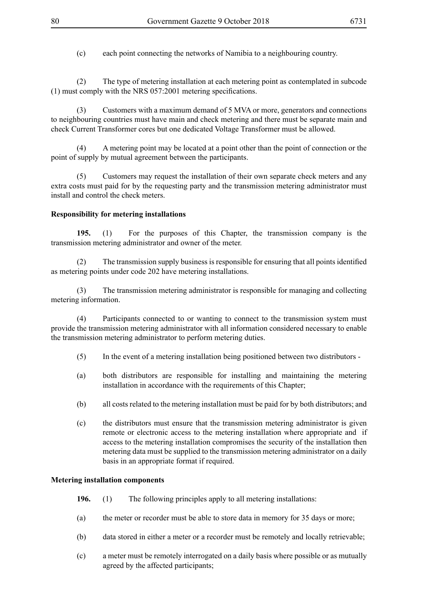(c) each point connecting the networks of Namibia to a neighbouring country.

(2) The type of metering installation at each metering point as contemplated in subcode (1) must comply with the NRS 057:2001 metering specifications.

(3) Customers with a maximum demand of 5 MVA or more, generators and connections to neighbouring countries must have main and check metering and there must be separate main and check Current Transformer cores but one dedicated Voltage Transformer must be allowed.

(4) A metering point may be located at a point other than the point of connection or the point of supply by mutual agreement between the participants.

(5) Customers may request the installation of their own separate check meters and any extra costs must paid for by the requesting party and the transmission metering administrator must install and control the check meters.

# **Responsibility for metering installations**

**195.** (1) For the purposes of this Chapter, the transmission company is the transmission metering administrator and owner of the meter.

(2) The transmission supply business is responsible for ensuring that all points identified as metering points under code 202 have metering installations.

(3) The transmission metering administrator is responsible for managing and collecting metering information.

(4) Participants connected to or wanting to connect to the transmission system must provide the transmission metering administrator with all information considered necessary to enable the transmission metering administrator to perform metering duties.

- (5) In the event of a metering installation being positioned between two distributors -
- (a) both distributors are responsible for installing and maintaining the metering installation in accordance with the requirements of this Chapter;
- (b) all costs related to the metering installation must be paid for by both distributors; and
- (c) the distributors must ensure that the transmission metering administrator is given remote or electronic access to the metering installation where appropriate and if access to the metering installation compromises the security of the installation then metering data must be supplied to the transmission metering administrator on a daily basis in an appropriate format if required.

### **Metering installation components**

- **196.** (1) The following principles apply to all metering installations:
- (a) the meter or recorder must be able to store data in memory for 35 days or more;
- (b) data stored in either a meter or a recorder must be remotely and locally retrievable;
- (c) a meter must be remotely interrogated on a daily basis where possible or as mutually agreed by the affected participants;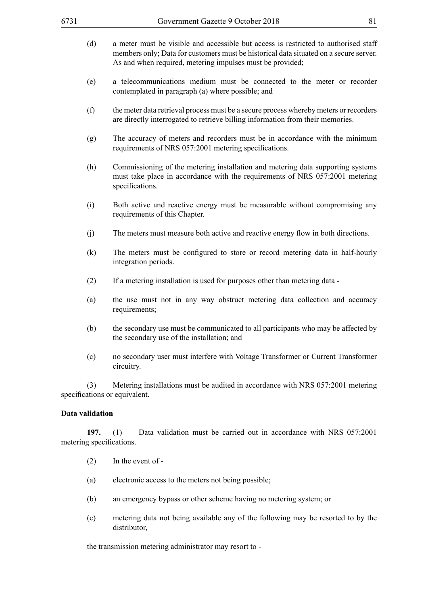- (d) a meter must be visible and accessible but access is restricted to authorised staff members only; Data for customers must be historical data situated on a secure server. As and when required, metering impulses must be provided;
- (e) a telecommunications medium must be connected to the meter or recorder contemplated in paragraph (a) where possible; and
- (f) the meter data retrieval process must be a secure process whereby meters or recorders are directly interrogated to retrieve billing information from their memories.
- (g) The accuracy of meters and recorders must be in accordance with the minimum requirements of NRS 057:2001 metering specifications.
- (h) Commissioning of the metering installation and metering data supporting systems must take place in accordance with the requirements of NRS 057:2001 metering specifications.
- (i) Both active and reactive energy must be measurable without compromising any requirements of this Chapter.
- (i) The meters must measure both active and reactive energy flow in both directions.
- (k) The meters must be configured to store or record metering data in half-hourly integration periods.
- (2) If a metering installation is used for purposes other than metering data -
- (a) the use must not in any way obstruct metering data collection and accuracy requirements;
- (b) the secondary use must be communicated to all participants who may be affected by the secondary use of the installation; and
- (c) no secondary user must interfere with Voltage Transformer or Current Transformer circuitry.

(3) Metering installations must be audited in accordance with NRS 057:2001 metering specifications or equivalent.

#### **Data validation**

**197.** (1) Data validation must be carried out in accordance with NRS 057:2001 metering specifications.

- (2) In the event of -
- (a) electronic access to the meters not being possible;
- (b) an emergency bypass or other scheme having no metering system; or
- (c) metering data not being available any of the following may be resorted to by the distributor,

the transmission metering administrator may resort to -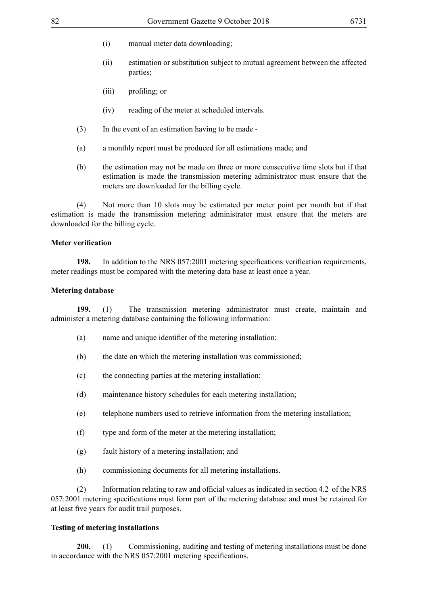- (i) manual meter data downloading;
- (ii) estimation or substitution subject to mutual agreement between the affected parties;
- (iii) profiling; or
- (iv) reading of the meter at scheduled intervals.
- (3) In the event of an estimation having to be made -
- (a) a monthly report must be produced for all estimations made; and
- (b) the estimation may not be made on three or more consecutive time slots but if that estimation is made the transmission metering administrator must ensure that the meters are downloaded for the billing cycle.

(4) Not more than 10 slots may be estimated per meter point per month but if that estimation is made the transmission metering administrator must ensure that the meters are downloaded for the billing cycle.

#### **Meter verification**

**198.** In addition to the NRS 057:2001 metering specifications verification requirements, meter readings must be compared with the metering data base at least once a year.

#### **Metering database**

**199.** (1) The transmission metering administrator must create, maintain and administer a metering database containing the following information:

- (a) name and unique identifier of the metering installation;
- (b) the date on which the metering installation was commissioned;
- (c) the connecting parties at the metering installation;
- (d) maintenance history schedules for each metering installation;
- (e) telephone numbers used to retrieve information from the metering installation;
- (f) type and form of the meter at the metering installation;
- (g) fault history of a metering installation; and
- (h) commissioning documents for all metering installations.

(2) Information relating to raw and official values as indicated in section 4.2 of the NRS 057:2001 metering specifications must form part of the metering database and must be retained for at least five years for audit trail purposes.

### **Testing of metering installations**

**200.** (1) Commissioning, auditing and testing of metering installations must be done in accordance with the NRS 057:2001 metering specifications.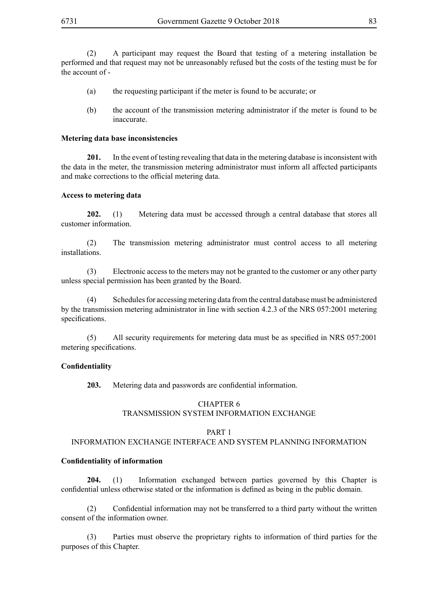(2) A participant may request the Board that testing of a metering installation be performed and that request may not be unreasonably refused but the costs of the testing must be for the account of -

- (a) the requesting participant if the meter is found to be accurate; or
- (b) the account of the transmission metering administrator if the meter is found to be inaccurate.

#### **Metering data base inconsistencies**

**201.** In the event of testing revealing that data in the metering database is inconsistent with the data in the meter, the transmission metering administrator must inform all affected participants and make corrections to the official metering data.

#### **Access to metering data**

**202.** (1) Metering data must be accessed through a central database that stores all customer information.

(2) The transmission metering administrator must control access to all metering installations.

(3) Electronic access to the meters may not be granted to the customer or any other party unless special permission has been granted by the Board.

(4) Schedules for accessing metering data from the central database must be administered by the transmission metering administrator in line with section 4.2.3 of the NRS 057:2001 metering specifications.

(5) All security requirements for metering data must be as specified in NRS 057:2001 metering specifications.

### **Confidentiality**

**203.** Metering data and passwords are confidential information.

# CHAPTER 6 TRANSMISSION SYSTEM INFORMATION EXCHANGE

#### PART 1

### INFORMATION EXCHANGE INTERFACE AND SYSTEM PLANNING INFORMATION

### **Confidentiality of information**

**204.** (1) Information exchanged between parties governed by this Chapter is confidential unless otherwise stated or the information is defined as being in the public domain.

(2) Confidential information may not be transferred to a third party without the written consent of the information owner.

(3) Parties must observe the proprietary rights to information of third parties for the purposes of this Chapter.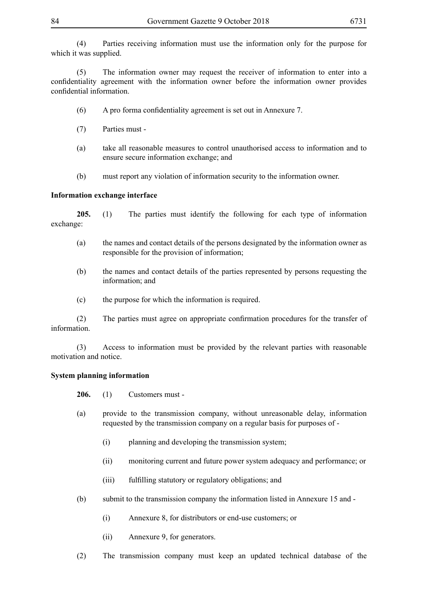(4) Parties receiving information must use the information only for the purpose for which it was supplied.

(5) The information owner may request the receiver of information to enter into a confidentiality agreement with the information owner before the information owner provides confidential information.

- (6) A pro forma confidentiality agreement is set out in Annexure 7.
- (7) Parties must -
- (a) take all reasonable measures to control unauthorised access to information and to ensure secure information exchange; and
- (b) must report any violation of information security to the information owner.

### **Information exchange interface**

**205.** (1) The parties must identify the following for each type of information exchange:

- (a) the names and contact details of the persons designated by the information owner as responsible for the provision of information;
- (b) the names and contact details of the parties represented by persons requesting the information; and
- (c) the purpose for which the information is required.

(2) The parties must agree on appropriate confirmation procedures for the transfer of information.

(3) Access to information must be provided by the relevant parties with reasonable motivation and notice.

### **System planning information**

**206.** (1) Customers must -

- (a) provide to the transmission company, without unreasonable delay, information requested by the transmission company on a regular basis for purposes of -
	- (i) planning and developing the transmission system;
	- (ii) monitoring current and future power system adequacy and performance; or
	- (iii) fulfilling statutory or regulatory obligations; and
- (b) submit to the transmission company the information listed in Annexure 15 and
	- (i) Annexure 8, for distributors or end-use customers; or
	- (ii) Annexure 9, for generators.
- (2) The transmission company must keep an updated technical database of the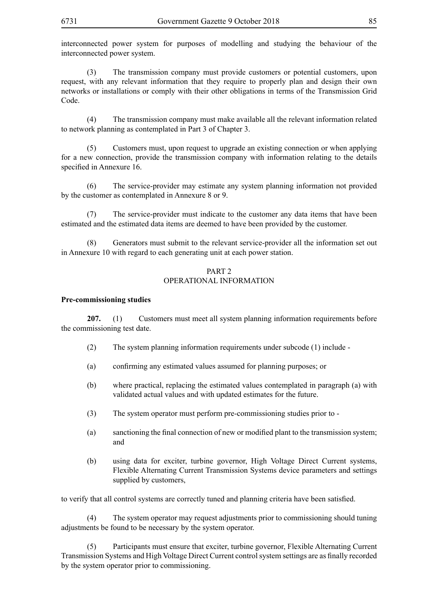interconnected power system for purposes of modelling and studying the behaviour of the interconnected power system.

(3) The transmission company must provide customers or potential customers, upon request, with any relevant information that they require to properly plan and design their own networks or installations or comply with their other obligations in terms of the Transmission Grid Code.

(4) The transmission company must make available all the relevant information related to network planning as contemplated in Part 3 of Chapter 3.

(5) Customers must, upon request to upgrade an existing connection or when applying for a new connection, provide the transmission company with information relating to the details specified in Annexure 16.

(6) The service-provider may estimate any system planning information not provided by the customer as contemplated in Annexure 8 or 9.

(7) The service-provider must indicate to the customer any data items that have been estimated and the estimated data items are deemed to have been provided by the customer.

(8) Generators must submit to the relevant service-provider all the information set out in Annexure 10 with regard to each generating unit at each power station.

### PART<sub>2</sub> OPERATIONAL INFORMATION

#### **Pre-commissioning studies**

**207.** (1) Customers must meet all system planning information requirements before the commissioning test date.

- (2) The system planning information requirements under subcode (1) include -
- (a) confirming any estimated values assumed for planning purposes; or
- (b) where practical, replacing the estimated values contemplated in paragraph (a) with validated actual values and with updated estimates for the future.
- (3) The system operator must perform pre-commissioning studies prior to -
- (a) sanctioning the final connection of new or modified plant to the transmission system; and
- (b) using data for exciter, turbine governor, High Voltage Direct Current systems, Flexible Alternating Current Transmission Systems device parameters and settings supplied by customers,

to verify that all control systems are correctly tuned and planning criteria have been satisfied.

(4) The system operator may request adjustments prior to commissioning should tuning adjustments be found to be necessary by the system operator.

(5) Participants must ensure that exciter, turbine governor, Flexible Alternating Current Transmission Systems and High Voltage Direct Current controlsystem settings are as finally recorded by the system operator prior to commissioning.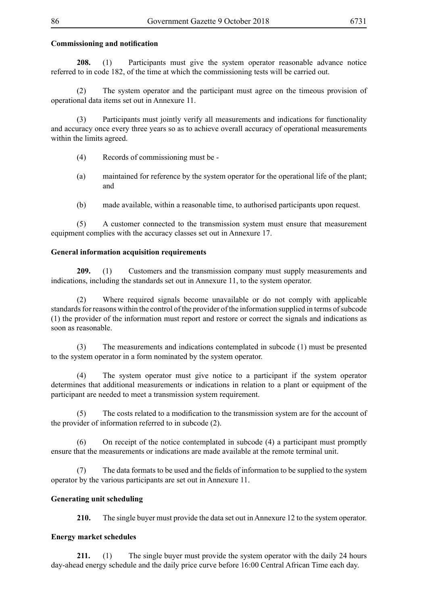# **Commissioning and notification**

**208.** (1) Participants must give the system operator reasonable advance notice referred to in code 182, of the time at which the commissioning tests will be carried out.

(2) The system operator and the participant must agree on the timeous provision of operational data items set out in Annexure 11.

(3) Participants must jointly verify all measurements and indications for functionality and accuracy once every three years so as to achieve overall accuracy of operational measurements within the limits agreed.

- (4) Records of commissioning must be -
- (a) maintained for reference by the system operator for the operational life of the plant; and
- (b) made available, within a reasonable time, to authorised participants upon request.

(5) A customer connected to the transmission system must ensure that measurement equipment complies with the accuracy classes set out in Annexure 17.

### **General information acquisition requirements**

**209.** (1) Customers and the transmission company must supply measurements and indications, including the standards set out in Annexure 11, to the system operator.

(2) Where required signals become unavailable or do not comply with applicable standards for reasons within the control of the provider of the information supplied in terms of subcode (1) the provider of the information must report and restore or correct the signals and indications as soon as reasonable.

(3) The measurements and indications contemplated in subcode (1) must be presented to the system operator in a form nominated by the system operator.

(4) The system operator must give notice to a participant if the system operator determines that additional measurements or indications in relation to a plant or equipment of the participant are needed to meet a transmission system requirement.

(5) The costs related to a modification to the transmission system are for the account of the provider of information referred to in subcode (2).

(6) On receipt of the notice contemplated in subcode (4) a participant must promptly ensure that the measurements or indications are made available at the remote terminal unit.

(7) The data formats to be used and the fields of information to be supplied to the system operator by the various participants are set out in Annexure 11.

### **Generating unit scheduling**

**210.** The single buyer must provide the data set out in Annexure 12 to the system operator.

### **Energy market schedules**

**211.** (1) The single buyer must provide the system operator with the daily 24 hours day-ahead energy schedule and the daily price curve before 16:00 Central African Time each day.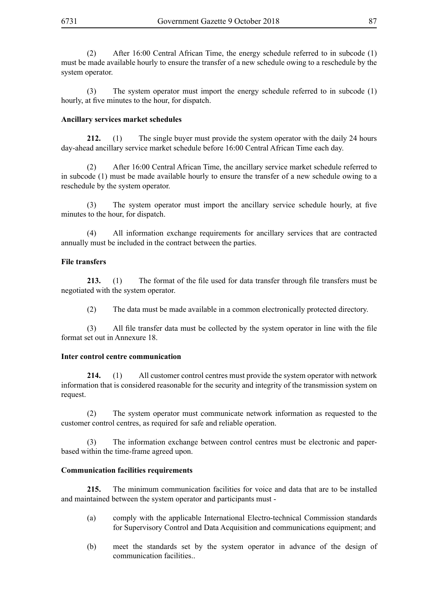(2) After 16:00 Central African Time, the energy schedule referred to in subcode (1) must be made available hourly to ensure the transfer of a new schedule owing to a reschedule by the system operator.

(3) The system operator must import the energy schedule referred to in subcode (1) hourly, at five minutes to the hour, for dispatch.

#### **Ancillary services market schedules**

**212.** (1) The single buyer must provide the system operator with the daily 24 hours day-ahead ancillary service market schedule before 16:00 Central African Time each day.

(2) After 16:00 Central African Time, the ancillary service market schedule referred to in subcode (1) must be made available hourly to ensure the transfer of a new schedule owing to a reschedule by the system operator.

(3) The system operator must import the ancillary service schedule hourly, at five minutes to the hour, for dispatch.

(4) All information exchange requirements for ancillary services that are contracted annually must be included in the contract between the parties.

#### **File transfers**

**213.** (1) The format of the file used for data transfer through file transfers must be negotiated with the system operator.

(2) The data must be made available in a common electronically protected directory.

(3) All file transfer data must be collected by the system operator in line with the file format set out in Annexure 18.

#### **Inter control centre communication**

**214.** (1) All customer control centres must provide the system operator with network information that is considered reasonable for the security and integrity of the transmission system on request.

(2) The system operator must communicate network information as requested to the customer control centres, as required for safe and reliable operation.

(3) The information exchange between control centres must be electronic and paperbased within the time-frame agreed upon.

#### **Communication facilities requirements**

**215.** The minimum communication facilities for voice and data that are to be installed and maintained between the system operator and participants must -

- (a) comply with the applicable International Electro-technical Commission standards for Supervisory Control and Data Acquisition and communications equipment; and
- (b) meet the standards set by the system operator in advance of the design of communication facilities..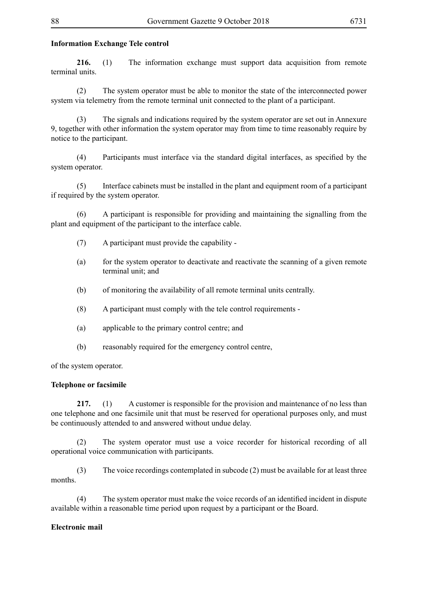# **Information Exchange Tele control**

**216.** (1) The information exchange must support data acquisition from remote terminal units.

(2) The system operator must be able to monitor the state of the interconnected power system via telemetry from the remote terminal unit connected to the plant of a participant.

(3) The signals and indications required by the system operator are set out in Annexure 9, together with other information the system operator may from time to time reasonably require by notice to the participant.

(4) Participants must interface via the standard digital interfaces, as specified by the system operator.

(5) Interface cabinets must be installed in the plant and equipment room of a participant if required by the system operator.

(6) A participant is responsible for providing and maintaining the signalling from the plant and equipment of the participant to the interface cable.

- (7) A participant must provide the capability -
- (a) for the system operator to deactivate and reactivate the scanning of a given remote terminal unit; and
- (b) of monitoring the availability of all remote terminal units centrally.
- (8) A participant must comply with the tele control requirements -
- (a) applicable to the primary control centre; and
- (b) reasonably required for the emergency control centre,

of the system operator.

### **Telephone or facsimile**

**217.** (1) A customer is responsible for the provision and maintenance of no less than one telephone and one facsimile unit that must be reserved for operational purposes only, and must be continuously attended to and answered without undue delay.

(2) The system operator must use a voice recorder for historical recording of all operational voice communication with participants.

(3) The voice recordings contemplated in subcode (2) must be available for at least three months.

The system operator must make the voice records of an identified incident in dispute available within a reasonable time period upon request by a participant or the Board.

### **Electronic mail**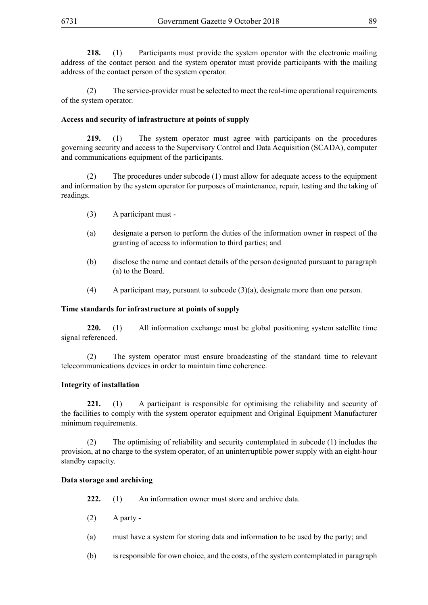**218.** (1) Participants must provide the system operator with the electronic mailing address of the contact person and the system operator must provide participants with the mailing address of the contact person of the system operator.

(2) The service-provider must be selected to meet the real-time operational requirements of the system operator.

### **Access and security of infrastructure at points of supply**

**219.** (1) The system operator must agree with participants on the procedures governing security and access to the Supervisory Control and Data Acquisition (SCADA), computer and communications equipment of the participants.

(2) The procedures under subcode (1) must allow for adequate access to the equipment and information by the system operator for purposes of maintenance, repair, testing and the taking of readings.

- (3) A participant must -
- (a) designate a person to perform the duties of the information owner in respect of the granting of access to information to third parties; and
- (b) disclose the name and contact details of the person designated pursuant to paragraph (a) to the Board.
- (4) A participant may, pursuant to subcode  $(3)(a)$ , designate more than one person.

#### **Time standards for infrastructure at points of supply**

**220.** (1) All information exchange must be global positioning system satellite time signal referenced.

(2) The system operator must ensure broadcasting of the standard time to relevant telecommunications devices in order to maintain time coherence.

#### **Integrity of installation**

**221.** (1) A participant is responsible for optimising the reliability and security of the facilities to comply with the system operator equipment and Original Equipment Manufacturer minimum requirements.

(2) The optimising of reliability and security contemplated in subcode (1) includes the provision, at no charge to the system operator, of an uninterruptible power supply with an eight-hour standby capacity.

### **Data storage and archiving**

**222.** (1) An information owner must store and archive data.

- $(2)$  A party -
- (a) must have a system for storing data and information to be used by the party; and
- (b) is responsible for own choice, and the costs, of the system contemplated in paragraph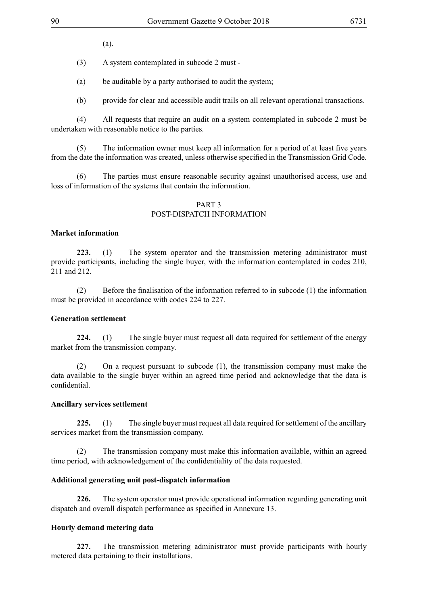(a).

(3) A system contemplated in subcode 2 must -

(a) be auditable by a party authorised to audit the system;

(b) provide for clear and accessible audit trails on all relevant operational transactions.

(4) All requests that require an audit on a system contemplated in subcode 2 must be undertaken with reasonable notice to the parties.

(5) The information owner must keep all information for a period of at least five years from the date the information was created, unless otherwise specified in the Transmission Grid Code.

(6) The parties must ensure reasonable security against unauthorised access, use and loss of information of the systems that contain the information.

#### PART 3

### POST-DISPATCH INFORMATION

#### **Market information**

**223.** (1) The system operator and the transmission metering administrator must provide participants, including the single buyer, with the information contemplated in codes 210, 211 and 212.

(2) Before the finalisation of the information referred to in subcode (1) the information must be provided in accordance with codes 224 to 227.

# **Generation settlement**

**224.** (1) The single buyer must request all data required for settlement of the energy market from the transmission company.

(2) On a request pursuant to subcode (1), the transmission company must make the data available to the single buyer within an agreed time period and acknowledge that the data is confidential.

#### **Ancillary services settlement**

**225.** (1) The single buyer must request all data required for settlement of the ancillary services market from the transmission company.

(2) The transmission company must make this information available, within an agreed time period, with acknowledgement of the confidentiality of the data requested.

#### **Additional generating unit post-dispatch information**

**226.** The system operator must provide operational information regarding generating unit dispatch and overall dispatch performance as specified in Annexure 13.

#### **Hourly demand metering data**

**227.** The transmission metering administrator must provide participants with hourly metered data pertaining to their installations.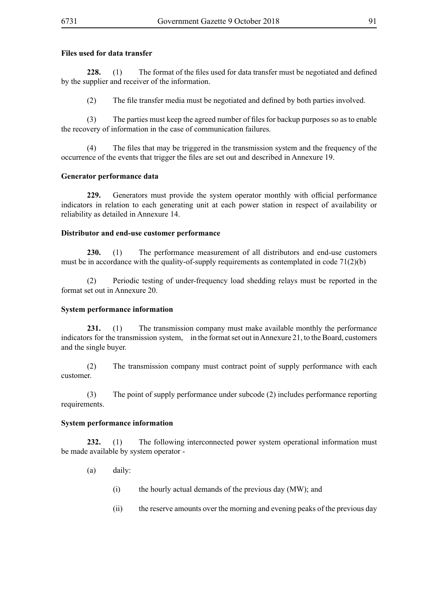# **Files used for data transfer**

**228.** (1) The format of the files used for data transfer must be negotiated and defined by the supplier and receiver of the information.

(2) The file transfer media must be negotiated and defined by both parties involved.

(3) The parties must keep the agreed number of files for backup purposes so as to enable the recovery of information in the case of communication failures.

 (4) The files that may be triggered in the transmission system and the frequency of the occurrence of the events that trigger the files are set out and described in Annexure 19.

# **Generator performance data**

**229.** Generators must provide the system operator monthly with official performance indicators in relation to each generating unit at each power station in respect of availability or reliability as detailed in Annexure 14.

# **Distributor and end-use customer performance**

**230.** (1) The performance measurement of all distributors and end-use customers must be in accordance with the quality-of-supply requirements as contemplated in code 71(2)(b)

(2) Periodic testing of under-frequency load shedding relays must be reported in the format set out in Annexure 20.

# **System performance information**

**231.** (1) The transmission company must make available monthly the performance indicators for the transmission system, in the format set out in Annexure 21, to the Board, customers and the single buyer.

(2) The transmission company must contract point of supply performance with each customer.

(3) The point of supply performance under subcode (2) includes performance reporting requirements.

### **System performance information**

**232.** (1) The following interconnected power system operational information must be made available by system operator -

- (a) daily:
	- (i) the hourly actual demands of the previous day (MW); and
	- (ii) the reserve amounts over the morning and evening peaks of the previous day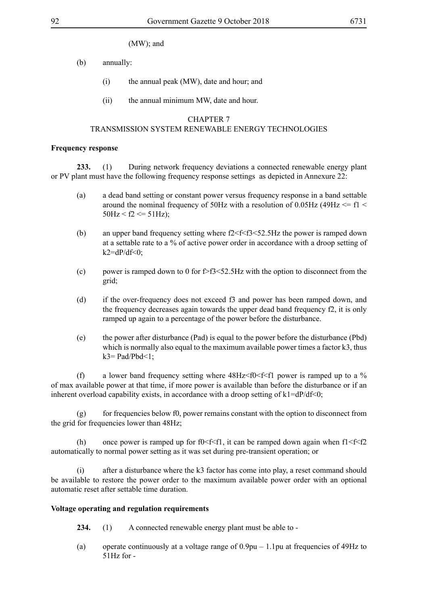- (b) annually:
	- (i) the annual peak (MW), date and hour; and
	- (ii) the annual minimum MW, date and hour.

#### CHAPTER 7

#### TRANSMISSION SYSTEM RENEWABLE ENERGY TECHNOLOGIES

#### **Frequency response**

**233.** (1) During network frequency deviations a connected renewable energy plant or PV plant must have the following frequency response settings as depicted in Annexure 22:

- (a) a dead band setting or constant power versus frequency response in a band settable around the nominal frequency of 50Hz with a resolution of 0.05Hz (49Hz  $\le$  f1  $\le$  $50\text{Hz} < f2 \leq 51\text{Hz}$ ;
- (b) an upper band frequency setting where  $f2 \le f \le f3 \le 5Hz$  the power is ramped down at a settable rate to a % of active power order in accordance with a droop setting of  $k2 = dP/df < 0$ ;
- (c) power is ramped down to 0 for  $\frac{55}{52}$ . SHz with the option to disconnect from the grid;
- (d) if the over-frequency does not exceed f3 and power has been ramped down, and the frequency decreases again towards the upper dead band frequency f2, it is only ramped up again to a percentage of the power before the disturbance.
- (e) the power after disturbance (Pad) is equal to the power before the disturbance (Pbd) which is normally also equal to the maximum available power times a factor k3, thus  $k3 = Pad/Pbd \le 1$ ;

(f) a lower band frequency setting where  $48\text{Hz} < f0 < f < f1$  power is ramped up to a % of max available power at that time, if more power is available than before the disturbance or if an inherent overload capability exists, in accordance with a droop setting of  $k1=dP/df<0$ ;

 $(g)$  for frequencies below f0, power remains constant with the option to disconnect from the grid for frequencies lower than 48Hz;

(h) once power is ramped up for f0  $\leq$  f2, it can be ramped down again when f1  $\leq$  f $\leq$  f2 automatically to normal power setting as it was set during pre-transient operation; or

(i) after a disturbance where the k3 factor has come into play, a reset command should be available to restore the power order to the maximum available power order with an optional automatic reset after settable time duration.

### **Voltage operating and regulation requirements**

- **234.** (1) A connected renewable energy plant must be able to -
- (a) operate continuously at a voltage range of 0.9pu 1.1pu at frequencies of 49Hz to 51Hz for -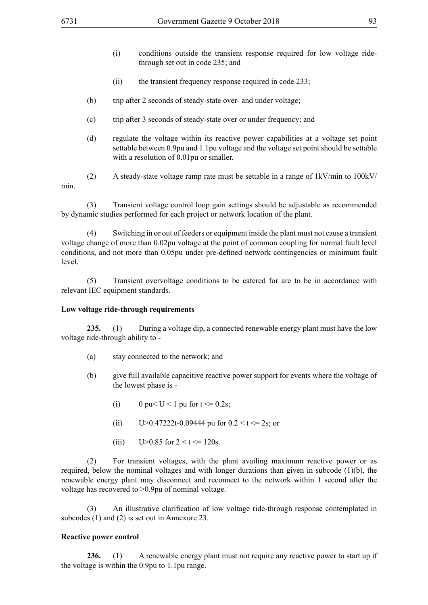- (i) conditions outside the transient response required for low voltage ridethrough set out in code 235; and
- (ii) the transient frequency response required in code 233;
- (b) trip after 2 seconds of steady-state over- and under voltage;
- (c) trip after 3 seconds of steady-state over or under frequency; and
- (d) regulate the voltage within its reactive power capabilities at a voltage set point settable between 0.9pu and 1.1pu voltage and the voltage set point should be settable with a resolution of 0.01pu or smaller.

min.

(2) A steady-state voltage ramp rate must be settable in a range of 1kV/min to 100kV/

(3) Transient voltage control loop gain settings should be adjustable as recommended by dynamic studies performed for each project or network location of the plant.

(4) Switching in or out of feeders or equipment inside the plant must not cause a transient voltage change of more than 0.02pu voltage at the point of common coupling for normal fault level conditions, and not more than 0.05pu under pre-defined network contingencies or minimum fault level.

(5) Transient overvoltage conditions to be catered for are to be in accordance with relevant IEC equipment standards.

### **Low voltage ride-through requirements**

**235.** (1) During a voltage dip, a connected renewable energy plant must have the low voltage ride-through ability to -

- (a) stay connected to the network; and
- (b) give full available capacitive reactive power support for events where the voltage of the lowest phase is -
	- (i) 0 pu  $\leq U \leq 1$  pu for  $t \leq 0.2$ s;
	- (ii)  $U>0.47222t-0.09444$  pu for  $0.2 < t \le 2s$ ; or
	- (iii)  $U>0.85$  for  $2 < t \le 120s$ .

(2) For transient voltages, with the plant availing maximum reactive power or as required, below the nominal voltages and with longer durations than given in subcode (1)(b), the renewable energy plant may disconnect and reconnect to the network within 1 second after the voltage has recovered to >0.9pu of nominal voltage.

 (3) An illustrative clarification of low voltage ride-through response contemplated in subcodes (1) and (2) is set out in Annexure 23.

### **Reactive power control**

**236.** (1) A renewable energy plant must not require any reactive power to start up if the voltage is within the 0.9pu to 1.1pu range.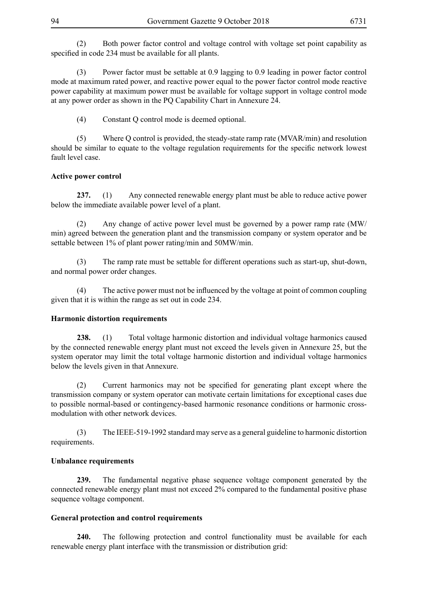(2) Both power factor control and voltage control with voltage set point capability as specified in code 234 must be available for all plants.

(3) Power factor must be settable at 0.9 lagging to 0.9 leading in power factor control mode at maximum rated power, and reactive power equal to the power factor control mode reactive power capability at maximum power must be available for voltage support in voltage control mode at any power order as shown in the PQ Capability Chart in Annexure 24.

(4) Constant Q control mode is deemed optional.

(5) Where Q control is provided, the steady-state ramp rate (MVAR/min) and resolution should be similar to equate to the voltage regulation requirements for the specific network lowest fault level case.

# **Active power control**

**237.** (1) Any connected renewable energy plant must be able to reduce active power below the immediate available power level of a plant.

(2) Any change of active power level must be governed by a power ramp rate (MW/ min) agreed between the generation plant and the transmission company or system operator and be settable between 1% of plant power rating/min and 50MW/min.

(3) The ramp rate must be settable for different operations such as start-up, shut-down, and normal power order changes.

(4) The active power must not be influenced by the voltage at point of common coupling given that it is within the range as set out in code 234.

### **Harmonic distortion requirements**

**238.** (1) Total voltage harmonic distortion and individual voltage harmonics caused by the connected renewable energy plant must not exceed the levels given in Annexure 25, but the system operator may limit the total voltage harmonic distortion and individual voltage harmonics below the levels given in that Annexure.

(2) Current harmonics may not be specified for generating plant except where the transmission company or system operator can motivate certain limitations for exceptional cases due to possible normal-based or contingency-based harmonic resonance conditions or harmonic crossmodulation with other network devices.

(3) The IEEE-519-1992 standard may serve as a general guideline to harmonic distortion requirements.

### **Unbalance requirements**

**239.** The fundamental negative phase sequence voltage component generated by the connected renewable energy plant must not exceed 2% compared to the fundamental positive phase sequence voltage component.

### **General protection and control requirements**

**240.** The following protection and control functionality must be available for each renewable energy plant interface with the transmission or distribution grid: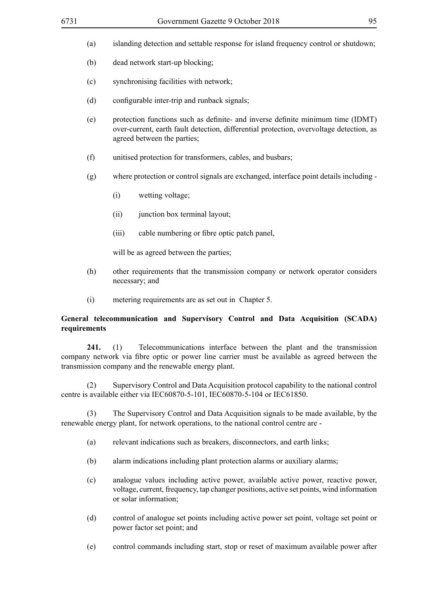- (a) islanding detection and settable response for island frequency control or shutdown;
- (b) dead network start-up blocking;
- (c) synchronising facilities with network;
- (d) configurable inter-trip and runback signals;
- (e) protection functions such as definite- and inverse definite minimum time (IDMT) over-current, earth fault detection, differential protection, overvoltage detection, as agreed between the parties;
- (f) unitised protection for transformers, cables, and busbars;
- (g) where protection or control signals are exchanged, interface point details including
	- (i) wetting voltage;
	- (ii) junction box terminal layout;
	- (iii) cable numbering or fibre optic patch panel,

will be as agreed between the parties;

- (h) other requirements that the transmission company or network operator considers necessary; and
- (i) metering requirements are as set out in Chapter 5.

# **General telecommunication and Supervisory Control and Data Acquisition (SCADA) requirements**

**241.** (1) Telecommunications interface between the plant and the transmission company network via fibre optic or power line carrier must be available as agreed between the transmission company and the renewable energy plant.

(2) Supervisory Control and Data Acquisition protocol capability to the national control centre is available either via IEC60870-5-101, IEC60870-5-104 or IEC61850.

(3) The Supervisory Control and Data Acquisition signals to be made available, by the renewable energy plant, for network operations, to the national control centre are -

- (a) relevant indications such as breakers, disconnectors, and earth links;
- (b) alarm indications including plant protection alarms or auxiliary alarms;
- (c) analogue values including active power, available active power, reactive power, voltage, current, frequency, tap changer positions, active set points, wind information or solar information;
- (d) control of analogue set points including active power set point, voltage set point or power factor set point; and
- (e) control commands including start, stop or reset of maximum available power after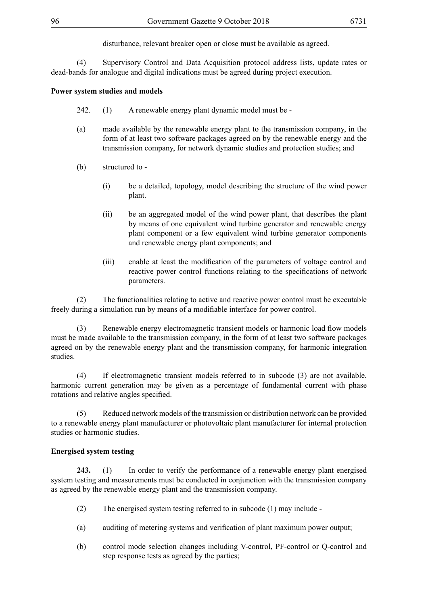disturbance, relevant breaker open or close must be available as agreed.

(4) Supervisory Control and Data Acquisition protocol address lists, update rates or dead-bands for analogue and digital indications must be agreed during project execution.

# **Power system studies and models**

- 242. (1) A renewable energy plant dynamic model must be -
- (a) made available by the renewable energy plant to the transmission company, in the form of at least two software packages agreed on by the renewable energy and the transmission company, for network dynamic studies and protection studies; and
- (b) structured to
	- (i) be a detailed, topology, model describing the structure of the wind power plant.
	- (ii) be an aggregated model of the wind power plant, that describes the plant by means of one equivalent wind turbine generator and renewable energy plant component or a few equivalent wind turbine generator components and renewable energy plant components; and
	- (iii) enable at least the modification of the parameters of voltage control and reactive power control functions relating to the specifications of network parameters.

(2) The functionalities relating to active and reactive power control must be executable freely during a simulation run by means of a modifiable interface for power control.

(3) Renewable energy electromagnetic transient models or harmonic load flow models must be made available to the transmission company, in the form of at least two software packages agreed on by the renewable energy plant and the transmission company, for harmonic integration studies.

(4) If electromagnetic transient models referred to in subcode (3) are not available, harmonic current generation may be given as a percentage of fundamental current with phase rotations and relative angles specified.

(5) Reduced network models of the transmission or distribution network can be provided to a renewable energy plant manufacturer or photovoltaic plant manufacturer for internal protection studies or harmonic studies.

### **Energised system testing**

**243.** (1) In order to verify the performance of a renewable energy plant energised system testing and measurements must be conducted in conjunction with the transmission company as agreed by the renewable energy plant and the transmission company.

- (2) The energised system testing referred to in subcode (1) may include -
- (a) auditing of metering systems and verification of plant maximum power output;
- (b) control mode selection changes including V-control, PF-control or Q-control and step response tests as agreed by the parties;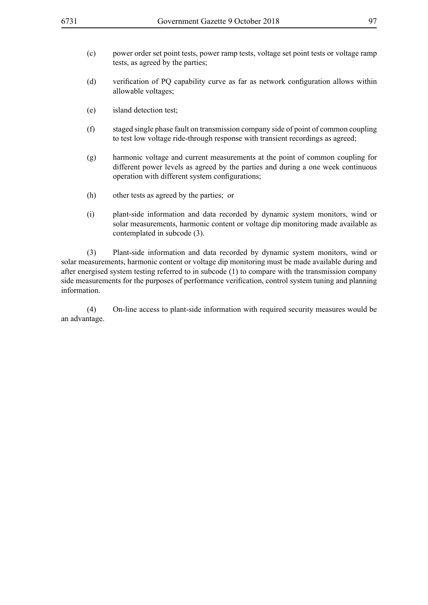- (c) power order set point tests, power ramp tests, voltage set point tests or voltage ramp tests, as agreed by the parties;
- (d) verification of PQ capability curve as far as network configuration allows within allowable voltages;
- (e) island detection test;
- (f) staged single phase fault on transmission company side of point of common coupling to test low voltage ride-through response with transient recordings as agreed;
- (g) harmonic voltage and current measurements at the point of common coupling for different power levels as agreed by the parties and during a one week continuous operation with different system configurations;
- (h) other tests as agreed by the parties; or
- (i) plant-side information and data recorded by dynamic system monitors, wind or solar measurements, harmonic content or voltage dip monitoring made available as contemplated in subcode (3).

(3) Plant-side information and data recorded by dynamic system monitors, wind or solar measurements, harmonic content or voltage dip monitoring must be made available during and after energised system testing referred to in subcode (1) to compare with the transmission company side measurements for the purposes of performance verification, control system tuning and planning information.

(4) On-line access to plant-side information with required security measures would be an advantage.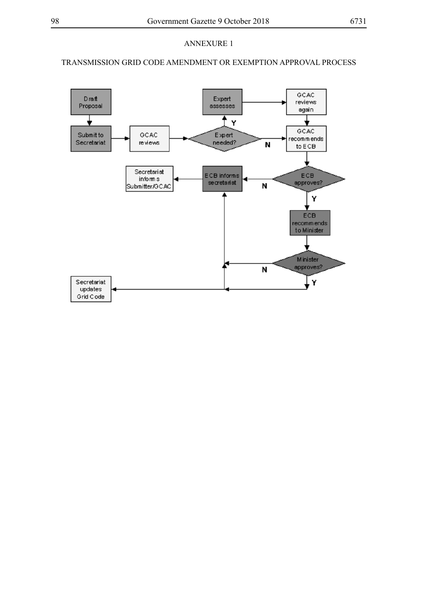# TRANSMISSION GRID CODE AMENDMENT OR EXEMPTION APPROVAL PROCESS

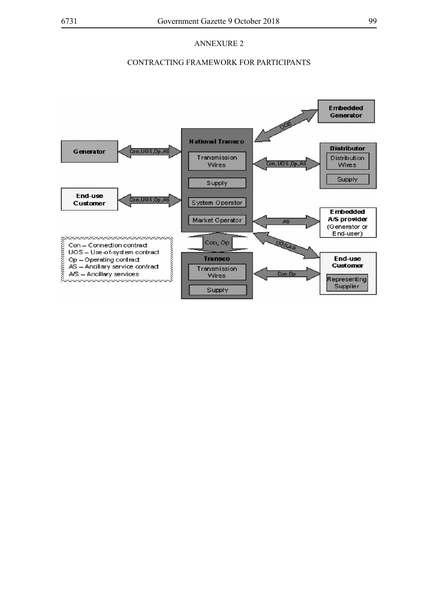# CONTRACTING FRAMEWORK FOR PARTICIPANTS

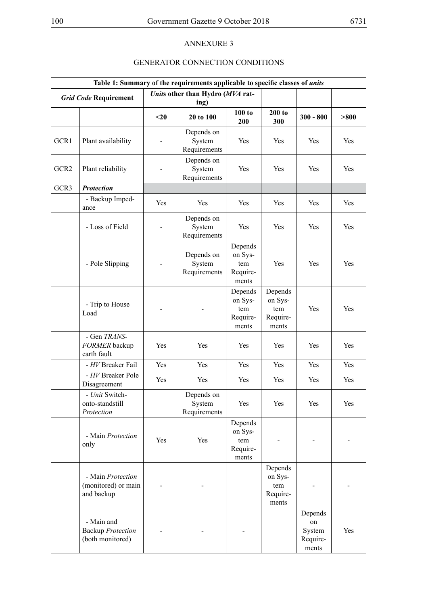# GENERATOR CONNECTION CONDITIONS

| Table 1: Summary of the requirements applicable to specific classes of <i>units</i> |                                                            |      |                                          |                                                |                                                |                                              |       |
|-------------------------------------------------------------------------------------|------------------------------------------------------------|------|------------------------------------------|------------------------------------------------|------------------------------------------------|----------------------------------------------|-------|
|                                                                                     | <b>Grid Code Requirement</b>                               |      | Units other than Hydro (MVA rat-<br>ing) |                                                |                                                |                                              |       |
|                                                                                     |                                                            | $20$ | 20 to 100                                | 100 to<br>200                                  | 200 to<br>300                                  | $300 - 800$                                  | > 800 |
| GCR1                                                                                | Plant availability                                         |      | Depends on<br>System<br>Requirements     | Yes                                            | Yes                                            | Yes                                          | Yes   |
| GCR <sub>2</sub>                                                                    | Plant reliability                                          |      | Depends on<br>System<br>Requirements     | Yes                                            | Yes                                            | Yes                                          | Yes   |
| GCR3                                                                                | <b>Protection</b>                                          |      |                                          |                                                |                                                |                                              |       |
|                                                                                     | - Backup Imped-<br>ance                                    | Yes  | Yes                                      | <b>Yes</b>                                     | Yes                                            | Yes                                          | Yes   |
|                                                                                     | - Loss of Field                                            |      | Depends on<br>System<br>Requirements     | Yes                                            | Yes                                            | Yes                                          | Yes   |
|                                                                                     | - Pole Slipping                                            |      | Depends on<br>System<br>Requirements     | Depends<br>on Sys-<br>tem<br>Require-<br>ments | Yes                                            | Yes                                          | Yes   |
|                                                                                     | - Trip to House<br>Load                                    |      |                                          | Depends<br>on Sys-<br>tem<br>Require-<br>ments | Depends<br>on Sys-<br>tem<br>Require-<br>ments | Yes                                          | Yes   |
|                                                                                     | - Gen TRANS-<br>FORMER backup<br>earth fault               | Yes  | Yes                                      | Yes                                            | Yes                                            | Yes                                          | Yes   |
|                                                                                     | - HV Breaker Fail                                          | Yes  | Yes                                      | Yes                                            | Yes                                            | Yes                                          | Yes   |
|                                                                                     | - HV Breaker Pole<br>Disagreement                          | Yes  | Yes                                      | Yes                                            | Yes                                            | Yes                                          | Yes   |
|                                                                                     | - Unit Switch-<br>onto-standstill<br>Protection            |      | Depends on<br>System<br>Requirements     | Yes                                            | Yes                                            | Yes                                          | Yes   |
|                                                                                     | - Main Protection<br>only                                  | Yes  | Yes                                      | Depends<br>on Sys-<br>tem<br>Require-<br>ments |                                                |                                              |       |
|                                                                                     | - Main Protection<br>(monitored) or main<br>and backup     |      |                                          |                                                | Depends<br>on Sys-<br>tem<br>Require-<br>ments |                                              |       |
|                                                                                     | - Main and<br><b>Backup Protection</b><br>(both monitored) |      |                                          |                                                |                                                | Depends<br>on<br>System<br>Require-<br>ments | Yes   |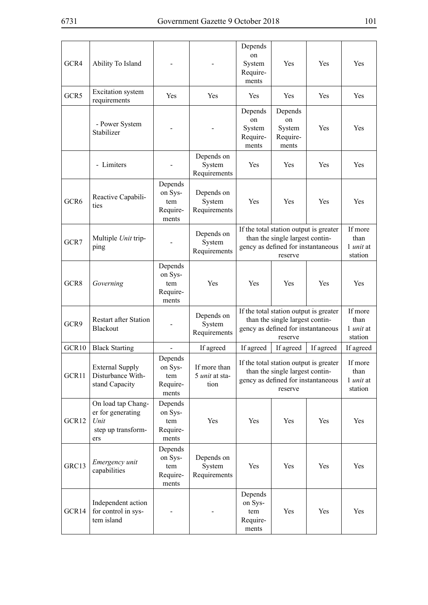$\mathbf{r}$ 

| GCR4             | Ability To Island                                                            |                                                |                                               | Depends<br>on<br>System<br>Require-<br>ments                                                                               | Yes                                                                                                                        | Yes                                            | Yes                                            |
|------------------|------------------------------------------------------------------------------|------------------------------------------------|-----------------------------------------------|----------------------------------------------------------------------------------------------------------------------------|----------------------------------------------------------------------------------------------------------------------------|------------------------------------------------|------------------------------------------------|
| GCR <sub>5</sub> | <b>Excitation</b> system<br>requirements                                     | Yes                                            | Yes                                           | Yes                                                                                                                        | Yes                                                                                                                        | Yes                                            | <b>Yes</b>                                     |
|                  | - Power System<br>Stabilizer                                                 |                                                |                                               | Depends<br>on<br>System<br>Require-<br>ments                                                                               | Depends<br>on<br>System<br>Require-<br>ments                                                                               | Yes                                            | Yes                                            |
|                  | - Limiters                                                                   |                                                | Depends on<br>System<br>Requirements          | Yes                                                                                                                        | Yes                                                                                                                        | Yes                                            | <b>Yes</b>                                     |
| GCR <sub>6</sub> | Reactive Capabili-<br>ties                                                   | Depends<br>on Sys-<br>tem<br>Require-<br>ments | Depends on<br>System<br>Requirements          | <b>Yes</b>                                                                                                                 | <b>Yes</b>                                                                                                                 | <b>Yes</b>                                     | Yes                                            |
| GCR7             | Multiple Unit trip-<br>ping                                                  |                                                | Depends on<br>System<br>Requirements          |                                                                                                                            | If the total station output is greater<br>than the single largest contin-<br>gency as defined for instantaneous<br>reserve |                                                | If more<br>than<br>1 <i>unit</i> at<br>station |
| GCR8             | Governing                                                                    | Depends<br>on Sys-<br>tem<br>Require-<br>ments | Yes                                           | Yes                                                                                                                        | Yes                                                                                                                        | Yes                                            | Yes                                            |
| GCR9             | <b>Restart after Station</b><br><b>Blackout</b>                              |                                                | Depends on<br>System<br>Requirements          | If the total station output is greater<br>than the single largest contin-<br>gency as defined for instantaneous<br>reserve |                                                                                                                            | If more<br>than<br>1 <i>unit</i> at<br>station |                                                |
| GCR10            | <b>Black Starting</b>                                                        |                                                | If agreed                                     | If agreed                                                                                                                  | If agreed                                                                                                                  | If agreed                                      | If agreed                                      |
| GCR11            | <b>External Supply</b><br>Disturbance With-<br>stand Capacity                | Depends<br>on Sys-<br>tem<br>Require-<br>ments | If more than<br>5 <i>unit</i> at sta-<br>tion | If the total station output is greater<br>than the single largest contin-<br>gency as defined for instantaneous<br>reserve |                                                                                                                            | If more<br>than<br>1 <i>unit</i> at<br>station |                                                |
| GCR12            | On load tap Chang-<br>er for generating<br>Unit<br>step up transform-<br>ers | Depends<br>on Sys-<br>tem<br>Require-<br>ments | Yes                                           | Yes                                                                                                                        | Yes                                                                                                                        | Yes                                            | Yes                                            |
| GRC13            | Emergency unit<br>capabilities                                               | Depends<br>on Sys-<br>tem<br>Require-<br>ments | Depends on<br>System<br>Requirements          | Yes                                                                                                                        | Yes                                                                                                                        | Yes                                            | Yes                                            |
| GCR14            | Independent action<br>for control in sys-<br>tem island                      |                                                |                                               | Depends<br>on Sys-<br>tem<br>Require-<br>ments                                                                             | Yes                                                                                                                        | Yes                                            | Yes                                            |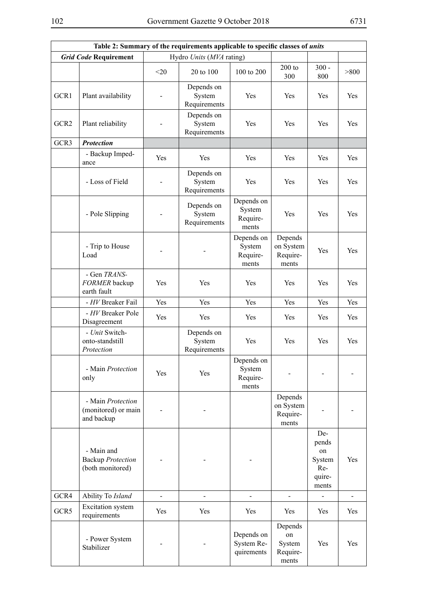| Table 2: Summary of the requirements applicable to specific classes of <i>units</i> |                                                            |        |                                      |                                           |                                              |                                                        |       |
|-------------------------------------------------------------------------------------|------------------------------------------------------------|--------|--------------------------------------|-------------------------------------------|----------------------------------------------|--------------------------------------------------------|-------|
| <b>Grid Code Requirement</b><br>Hydro Units (MVA rating)                            |                                                            |        |                                      |                                           |                                              |                                                        |       |
|                                                                                     |                                                            | $<$ 20 | 20 to 100                            | 100 to 200                                | $200$ to<br>300                              | $300 -$<br>800                                         | > 800 |
| GCR1                                                                                | Plant availability                                         |        | Depends on<br>System<br>Requirements | Yes                                       | Yes                                          | Yes                                                    | Yes   |
| GCR <sub>2</sub>                                                                    | Plant reliability                                          |        | Depends on<br>System<br>Requirements | Yes                                       | Yes                                          | Yes                                                    | Yes   |
| GCR3                                                                                | <b>Protection</b>                                          |        |                                      |                                           |                                              |                                                        |       |
|                                                                                     | - Backup Imped-<br>ance                                    | Yes    | Yes                                  | Yes                                       | Yes                                          | Yes                                                    | Yes   |
|                                                                                     | - Loss of Field                                            |        | Depends on<br>System<br>Requirements | Yes                                       | Yes                                          | Yes                                                    | Yes   |
|                                                                                     | - Pole Slipping                                            |        | Depends on<br>System<br>Requirements | Depends on<br>System<br>Require-<br>ments | Yes                                          | Yes                                                    | Yes   |
|                                                                                     | - Trip to House<br>Load                                    |        |                                      | Depends on<br>System<br>Require-<br>ments | Depends<br>on System<br>Require-<br>ments    | Yes                                                    | Yes   |
|                                                                                     | - Gen TRANS-<br>FORMER backup<br>earth fault               | Yes    | Yes                                  | Yes                                       | Yes                                          | Yes                                                    | Yes   |
|                                                                                     | - HV Breaker Fail                                          | Yes    | Yes                                  | Yes                                       | Yes                                          | Yes                                                    | Yes   |
|                                                                                     | - HV Breaker Pole<br>Disagreement                          | Yes    | Yes                                  | Yes                                       | Yes                                          | Yes                                                    | Yes   |
|                                                                                     | - Unit Switch-<br>onto-standstill<br>Protection            |        | Depends on<br>System<br>Requirements | Yes                                       | Yes                                          | Yes                                                    | Yes   |
|                                                                                     | - Main Protection<br>only                                  | Yes    | Yes                                  | Depends on<br>System<br>Require-<br>ments |                                              |                                                        |       |
|                                                                                     | - Main Protection<br>(monitored) or main<br>and backup     |        |                                      |                                           | Depends<br>on System<br>Require-<br>ments    |                                                        |       |
|                                                                                     | - Main and<br><b>Backup Protection</b><br>(both monitored) |        |                                      |                                           |                                              | De-<br>pends<br>on<br>System<br>Re-<br>quire-<br>ments | Yes   |
| GCR4                                                                                | Ability To Island                                          |        |                                      |                                           |                                              |                                                        |       |
| GCR5                                                                                | Excitation system<br>requirements                          | Yes    | Yes                                  | Yes                                       | Yes                                          | Yes                                                    | Yes   |
|                                                                                     | - Power System<br>Stabilizer                               |        |                                      | Depends on<br>System Re-<br>quirements    | Depends<br>on<br>System<br>Require-<br>ments | Yes                                                    | Yes   |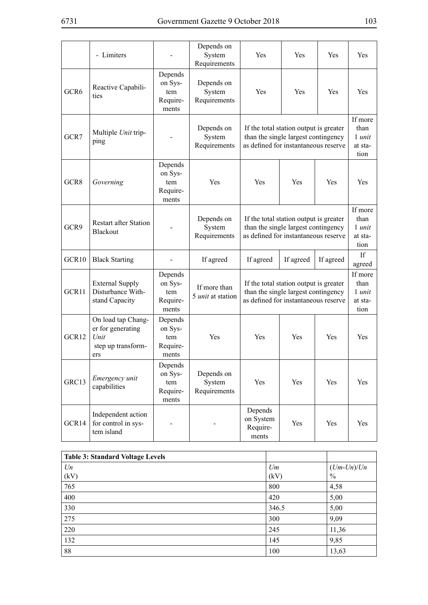|                   | - Limiters                                                                   |                                                | Depends on<br>System<br>Requirements | Yes                                                                                                                   | Yes       | Yes       | Yes                                          |
|-------------------|------------------------------------------------------------------------------|------------------------------------------------|--------------------------------------|-----------------------------------------------------------------------------------------------------------------------|-----------|-----------|----------------------------------------------|
| GCR6              | Reactive Capabili-<br>ties                                                   | Depends<br>on Sys-<br>tem<br>Require-<br>ments | Depends on<br>System<br>Requirements | Yes                                                                                                                   | Yes       | Yes       | Yes                                          |
| GCR7              | Multiple Unit trip-<br>ping                                                  |                                                | Depends on<br>System<br>Requirements | If the total station output is greater<br>than the single largest contingency<br>as defined for instantaneous reserve |           |           | If more<br>than<br>1 unit<br>at sta-<br>tion |
| GCR <sub>8</sub>  | Governing                                                                    | Depends<br>on Sys-<br>tem<br>Require-<br>ments | Yes                                  | Yes                                                                                                                   | Yes       | Yes       | Yes                                          |
| GCR9              | <b>Restart after Station</b><br>Blackout                                     |                                                | Depends on<br>System<br>Requirements | If the total station output is greater<br>than the single largest contingency<br>as defined for instantaneous reserve |           |           | If more<br>than<br>1 unit<br>at sta-<br>tion |
| GCR <sub>10</sub> | <b>Black Starting</b>                                                        |                                                | If agreed                            | If agreed                                                                                                             | If agreed | If agreed | If<br>agreed                                 |
| GCR11             | <b>External Supply</b><br>Disturbance With-<br>stand Capacity                | Depends<br>on Sys-<br>tem<br>Require-<br>ments | If more than<br>5 unit at station    | If the total station output is greater<br>than the single largest contingency<br>as defined for instantaneous reserve |           |           | If more<br>than<br>1 unit<br>at sta-<br>tion |
| GCR12             | On load tap Chang-<br>er for generating<br>Unit<br>step up transform-<br>ers | Depends<br>on Sys-<br>tem<br>Require-<br>ments | Yes                                  | Yes                                                                                                                   | Yes       | Yes       | Yes                                          |
| GRC13             | Emergency unit<br>capabilities                                               | Depends<br>on Sys-<br>tem<br>Require-<br>ments | Depends on<br>System<br>Requirements | Yes                                                                                                                   | Yes       | Yes       | Yes                                          |
| GCR14             | Independent action<br>for control in sys-<br>tem island                      |                                                |                                      | Depends<br>on System<br>Require-<br>ments                                                                             | Yes       | Yes       | Yes                                          |

| <b>Table 3: Standard Voltage Levels</b> |       |               |
|-----------------------------------------|-------|---------------|
| U <sub>n</sub>                          | Um    | $(Um-Un)/Un$  |
| (kV)                                    | (kV)  | $\frac{0}{0}$ |
| 765                                     | 800   | 4,58          |
| 400                                     | 420   | 5,00          |
| 330                                     | 346.5 | 5,00          |
| 275                                     | 300   | 9,09          |
| 220                                     | 245   | 11,36         |
| 132                                     | 145   | 9,85          |
| 88                                      | 100   | 13,63         |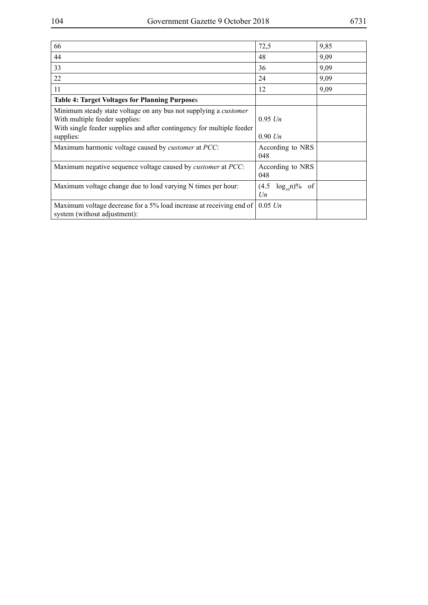| 66                                                                                                                                                                                 | 72,5                               | 9,85 |
|------------------------------------------------------------------------------------------------------------------------------------------------------------------------------------|------------------------------------|------|
| 44                                                                                                                                                                                 | 48                                 | 9,09 |
| 33                                                                                                                                                                                 | 36                                 | 9,09 |
| 22                                                                                                                                                                                 | 24                                 | 9,09 |
| 11                                                                                                                                                                                 | 12                                 | 9,09 |
| <b>Table 4: Target Voltages for Planning Purposes</b>                                                                                                                              |                                    |      |
| Minimum steady state voltage on any bus not supplying a <i>customer</i><br>With multiple feeder supplies:<br>With single feeder supplies and after contingency for multiple feeder | $0.95$ Un                          |      |
| supplies:                                                                                                                                                                          | $0.90$ Un                          |      |
| Maximum harmonic voltage caused by <i>customer</i> at <i>PCC</i> :                                                                                                                 | According to NRS<br>048            |      |
| Maximum negative sequence voltage caused by <i>customer</i> at <i>PCC</i> :                                                                                                        | According to NRS<br>048            |      |
| Maximum voltage change due to load varying N times per hour:                                                                                                                       | of<br>(4.5)<br>$log_{10}n$ %<br>Un |      |
| Maximum voltage decrease for a 5% load increase at receiving end of<br>system (without adjustment):                                                                                | $0.05$ Un                          |      |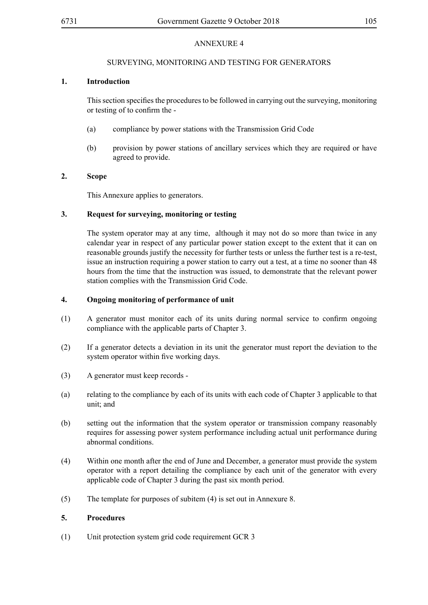# SURVEYING, MONITORING AND TESTING FOR GENERATORS

# **1. Introduction**

Thissection specifiesthe proceduresto be followed in carrying out the surveying, monitoring or testing of to confirm the -

- (a) compliance by power stations with the Transmission Grid Code
- (b) provision by power stations of ancillary services which they are required or have agreed to provide.

# **2. Scope**

This Annexure applies to generators.

# **3. Request for surveying, monitoring or testing**

The system operator may at any time, although it may not do so more than twice in any calendar year in respect of any particular power station except to the extent that it can on reasonable grounds justify the necessity for further tests or unless the further test is a re-test, issue an instruction requiring a power station to carry out a test, at a time no sooner than 48 hours from the time that the instruction was issued, to demonstrate that the relevant power station complies with the Transmission Grid Code.

### **4. Ongoing monitoring of performance of unit**

- (1) A generator must monitor each of its units during normal service to confirm ongoing compliance with the applicable parts of Chapter 3.
- (2) If a generator detects a deviation in its unit the generator must report the deviation to the system operator within five working days.
- (3) A generator must keep records -
- (a) relating to the compliance by each of its units with each code of Chapter 3 applicable to that unit; and
- (b) setting out the information that the system operator or transmission company reasonably requires for assessing power system performance including actual unit performance during abnormal conditions.
- (4) Within one month after the end of June and December, a generator must provide the system operator with a report detailing the compliance by each unit of the generator with every applicable code of Chapter 3 during the past six month period.
- (5) The template for purposes of subitem (4) is set out in Annexure 8.

# **5. Procedures**

(1) Unit protection system grid code requirement GCR 3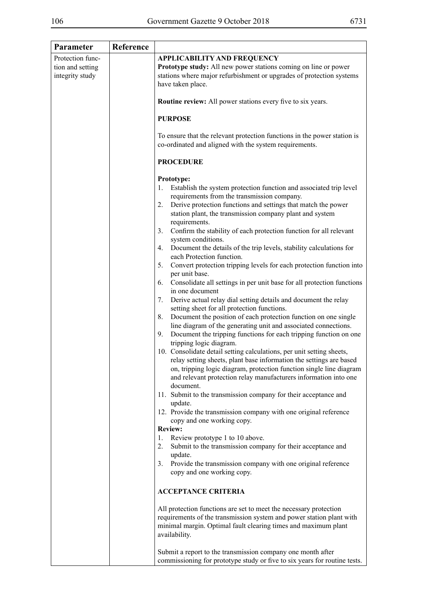| Parameter                           | Reference |                                                                                                                                                                                                                                                                                                                                                                                                                                                                                                                                                                                                                                                                                                                                                                                                                                                                                                                                                                                                                                                                                                                                                                                                                                                                                                                                                                                                                                                                                                                                                                                                                                                                                                                                                                                                                                                                                                                                                                                                                                                                                      |
|-------------------------------------|-----------|--------------------------------------------------------------------------------------------------------------------------------------------------------------------------------------------------------------------------------------------------------------------------------------------------------------------------------------------------------------------------------------------------------------------------------------------------------------------------------------------------------------------------------------------------------------------------------------------------------------------------------------------------------------------------------------------------------------------------------------------------------------------------------------------------------------------------------------------------------------------------------------------------------------------------------------------------------------------------------------------------------------------------------------------------------------------------------------------------------------------------------------------------------------------------------------------------------------------------------------------------------------------------------------------------------------------------------------------------------------------------------------------------------------------------------------------------------------------------------------------------------------------------------------------------------------------------------------------------------------------------------------------------------------------------------------------------------------------------------------------------------------------------------------------------------------------------------------------------------------------------------------------------------------------------------------------------------------------------------------------------------------------------------------------------------------------------------------|
| Protection func-                    |           | <b>APPLICABILITY AND FREQUENCY</b>                                                                                                                                                                                                                                                                                                                                                                                                                                                                                                                                                                                                                                                                                                                                                                                                                                                                                                                                                                                                                                                                                                                                                                                                                                                                                                                                                                                                                                                                                                                                                                                                                                                                                                                                                                                                                                                                                                                                                                                                                                                   |
| tion and setting<br>integrity study |           | Prototype study: All new power stations coming on line or power<br>stations where major refurbishment or upgrades of protection systems<br>have taken place.                                                                                                                                                                                                                                                                                                                                                                                                                                                                                                                                                                                                                                                                                                                                                                                                                                                                                                                                                                                                                                                                                                                                                                                                                                                                                                                                                                                                                                                                                                                                                                                                                                                                                                                                                                                                                                                                                                                         |
|                                     |           | <b>Routine review:</b> All power stations every five to six years.                                                                                                                                                                                                                                                                                                                                                                                                                                                                                                                                                                                                                                                                                                                                                                                                                                                                                                                                                                                                                                                                                                                                                                                                                                                                                                                                                                                                                                                                                                                                                                                                                                                                                                                                                                                                                                                                                                                                                                                                                   |
|                                     |           | <b>PURPOSE</b>                                                                                                                                                                                                                                                                                                                                                                                                                                                                                                                                                                                                                                                                                                                                                                                                                                                                                                                                                                                                                                                                                                                                                                                                                                                                                                                                                                                                                                                                                                                                                                                                                                                                                                                                                                                                                                                                                                                                                                                                                                                                       |
|                                     |           | To ensure that the relevant protection functions in the power station is<br>co-ordinated and aligned with the system requirements.                                                                                                                                                                                                                                                                                                                                                                                                                                                                                                                                                                                                                                                                                                                                                                                                                                                                                                                                                                                                                                                                                                                                                                                                                                                                                                                                                                                                                                                                                                                                                                                                                                                                                                                                                                                                                                                                                                                                                   |
|                                     |           | <b>PROCEDURE</b>                                                                                                                                                                                                                                                                                                                                                                                                                                                                                                                                                                                                                                                                                                                                                                                                                                                                                                                                                                                                                                                                                                                                                                                                                                                                                                                                                                                                                                                                                                                                                                                                                                                                                                                                                                                                                                                                                                                                                                                                                                                                     |
|                                     |           | Prototype:<br>Establish the system protection function and associated trip level<br>1.<br>requirements from the transmission company.<br>Derive protection functions and settings that match the power<br>2.<br>station plant, the transmission company plant and system<br>requirements.<br>Confirm the stability of each protection function for all relevant<br>3.<br>system conditions.<br>Document the details of the trip levels, stability calculations for<br>4.<br>each Protection function.<br>Convert protection tripping levels for each protection function into<br>5.<br>per unit base.<br>6. Consolidate all settings in per unit base for all protection functions<br>in one document<br>Derive actual relay dial setting details and document the relay<br>7.<br>setting sheet for all protection functions.<br>Document the position of each protection function on one single<br>8.<br>line diagram of the generating unit and associated connections.<br>Document the tripping functions for each tripping function on one<br>9.<br>tripping logic diagram.<br>10. Consolidate detail setting calculations, per unit setting sheets,<br>relay setting sheets, plant base information the settings are based<br>on, tripping logic diagram, protection function single line diagram<br>and relevant protection relay manufacturers information into one<br>document.<br>11. Submit to the transmission company for their acceptance and<br>update.<br>12. Provide the transmission company with one original reference<br>copy and one working copy.<br><b>Review:</b><br>Review prototype 1 to 10 above.<br>1.<br>Submit to the transmission company for their acceptance and<br>2.<br>update.<br>Provide the transmission company with one original reference<br>3.<br>copy and one working copy.<br><b>ACCEPTANCE CRITERIA</b><br>All protection functions are set to meet the necessary protection<br>requirements of the transmission system and power station plant with<br>minimal margin. Optimal fault clearing times and maximum plant<br>availability. |
|                                     |           | Submit a report to the transmission company one month after<br>commissioning for prototype study or five to six years for routine tests.                                                                                                                                                                                                                                                                                                                                                                                                                                                                                                                                                                                                                                                                                                                                                                                                                                                                                                                                                                                                                                                                                                                                                                                                                                                                                                                                                                                                                                                                                                                                                                                                                                                                                                                                                                                                                                                                                                                                             |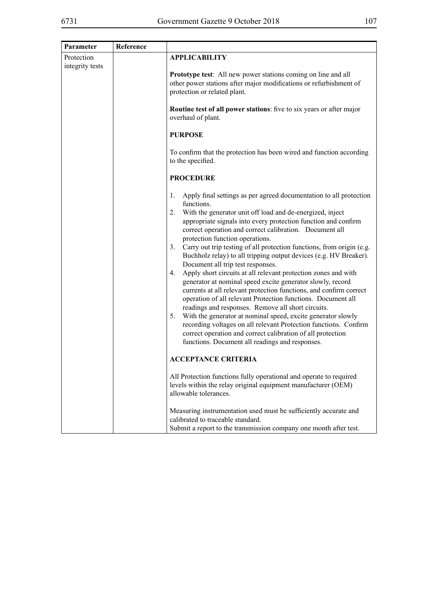| Parameter                     | Reference |                                                                                                                                                                                                                                                                                                                                                                                                                                                                                                                                                                                                                                                                                                                                                                                                                                                                                                                                                                                                                                                                                                                     |
|-------------------------------|-----------|---------------------------------------------------------------------------------------------------------------------------------------------------------------------------------------------------------------------------------------------------------------------------------------------------------------------------------------------------------------------------------------------------------------------------------------------------------------------------------------------------------------------------------------------------------------------------------------------------------------------------------------------------------------------------------------------------------------------------------------------------------------------------------------------------------------------------------------------------------------------------------------------------------------------------------------------------------------------------------------------------------------------------------------------------------------------------------------------------------------------|
| Protection<br>integrity tests |           | <b>APPLICABILITY</b>                                                                                                                                                                                                                                                                                                                                                                                                                                                                                                                                                                                                                                                                                                                                                                                                                                                                                                                                                                                                                                                                                                |
|                               |           | Prototype test: All new power stations coming on line and all<br>other power stations after major modifications or refurbishment of<br>protection or related plant.                                                                                                                                                                                                                                                                                                                                                                                                                                                                                                                                                                                                                                                                                                                                                                                                                                                                                                                                                 |
|                               |           | Routine test of all power stations: five to six years or after major<br>overhaul of plant.                                                                                                                                                                                                                                                                                                                                                                                                                                                                                                                                                                                                                                                                                                                                                                                                                                                                                                                                                                                                                          |
|                               |           | <b>PURPOSE</b>                                                                                                                                                                                                                                                                                                                                                                                                                                                                                                                                                                                                                                                                                                                                                                                                                                                                                                                                                                                                                                                                                                      |
|                               |           | To confirm that the protection has been wired and function according<br>to the specified.                                                                                                                                                                                                                                                                                                                                                                                                                                                                                                                                                                                                                                                                                                                                                                                                                                                                                                                                                                                                                           |
|                               |           | <b>PROCEDURE</b>                                                                                                                                                                                                                                                                                                                                                                                                                                                                                                                                                                                                                                                                                                                                                                                                                                                                                                                                                                                                                                                                                                    |
|                               |           | $1_{\cdot}$<br>Apply final settings as per agreed documentation to all protection<br>functions.<br>2. With the generator unit off load and de-energized, inject<br>appropriate signals into every protection function and confirm<br>correct operation and correct calibration. Document all<br>protection function operations.<br>Carry out trip testing of all protection functions, from origin (e.g.<br>3.<br>Buchholz relay) to all tripping output devices (e.g. HV Breaker).<br>Document all trip test responses.<br>Apply short circuits at all relevant protection zones and with<br>4.<br>generator at nominal speed excite generator slowly, record<br>currents at all relevant protection functions, and confirm correct<br>operation of all relevant Protection functions. Document all<br>readings and responses. Remove all short circuits.<br>5. With the generator at nominal speed, excite generator slowly<br>recording voltages on all relevant Protection functions. Confirm<br>correct operation and correct calibration of all protection<br>functions. Document all readings and responses. |
|                               |           | <b>ACCEPTANCE CRITERIA</b>                                                                                                                                                                                                                                                                                                                                                                                                                                                                                                                                                                                                                                                                                                                                                                                                                                                                                                                                                                                                                                                                                          |
|                               |           | All Protection functions fully operational and operate to required<br>levels within the relay original equipment manufacturer (OEM)<br>allowable tolerances.                                                                                                                                                                                                                                                                                                                                                                                                                                                                                                                                                                                                                                                                                                                                                                                                                                                                                                                                                        |
|                               |           | Measuring instrumentation used must be sufficiently accurate and<br>calibrated to traceable standard.<br>Submit a report to the transmission company one month after test.                                                                                                                                                                                                                                                                                                                                                                                                                                                                                                                                                                                                                                                                                                                                                                                                                                                                                                                                          |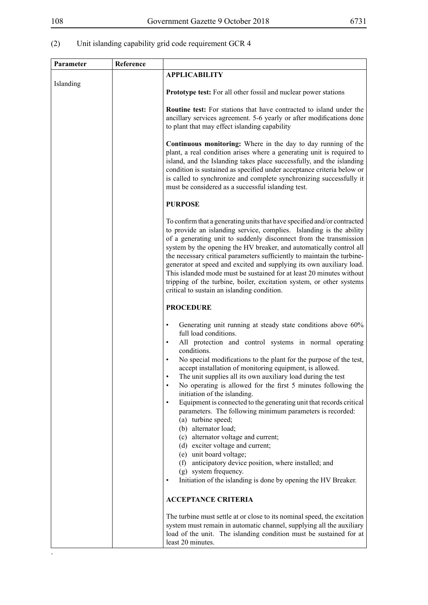# (2) Unit islanding capability grid code requirement GCR 4

| Parameter | Reference |                                                                                                                                                                                                                                                                                                                                                                                                                                                                                                                                                                                                                                                                                                                                                                                                                                                                                                                                                                                                           |
|-----------|-----------|-----------------------------------------------------------------------------------------------------------------------------------------------------------------------------------------------------------------------------------------------------------------------------------------------------------------------------------------------------------------------------------------------------------------------------------------------------------------------------------------------------------------------------------------------------------------------------------------------------------------------------------------------------------------------------------------------------------------------------------------------------------------------------------------------------------------------------------------------------------------------------------------------------------------------------------------------------------------------------------------------------------|
|           |           | <b>APPLICABILITY</b>                                                                                                                                                                                                                                                                                                                                                                                                                                                                                                                                                                                                                                                                                                                                                                                                                                                                                                                                                                                      |
| Islanding |           | <b>Prototype test:</b> For all other fossil and nuclear power stations                                                                                                                                                                                                                                                                                                                                                                                                                                                                                                                                                                                                                                                                                                                                                                                                                                                                                                                                    |
|           |           | <b>Routine test:</b> For stations that have contracted to island under the<br>ancillary services agreement. 5-6 yearly or after modifications done<br>to plant that may effect islanding capability                                                                                                                                                                                                                                                                                                                                                                                                                                                                                                                                                                                                                                                                                                                                                                                                       |
|           |           | Continuous monitoring: Where in the day to day running of the<br>plant, a real condition arises where a generating unit is required to<br>island, and the Islanding takes place successfully, and the islanding<br>condition is sustained as specified under acceptance criteria below or<br>is called to synchronize and complete synchronizing successfully it<br>must be considered as a successful islanding test.                                                                                                                                                                                                                                                                                                                                                                                                                                                                                                                                                                                    |
|           |           | <b>PURPOSE</b>                                                                                                                                                                                                                                                                                                                                                                                                                                                                                                                                                                                                                                                                                                                                                                                                                                                                                                                                                                                            |
|           |           | To confirm that a generating units that have specified and/or contracted<br>to provide an islanding service, complies. Islanding is the ability<br>of a generating unit to suddenly disconnect from the transmission<br>system by the opening the HV breaker, and automatically control all<br>the necessary critical parameters sufficiently to maintain the turbine-<br>generator at speed and excited and supplying its own auxiliary load.<br>This islanded mode must be sustained for at least 20 minutes without<br>tripping of the turbine, boiler, excitation system, or other systems<br>critical to sustain an islanding condition.                                                                                                                                                                                                                                                                                                                                                             |
|           |           | <b>PROCEDURE</b>                                                                                                                                                                                                                                                                                                                                                                                                                                                                                                                                                                                                                                                                                                                                                                                                                                                                                                                                                                                          |
|           |           | Generating unit running at steady state conditions above 60%<br>$\bullet$<br>full load conditions.<br>All protection and control systems in normal operating<br>$\bullet$<br>conditions.<br>No special modifications to the plant for the purpose of the test,<br>$\bullet$<br>accept installation of monitoring equipment, is allowed.<br>The unit supplies all its own auxiliary load during the test<br>$\bullet$<br>No operating is allowed for the first 5 minutes following the<br>$\bullet$<br>initiation of the islanding.<br>Equipment is connected to the generating unit that records critical<br>$\bullet$<br>parameters. The following minimum parameters is recorded:<br>(a) turbine speed;<br>(b) alternator load;<br>(c) alternator voltage and current;<br>(d) exciter voltage and current;<br>(e) unit board voltage;<br>(f) anticipatory device position, where installed; and<br>(g) system frequency.<br>Initiation of the islanding is done by opening the HV Breaker.<br>$\bullet$ |
|           |           | <b>ACCEPTANCE CRITERIA</b>                                                                                                                                                                                                                                                                                                                                                                                                                                                                                                                                                                                                                                                                                                                                                                                                                                                                                                                                                                                |
|           |           | The turbine must settle at or close to its nominal speed, the excitation<br>system must remain in automatic channel, supplying all the auxiliary<br>load of the unit. The islanding condition must be sustained for at<br>least 20 minutes.                                                                                                                                                                                                                                                                                                                                                                                                                                                                                                                                                                                                                                                                                                                                                               |

.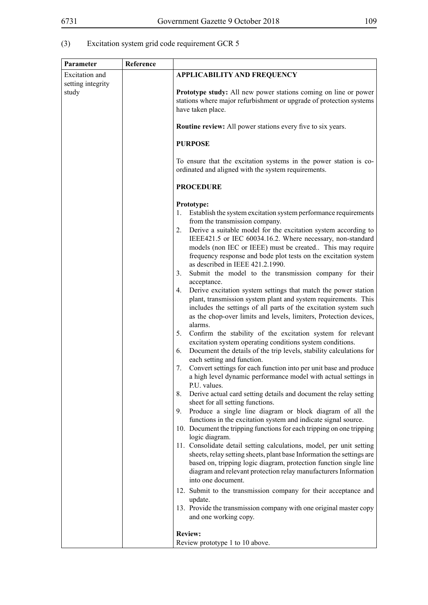# (3) Excitation system grid code requirement GCR 5

| Parameter                  | Reference |                                                                                                                                                                                                         |
|----------------------------|-----------|---------------------------------------------------------------------------------------------------------------------------------------------------------------------------------------------------------|
| Excitation and             |           | <b>APPLICABILITY AND FREQUENCY</b>                                                                                                                                                                      |
| setting integrity<br>study |           | Prototype study: All new power stations coming on line or power                                                                                                                                         |
|                            |           | stations where major refurbishment or upgrade of protection systems<br>have taken place.                                                                                                                |
|                            |           | <b>Routine review:</b> All power stations every five to six years.                                                                                                                                      |
|                            |           | <b>PURPOSE</b>                                                                                                                                                                                          |
|                            |           | To ensure that the excitation systems in the power station is co-<br>ordinated and aligned with the system requirements.                                                                                |
|                            |           | <b>PROCEDURE</b>                                                                                                                                                                                        |
|                            |           | Prototype:                                                                                                                                                                                              |
|                            |           | 1. Establish the system excitation system performance requirements<br>from the transmission company.                                                                                                    |
|                            |           | Derive a suitable model for the excitation system according to<br>2.<br>IEEE421.5 or IEC 60034.16.2. Where necessary, non-standard                                                                      |
|                            |           | models (non IEC or IEEE) must be created This may require<br>frequency response and bode plot tests on the excitation system                                                                            |
|                            |           | as described in IEEE 421.2.1990.<br>Submit the model to the transmission company for their<br>3.                                                                                                        |
|                            |           | acceptance.<br>Derive excitation system settings that match the power station<br>4.                                                                                                                     |
|                            |           | plant, transmission system plant and system requirements. This<br>includes the settings of all parts of the excitation system such<br>as the chop-over limits and levels, limiters, Protection devices, |
|                            |           | alarms.<br>Confirm the stability of the excitation system for relevant<br>5.                                                                                                                            |
|                            |           | excitation system operating conditions system conditions.<br>Document the details of the trip levels, stability calculations for<br>6.<br>each setting and function.                                    |
|                            |           | Convert settings for each function into per unit base and produce<br>7.<br>a high level dynamic performance model with actual settings in<br>P.U. values.                                               |
|                            |           | Derive actual card setting details and document the relay setting<br>8.<br>sheet for all setting functions.                                                                                             |
|                            |           | Produce a single line diagram or block diagram of all the<br>9.<br>functions in the excitation system and indicate signal source.                                                                       |
|                            |           | 10. Document the tripping functions for each tripping on one tripping<br>logic diagram.                                                                                                                 |
|                            |           | 11. Consolidate detail setting calculations, model, per unit setting<br>sheets, relay setting sheets, plant base Information the settings are                                                           |
|                            |           | based on, tripping logic diagram, protection function single line<br>diagram and relevant protection relay manufacturers Information                                                                    |
|                            |           | into one document.                                                                                                                                                                                      |
|                            |           | 12. Submit to the transmission company for their acceptance and<br>update.                                                                                                                              |
|                            |           | 13. Provide the transmission company with one original master copy<br>and one working copy.                                                                                                             |
|                            |           | <b>Review:</b>                                                                                                                                                                                          |
|                            |           | Review prototype 1 to 10 above.                                                                                                                                                                         |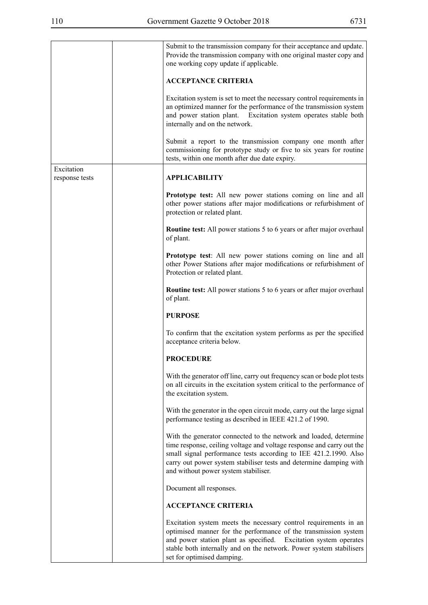$\overline{\phantom{a}}$ 

|                              | Submit to the transmission company for their acceptance and update.<br>Provide the transmission company with one original master copy and<br>one working copy update if applicable.                                                                                                                                          |
|------------------------------|------------------------------------------------------------------------------------------------------------------------------------------------------------------------------------------------------------------------------------------------------------------------------------------------------------------------------|
|                              | <b>ACCEPTANCE CRITERIA</b>                                                                                                                                                                                                                                                                                                   |
|                              | Excitation system is set to meet the necessary control requirements in<br>an optimized manner for the performance of the transmission system<br>and power station plant. Excitation system operates stable both<br>internally and on the network.                                                                            |
|                              | Submit a report to the transmission company one month after<br>commissioning for prototype study or five to six years for routine<br>tests, within one month after due date expiry.                                                                                                                                          |
| Excitation<br>response tests | <b>APPLICABILITY</b>                                                                                                                                                                                                                                                                                                         |
|                              | Prototype test: All new power stations coming on line and all<br>other power stations after major modifications or refurbishment of<br>protection or related plant.                                                                                                                                                          |
|                              | Routine test: All power stations 5 to 6 years or after major overhaul<br>of plant.                                                                                                                                                                                                                                           |
|                              | Prototype test: All new power stations coming on line and all<br>other Power Stations after major modifications or refurbishment of<br>Protection or related plant.                                                                                                                                                          |
|                              | Routine test: All power stations 5 to 6 years or after major overhaul<br>of plant.                                                                                                                                                                                                                                           |
|                              | <b>PURPOSE</b>                                                                                                                                                                                                                                                                                                               |
|                              | To confirm that the excitation system performs as per the specified<br>acceptance criteria below.                                                                                                                                                                                                                            |
|                              | <b>PROCEDURE</b>                                                                                                                                                                                                                                                                                                             |
|                              | With the generator off line, carry out frequency scan or bode plot tests<br>on all circuits in the excitation system critical to the performance of<br>the excitation system.                                                                                                                                                |
|                              | With the generator in the open circuit mode, carry out the large signal<br>performance testing as described in IEEE 421.2 of 1990.                                                                                                                                                                                           |
|                              | With the generator connected to the network and loaded, determine<br>time response, ceiling voltage and voltage response and carry out the<br>small signal performance tests according to IEE 421.2.1990. Also<br>carry out power system stabiliser tests and determine damping with<br>and without power system stabiliser. |
|                              | Document all responses.                                                                                                                                                                                                                                                                                                      |
|                              | <b>ACCEPTANCE CRITERIA</b>                                                                                                                                                                                                                                                                                                   |
|                              | Excitation system meets the necessary control requirements in an<br>optimised manner for the performance of the transmission system<br>and power station plant as specified.<br>Excitation system operates<br>stable both internally and on the network. Power system stabilisers<br>set for optimised damping.              |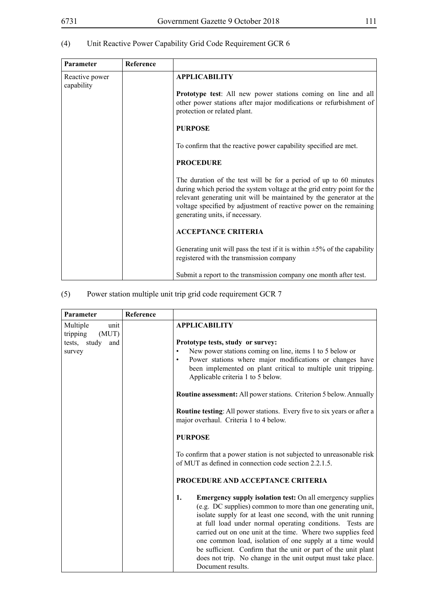# **Parameter Reference** Reactive power capability **APPLICABILITY Prototype test**: All new power stations coming on line and all other power stations after major modifications or refurbishment of protection or related plant. **PURPOSE** To confirm that the reactive power capability specified are met. **PROCEDURE** The duration of the test will be for a period of up to 60 minutes during which period the system voltage at the grid entry point for the relevant generating unit will be maintained by the generator at the voltage specified by adjustment of reactive power on the remaining

generating units, if necessary.

**ACCEPTANCE CRITERIA**

registered with the transmission company

Generating unit will pass the test if it is within  $\pm$ 5% of the capability

Submit a report to the transmission company one month after test.

#### (4) Unit Reactive Power Capability Grid Code Requirement GCR 6

| (5) | Power station multiple unit trip grid code requirement GCR 7 |  |  |  |
|-----|--------------------------------------------------------------|--|--|--|
|     |                                                              |  |  |  |
|     |                                                              |  |  |  |

| Parameter                             | Reference |                                                                                                                                                                                                                                                                                                                                                                                                                                                                                                                                                         |
|---------------------------------------|-----------|---------------------------------------------------------------------------------------------------------------------------------------------------------------------------------------------------------------------------------------------------------------------------------------------------------------------------------------------------------------------------------------------------------------------------------------------------------------------------------------------------------------------------------------------------------|
| Multiple<br>unit<br>tripping<br>(MUT) |           | <b>APPLICABILITY</b>                                                                                                                                                                                                                                                                                                                                                                                                                                                                                                                                    |
| tests, study<br>and<br>survey         |           | Prototype tests, study or survey:<br>New power stations coming on line, items 1 to 5 below or<br>Power stations where major modifications or changes have<br>been implemented on plant critical to multiple unit tripping.<br>Applicable criteria 1 to 5 below.<br><b>Routine assessment:</b> All power stations. Criterion 5 below. Annually<br>Routine testing: All power stations. Every five to six years or after a<br>major overhaul. Criteria 1 to 4 below.<br><b>PURPOSE</b>                                                                    |
|                                       |           | To confirm that a power station is not subjected to unreasonable risk<br>of MUT as defined in connection code section 2.2.1.5.<br>PROCEDURE AND ACCEPTANCE CRITERIA                                                                                                                                                                                                                                                                                                                                                                                     |
|                                       |           | <b>Emergency supply isolation test:</b> On all emergency supplies<br>1.<br>(e.g. DC supplies) common to more than one generating unit,<br>isolate supply for at least one second, with the unit running<br>at full load under normal operating conditions. Tests are<br>carried out on one unit at the time. Where two supplies feed<br>one common load, isolation of one supply at a time would<br>be sufficient. Confirm that the unit or part of the unit plant<br>does not trip. No change in the unit output must take place.<br>Document results. |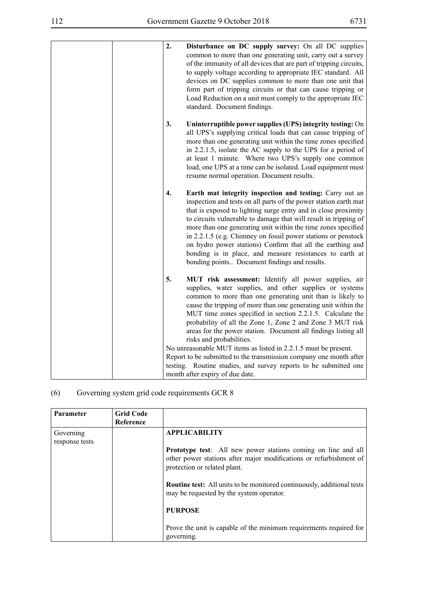| of the immunity of all devices that are part of tripping circuits,<br>to supply voltage according to appropriate IEC standard. All<br>devices on DC supplies common to more than one unit that<br>form part of tripping circuits or that can cause tripping or<br>Load Reduction on a unit must comply to the appropriate IEC<br>standard. Document findings.                                                                                                                                                                                                                                                                                                                                                                  |
|--------------------------------------------------------------------------------------------------------------------------------------------------------------------------------------------------------------------------------------------------------------------------------------------------------------------------------------------------------------------------------------------------------------------------------------------------------------------------------------------------------------------------------------------------------------------------------------------------------------------------------------------------------------------------------------------------------------------------------|
| 3.<br>Uninterruptible power supplies (UPS) integrity testing: On<br>all UPS's supplying critical loads that can cause tripping of<br>more than one generating unit within the time zones specified<br>in 2.2.1.5, isolate the AC supply to the UPS for a period of<br>at least 1 minute. Where two UPS's supply one common<br>load, one UPS at a time can be isolated. Load equipment must<br>resume normal operation. Document results.                                                                                                                                                                                                                                                                                       |
| 4.<br>Earth mat integrity inspection and testing: Carry out an<br>inspection and tests on all parts of the power station earth mat<br>that is exposed to lighting surge entry and in close proximity<br>to circuits vulnerable to damage that will result in tripping of<br>more than one generating unit within the time zones specified<br>in 2.2.1.5 (e.g. Chimney on fossil power stations or penstock<br>on hydro power stations) Confirm that all the earthing and<br>bonding is in place, and measure resistances to earth at<br>bonding points Document findings and results.                                                                                                                                          |
| 5.<br>MUT risk assessment: Identify all power supplies, air<br>supplies, water supplies, and other supplies or systems<br>common to more than one generating unit than is likely to<br>cause the tripping of more than one generating unit within the<br>MUT time zones specified in section 2.2.1.5. Calculate the<br>probability of all the Zone 1, Zone 2 and Zone 3 MUT risk<br>areas for the power station. Document all findings listing all<br>risks and probabilities.<br>No unreasonable MUT items as listed in 2.2.1.5 must be present.<br>Report to be submitted to the transmission company one month after<br>testing. Routine studies, and survey reports to be submitted one<br>month after expiry of due date. |
|                                                                                                                                                                                                                                                                                                                                                                                                                                                                                                                                                                                                                                                                                                                                |

# (6) Governing system grid code requirements GCR 8

| <b>Parameter</b>            | <b>Grid Code</b><br>Reference |                                                                                                                                                                            |
|-----------------------------|-------------------------------|----------------------------------------------------------------------------------------------------------------------------------------------------------------------------|
| Governing<br>response tests |                               | <b>APPLICABILITY</b>                                                                                                                                                       |
|                             |                               | <b>Prototype test:</b> All new power stations coming on line and all<br>other power stations after major modifications or refurbishment of<br>protection or related plant. |
|                             |                               | <b>Routine test:</b> All units to be monitored continuously, additional tests<br>may be requested by the system operator.                                                  |
|                             |                               | <b>PURPOSE</b>                                                                                                                                                             |
|                             |                               | Prove the unit is capable of the minimum requirements required for<br>governing.                                                                                           |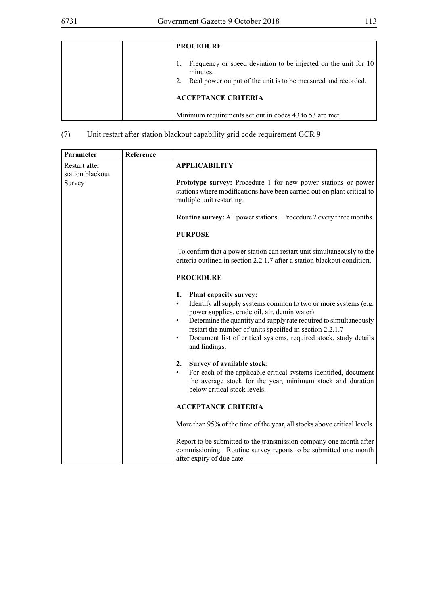| <b>PROCEDURE</b>                                                                                                                            |
|---------------------------------------------------------------------------------------------------------------------------------------------|
| Frequency or speed deviation to be injected on the unit for 10<br>minutes.<br>Real power output of the unit is to be measured and recorded. |
| <b>ACCEPTANCE CRITERIA</b>                                                                                                                  |
| Minimum requirements set out in codes 43 to 53 are met.                                                                                     |

(7) Unit restart after station blackout capability grid code requirement GCR 9

| Parameter                                   | Reference |                                                                                                                                                                                                                                                                                                                                                                                                                     |
|---------------------------------------------|-----------|---------------------------------------------------------------------------------------------------------------------------------------------------------------------------------------------------------------------------------------------------------------------------------------------------------------------------------------------------------------------------------------------------------------------|
| Restart after<br>station blackout<br>Survey |           | <b>APPLICABILITY</b><br>Prototype survey: Procedure 1 for new power stations or power<br>stations where modifications have been carried out on plant critical to<br>multiple unit restarting.                                                                                                                                                                                                                       |
|                                             |           | <b>Routine survey:</b> All power stations. Procedure 2 every three months.                                                                                                                                                                                                                                                                                                                                          |
|                                             |           | <b>PURPOSE</b>                                                                                                                                                                                                                                                                                                                                                                                                      |
|                                             |           | To confirm that a power station can restart unit simultaneously to the<br>criteria outlined in section 2.2.1.7 after a station blackout condition.                                                                                                                                                                                                                                                                  |
|                                             |           | <b>PROCEDURE</b>                                                                                                                                                                                                                                                                                                                                                                                                    |
|                                             |           | <b>Plant capacity survey:</b><br>1.<br>Identify all supply systems common to two or more systems (e.g.<br>$\bullet$<br>power supplies, crude oil, air, demin water)<br>Determine the quantity and supply rate required to simultaneously<br>$\bullet$<br>restart the number of units specified in section 2.2.1.7<br>Document list of critical systems, required stock, study details<br>$\bullet$<br>and findings. |
|                                             |           | Survey of available stock:<br>2.<br>For each of the applicable critical systems identified, document<br>$\bullet$<br>the average stock for the year, minimum stock and duration<br>below critical stock levels.                                                                                                                                                                                                     |
|                                             |           | <b>ACCEPTANCE CRITERIA</b>                                                                                                                                                                                                                                                                                                                                                                                          |
|                                             |           | More than 95% of the time of the year, all stocks above critical levels.                                                                                                                                                                                                                                                                                                                                            |
|                                             |           | Report to be submitted to the transmission company one month after<br>commissioning. Routine survey reports to be submitted one month<br>after expiry of due date.                                                                                                                                                                                                                                                  |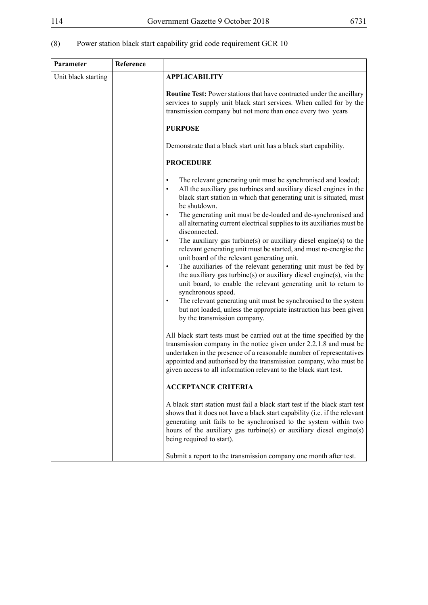# (8) Power station black start capability grid code requirement GCR 10

| Parameter           | Reference |                                                                                                                                                                                                                                                                                                                                                                |
|---------------------|-----------|----------------------------------------------------------------------------------------------------------------------------------------------------------------------------------------------------------------------------------------------------------------------------------------------------------------------------------------------------------------|
| Unit black starting |           | <b>APPLICABILITY</b>                                                                                                                                                                                                                                                                                                                                           |
|                     |           | <b>Routine Test:</b> Power stations that have contracted under the ancillary<br>services to supply unit black start services. When called for by the<br>transmission company but not more than once every two years<br><b>PURPOSE</b>                                                                                                                          |
|                     |           |                                                                                                                                                                                                                                                                                                                                                                |
|                     |           | Demonstrate that a black start unit has a black start capability.                                                                                                                                                                                                                                                                                              |
|                     |           | <b>PROCEDURE</b>                                                                                                                                                                                                                                                                                                                                               |
|                     |           | The relevant generating unit must be synchronised and loaded;<br>٠<br>All the auxiliary gas turbines and auxiliary diesel engines in the<br>٠<br>black start station in which that generating unit is situated, must<br>be shutdown.<br>The generating unit must be de-loaded and de-synchronised and<br>٠                                                     |
|                     |           | all alternating current electrical supplies to its auxiliaries must be<br>disconnected.                                                                                                                                                                                                                                                                        |
|                     |           | The auxiliary gas turbine(s) or auxiliary diesel engine(s) to the<br>٠<br>relevant generating unit must be started, and must re-energise the<br>unit board of the relevant generating unit.                                                                                                                                                                    |
|                     |           | The auxiliaries of the relevant generating unit must be fed by<br>٠<br>the auxiliary gas turbine(s) or auxiliary diesel engine(s), via the<br>unit board, to enable the relevant generating unit to return to<br>synchronous speed.                                                                                                                            |
|                     |           | The relevant generating unit must be synchronised to the system<br>٠<br>but not loaded, unless the appropriate instruction has been given<br>by the transmission company.                                                                                                                                                                                      |
|                     |           | All black start tests must be carried out at the time specified by the<br>transmission company in the notice given under 2.2.1.8 and must be<br>undertaken in the presence of a reasonable number of representatives<br>appointed and authorised by the transmission company, who must be<br>given access to all information relevant to the black start test. |
|                     |           | <b>ACCEPTANCE CRITERIA</b>                                                                                                                                                                                                                                                                                                                                     |
|                     |           | A black start station must fail a black start test if the black start test<br>shows that it does not have a black start capability (i.e. if the relevant<br>generating unit fails to be synchronised to the system within two<br>hours of the auxiliary gas turbine(s) or auxiliary diesel engine(s)<br>being required to start).                              |
|                     |           | Submit a report to the transmission company one month after test.                                                                                                                                                                                                                                                                                              |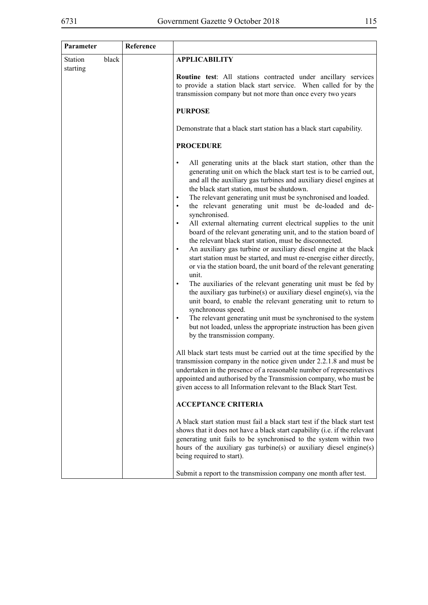| Parameter                  |       | Reference |                                                                                                                                                                                                                                                                                                                                                                                                                                                                                                                                                                                                                                                                                                                                                                                                                                                                                                                                                                                                                                                                                                                                                                                                                                                                                          |
|----------------------------|-------|-----------|------------------------------------------------------------------------------------------------------------------------------------------------------------------------------------------------------------------------------------------------------------------------------------------------------------------------------------------------------------------------------------------------------------------------------------------------------------------------------------------------------------------------------------------------------------------------------------------------------------------------------------------------------------------------------------------------------------------------------------------------------------------------------------------------------------------------------------------------------------------------------------------------------------------------------------------------------------------------------------------------------------------------------------------------------------------------------------------------------------------------------------------------------------------------------------------------------------------------------------------------------------------------------------------|
| <b>Station</b><br>starting | black |           | <b>APPLICABILITY</b>                                                                                                                                                                                                                                                                                                                                                                                                                                                                                                                                                                                                                                                                                                                                                                                                                                                                                                                                                                                                                                                                                                                                                                                                                                                                     |
|                            |       |           | Routine test: All stations contracted under ancillary services<br>to provide a station black start service. When called for by the<br>transmission company but not more than once every two years                                                                                                                                                                                                                                                                                                                                                                                                                                                                                                                                                                                                                                                                                                                                                                                                                                                                                                                                                                                                                                                                                        |
|                            |       |           | <b>PURPOSE</b>                                                                                                                                                                                                                                                                                                                                                                                                                                                                                                                                                                                                                                                                                                                                                                                                                                                                                                                                                                                                                                                                                                                                                                                                                                                                           |
|                            |       |           | Demonstrate that a black start station has a black start capability.                                                                                                                                                                                                                                                                                                                                                                                                                                                                                                                                                                                                                                                                                                                                                                                                                                                                                                                                                                                                                                                                                                                                                                                                                     |
|                            |       |           | <b>PROCEDURE</b>                                                                                                                                                                                                                                                                                                                                                                                                                                                                                                                                                                                                                                                                                                                                                                                                                                                                                                                                                                                                                                                                                                                                                                                                                                                                         |
|                            |       |           | All generating units at the black start station, other than the<br>$\bullet$<br>generating unit on which the black start test is to be carried out,<br>and all the auxiliary gas turbines and auxiliary diesel engines at<br>the black start station, must be shutdown.<br>The relevant generating unit must be synchronised and loaded.<br>the relevant generating unit must be de-loaded and de-<br>synchronised.<br>All external alternating current electrical supplies to the unit<br>$\bullet$<br>board of the relevant generating unit, and to the station board of<br>the relevant black start station, must be disconnected.<br>An auxiliary gas turbine or auxiliary diesel engine at the black<br>$\bullet$<br>start station must be started, and must re-energise either directly,<br>or via the station board, the unit board of the relevant generating<br>unit.<br>The auxiliaries of the relevant generating unit must be fed by<br>the auxiliary gas turbine(s) or auxiliary diesel engine(s), via the<br>unit board, to enable the relevant generating unit to return to<br>synchronous speed.<br>The relevant generating unit must be synchronised to the system<br>but not loaded, unless the appropriate instruction has been given<br>by the transmission company. |
|                            |       |           | All black start tests must be carried out at the time specified by the<br>transmission company in the notice given under 2.2.1.8 and must be<br>undertaken in the presence of a reasonable number of representatives<br>appointed and authorised by the Transmission company, who must be<br>given access to all Information relevant to the Black Start Test.                                                                                                                                                                                                                                                                                                                                                                                                                                                                                                                                                                                                                                                                                                                                                                                                                                                                                                                           |
|                            |       |           | <b>ACCEPTANCE CRITERIA</b>                                                                                                                                                                                                                                                                                                                                                                                                                                                                                                                                                                                                                                                                                                                                                                                                                                                                                                                                                                                                                                                                                                                                                                                                                                                               |
|                            |       |           | A black start station must fail a black start test if the black start test<br>shows that it does not have a black start capability (i.e. if the relevant<br>generating unit fails to be synchronised to the system within two<br>hours of the auxiliary gas turbine(s) or auxiliary diesel engine(s)<br>being required to start).                                                                                                                                                                                                                                                                                                                                                                                                                                                                                                                                                                                                                                                                                                                                                                                                                                                                                                                                                        |
|                            |       |           | Submit a report to the transmission company one month after test.                                                                                                                                                                                                                                                                                                                                                                                                                                                                                                                                                                                                                                                                                                                                                                                                                                                                                                                                                                                                                                                                                                                                                                                                                        |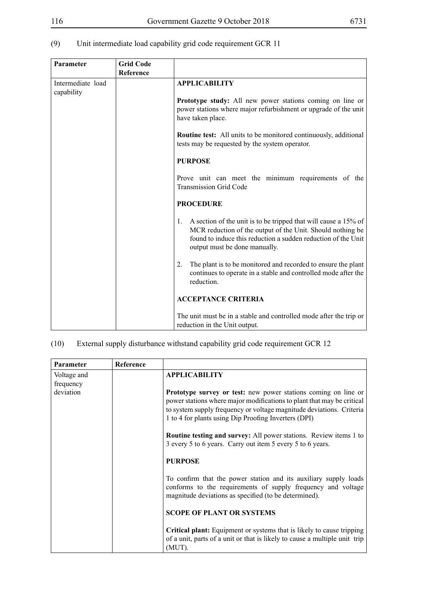| (9) | Unit intermediate load capability grid code requirement GCR 11 |
|-----|----------------------------------------------------------------|
|-----|----------------------------------------------------------------|

| Parameter                       | <b>Grid Code</b><br>Reference |                                                                                                                                                                                                                                                                                                                                  |  |
|---------------------------------|-------------------------------|----------------------------------------------------------------------------------------------------------------------------------------------------------------------------------------------------------------------------------------------------------------------------------------------------------------------------------|--|
| Intermediate load<br>capability |                               | <b>APPLICABILITY</b><br><b>Prototype study:</b> All new power stations coming on line or<br>power stations where major refurbishment or upgrade of the unit<br>have taken place.<br><b>Routine test:</b> All units to be monitored continuously, additional                                                                      |  |
|                                 |                               | tests may be requested by the system operator.<br><b>PURPOSE</b><br>Prove unit can meet the minimum requirements of the<br><b>Transmission Grid Code</b>                                                                                                                                                                         |  |
|                                 |                               | <b>PROCEDURE</b><br>A section of the unit is to be tripped that will cause a 15% of<br>1.<br>MCR reduction of the output of the Unit. Should nothing be<br>found to induce this reduction a sudden reduction of the Unit<br>output must be done manually.<br>The plant is to be monitored and recorded to ensure the plant<br>2. |  |
|                                 |                               | continues to operate in a stable and controlled mode after the<br>reduction.<br><b>ACCEPTANCE CRITERIA</b><br>The unit must be in a stable and controlled mode after the trip or<br>reduction in the Unit output.                                                                                                                |  |

| (10) |  | External supply disturbance withstand capability grid code requirement GCR 12 |
|------|--|-------------------------------------------------------------------------------|
|      |  |                                                                               |

| Parameter   | Reference |                                                                                                                                                                                                                                                                                 |
|-------------|-----------|---------------------------------------------------------------------------------------------------------------------------------------------------------------------------------------------------------------------------------------------------------------------------------|
| Voltage and |           | <b>APPLICABILITY</b>                                                                                                                                                                                                                                                            |
| frequency   |           |                                                                                                                                                                                                                                                                                 |
| deviation   |           | <b>Prototype survey or test:</b> new power stations coming on line or<br>power stations where major modifications to plant that may be critical<br>to system supply frequency or voltage magnitude deviations. Criteria<br>1 to 4 for plants using Dip Proofing Inverters (DPI) |
|             |           | <b>Routine testing and survey:</b> All power stations. Review items 1 to<br>3 every 5 to 6 years. Carry out item 5 every 5 to 6 years.                                                                                                                                          |
|             |           | <b>PURPOSE</b>                                                                                                                                                                                                                                                                  |
|             |           | To confirm that the power station and its auxiliary supply loads<br>conforms to the requirements of supply frequency and voltage<br>magnitude deviations as specified (to be determined).                                                                                       |
|             |           | <b>SCOPE OF PLANT OR SYSTEMS</b>                                                                                                                                                                                                                                                |
|             |           | <b>Critical plant:</b> Equipment or systems that is likely to cause tripping<br>of a unit, parts of a unit or that is likely to cause a multiple unit trip<br>(MUT).                                                                                                            |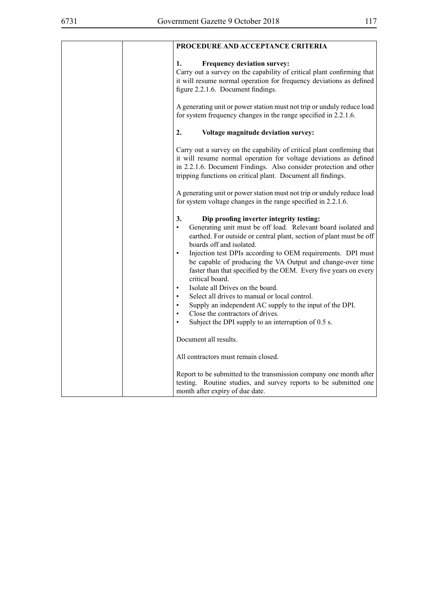| PROCEDURE AND ACCEPTANCE CRITERIA                                                                                                                                                                                                                                                                                                                                                                                                                                                                                                                                                                                                                                                                                                                                                         |
|-------------------------------------------------------------------------------------------------------------------------------------------------------------------------------------------------------------------------------------------------------------------------------------------------------------------------------------------------------------------------------------------------------------------------------------------------------------------------------------------------------------------------------------------------------------------------------------------------------------------------------------------------------------------------------------------------------------------------------------------------------------------------------------------|
| <b>Frequency deviation survey:</b><br>1.<br>Carry out a survey on the capability of critical plant confirming that<br>it will resume normal operation for frequency deviations as defined<br>figure 2.2.1.6. Document findings.                                                                                                                                                                                                                                                                                                                                                                                                                                                                                                                                                           |
| A generating unit or power station must not trip or unduly reduce load<br>for system frequency changes in the range specified in 2.2.1.6.                                                                                                                                                                                                                                                                                                                                                                                                                                                                                                                                                                                                                                                 |
| 2.<br>Voltage magnitude deviation survey:                                                                                                                                                                                                                                                                                                                                                                                                                                                                                                                                                                                                                                                                                                                                                 |
| Carry out a survey on the capability of critical plant confirming that<br>it will resume normal operation for voltage deviations as defined<br>in 2.2.1.6. Document Findings. Also consider protection and other<br>tripping functions on critical plant. Document all findings.                                                                                                                                                                                                                                                                                                                                                                                                                                                                                                          |
| A generating unit or power station must not trip or unduly reduce load<br>for system voltage changes in the range specified in 2.2.1.6.                                                                                                                                                                                                                                                                                                                                                                                                                                                                                                                                                                                                                                                   |
| 3.<br>Dip proofing inverter integrity testing:<br>Generating unit must be off load. Relevant board isolated and<br>$\bullet$<br>earthed. For outside or central plant, section of plant must be off<br>boards off and isolated.<br>Injection test DPIs according to OEM requirements. DPI must<br>$\bullet$<br>be capable of producing the VA Output and change-over time<br>faster than that specified by the OEM. Every five years on every<br>critical board.<br>Isolate all Drives on the board.<br>$\bullet$<br>Select all drives to manual or local control.<br>Supply an independent AC supply to the input of the DPI.<br>$\bullet$<br>Close the contractors of drives.<br>$\bullet$<br>Subject the DPI supply to an interruption of 0.5 s.<br>$\bullet$<br>Document all results. |
|                                                                                                                                                                                                                                                                                                                                                                                                                                                                                                                                                                                                                                                                                                                                                                                           |
| All contractors must remain closed.                                                                                                                                                                                                                                                                                                                                                                                                                                                                                                                                                                                                                                                                                                                                                       |
| Report to be submitted to the transmission company one month after<br>testing. Routine studies, and survey reports to be submitted one<br>month after expiry of due date.                                                                                                                                                                                                                                                                                                                                                                                                                                                                                                                                                                                                                 |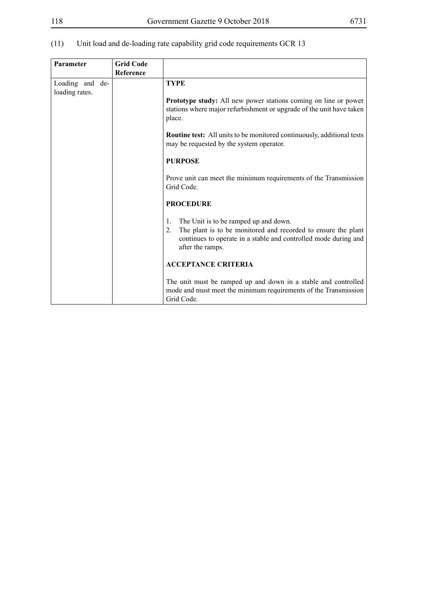| Parameter                         | <b>Grid Code</b><br>Reference |                                                                                                                                                                                                           |
|-----------------------------------|-------------------------------|-----------------------------------------------------------------------------------------------------------------------------------------------------------------------------------------------------------|
| Loading and de-<br>loading rates. |                               | <b>TYPE</b>                                                                                                                                                                                               |
|                                   |                               | <b>Prototype study:</b> All new power stations coming on line or power<br>stations where major refurbishment or upgrade of the unit have taken<br>place.                                                  |
|                                   |                               | <b>Routine test:</b> All units to be monitored continuously, additional tests<br>may be requested by the system operator.                                                                                 |
|                                   |                               | <b>PURPOSE</b>                                                                                                                                                                                            |
|                                   |                               | Prove unit can meet the minimum requirements of the Transmission<br>Grid Code.                                                                                                                            |
|                                   |                               | <b>PROCEDURE</b>                                                                                                                                                                                          |
|                                   |                               | The Unit is to be ramped up and down.<br>1.<br>The plant is to be monitored and recorded to ensure the plant<br>2.<br>continues to operate in a stable and controlled mode during and<br>after the ramps. |
|                                   |                               | <b>ACCEPTANCE CRITERIA</b>                                                                                                                                                                                |
|                                   |                               | The unit must be ramped up and down in a stable and controlled<br>mode and must meet the minimum requirements of the Transmission<br>Grid Code.                                                           |

# (11) Unit load and de-loading rate capability grid code requirements GCR 13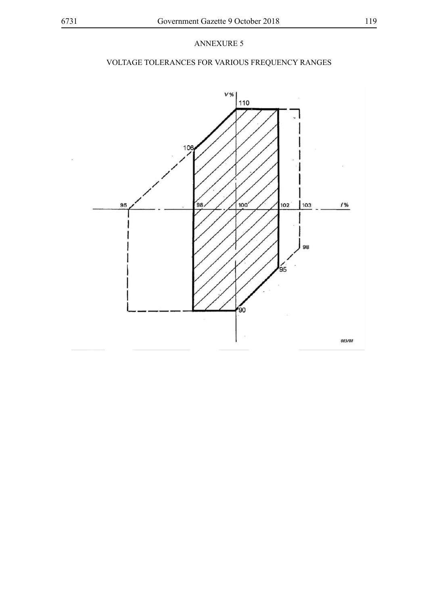# VOLTAGE TOLERANCES FOR VARIOUS FREQUENCY RANGES

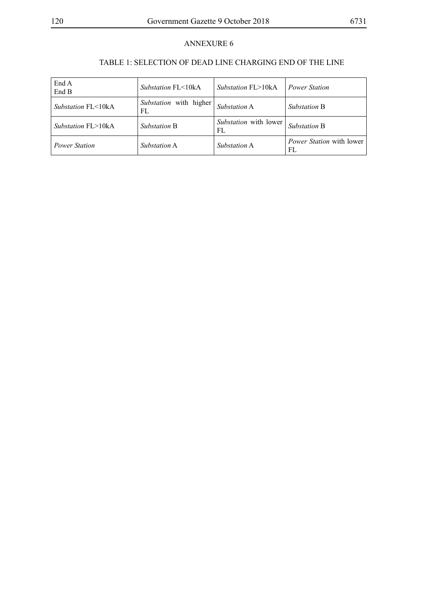# TABLE 1: SELECTION OF DEAD LINE CHARGING END OF THE LINE

| End A<br>End B                | <i>Substation</i> $FI < 10kA$ | <i>Substation</i> $FI > 10kA$      | <b>Power Station</b>                   |
|-------------------------------|-------------------------------|------------------------------------|----------------------------------------|
| <i>Substation</i> $FI < 10kA$ | Substation with higher<br>FL  | Substation A                       | <i>Substation B</i>                    |
| <i>Substation FL&gt;10kA</i>  | <i>Substation B</i>           | <i>Substation</i> with lower<br>FL | Substation B                           |
| <b>Power Station</b>          | <i>Substation</i> A           | <i>Substation</i> A                | <i>Power Station</i> with lower<br>FL. |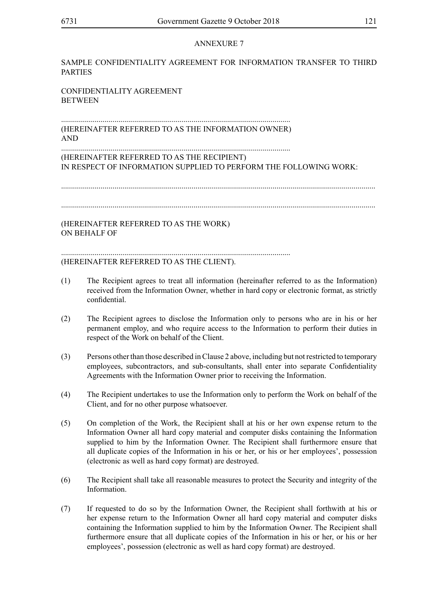#### SAMPLE CONFIDENTIALITY AGREEMENT FOR INFORMATION TRANSFER TO THIRD PARTIES

CONFIDENTIALITY AGREEMENT **BETWEEN** 

.................................................................................................................... (HEREINAFTER REFERRED TO AS THE INFORMATION OWNER) AND

.................................................................................................................... (HEREINAFTER REFERRED TO AS THE RECIPIENT) IN RESPECT OF INFORMATION SUPPLIED TO PERFORM THE FOLLOWING WORK:

...............................................................................................................................................................

...............................................................................................................................................................

(HEREINAFTER REFERRED TO AS THE WORK) ON BEHALF OF

.................................................................................................................... (HEREINAFTER REFERRED TO AS THE CLIENT).

- (1) The Recipient agrees to treat all information (hereinafter referred to as the Information) received from the Information Owner, whether in hard copy or electronic format, as strictly confidential.
- (2) The Recipient agrees to disclose the Information only to persons who are in his or her permanent employ, and who require access to the Information to perform their duties in respect of the Work on behalf of the Client.
- (3) Persons other than those described in Clause 2 above, including but not restricted to temporary employees, subcontractors, and sub-consultants, shall enter into separate Confidentiality Agreements with the Information Owner prior to receiving the Information.
- (4) The Recipient undertakes to use the Information only to perform the Work on behalf of the Client, and for no other purpose whatsoever.
- (5) On completion of the Work, the Recipient shall at his or her own expense return to the Information Owner all hard copy material and computer disks containing the Information supplied to him by the Information Owner. The Recipient shall furthermore ensure that all duplicate copies of the Information in his or her, or his or her employees', possession (electronic as well as hard copy format) are destroyed.
- (6) The Recipient shall take all reasonable measures to protect the Security and integrity of the Information.
- (7) If requested to do so by the Information Owner, the Recipient shall forthwith at his or her expense return to the Information Owner all hard copy material and computer disks containing the Information supplied to him by the Information Owner. The Recipient shall furthermore ensure that all duplicate copies of the Information in his or her, or his or her employees', possession (electronic as well as hard copy format) are destroyed.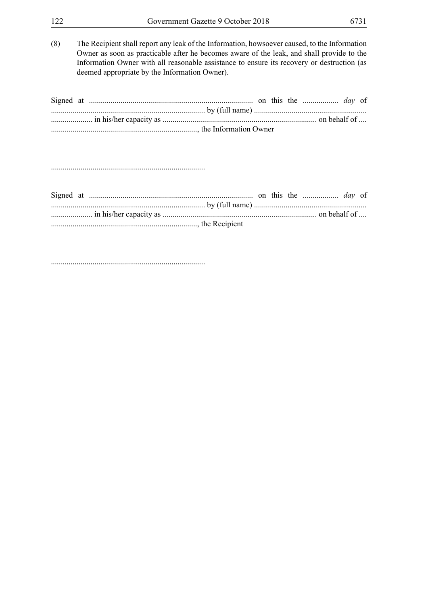deemed appropriate by the Information Owner).

Information Owner with all reasonable assistance to ensure its recovery or destruction (as

Signed at ................................................................................... on this the .................. *day* of .............................................................................. by (full name) ......................................................... ..................... in his/her capacity as .............................................................................. on behalf of .... .........................................................................., the Information Owner

..............................................................................

..............................................................................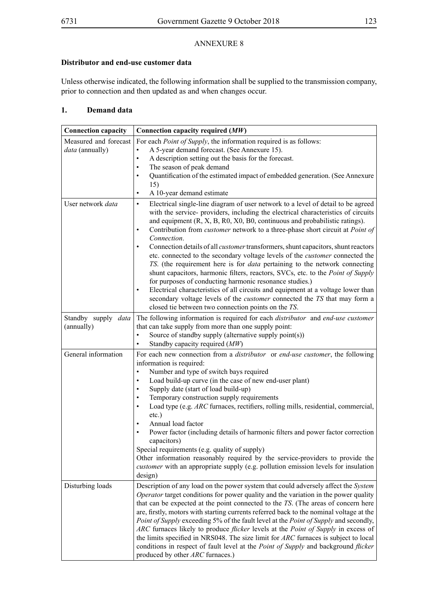#### **Distributor and end-use customer data**

Unless otherwise indicated, the following information shall be supplied to the transmission company, prior to connection and then updated as and when changes occur.

## **1. Demand data**

| <b>Connection capacity</b>        | Connection capacity required (MW)                                                                                                                                                                                                                                                                                                                                                                                                                                                                                                                                                                                                                                                                                                                                                                                                                                                                                                                                                                                     |
|-----------------------------------|-----------------------------------------------------------------------------------------------------------------------------------------------------------------------------------------------------------------------------------------------------------------------------------------------------------------------------------------------------------------------------------------------------------------------------------------------------------------------------------------------------------------------------------------------------------------------------------------------------------------------------------------------------------------------------------------------------------------------------------------------------------------------------------------------------------------------------------------------------------------------------------------------------------------------------------------------------------------------------------------------------------------------|
| Measured and forecast             | For each <i>Point of Supply</i> , the information required is as follows:                                                                                                                                                                                                                                                                                                                                                                                                                                                                                                                                                                                                                                                                                                                                                                                                                                                                                                                                             |
| data (annually)                   | A 5-year demand forecast. (See Annexure 15).<br>$\bullet$                                                                                                                                                                                                                                                                                                                                                                                                                                                                                                                                                                                                                                                                                                                                                                                                                                                                                                                                                             |
|                                   | A description setting out the basis for the forecast.<br>$\bullet$                                                                                                                                                                                                                                                                                                                                                                                                                                                                                                                                                                                                                                                                                                                                                                                                                                                                                                                                                    |
|                                   | The season of peak demand<br>٠                                                                                                                                                                                                                                                                                                                                                                                                                                                                                                                                                                                                                                                                                                                                                                                                                                                                                                                                                                                        |
|                                   | Quantification of the estimated impact of embedded generation. (See Annexure<br>$\bullet$                                                                                                                                                                                                                                                                                                                                                                                                                                                                                                                                                                                                                                                                                                                                                                                                                                                                                                                             |
|                                   | 15)                                                                                                                                                                                                                                                                                                                                                                                                                                                                                                                                                                                                                                                                                                                                                                                                                                                                                                                                                                                                                   |
|                                   | A 10-year demand estimate<br>$\bullet$                                                                                                                                                                                                                                                                                                                                                                                                                                                                                                                                                                                                                                                                                                                                                                                                                                                                                                                                                                                |
| User network data                 | Electrical single-line diagram of user network to a level of detail to be agreed<br>$\bullet$<br>with the service- providers, including the electrical characteristics of circuits<br>and equipment $(R, X, B, R0, X0, B0,$ continuous and probabilistic ratings).<br>Contribution from <i>customer</i> network to a three-phase short circuit at <i>Point of</i><br>$\bullet$<br>Connection.<br>Connection details of all <i>customer</i> transformers, shunt capacitors, shunt reactors<br>$\bullet$<br>etc. connected to the secondary voltage levels of the <i>customer</i> connected the<br>TS. (the requirement here is for <i>data</i> pertaining to the network connecting<br>shunt capacitors, harmonic filters, reactors, SVCs, etc. to the Point of Supply<br>for purposes of conducting harmonic resonance studies.)<br>Electrical characteristics of all circuits and equipment at a voltage lower than<br>$\bullet$<br>secondary voltage levels of the <i>customer</i> connected the TS that may form a |
|                                   | closed tie between two connection points on the TS.                                                                                                                                                                                                                                                                                                                                                                                                                                                                                                                                                                                                                                                                                                                                                                                                                                                                                                                                                                   |
| Standby supply data<br>(annually) | The following information is required for each <i>distributor</i> and end-use customer<br>that can take supply from more than one supply point:<br>Source of standby supply (alternative supply point(s))<br>$\bullet$<br>Standby capacity required (MW)<br>$\bullet$                                                                                                                                                                                                                                                                                                                                                                                                                                                                                                                                                                                                                                                                                                                                                 |
| General information               | For each new connection from a <i>distributor</i> or <i>end-use customer</i> , the following                                                                                                                                                                                                                                                                                                                                                                                                                                                                                                                                                                                                                                                                                                                                                                                                                                                                                                                          |
|                                   | information is required:<br>$\bullet$                                                                                                                                                                                                                                                                                                                                                                                                                                                                                                                                                                                                                                                                                                                                                                                                                                                                                                                                                                                 |
|                                   | Number and type of switch bays required<br>Load build-up curve (in the case of new end-user plant)<br>٠                                                                                                                                                                                                                                                                                                                                                                                                                                                                                                                                                                                                                                                                                                                                                                                                                                                                                                               |
|                                   | Supply date (start of load build-up)<br>٠                                                                                                                                                                                                                                                                                                                                                                                                                                                                                                                                                                                                                                                                                                                                                                                                                                                                                                                                                                             |
|                                   | Temporary construction supply requirements                                                                                                                                                                                                                                                                                                                                                                                                                                                                                                                                                                                                                                                                                                                                                                                                                                                                                                                                                                            |
|                                   | Load type (e.g. ARC furnaces, rectifiers, rolling mills, residential, commercial,<br>$\bullet$                                                                                                                                                                                                                                                                                                                                                                                                                                                                                                                                                                                                                                                                                                                                                                                                                                                                                                                        |
|                                   | $etc.$ )                                                                                                                                                                                                                                                                                                                                                                                                                                                                                                                                                                                                                                                                                                                                                                                                                                                                                                                                                                                                              |
|                                   | Annual load factor<br>$\bullet$                                                                                                                                                                                                                                                                                                                                                                                                                                                                                                                                                                                                                                                                                                                                                                                                                                                                                                                                                                                       |
|                                   | Power factor (including details of harmonic filters and power factor correction                                                                                                                                                                                                                                                                                                                                                                                                                                                                                                                                                                                                                                                                                                                                                                                                                                                                                                                                       |
|                                   | capacitors)                                                                                                                                                                                                                                                                                                                                                                                                                                                                                                                                                                                                                                                                                                                                                                                                                                                                                                                                                                                                           |
|                                   | Special requirements (e.g. quality of supply)                                                                                                                                                                                                                                                                                                                                                                                                                                                                                                                                                                                                                                                                                                                                                                                                                                                                                                                                                                         |
|                                   | Other information reasonably required by the service-providers to provide the                                                                                                                                                                                                                                                                                                                                                                                                                                                                                                                                                                                                                                                                                                                                                                                                                                                                                                                                         |
|                                   | <i>customer</i> with an appropriate supply (e.g. pollution emission levels for insulation                                                                                                                                                                                                                                                                                                                                                                                                                                                                                                                                                                                                                                                                                                                                                                                                                                                                                                                             |
|                                   | design)                                                                                                                                                                                                                                                                                                                                                                                                                                                                                                                                                                                                                                                                                                                                                                                                                                                                                                                                                                                                               |
| Disturbing loads                  | Description of any load on the power system that could adversely affect the System                                                                                                                                                                                                                                                                                                                                                                                                                                                                                                                                                                                                                                                                                                                                                                                                                                                                                                                                    |
|                                   | Operator target conditions for power quality and the variation in the power quality<br>that can be expected at the point connected to the TS. (The areas of concern here                                                                                                                                                                                                                                                                                                                                                                                                                                                                                                                                                                                                                                                                                                                                                                                                                                              |
|                                   | are, firstly, motors with starting currents referred back to the nominal voltage at the                                                                                                                                                                                                                                                                                                                                                                                                                                                                                                                                                                                                                                                                                                                                                                                                                                                                                                                               |
|                                   | Point of Supply exceeding 5% of the fault level at the Point of Supply and secondly,                                                                                                                                                                                                                                                                                                                                                                                                                                                                                                                                                                                                                                                                                                                                                                                                                                                                                                                                  |
|                                   | ARC furnaces likely to produce <i>flicker</i> levels at the <i>Point of Supply</i> in excess of                                                                                                                                                                                                                                                                                                                                                                                                                                                                                                                                                                                                                                                                                                                                                                                                                                                                                                                       |
|                                   | the limits specified in NRS048. The size limit for ARC furnaces is subject to local                                                                                                                                                                                                                                                                                                                                                                                                                                                                                                                                                                                                                                                                                                                                                                                                                                                                                                                                   |
|                                   | conditions in respect of fault level at the <i>Point of Supply</i> and background <i>flicker</i><br>produced by other ARC furnaces.)                                                                                                                                                                                                                                                                                                                                                                                                                                                                                                                                                                                                                                                                                                                                                                                                                                                                                  |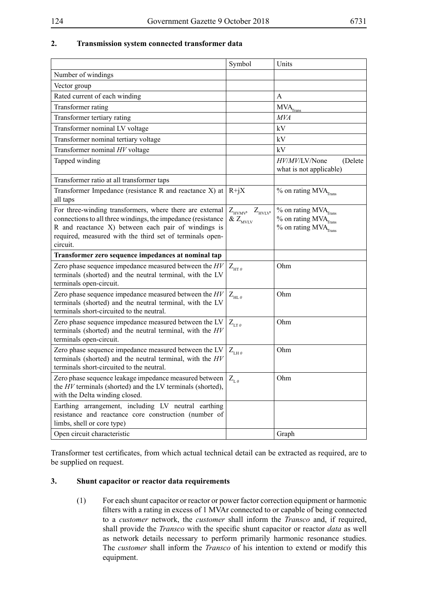## **2. Transmission system connected transformer data**

|                                                                                                                                                                                                                                                         | Symbol                                       | Units                                                                                                                          |
|---------------------------------------------------------------------------------------------------------------------------------------------------------------------------------------------------------------------------------------------------------|----------------------------------------------|--------------------------------------------------------------------------------------------------------------------------------|
| Number of windings                                                                                                                                                                                                                                      |                                              |                                                                                                                                |
| Vector group                                                                                                                                                                                                                                            |                                              |                                                                                                                                |
| Rated current of each winding                                                                                                                                                                                                                           |                                              | A                                                                                                                              |
| Transformer rating                                                                                                                                                                                                                                      |                                              | $MVA$ <sub>Trans</sub>                                                                                                         |
| Transformer tertiary rating                                                                                                                                                                                                                             |                                              | MVA                                                                                                                            |
| Transformer nominal LV voltage                                                                                                                                                                                                                          |                                              | kV                                                                                                                             |
| Transformer nominal tertiary voltage                                                                                                                                                                                                                    |                                              | kV                                                                                                                             |
| Transformer nominal HV voltage                                                                                                                                                                                                                          |                                              | kV                                                                                                                             |
| Tapped winding                                                                                                                                                                                                                                          |                                              | HV/MV/LV/None<br>(Delete<br>what is not applicable)                                                                            |
| Transformer ratio at all transformer taps                                                                                                                                                                                                               |                                              |                                                                                                                                |
| Transformer Impedance (resistance R and reactance X) at<br>all taps                                                                                                                                                                                     | $R+jX$                                       | $%$ on rating MVA $_{\text{Trans}}$                                                                                            |
| For three-winding transformers, where there are external<br>connections to all three windings, the impedance (resistance<br>R and reactance X) between each pair of windings is<br>required, measured with the third set of terminals open-<br>circuit. | $Z_{HVMV}$ $Z_{HVLV}$<br>& $Z_{_{\rm MVLV}}$ | $%$ on rating MVA $_{\text{Trans}}$<br>$\%$ on rating $\mbox{MVA}_{\mbox{\tiny Trans}}$<br>$%$ on rating MVA $_{\text{Trans}}$ |
| Transformer zero sequence impedances at nominal tap                                                                                                                                                                                                     |                                              |                                                                                                                                |
| Zero phase sequence impedance measured between the $HV$<br>terminals (shorted) and the neutral terminal, with the LV<br>terminals open-circuit.                                                                                                         | $Z_{\text{HT }0}$                            | Ohm                                                                                                                            |
| Zero phase sequence impedance measured between the $HV$<br>terminals (shorted) and the neutral terminal, with the LV<br>terminals short-circuited to the neutral.                                                                                       | $Z_{H\text{L}0}$                             | Ohm                                                                                                                            |
| Zero phase sequence impedance measured between the LV<br>terminals (shorted) and the neutral terminal, with the $HV$<br>terminals open-circuit.                                                                                                         | $Z_{LT0}$                                    | Ohm                                                                                                                            |
| Zero phase sequence impedance measured between the LV<br>terminals (shorted) and the neutral terminal, with the $HV$<br>terminals short-circuited to the neutral.                                                                                       | $Z_{LH\theta}$                               | Ohm                                                                                                                            |
| Zero phase sequence leakage impedance measured between $Z_{L0}$<br>the HV terminals (shorted) and the LV terminals (shorted),<br>with the Delta winding closed.                                                                                         |                                              | Ohm                                                                                                                            |
| Earthing arrangement, including LV neutral earthing<br>resistance and reactance core construction (number of<br>limbs, shell or core type)                                                                                                              |                                              |                                                                                                                                |
| Open circuit characteristic                                                                                                                                                                                                                             |                                              | Graph                                                                                                                          |

Transformer test certificates, from which actual technical detail can be extracted as required, are to be supplied on request.

#### **3. Shunt capacitor or reactor data requirements**

(1) For each shunt capacitor or reactor or power factor correction equipment or harmonic filters with a rating in excess of 1 MVAr connected to or capable of being connected to a *customer* network, the *customer* shall inform the *Transco* and, if required, shall provide the *Transco* with the specific shunt capacitor or reactor *data* as well as network details necessary to perform primarily harmonic resonance studies. The *customer* shall inform the *Transco* of his intention to extend or modify this equipment.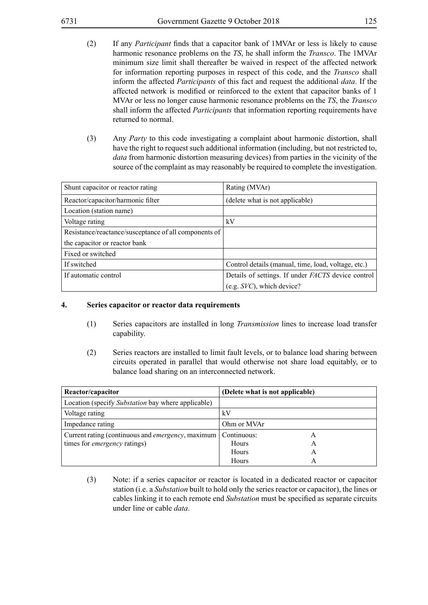- (2) If any *Participant* finds that a capacitor bank of 1MVAr or less is likely to cause harmonic resonance problems on the *TS*, he shall inform the *Transco*. The 1MVAr minimum size limit shall thereafter be waived in respect of the affected network for information reporting purposes in respect of this code, and the *Transco* shall inform the affected *Participants* of this fact and request the additional *data*. If the affected network is modified or reinforced to the extent that capacitor banks of 1 MVAr or less no longer cause harmonic resonance problems on the *TS*, the *Transco* shall inform the affected *Participants* that information reporting requirements have returned to normal.
- (3) Any *Party* to this code investigating a complaint about harmonic distortion, shall have the right to request such additional information (including, but not restricted to, *data* from harmonic distortion measuring devices) from parties in the vicinity of the source of the complaint as may reasonably be required to complete the investigation.

| Shunt capacitor or reactor rating                     | Rating (MVAr)                                       |
|-------------------------------------------------------|-----------------------------------------------------|
| Reactor/capacitor/harmonic filter                     | (delete what is not applicable)                     |
| Location (station name)                               |                                                     |
| Voltage rating                                        | kV                                                  |
| Resistance/reactance/susceptance of all components of |                                                     |
| the capacitor or reactor bank                         |                                                     |
| Fixed or switched                                     |                                                     |
| If switched                                           | Control details (manual, time, load, voltage, etc.) |
| If automatic control                                  | Details of settings. If under FACTS device control  |
|                                                       | $(e.g. SVC)$ , which device?                        |

#### **4. Series capacitor or reactor data requirements**

- (1) Series capacitors are installed in long *Transmission* lines to increase load transfer capability.
- (2) Series reactors are installed to limit fault levels, or to balance load sharing between circuits operated in parallel that would otherwise not share load equitably, or to balance load sharing on an interconnected network.

| Reactor/capacitor                                         | (Delete what is not applicable) |  |  |
|-----------------------------------------------------------|---------------------------------|--|--|
| Location (specify Substation bay where applicable)        |                                 |  |  |
| Voltage rating                                            | kV                              |  |  |
| Impedance rating                                          | Ohm or MVAr                     |  |  |
| Current rating (continuous and <i>emergency</i> , maximum | Continuous:                     |  |  |
| times for <i>emergency</i> ratings)                       | Hours<br>А                      |  |  |
|                                                           | Hours<br>А                      |  |  |
|                                                           | Hours<br>А                      |  |  |

(3) Note: if a series capacitor or reactor is located in a dedicated reactor or capacitor station (i.e. a *Substation* built to hold only the series reactor or capacitor), the lines or cables linking it to each remote end *Substation* must be specified as separate circuits under line or cable *data*.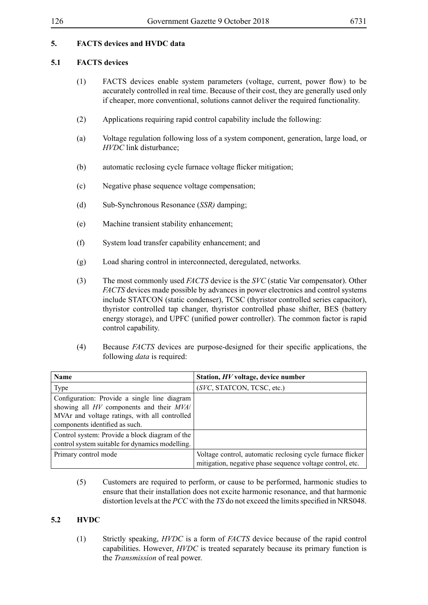## **5. FACTS devices and HVDC data**

### **5.1 FACTS devices**

- (1) FACTS devices enable system parameters (voltage, current, power flow) to be accurately controlled in real time. Because of their cost, they are generally used only if cheaper, more conventional, solutions cannot deliver the required functionality.
- (2) Applications requiring rapid control capability include the following:
- (a) Voltage regulation following loss of a system component, generation, large load, or *HVDC* link disturbance;
- (b) automatic reclosing cycle furnace voltage flicker mitigation;
- (c) Negative phase sequence voltage compensation;
- (d) Sub-Synchronous Resonance (*SSR)* damping;
- (e) Machine transient stability enhancement;
- (f) System load transfer capability enhancement; and
- (g) Load sharing control in interconnected, deregulated, networks.
- (3) The most commonly used *FACTS* device is the *SVC* (static Var compensator). Other *FACTS* devices made possible by advances in power electronics and control systems include STATCON (static condenser), TCSC (thyristor controlled series capacitor), thyristor controlled tap changer, thyristor controlled phase shifter, BES (battery energy storage), and UPFC (unified power controller). The common factor is rapid control capability.
- (4) Because *FACTS* devices are purpose-designed for their specific applications, the following *data* is required:

| <b>Name</b>                                                                                                                                                                 | Station, HV voltage, device number                                                                                      |
|-----------------------------------------------------------------------------------------------------------------------------------------------------------------------------|-------------------------------------------------------------------------------------------------------------------------|
| Type                                                                                                                                                                        | (SVC, STATCON, TCSC, etc.)                                                                                              |
| Configuration: Provide a single line diagram<br>showing all HV components and their MVA/<br>MVAr and voltage ratings, with all controlled<br>components identified as such. |                                                                                                                         |
| Control system: Provide a block diagram of the<br>control system suitable for dynamics modelling.                                                                           |                                                                                                                         |
| Primary control mode                                                                                                                                                        | Voltage control, automatic reclosing cycle furnace flicker<br>mitigation, negative phase sequence voltage control, etc. |

(5) Customers are required to perform, or cause to be performed, harmonic studies to ensure that their installation does not excite harmonic resonance, and that harmonic distortion levels at the *PCC* with the *TS* do not exceed the limits specified in NRS048.

#### **5.2 HVDC**

(1) Strictly speaking, *HVDC* is a form of *FACTS* device because of the rapid control capabilities. However, *HVDC* is treated separately because its primary function is the *Transmission* of real power.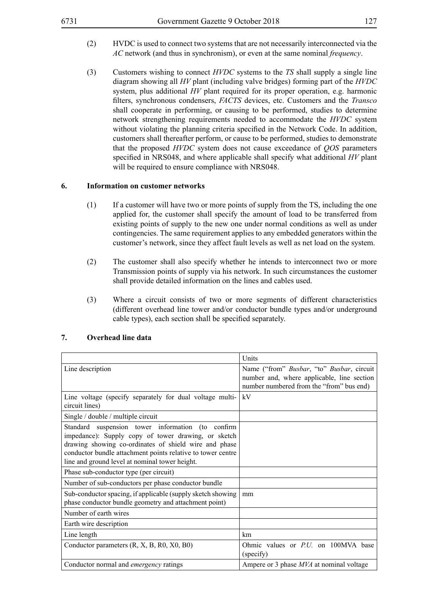- (2) HVDC is used to connect two systems that are not necessarily interconnected via the *AC* network (and thus in synchronism), or even at the same nominal *frequency*.
- (3) Customers wishing to connect *HVDC* systems to the *TS* shall supply a single line diagram showing all *HV* plant (including valve bridges) forming part of the *HVDC* system, plus additional *HV* plant required for its proper operation, e.g. harmonic filters, synchronous condensers, *FACTS* devices, etc. Customers and the *Transco* shall cooperate in performing, or causing to be performed, studies to determine network strengthening requirements needed to accommodate the *HVDC* system without violating the planning criteria specified in the Network Code. In addition, customers shall thereafter perform, or cause to be performed, studies to demonstrate that the proposed *HVDC* system does not cause exceedance of *QOS* parameters specified in NRS048, and where applicable shall specify what additional *HV* plant will be required to ensure compliance with NRS048.

#### **6. Information on customer networks**

- (1) If a customer will have two or more points of supply from the TS, including the one applied for, the customer shall specify the amount of load to be transferred from existing points of supply to the new one under normal conditions as well as under contingencies. The same requirement applies to any embedded generators within the customer's network, since they affect fault levels as well as net load on the system.
- (2) The customer shall also specify whether he intends to interconnect two or more Transmission points of supply via his network. In such circumstances the customer shall provide detailed information on the lines and cables used.
- (3) Where a circuit consists of two or more segments of different characteristics (different overhead line tower and/or conductor bundle types and/or underground cable types), each section shall be specified separately.

|                                                                                                                                                                                                                                                                                    | Units                                                                                                                               |
|------------------------------------------------------------------------------------------------------------------------------------------------------------------------------------------------------------------------------------------------------------------------------------|-------------------------------------------------------------------------------------------------------------------------------------|
| Line description                                                                                                                                                                                                                                                                   | Name ("from" Busbar, "to" Busbar, circuit<br>number and, where applicable, line section<br>number numbered from the "from" bus end) |
| Line voltage (specify separately for dual voltage multi-<br>circuit lines)                                                                                                                                                                                                         | kV                                                                                                                                  |
| Single / double / multiple circuit                                                                                                                                                                                                                                                 |                                                                                                                                     |
| Standard suspension tower information (to confirm<br>impedance): Supply copy of tower drawing, or sketch<br>drawing showing co-ordinates of shield wire and phase<br>conductor bundle attachment points relative to tower centre<br>line and ground level at nominal tower height. |                                                                                                                                     |
| Phase sub-conductor type (per circuit)                                                                                                                                                                                                                                             |                                                                                                                                     |
| Number of sub-conductors per phase conductor bundle                                                                                                                                                                                                                                |                                                                                                                                     |
| Sub-conductor spacing, if applicable (supply sketch showing<br>phase conductor bundle geometry and attachment point)                                                                                                                                                               | mm                                                                                                                                  |
| Number of earth wires                                                                                                                                                                                                                                                              |                                                                                                                                     |
| Earth wire description                                                                                                                                                                                                                                                             |                                                                                                                                     |
| Line length                                                                                                                                                                                                                                                                        | km                                                                                                                                  |
| Conductor parameters (R, X, B, R0, X0, B0)                                                                                                                                                                                                                                         | Ohmic values or <i>PU</i> on 100MVA base<br>(specify)                                                                               |
| Conductor normal and <i>emergency</i> ratings                                                                                                                                                                                                                                      | Ampere or 3 phase MVA at nominal voltage                                                                                            |

#### **7. Overhead line data**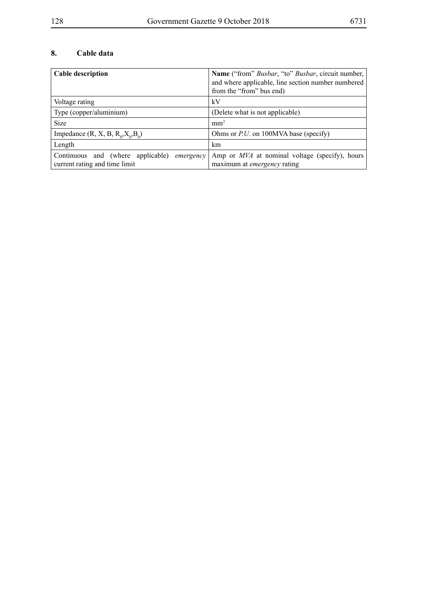# **8. Cable data**

| Cable description                                                                   | <b>Name</b> ("from" <i>Busbar</i> , "to" <i>Busbar</i> , circuit number,<br>and where applicable, line section number numbered<br>from the "from" bus end) |  |
|-------------------------------------------------------------------------------------|------------------------------------------------------------------------------------------------------------------------------------------------------------|--|
| Voltage rating                                                                      | kV                                                                                                                                                         |  |
| Type (copper/aluminium)                                                             | (Delete what is not applicable)                                                                                                                            |  |
| Size                                                                                | mm <sup>2</sup>                                                                                                                                            |  |
| Impedance $(R, X, B, R_o, X_o, B_o)$                                                | Ohms or $PiU$ , on 100MVA base (specify)                                                                                                                   |  |
| Length                                                                              | km                                                                                                                                                         |  |
| Continuous and (where applicable) <i>emergency</i><br>current rating and time limit | Amp or <i>MVA</i> at nominal voltage (specify), hours<br>maximum at <i>emergency</i> rating                                                                |  |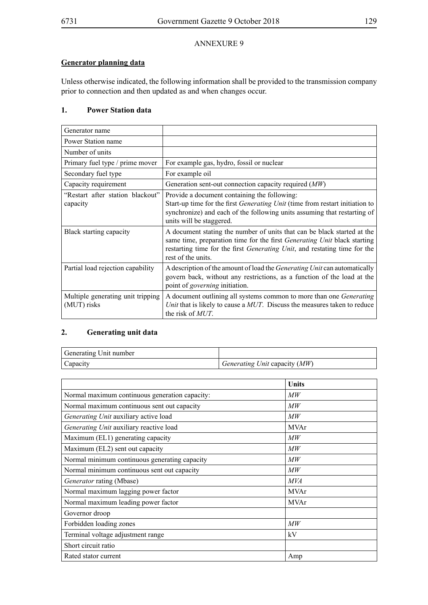## **Generator planning data**

Unless otherwise indicated, the following information shall be provided to the transmission company prior to connection and then updated as and when changes occur.

## **1. Power Station data**

| Generator name                                   |                                                                                                                                                                                                                                                                       |
|--------------------------------------------------|-----------------------------------------------------------------------------------------------------------------------------------------------------------------------------------------------------------------------------------------------------------------------|
| Power Station name                               |                                                                                                                                                                                                                                                                       |
| Number of units                                  |                                                                                                                                                                                                                                                                       |
| Primary fuel type / prime mover                  | For example gas, hydro, fossil or nuclear                                                                                                                                                                                                                             |
| Secondary fuel type                              | For example oil                                                                                                                                                                                                                                                       |
| Capacity requirement                             | Generation sent-out connection capacity required $(MW)$                                                                                                                                                                                                               |
| "Restart after station blackout"<br>capacity     | Provide a document containing the following:<br>Start-up time for the first Generating Unit (time from restart initiation to<br>synchronize) and each of the following units assuming that restarting of<br>units will be staggered.                                  |
| Black starting capacity                          | A document stating the number of units that can be black started at the<br>same time, preparation time for the first <i>Generating Unit</i> black starting<br>restarting time for the first <i>Generating Unit</i> , and restating time for the<br>rest of the units. |
| Partial load rejection capability                | A description of the amount of load the <i>Generating Unit</i> can automatically<br>govern back, without any restrictions, as a function of the load at the<br>point of <i>governing</i> initiation.                                                                  |
| Multiple generating unit tripping<br>(MUT) risks | A document outlining all systems common to more than one Generating<br>Unit that is likely to cause a MUT. Discuss the measures taken to reduce<br>the risk of <i>MUT</i> .                                                                                           |

## **2. Generating unit data**

| Generating Unit number |                                 |
|------------------------|---------------------------------|
| Capacity               | Generating Unit capacity $(MW)$ |

|                                                | Units           |
|------------------------------------------------|-----------------|
| Normal maximum continuous generation capacity: | МW              |
| Normal maximum continuous sent out capacity    | МW              |
| Generating Unit auxiliary active load          | MW              |
| Generating Unit auxiliary reactive load        | <b>MVAr</b>     |
| Maximum (EL1) generating capacity              | МW              |
| Maximum (EL2) sent out capacity                | $\overline{MW}$ |
| Normal minimum continuous generating capacity  | МW              |
| Normal minimum continuous sent out capacity    | МW              |
| Generator rating (Mbase)                       | <i>MVA</i>      |
| Normal maximum lagging power factor            | <b>MVAr</b>     |
| Normal maximum leading power factor            | <b>MVAr</b>     |
| Governor droop                                 |                 |
| Forbidden loading zones                        | $\mathcal{M}W$  |
| Terminal voltage adjustment range              | kV              |
| Short circuit ratio                            |                 |
| Rated stator current                           | Amp             |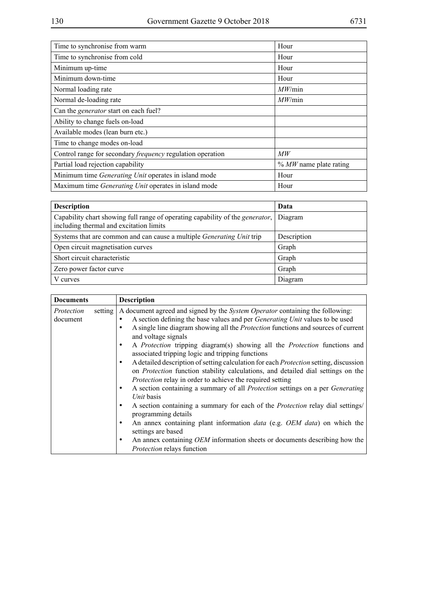| Time to synchronise from warm<br>Hour                               |      |  |  |
|---------------------------------------------------------------------|------|--|--|
| Time to synchronise from cold                                       | Hour |  |  |
| Minimum up-time<br>Hour                                             |      |  |  |
| Minimum down-time                                                   | Hour |  |  |
| MW/min<br>Normal loading rate                                       |      |  |  |
| MW/min<br>Normal de-loading rate                                    |      |  |  |
| Can the <i>generator</i> start on each fuel?                        |      |  |  |
| Ability to change fuels on-load                                     |      |  |  |
| Available modes (lean burn etc.)                                    |      |  |  |
| Time to change modes on-load                                        |      |  |  |
| Control range for secondary <i>frequency</i> regulation operation   | MW   |  |  |
| $\%$ MW name plate rating<br>Partial load rejection capability      |      |  |  |
| Minimum time <i>Generating Unit</i> operates in island mode         | Hour |  |  |
| Maximum time <i>Generating Unit</i> operates in island mode<br>Hour |      |  |  |

| <b>Description</b>                                                                                                               | Data        |
|----------------------------------------------------------------------------------------------------------------------------------|-------------|
| Capability chart showing full range of operating capability of the <i>generator</i> ,<br>including thermal and excitation limits | Diagram     |
| Systems that are common and can cause a multiple <i>Generating Unit</i> trip                                                     | Description |
| Open circuit magnetisation curves                                                                                                | Graph       |
| Short circuit characteristic                                                                                                     | Graph       |
| Zero power factor curve                                                                                                          | Graph       |
| V curves                                                                                                                         | Diagram     |

| <b>Documents</b>                  | <b>Description</b>                                                                                                                                                                                                                                                                                                                                                                                                                                                                                                                                                                                                                                                                                                                                                                                                                                                                                                                                                                                                                                                                                                                                                                    |
|-----------------------------------|---------------------------------------------------------------------------------------------------------------------------------------------------------------------------------------------------------------------------------------------------------------------------------------------------------------------------------------------------------------------------------------------------------------------------------------------------------------------------------------------------------------------------------------------------------------------------------------------------------------------------------------------------------------------------------------------------------------------------------------------------------------------------------------------------------------------------------------------------------------------------------------------------------------------------------------------------------------------------------------------------------------------------------------------------------------------------------------------------------------------------------------------------------------------------------------|
| setting<br>Protection<br>document | A document agreed and signed by the <i>System Operator</i> containing the following:<br>A section defining the base values and per <i>Generating Unit</i> values to be used<br>A single line diagram showing all the <i>Protection</i> functions and sources of current<br>and voltage signals<br>A Protection tripping diagram(s) showing all the Protection functions and<br>٠<br>associated tripping logic and tripping functions<br>A detailed description of setting calculation for each <i>Protection</i> setting, discussion<br>٠<br>on <i>Protection</i> function stability calculations, and detailed dial settings on the<br><i>Protection</i> relay in order to achieve the required setting<br>A section containing a summary of all <i>Protection</i> settings on a per <i>Generating</i><br>٠<br>Unit basis<br>A section containing a summary for each of the Protection relay dial settings/<br>٠<br>programming details<br>An annex containing plant information <i>data</i> (e.g. <i>OEM data</i> ) on which the<br>٠<br>settings are based<br>An annex containing <i>OEM</i> information sheets or documents describing how the<br>٠<br>Protection relays function |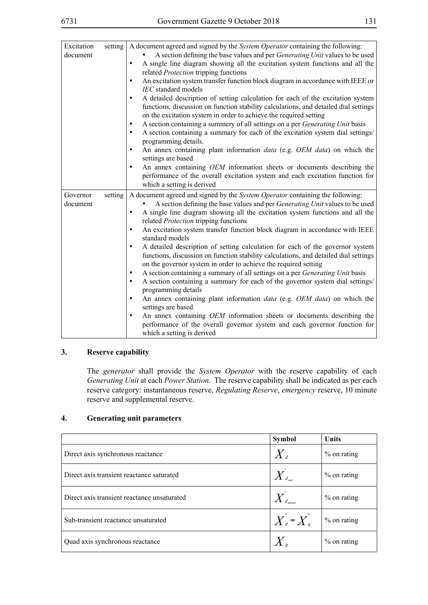| Excitation<br>setting<br>document | A document agreed and signed by the System Operator containing the following:<br>A section defining the base values and per Generating Unit values to be used<br>A single line diagram showing all the excitation system functions and all the<br>$\bullet$<br>related Protection tripping functions<br>An excitation system transfer function block diagram in accordance with IEEE or<br>٠<br>IEC standard models<br>A detailed description of setting calculation for each of the excitation system<br>$\bullet$<br>functions, discussion on function stability calculations, and detailed dial settings<br>on the excitation system in order to achieve the required setting<br>A section containing a summery of all settings on a per Generating Unit basis<br>$\bullet$<br>A section containing a summary for each of the excitation system dial settings/<br>$\bullet$<br>programming details.<br>An annex containing plant information data (e.g. OEM data) on which the<br>$\bullet$<br>settings are based<br>An annex containing OEM information sheets or documents describing the<br>$\bullet$<br>performance of the overall excitation system and each excitation function for<br>which a setting is derived |
|-----------------------------------|----------------------------------------------------------------------------------------------------------------------------------------------------------------------------------------------------------------------------------------------------------------------------------------------------------------------------------------------------------------------------------------------------------------------------------------------------------------------------------------------------------------------------------------------------------------------------------------------------------------------------------------------------------------------------------------------------------------------------------------------------------------------------------------------------------------------------------------------------------------------------------------------------------------------------------------------------------------------------------------------------------------------------------------------------------------------------------------------------------------------------------------------------------------------------------------------------------------------------|
| setting<br>Governor<br>document   | A document agreed and signed by the System Operator containing the following:<br>A section defining the base values and per Generating Unit values to be used<br>A single line diagram showing all the excitation system functions and all the<br>$\bullet$<br>related Protection tripping functions<br>An excitation system transfer function block diagram in accordance with IEEE<br>$\bullet$<br>standard models<br>A detailed description of setting calculation for each of the governor system<br>$\bullet$<br>functions, discussion on function stability calculations, and detailed dial settings<br>on the governor system in order to achieve the required setting<br>A section containing a summary of all settings on a per Generating Unit basis<br>٠<br>A section containing a summary for each of the governor system dial settings/<br>$\bullet$<br>programming details<br>An annex containing plant information data (e.g. OEM data) on which the<br>$\bullet$<br>settings are based<br>An annex containing <i>OEM</i> information sheets or documents describing the<br>$\bullet$<br>performance of the overall governor system and each governor function for<br>which a setting is derived            |

#### **3. Reserve capability**

The *generator* shall provide the *System Operator* with the reserve capability of each *Generating Unit* at each *Power Station*. The reserve capability shall be indicated as per each reserve category: instantaneous reserve, *Regulating Reserve*, *emergency* reserve, 10 minute reserve and supplemental reserve.

### **4. Generating unit parameters**

|                                             | <b>Symbol</b>                     | <b>Units</b>  |
|---------------------------------------------|-----------------------------------|---------------|
| Direct axis synchronous reactance           | $\langle X_a \rangle$             | $%$ on rating |
| Direct axis transient reactance saturated   |                                   | $%$ on rating |
| Direct axis transient reactance unsaturated |                                   | $%$ on rating |
| Sub-transient reactance unsaturated         | $\overline{X}_d = \overline{X}_q$ | $%$ on rating |
| Quad axis synchronous reactance             | $X_{\mathcal{I}}$                 | $%$ on rating |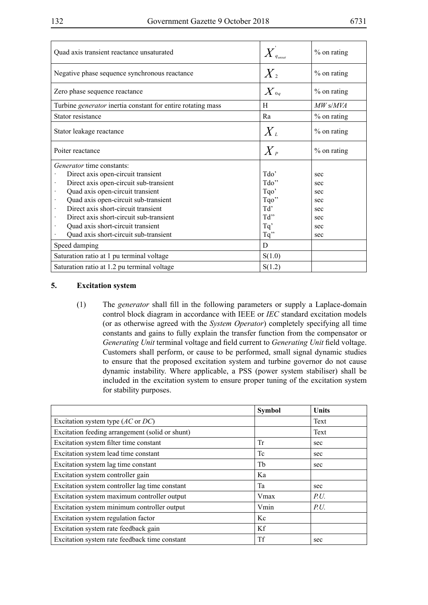| Quad axis transient reactance unsaturated                   |                        | $%$ on rating |
|-------------------------------------------------------------|------------------------|---------------|
| Negative phase sequence synchronous reactance               | $X_{2}$                | % on rating   |
| Zero phase sequence reactance                               | $\overline{X}_{^{0q}}$ | $%$ on rating |
| Turbine generator inertia constant for entire rotating mass | H                      | $MW$ s/MVA    |
| Stator resistance                                           | Ra                     | % on rating   |
| Stator leakage reactance                                    | $X_{\iota}$            | $%$ on rating |
| Poiter reactance                                            | $\overline{X}_P$       | $%$ on rating |
| <i>Generator</i> time constants:                            |                        |               |
| Direct axis open-circuit transient                          | $\text{Tdo'}$          | sec           |
| Direct axis open-circuit sub-transient                      | Tdo"                   | sec           |
| Quad axis open-circuit transient                            | Tqo'                   | sec           |
| Quad axis open-circuit sub-transient                        | Tqo"                   | sec           |
| Direct axis short-circuit transient                         | Td'                    | sec           |
| Direct axis short-circuit sub-transient                     | Td"                    | sec           |
| Quad axis short-circuit transient                           | Tq'                    | sec           |
| Quad axis short-circuit sub-transient                       | $Tq$ "                 | sec           |
| Speed damping                                               | D                      |               |
| Saturation ratio at 1 pu terminal voltage                   | S(1.0)                 |               |
| Saturation ratio at 1.2 pu terminal voltage                 | S(1.2)                 |               |

#### **5. Excitation system**

(1) The *generator* shall fill in the following parameters or supply a Laplace-domain control block diagram in accordance with IEEE or *IEC* standard excitation models (or as otherwise agreed with the *System Operator*) completely specifying all time constants and gains to fully explain the transfer function from the compensator or *Generating Unit* terminal voltage and field current to *Generating Unit* field voltage. Customers shall perform, or cause to be performed, small signal dynamic studies to ensure that the proposed excitation system and turbine governor do not cause dynamic instability. Where applicable, a PSS (power system stabiliser) shall be included in the excitation system to ensure proper tuning of the excitation system for stability purposes.

|                                                 | <b>Symbol</b> | <b>Units</b> |
|-------------------------------------------------|---------------|--------------|
| Excitation system type $(AC \text{ or } DC)$    |               | Text         |
| Excitation feeding arrangement (solid or shunt) |               | Text         |
| Excitation system filter time constant          | Tr            | sec          |
| Excitation system lead time constant            | Tc            | sec          |
| Excitation system lag time constant             | Tb            | sec          |
| Excitation system controller gain               | Ka            |              |
| Excitation system controller lag time constant  | Ta            | sec          |
| Excitation system maximum controller output     | Vmax          | P.U.         |
| Excitation system minimum controller output     | Vmin          | P.U.         |
| Excitation system regulation factor             | Kc            |              |
| Excitation system rate feedback gain            | Kf            |              |
| Excitation system rate feedback time constant   | <b>Tf</b>     | sec          |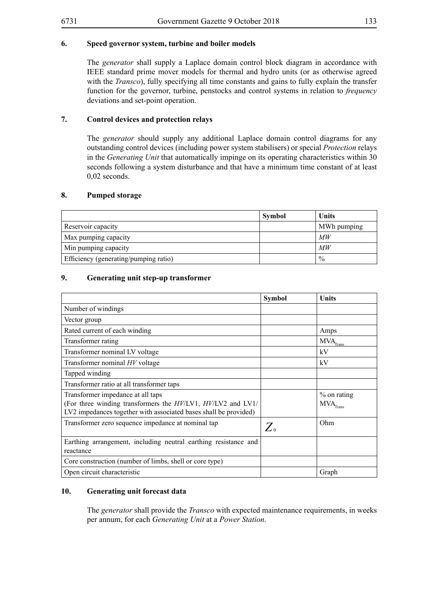## **6. Speed governor system, turbine and boiler models**

The *generator* shall supply a Laplace domain control block diagram in accordance with IEEE standard prime mover models for thermal and hydro units (or as otherwise agreed with the *Transco*), fully specifying all time constants and gains to fully explain the transfer function for the governor, turbine, penstocks and control systems in relation to *frequency* deviations and set-point operation.

#### **7. Control devices and protection relays**

The *generator* should supply any additional Laplace domain control diagrams for any outstanding control devices (including power system stabilisers) or special *Protection* relays in the *Generating Unit* that automatically impinge on its operating characteristics within 30 seconds following a system disturbance and that have a minimum time constant of at least 0,02 seconds.

#### **8. Pumped storage**

|                                       | Symbol | Units         |
|---------------------------------------|--------|---------------|
| Reservoir capacity                    |        | MWh pumping   |
| Max pumping capacity                  |        | МW            |
| Min pumping capacity                  |        | MW            |
| Efficiency (generating/pumping ratio) |        | $\frac{0}{0}$ |

#### **9. Generating unit step-up transformer**

|                                                                                                                                                                      | <b>Symbol</b>  | <b>Units</b>                                            |
|----------------------------------------------------------------------------------------------------------------------------------------------------------------------|----------------|---------------------------------------------------------|
| Number of windings                                                                                                                                                   |                |                                                         |
| Vector group                                                                                                                                                         |                |                                                         |
| Rated current of each winding                                                                                                                                        |                | Amps                                                    |
| Transformer rating                                                                                                                                                   |                | $\ensuremath{\text{MVA}}_\text{Trans}$                  |
| Transformer nominal LV voltage                                                                                                                                       |                | kV                                                      |
| Transformer nominal HV voltage                                                                                                                                       |                | kV                                                      |
| Tapped winding                                                                                                                                                       |                |                                                         |
| Transformer ratio at all transformer taps                                                                                                                            |                |                                                         |
| Transformer impedance at all taps<br>(For three winding transformers the HV/LV1, HV/LV2 and LV1/<br>LV2 impedances together with associated bases shall be provided) |                | $%$ on rating<br>$\ensuremath{\text{MVA}}_\text{Trans}$ |
| Transformer zero sequence impedance at nominal tap                                                                                                                   | $Z_{\tiny{0}}$ | Ohm                                                     |
| Earthing arrangement, including neutral earthing resistance and<br>reactance                                                                                         |                |                                                         |
| Core construction (number of limbs, shell or core type)                                                                                                              |                |                                                         |
| Open circuit characteristic                                                                                                                                          |                | Graph                                                   |

#### **10. Generating unit forecast data**

The *generator* shall provide the *Transco* with expected maintenance requirements, in weeks per annum, for each *Generating Unit* at a *Power Station*.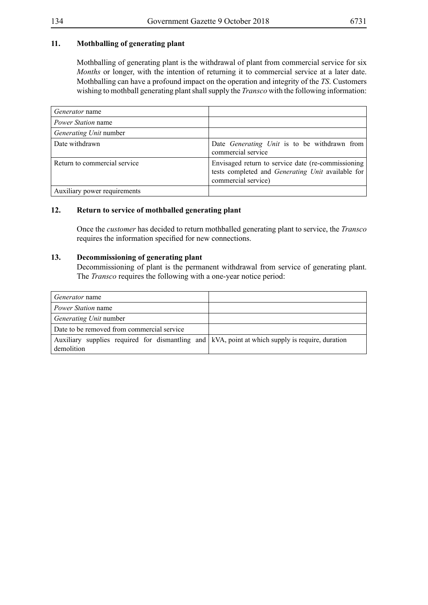## **11. Mothballing of generating plant**

Mothballing of generating plant is the withdrawal of plant from commercial service for six *Months* or longer, with the intention of returning it to commercial service at a later date. Mothballing can have a profound impact on the operation and integrity of the *TS*. Customers wishing to mothball generating plant shall supply the *Transco* with the following information:

| <i>Generator</i> name        |                                                                                                                                 |
|------------------------------|---------------------------------------------------------------------------------------------------------------------------------|
| <i>Power Station</i> name    |                                                                                                                                 |
| Generating Unit number       |                                                                                                                                 |
| Date withdrawn               | Date Generating Unit is to be withdrawn from<br>commercial service                                                              |
| Return to commercial service | Envisaged return to service date (re-commissioning)<br>tests completed and Generating Unit available for<br>commercial service) |
| Auxiliary power requirements |                                                                                                                                 |

## **12. Return to service of mothballed generating plant**

Once the *customer* has decided to return mothballed generating plant to service, the *Transco* requires the information specified for new connections.

#### **13. Decommissioning of generating plant**

Decommissioning of plant is the permanent withdrawal from service of generating plant. The *Transco* requires the following with a one-year notice period:

| <i>Generator</i> name                                                                                           |  |
|-----------------------------------------------------------------------------------------------------------------|--|
| <i>Power Station</i> name                                                                                       |  |
| <i>Generating Unit</i> number                                                                                   |  |
| Date to be removed from commercial service                                                                      |  |
| Auxiliary supplies required for dismantling and   kVA, point at which supply is require, duration<br>demolition |  |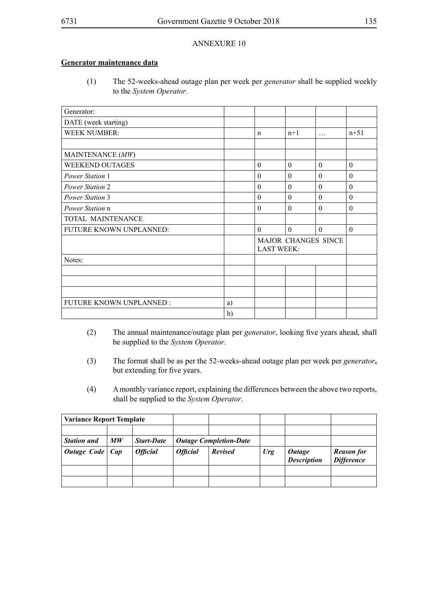#### **Generator maintenance data**

(1) The 52-weeks-ahead outage plan per week per *generator* shall be supplied weekly to the *System Operator*.

| Generator:               |    |              |                   |                     |                |
|--------------------------|----|--------------|-------------------|---------------------|----------------|
| DATE (week starting)     |    |              |                   |                     |                |
| <b>WEEK NUMBER:</b>      |    | n            | $n+1$             | $\cdots$            | $n+51$         |
|                          |    |              |                   |                     |                |
| MAINTENANCE (MW)         |    |              |                   |                     |                |
| WEEKEND OUTAGES          |    | $\Omega$     | $\theta$          | $\theta$            | $\theta$       |
| Power Station 1          |    | $\theta$     | $\theta$          | $\theta$            | $\overline{0}$ |
| Power Station 2          |    | $\theta$     | $\theta$          | $\theta$            | $\theta$       |
| Power Station 3          |    | $\Omega$     | $\theta$          | $\Omega$            | $\theta$       |
| Power Station n          |    | $\Omega$     | $\Omega$          | $\Omega$            | $\theta$       |
| TOTAL MAINTENANCE        |    |              |                   |                     |                |
| FUTURE KNOWN UNPLANNED:  |    | $\mathbf{0}$ | $\theta$          | $\theta$            | $\theta$       |
|                          |    |              | <b>LAST WEEK:</b> | MAJOR CHANGES SINCE |                |
| Notes:                   |    |              |                   |                     |                |
|                          |    |              |                   |                     |                |
|                          |    |              |                   |                     |                |
|                          |    |              |                   |                     |                |
| FUTURE KNOWN UNPLANNED : | a) |              |                   |                     |                |
|                          | b) |              |                   |                     |                |

- (2) The annual maintenance/outage plan per *generator*, looking five years ahead, shall be supplied to the *System Operator*.
- (3) The format shall be as per the 52-weeks-ahead outage plan per week per *generator***,**  but extending for five years.
- (4) A monthly variance report, explaining the differences between the above two reports, shall be supplied to the *System Operator*.

| <b>Variance Report Template</b> |                                |                   |                               |                |        |                                     |                                        |
|---------------------------------|--------------------------------|-------------------|-------------------------------|----------------|--------|-------------------------------------|----------------------------------------|
|                                 |                                |                   |                               |                |        |                                     |                                        |
| <b>Station and</b>              | $\boldsymbol{M}\boldsymbol{W}$ | <b>Start-Date</b> | <b>Outage Completion-Date</b> |                |        |                                     |                                        |
| Outage Code   Cap               |                                | <b>Official</b>   | <b>Official</b>               | <b>Revised</b> | $U$ rg | <b>Outage</b><br><b>Description</b> | <b>Reason for</b><br><b>Difference</b> |
|                                 |                                |                   |                               |                |        |                                     |                                        |
|                                 |                                |                   |                               |                |        |                                     |                                        |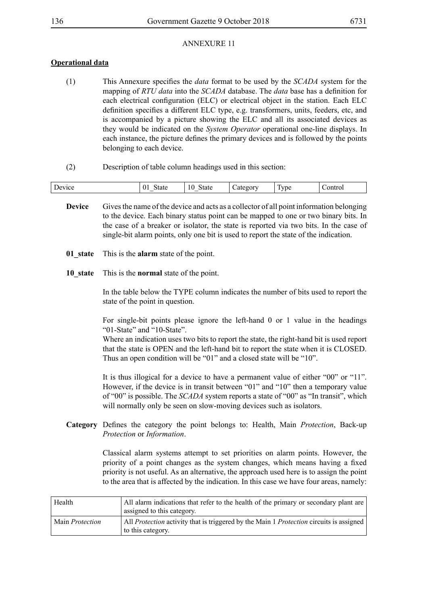## **Operational data**

- (1) This Annexure specifies the *data* format to be used by the *SCADA* system for the mapping of *RTU data* into the *SCADA* database. The *data* base has a definition for each electrical configuration (ELC) or electrical object in the station. Each ELC definition specifies a different ELC type, e.g. transformers, units, feeders, etc, and is accompanied by a picture showing the ELC and all its associated devices as they would be indicated on the *System Operator* operational one-line displays. In each instance, the picture defines the primary devices and is followed by the points belonging to each device.
- (2) Description of table column headings used in this section:

| Device | 01<br><b>State</b> | State<br>10<br>_ | $\sim$<br>category | $\mathbf{r}$<br><b>Lype</b> | Control |
|--------|--------------------|------------------|--------------------|-----------------------------|---------|
|        |                    |                  |                    |                             |         |

- **Device** Gives the name of the device and acts as a collector of all point information belonging to the device. Each binary status point can be mapped to one or two binary bits. In the case of a breaker or isolator, the state is reported via two bits. In the case of single-bit alarm points, only one bit is used to report the state of the indication.
- **01** state This is the **alarm** state of the point.
- **10\_state** This is the **normal** state of the point.

In the table below the TYPE column indicates the number of bits used to report the state of the point in question.

For single-bit points please ignore the left-hand 0 or 1 value in the headings "01-State" and "10-State".

Where an indication uses two bits to report the state, the right-hand bit is used report that the state is OPEN and the left-hand bit to report the state when it is CLOSED. Thus an open condition will be "01" and a closed state will be "10".

It is thus illogical for a device to have a permanent value of either "00" or "11". However, if the device is in transit between "01" and "10" then a temporary value of "00" is possible. The *SCADA* system reports a state of "00" as "In transit", which will normally only be seen on slow-moving devices such as isolators.

**Category** Defines the category the point belongs to: Health, Main *Protection*, Back-up *Protection* or *Information*.

> Classical alarm systems attempt to set priorities on alarm points. However, the priority of a point changes as the system changes, which means having a fixed priority is not useful. As an alternative, the approach used here is to assign the point to the area that is affected by the indication. In this case we have four areas, namely:

| Health                 | All alarm indications that refer to the health of the primary or secondary plant are<br>assigned to this category.         |
|------------------------|----------------------------------------------------------------------------------------------------------------------------|
| Main <i>Protection</i> | All <i>Protection</i> activity that is triggered by the Main 1 <i>Protection</i> circuits is assigned<br>to this category. |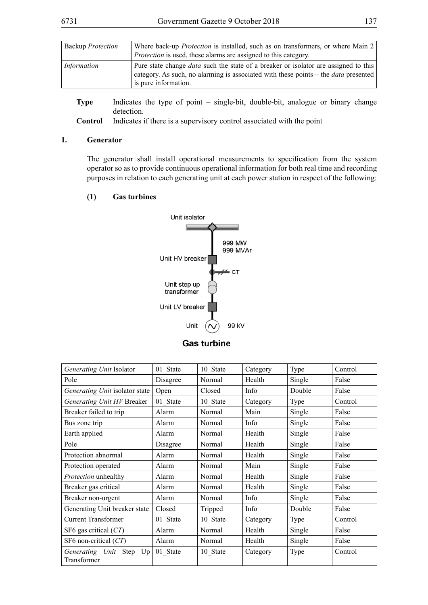| <b>Backup Protection</b> | Where back-up <i>Protection</i> is installed, such as on transformers, or where Main $2 \mid$                                                                                            |
|--------------------------|------------------------------------------------------------------------------------------------------------------------------------------------------------------------------------------|
|                          | <i>Protection</i> is used, these alarms are assigned to this category.                                                                                                                   |
| Information              | Pure state change <i>data</i> such the state of a breaker or isolator are assigned to this<br>category. As such, no alarming is associated with these points – the <i>data</i> presented |
|                          | is pure information.                                                                                                                                                                     |

**Type** Indicates the type of point – single-bit, double-bit, analogue or binary change detection.

**Control** Indicates if there is a supervisory control associated with the point

#### **1. Generator**

The generator shall install operational measurements to specification from the system operator so as to provide continuous operational information for both real time and recording purposes in relation to each generating unit at each power station in respect of the following:

#### **(1) Gas turbines**



| Generating Unit Isolator                  | 01_State | 10 State | Category | Type   | Control |
|-------------------------------------------|----------|----------|----------|--------|---------|
| Pole                                      | Disagree | Normal   | Health   | Single | False   |
| Generating Unit isolator state            | Open     | Closed   | Info     | Double | False   |
| Generating Unit HV Breaker                | 01 State | 10 State | Category | Type   | Control |
| Breaker failed to trip                    | Alarm    | Normal   | Main     | Single | False   |
| Bus zone trip                             | Alarm    | Normal   | Info     | Single | False   |
| Earth applied                             | Alarm    | Normal   | Health   | Single | False   |
| Pole                                      | Disagree | Normal   | Health   | Single | False   |
| Protection abnormal                       | Alarm    | Normal   | Health   | Single | False   |
| Protection operated                       | Alarm    | Normal   | Main     | Single | False   |
| Protection unhealthy                      | Alarm    | Normal   | Health   | Single | False   |
| Breaker gas critical                      | Alarm    | Normal   | Health   | Single | False   |
| Breaker non-urgent                        | Alarm    | Normal   | Info     | Single | False   |
| Generating Unit breaker state             | Closed   | Tripped  | Info     | Double | False   |
| <b>Current Transformer</b>                | 01 State | 10 State | Category | Type   | Control |
| SF6 gas critical $(CT)$                   | Alarm    | Normal   | Health   | Single | False   |
| SF6 non-critical $(CT)$                   | Alarm    | Normal   | Health   | Single | False   |
| Generating Unit Step<br>Up<br>Transformer | 01 State | 10 State | Category | Type   | Control |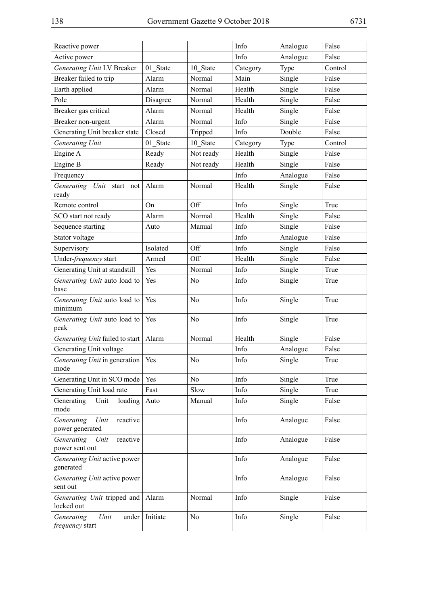| Reactive power                                    |          |                | Info     | Analogue | False   |
|---------------------------------------------------|----------|----------------|----------|----------|---------|
| Active power                                      |          |                | Info     | Analogue | False   |
| Generating Unit LV Breaker                        | 01 State | 10 State       | Category | Type     | Control |
| Breaker failed to trip                            | Alarm    | Normal         | Main     | Single   | False   |
| Earth applied                                     | Alarm    | Normal         | Health   | Single   | False   |
| Pole                                              | Disagree | Normal         | Health   | Single   | False   |
| Breaker gas critical                              | Alarm    | Normal         | Health   | Single   | False   |
| Breaker non-urgent                                | Alarm    | Normal         | Info     | Single   | False   |
| Generating Unit breaker state                     | Closed   | Tripped        | Info     | Double   | False   |
| Generating Unit                                   | 01 State | 10 State       | Category | Type     | Control |
| Engine A                                          | Ready    | Not ready      | Health   | Single   | False   |
| Engine B                                          | Ready    | Not ready      | Health   | Single   | False   |
| Frequency                                         |          |                | Info     | Analogue | False   |
| Generating Unit start not<br>ready                | Alarm    | Normal         | Health   | Single   | False   |
| Remote control                                    | On       | Off            | Info     | Single   | True    |
| SCO start not ready                               | Alarm    | Normal         | Health   | Single   | False   |
| Sequence starting                                 | Auto     | Manual         | Info     | Single   | False   |
| Stator voltage                                    |          |                | Info     | Analogue | False   |
| Supervisory                                       | Isolated | Off            | Info     | Single   | False   |
| Under-frequency start                             | Armed    | Off            | Health   | Single   | False   |
| Generating Unit at standstill                     | Yes      | Normal         | Info     | Single   | True    |
| Generating Unit auto load to<br>base              | Yes      | No             | Info     | Single   | True    |
| Generating Unit auto load to<br>minimum           | Yes      | No             | Info     | Single   | True    |
| Generating Unit auto load to<br>peak              | Yes      | N <sub>0</sub> | Info     | Single   | True    |
| Generating Unit failed to start                   | Alarm    | Normal         | Health   | Single   | False   |
| Generating Unit voltage                           |          |                | Info     | Analogue | False   |
| Generating Unit in generation   Yes<br>mode       |          | No             | Info     | Single   | True    |
| Generating Unit in SCO mode                       | Yes      | N <sub>0</sub> | Info     | Single   | True    |
| Generating Unit load rate                         | Fast     | Slow           | Info     | Single   | True    |
| Unit<br>Generating<br>loading<br>mode             | Auto     | Manual         | Info     | Single   | False   |
| Generating<br>Unit<br>reactive<br>power generated |          |                | Info     | Analogue | False   |
| Generating<br>Unit<br>reactive<br>power sent out  |          |                | Info     | Analogue | False   |
| Generating Unit active power<br>generated         |          |                | Info     | Analogue | False   |
| Generating Unit active power<br>sent out          |          |                | Info     | Analogue | False   |
| Generating Unit tripped and<br>locked out         | Alarm    | Normal         | Info     | Single   | False   |
| Generating<br>Unit<br>under<br>frequency start    | Initiate | No             | Info     | Single   | False   |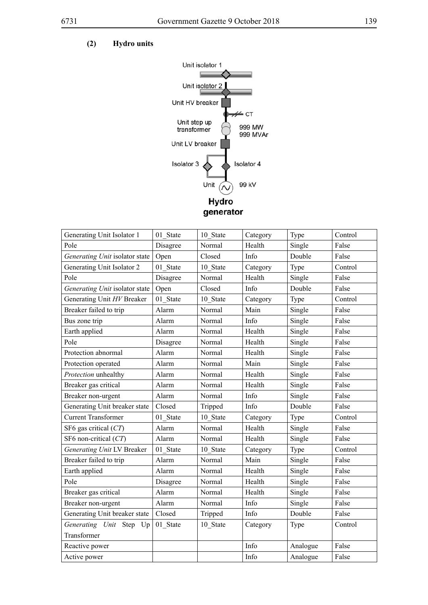

| Generating Unit Isolator 1     | 01 State | 10 State | Category | Type     | Control |
|--------------------------------|----------|----------|----------|----------|---------|
| Pole                           | Disagree | Normal   | Health   | Single   | False   |
| Generating Unit isolator state | Open     | Closed   | Info     | Double   | False   |
| Generating Unit Isolator 2     | 01 State | 10 State | Category | Type     | Control |
| Pole                           | Disagree | Normal   | Health   | Single   | False   |
| Generating Unit isolator state | Open     | Closed   | Info     | Double   | False   |
| Generating Unit HV Breaker     | 01 State | 10 State | Category | Type     | Control |
| Breaker failed to trip         | Alarm    | Normal   | Main     | Single   | False   |
| Bus zone trip                  | Alarm    | Normal   | Info     | Single   | False   |
| Earth applied                  | Alarm    | Normal   | Health   | Single   | False   |
| Pole                           | Disagree | Normal   | Health   | Single   | False   |
| Protection abnormal            | Alarm    | Normal   | Health   | Single   | False   |
| Protection operated            | Alarm    | Normal   | Main     | Single   | False   |
| Protection unhealthy           | Alarm    | Normal   | Health   | Single   | False   |
| Breaker gas critical           | Alarm    | Normal   | Health   | Single   | False   |
| Breaker non-urgent             | Alarm    | Normal   | Info     | Single   | False   |
| Generating Unit breaker state  | Closed   | Tripped  | Info     | Double   | False   |
| <b>Current Transformer</b>     | 01 State | 10 State | Category | Type     | Control |
| SF6 gas critical (CT)          | Alarm    | Normal   | Health   | Single   | False   |
| SF6 non-critical (CT)          | Alarm    | Normal   | Health   | Single   | False   |
| Generating Unit LV Breaker     | 01 State | 10 State | Category | Type     | Control |
| Breaker failed to trip         | Alarm    | Normal   | Main     | Single   | False   |
| Earth applied                  | Alarm    | Normal   | Health   | Single   | False   |
| Pole                           | Disagree | Normal   | Health   | Single   | False   |
| Breaker gas critical           | Alarm    | Normal   | Health   | Single   | False   |
| Breaker non-urgent             | Alarm    | Normal   | Info     | Single   | False   |
| Generating Unit breaker state  | Closed   | Tripped  | Info     | Double   | False   |
| Generating Unit Step Up        | 01 State | 10 State | Category | Type     | Control |
| Transformer                    |          |          |          |          |         |
| Reactive power                 |          |          | Info     | Analogue | False   |
| Active power                   |          |          | Info     | Analogue | False   |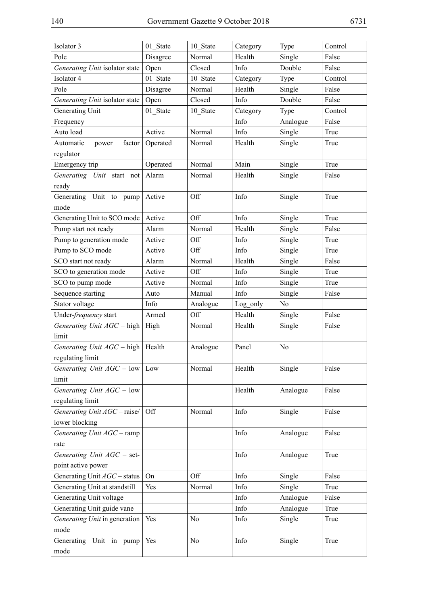| Isolator 3                     | 01 State | 10 State       | Category | Type     | Control |
|--------------------------------|----------|----------------|----------|----------|---------|
| Pole                           | Disagree | Normal         | Health   | Single   | False   |
| Generating Unit isolator state | Open     | Closed         | Info     | Double   | False   |
| Isolator 4                     | 01 State | 10 State       | Category | Type     | Control |
| Pole                           | Disagree | Normal         | Health   | Single   | False   |
| Generating Unit isolator state | Open     | Closed         | Info     | Double   | False   |
| Generating Unit                | 01 State | 10 State       | Category | Type     | Control |
| Frequency                      |          |                | Info     | Analogue | False   |
| Auto load                      | Active   | Normal         | Info     | Single   | True    |
| factor<br>Automatic<br>power   | Operated | Normal         | Health   | Single   | True    |
| regulator                      |          |                |          |          |         |
| Emergency trip                 | Operated | Normal         | Main     | Single   | True    |
| Generating Unit start not      | Alarm    | Normal         | Health   | Single   | False   |
| ready                          |          |                |          |          |         |
| Generating Unit to pump        | Active   | Off            | Info     | Single   | True    |
| mode                           |          |                |          |          |         |
| Generating Unit to SCO mode    | Active   | Off            | Info     | Single   | True    |
| Pump start not ready           | Alarm    | Normal         | Health   | Single   | False   |
| Pump to generation mode        | Active   | Off            | Info     | Single   | True    |
| Pump to SCO mode               | Active   | Off            | Info     | Single   | True    |
| SCO start not ready            | Alarm    | Normal         | Health   | Single   | False   |
| SCO to generation mode         | Active   | Off            | Info     | Single   | True    |
| SCO to pump mode               | Active   | Normal         | Info     | Single   | True    |
| Sequence starting              | Auto     | Manual         | Info     | Single   | False   |
| Stator voltage                 | Info     | Analogue       | Log only | No       |         |
| Under-frequency start          | Armed    | Off            | Health   | Single   | False   |
| Generating Unit AGC - high     | High     | Normal         | Health   | Single   | False   |
| limit                          |          |                |          |          |         |
| Generating Unit AGC - high     | Health   | Analogue       | Panel    | No       |         |
| regulating limit               |          |                |          |          |         |
| Generating Unit $AGC - low$    | Low      | Normal         | Health   | Single   | False   |
| limit                          |          |                |          |          |         |
| Generating Unit AGC - low      |          |                | Health   | Analogue | False   |
| regulating limit               |          |                |          |          |         |
| Generating Unit AGC - raise/   | Off      | Normal         | Info     | Single   | False   |
| lower blocking                 |          |                |          |          |         |
| Generating Unit AGC - ramp     |          |                | Info     | Analogue | False   |
| rate                           |          |                |          |          |         |
| Generating Unit $AGC$ – set-   |          |                | Info     | Analogue | True    |
| point active power             |          |                |          |          |         |
| Generating Unit AGC - status   | On       | Off            | Info     | Single   | False   |
| Generating Unit at standstill  | Yes      | Normal         | Info     | Single   | True    |
| Generating Unit voltage        |          |                | Info     | Analogue | False   |
| Generating Unit guide vane     |          |                | Info     | Analogue | True    |
| Generating Unit in generation  | Yes      | N <sub>0</sub> | Info     | Single   | True    |
| mode                           |          |                |          |          |         |
| Generating Unit in pump        | Yes      | No             | Info     | Single   | True    |
|                                |          |                |          |          |         |
| mode                           |          |                |          |          |         |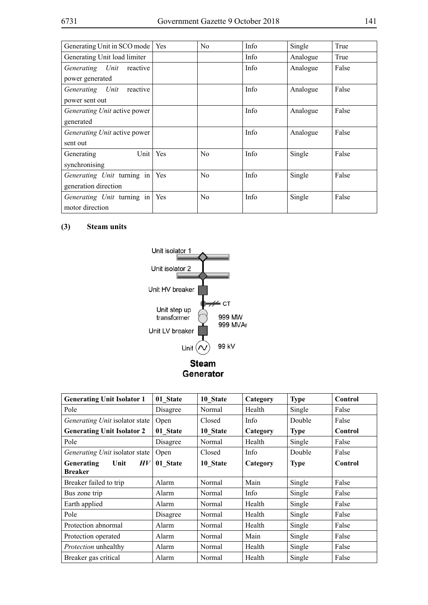| Generating Unit in SCO mode         | Yes | N <sub>0</sub> | Info | Single   | True  |
|-------------------------------------|-----|----------------|------|----------|-------|
| Generating Unit load limiter        |     |                | Info | Analogue | True  |
| Generating Unit<br>reactive         |     |                | Info | Analogue | False |
| power generated                     |     |                |      |          |       |
| Generating Unit<br>reactive         |     |                | Info | Analogue | False |
| power sent out                      |     |                |      |          |       |
| <i>Generating Unit</i> active power |     |                | Info | Analogue | False |
| generated                           |     |                |      |          |       |
| <i>Generating Unit</i> active power |     |                | Info | Analogue | False |
| sent out                            |     |                |      |          |       |
| Generating<br>Unit                  | Yes | N <sub>0</sub> | Info | Single   | False |
| synchronising                       |     |                |      |          |       |
| <i>Generating Unit</i> turning in   | Yes | N <sub>0</sub> | Info | Single   | False |
| generation direction                |     |                |      |          |       |
| <i>Generating Unit</i> turning in   | Yes | N <sub>0</sub> | Info | Single   | False |
| motor direction                     |     |                |      |          |       |

# **(3) Steam units**



| <b>Generating Unit Isolator 1</b> | 01 State | 10 State | Category | <b>Type</b> | Control |
|-----------------------------------|----------|----------|----------|-------------|---------|
| Pole                              | Disagree | Normal   | Health   | Single      | False   |
| Generating Unit isolator state    | Open     | Closed   | Info     | Double      | False   |
| <b>Generating Unit Isolator 2</b> | 01 State | 10 State | Category | <b>Type</b> | Control |
| Pole                              | Disagree | Normal   | Health   | Single      | False   |
| Generating Unit isolator state    | Open     | Closed   | Info     | Double      | False   |
| Generating<br>Unit<br>H V         | 01 State | 10 State | Category | <b>Type</b> | Control |
| <b>Breaker</b>                    |          |          |          |             |         |
| Breaker failed to trip            | Alarm    | Normal   | Main     | Single      | False   |
| Bus zone trip                     | Alarm    | Normal   | Info     | Single      | False   |
| Earth applied                     | Alarm    | Normal   | Health   | Single      | False   |
| Pole                              | Disagree | Normal   | Health   | Single      | False   |
| Protection abnormal               | Alarm    | Normal   | Health   | Single      | False   |
| Protection operated               | Alarm    | Normal   | Main     | Single      | False   |
| Protection unhealthy              | Alarm    | Normal   | Health   | Single      | False   |
| Breaker gas critical              | Alarm    | Normal   | Health   | Single      | False   |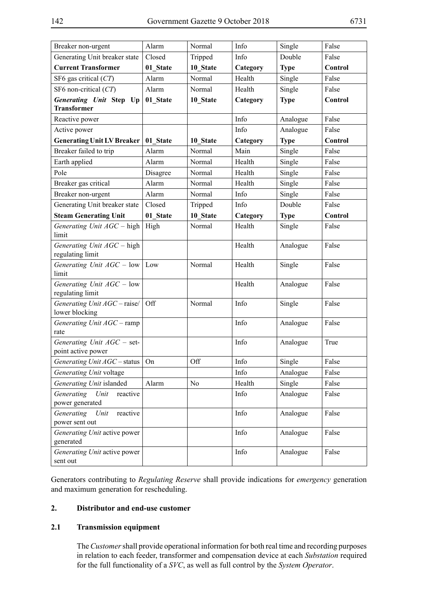| Breaker non-urgent                                 | Alarm    | Normal         | Info               | Single      | False   |
|----------------------------------------------------|----------|----------------|--------------------|-------------|---------|
| Generating Unit breaker state                      | Closed   | Tripped        | Info               | Double      | False   |
| <b>Current Transformer</b>                         | 01 State | 10 State       |                    |             | Control |
|                                                    | Alarm    | Normal         | Category<br>Health | <b>Type</b> |         |
| SF6 gas critical $(CT)$<br>SF6 non-critical $(CT)$ |          |                |                    | Single      | False   |
|                                                    | Alarm    | Normal         | Health             | Single      | False   |
| Generating Unit Step Up<br><b>Transformer</b>      | 01 State | 10 State       | Category           | <b>Type</b> | Control |
| Reactive power                                     |          |                | Info               | Analogue    | False   |
| Active power                                       |          |                | Info               | Analogue    | False   |
| <b>Generating Unit LV Breaker</b>                  | 01 State | 10 State       | Category           | <b>Type</b> | Control |
| Breaker failed to trip                             | Alarm    | Normal         | Main               | Single      | False   |
| Earth applied                                      | Alarm    | Normal         | Health             | Single      | False   |
| Pole                                               | Disagree | Normal         | Health             | Single      | False   |
| Breaker gas critical                               | Alarm    | Normal         | Health             | Single      | False   |
| Breaker non-urgent                                 | Alarm    | Normal         | Info               | Single      | False   |
| Generating Unit breaker state                      | Closed   | Tripped        | Info               | Double      | False   |
| <b>Steam Generating Unit</b>                       | 01 State | 10 State       | Category           | <b>Type</b> | Control |
| Generating Unit AGC - high<br>limit                | High     | Normal         | Health             | Single      | False   |
| Generating Unit AGC - high<br>regulating limit     |          |                | Health             | Analogue    | False   |
| Generating Unit $AGC - low$<br>limit               | Low      | Normal         | Health             | Single      | False   |
| Generating Unit AGC - low<br>regulating limit      |          |                | Health             | Analogue    | False   |
| Generating Unit AGC - raise/<br>lower blocking     | Off      | Normal         | Info               | Single      | False   |
| Generating Unit AGC - ramp<br>rate                 |          |                | Info               | Analogue    | False   |
| Generating Unit AGC - set-<br>point active power   |          |                | Info               | Analogue    | True    |
| Generating Unit AGC - status                       | On       | Off            | Info               | Single      | False   |
| Generating Unit voltage                            |          |                | Info               | Analogue    | False   |
| Generating Unit islanded                           | Alarm    | N <sub>o</sub> | Health             | Single      | False   |
| Generating<br>Unit<br>reactive<br>power generated  |          |                | Info               | Analogue    | False   |
| Generating<br>reactive<br>Unit<br>power sent out   |          |                | Info               | Analogue    | False   |
| Generating Unit active power<br>generated          |          |                | Info               | Analogue    | False   |
| Generating Unit active power<br>sent out           |          |                | Info               | Analogue    | False   |

Generators contributing to *Regulating Reserve* shall provide indications for *emergency* generation and maximum generation for rescheduling.

## **2. Distributor and end-use customer**

#### **2.1 Transmission equipment**

The *Customer* shall provide operational information for both real time and recording purposes in relation to each feeder, transformer and compensation device at each *Substation* required for the full functionality of a *SVC*, as well as full control by the *System Operator*.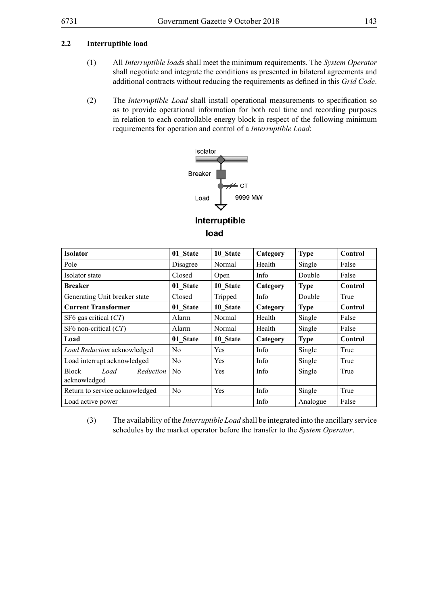#### **2.2 Interruptible load**

- (1) All *Interruptible load*s shall meet the minimum requirements. The *System Operator* shall negotiate and integrate the conditions as presented in bilateral agreements and additional contracts without reducing the requirements as defined in this *Grid Code*.
- (2) The *Interruptible Load* shall install operational measurements to specification so as to provide operational information for both real time and recording purposes in relation to each controllable energy block in respect of the following minimum requirements for operation and control of a *Interruptible Load*:



Interruptible load

| <b>Isolator</b>                                   | 01 State       | 10 State    | Category | <b>Type</b> | Control        |
|---------------------------------------------------|----------------|-------------|----------|-------------|----------------|
| Pole                                              | Disagree       | Normal      | Health   | Single      | False          |
| Isolator state                                    | Closed         | <b>Open</b> | Info     | Double      | False          |
| <b>Breaker</b>                                    | 01 State       | 10 State    | Category | <b>Type</b> | <b>Control</b> |
| Generating Unit breaker state                     | Closed         | Tripped     | Info     | Double      | True           |
| <b>Current Transformer</b>                        | 01 State       | 10 State    | Category | <b>Type</b> | Control        |
| SF6 gas critical $(CT)$                           | Alarm          | Normal      | Health   | Single      | False          |
| SF6 non-critical $(CT)$                           | Alarm          | Normal      | Health   | Single      | False          |
| Load                                              | 01 State       | 10 State    | Category | <b>Type</b> | Control        |
| Load Reduction acknowledged                       | No.            | Yes         | Info     | Single      | True           |
| Load interrupt acknowledged                       | N <sub>0</sub> | Yes         | Info     | Single      | True           |
| <b>Block</b><br>Load<br>Reduction<br>acknowledged | N <sub>0</sub> | Yes         | Info     | Single      | True           |
| Return to service acknowledged                    | N <sub>0</sub> | Yes         | Info     | Single      | True           |
| Load active power                                 |                |             | Info     | Analogue    | False          |

(3) The availability of the *Interruptible Load* shall be integrated into the ancillary service schedules by the market operator before the transfer to the *System Operator*.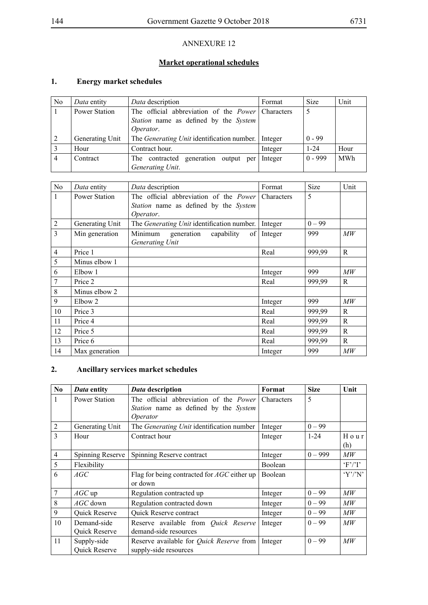# **Market operational schedules**

## **1. Energy market schedules**

| N <sub>0</sub> | Data entity     | Data description                                         | Format  | <b>Size</b> | Unit       |
|----------------|-----------------|----------------------------------------------------------|---------|-------------|------------|
|                | Power Station   | The official abbreviation of the <i>Power</i> Characters |         | 5           |            |
|                |                 | Station name as defined by the System                    |         |             |            |
|                |                 | Operator.                                                |         |             |            |
|                | Generating Unit | The <i>Generating Unit</i> identification number.        | Integer | $0 - 99$    |            |
|                | Hour            | Contract hour.                                           | Integer | $1 - 24$    | Hour       |
| 4              | Contract        | The contracted generation output per                     | Integer | $0 - 999$   | <b>MWh</b> |
|                |                 | Generating Unit.                                         |         |             |            |

| N <sub>o</sub> | Data entity          | Data description                           | Format            | Size     | Unit            |
|----------------|----------------------|--------------------------------------------|-------------------|----------|-----------------|
| 1              | <b>Power Station</b> | The official abbreviation of the Power     | <b>Characters</b> | 5        |                 |
|                |                      | Station name as defined by the System      |                   |          |                 |
|                |                      | Operator.                                  |                   |          |                 |
| $\overline{2}$ | Generating Unit      | The Generating Unit identification number. | Integer           | $0 - 99$ |                 |
| $\overline{3}$ | Min generation       | Minimum<br>generation<br>capability<br>of  | Integer           | 999      | $\overline{MW}$ |
|                |                      | Generating Unit                            |                   |          |                 |
| $\overline{4}$ | Price 1              |                                            | Real              | 999,99   | R               |
| 5              | Minus elbow 1        |                                            |                   |          |                 |
| 6              | Elbow 1              |                                            | Integer           | 999      | MW              |
| 7              | Price 2              |                                            | Real              | 999,99   | R               |
| $\,$ 8 $\,$    | Minus elbow 2        |                                            |                   |          |                 |
| 9              | Elbow 2              |                                            | Integer           | 999      | $\overline{MW}$ |
| 10             | Price 3              |                                            | Real              | 999,99   | R               |
| 11             | Price 4              |                                            | Real              | 999,99   | $\mathsf{R}$    |
| 12             | Price 5              |                                            | Real              | 999,99   | R               |
| 13             | Price 6              |                                            | Real              | 999,99   | $\mathsf{R}$    |
| 14             | Max generation       |                                            | Integer           | 999      | $\overline{MW}$ |

# **2. Ancillary services market schedules**

| N <sub>0</sub> | Data entity          | Data description                                   | Format            | <b>Size</b> | Unit            |
|----------------|----------------------|----------------------------------------------------|-------------------|-------------|-----------------|
| 1              | <b>Power Station</b> | The official abbreviation of the <i>Power</i>      | <b>Characters</b> | 5           |                 |
|                |                      | Station name as defined by the System              |                   |             |                 |
|                |                      | <i>Operator</i>                                    |                   |             |                 |
| $\overline{2}$ | Generating Unit      | The <i>Generating Unit</i> identification number   | Integer           | $0 - 99$    |                 |
| $\overline{3}$ | Hour                 | Contract hour                                      | Integer           | $1 - 24$    | Hour            |
|                |                      |                                                    |                   |             | (h)             |
| $\overline{4}$ | Spinning Reserve     | Spinning Reserve contract                          | Integer           | $0 - 999$   | МW              |
| 5              | Flexibility          |                                                    | Boolean           |             | F'/T            |
| 6              | AGC                  | Flag for being contracted for <i>AGC</i> either up | Boolean           |             | Y'/N'           |
|                |                      | or down                                            |                   |             |                 |
| $\tau$         | $AGC$ up             | Regulation contracted up                           | Integer           | $0 - 99$    | $\overline{MW}$ |
| 8              | $AGC$ down           | Regulation contracted down                         | Integer           | $0 - 99$    | $\mathcal{M}W$  |
| 9              | <b>Quick Reserve</b> | Quick Reserve contract                             | Integer           | $0 - 99$    | $\overline{MW}$ |
| 10             | Demand-side          | Reserve available from Quick Reserve               | Integer           | $0 - 99$    | $\overline{MW}$ |
|                | Quick Reserve        | demand-side resources                              |                   |             |                 |
| 11             | Supply-side          | Reserve available for <i>Quick Reserve</i> from    | Integer           | $0 - 99$    | MW              |
|                | <b>Quick Reserve</b> | supply-side resources                              |                   |             |                 |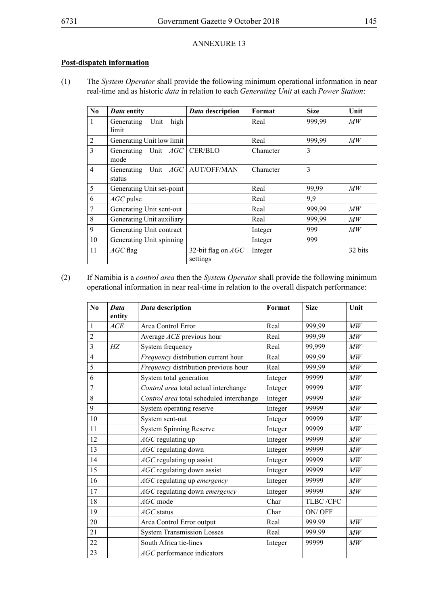## **Post-dispatch information**

(1) The *System Operator* shall provide the following minimum operational information in near real-time and as historic *data* in relation to each *Generating Unit* at each *Power Station*:

| No             | Data entity                               | Data description               | Format    | <b>Size</b> | Unit            |
|----------------|-------------------------------------------|--------------------------------|-----------|-------------|-----------------|
| $\mathbf{1}$   | high<br>Generating<br>Unit<br>limit       |                                | Real      | 999,99      | $\overline{MW}$ |
| $\overline{2}$ | Generating Unit low limit                 |                                | Real      | 999,99      | $\mathcal{M}W$  |
| $\overline{3}$ | Generating Unit $AGC$<br>mode             | CER/BLO                        | Character | 3           |                 |
| $\overline{4}$ | Generating Unit AGC AUT/OFF/MAN<br>status |                                | Character | 3           |                 |
| 5              | Generating Unit set-point                 |                                | Real      | 99,99       | $\mathcal{M}W$  |
| 6              | $AGC$ pulse                               |                                | Real      | 9,9         |                 |
| $\tau$         | Generating Unit sent-out                  |                                | Real      | 999,99      | $\overline{MW}$ |
| $\,8\,$        | Generating Unit auxiliary                 |                                | Real      | 999,99      | МW              |
| 9              | Generating Unit contract                  |                                | Integer   | 999         | $\mathcal{M}W$  |
| 10             | Generating Unit spinning                  |                                | Integer   | 999         |                 |
| 11             | $AGC$ flag                                | 32-bit flag on AGC<br>settings | Integer   |             | 32 bits         |

(2) If Namibia is a *control area* then the *System Operator* shall provide the following minimum operational information in near real-time in relation to the overall dispatch performance:

| N <sub>0</sub> | Data<br>entity | Data description                         | Format  | <b>Size</b> | Unit          |
|----------------|----------------|------------------------------------------|---------|-------------|---------------|
| $\mathbf{1}$   | ACE            | Area Control Error                       | Real    | 999,99      | MW            |
| $\overline{2}$ |                | Average ACE previous hour                | Real    | 999,99      | MW            |
| $\overline{3}$ | HZ             | System frequency                         | Real    | 99,999      | MW            |
| $\overline{4}$ |                | Frequency distribution current hour      | Real    | 999,99      | $\mathit{MW}$ |
| 5              |                | Frequency distribution previous hour     | Real    | 999,99      | MW            |
| 6              |                | System total generation                  | Integer | 99999       | $\mathit{MW}$ |
| $\overline{7}$ |                | Control area total actual interchange    | Integer | 99999       | MW            |
| 8              |                | Control area total scheduled interchange | Integer | 99999       | M W           |
| 9              |                | System operating reserve                 | Integer | 99999       | MW            |
| 10             |                | System sent-out                          | Integer | 99999       | MW            |
| 11             |                | <b>System Spinning Reserve</b>           | Integer | 99999       | MW            |
| 12             |                | AGC regulating up                        | Integer | 99999       | MW            |
| 13             |                | AGC regulating down                      | Integer | 99999       | MW            |
| 14             |                | <i>AGC</i> regulating up assist          | Integer | 99999       | M W           |
| 15             |                | AGC regulating down assist               | Integer | 99999       | M W           |
| 16             |                | AGC regulating up emergency              | Integer | 99999       | M W           |
| 17             |                | AGC regulating down emergency            | Integer | 99999       | MW            |
| 18             |                | AGC mode                                 | Char    | TLBC /CFC   |               |
| 19             |                | $AGC$ status                             | Char    | ON/OFF      |               |
| 20             |                | Area Control Error output                | Real    | 999.99      | MW            |
| 21             |                | <b>System Transmission Losses</b>        | Real    | 999.99      | MW            |
| 22             |                | South Africa tie-lines                   | Integer | 99999       | MW            |
| 23             |                | AGC performance indicators               |         |             |               |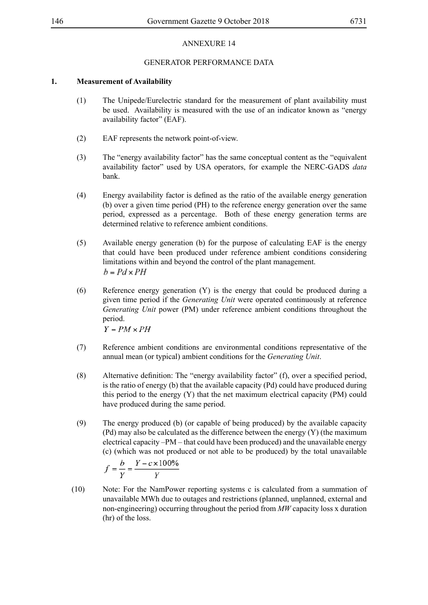### GENERATOR PERFORMANCE DATA

### **1. Measurement of Availability**

- (1) The Unipede/Eurelectric standard for the measurement of plant availability must be used. Availability is measured with the use of an indicator known as "energy availability factor" (EAF).
- (2) EAF represents the network point-of-view.
- (3) The "energy availability factor" has the same conceptual content as the "equivalent availability factor" used by USA operators, for example the NERC-GADS *data* bank.
- (4) Energy availability factor is defined as the ratio of the available energy generation (b) over a given time period (PH) to the reference energy generation over the same period, expressed as a percentage. Both of these energy generation terms are determined relative to reference ambient conditions.
- (5) Available energy generation (b) for the purpose of calculating EAF is the energy that could have been produced under reference ambient conditions considering limitations within and beyond the control of the plant management.  $b = Pd \times PH$
- (6) Reference energy generation (Y) is the energy that could be produced during a given time period if the *Generating Unit* were operated continuously at reference *Generating Unit* power (PM) under reference ambient conditions throughout the period.

 $Y = PM \times PH$ 

- (7) Reference ambient conditions are environmental conditions representative of the annual mean (or typical) ambient conditions for the *Generating Unit*.
- (8) Alternative definition: The "energy availability factor" (f), over a specified period, is the ratio of energy (b) that the available capacity (Pd) could have produced during this period to the energy (Y) that the net maximum electrical capacity (PM) could have produced during the same period.
- (9) The energy produced (b) (or capable of being produced) by the available capacity (Pd) may also be calculated as the difference between the energy (Y) (the maximum electrical capacity –PM – that could have been produced) and the unavailable energy (c) (which was not produced or not able to be produced) by the total unavailable

$$
f = \frac{b}{Y} = \frac{Y - c \times 100\%}{Y}
$$

(10) Note: For the NamPower reporting systems c is calculated from a summation of unavailable MWh due to outages and restrictions (planned, unplanned, external and non-engineering) occurring throughout the period from *MW* capacity loss x duration (hr) of the loss.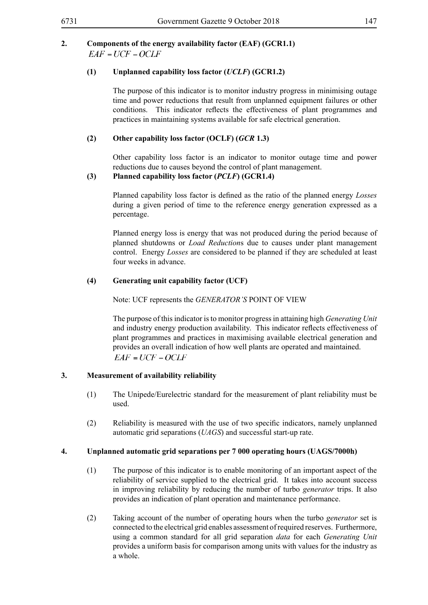#### **2. Components of the energy availability factor (EAF) (GCR1.1)**  $EAF = UCF - OCLF$

### **(1) Unplanned capability loss factor (***UCLF***) (GCR1.2)**

The purpose of this indicator is to monitor industry progress in minimising outage time and power reductions that result from unplanned equipment failures or other conditions. This indicator reflects the effectiveness of plant programmes and practices in maintaining systems available for safe electrical generation.

### **(2) Other capability loss factor (OCLF) (***GCR* **1.3)**

Other capability loss factor is an indicator to monitor outage time and power reductions due to causes beyond the control of plant management.

### **(3) Planned capability loss factor (***PCLF***) (GCR1.4)**

Planned capability loss factor is defined as the ratio of the planned energy *Losses* during a given period of time to the reference energy generation expressed as a percentage.

Planned energy loss is energy that was not produced during the period because of planned shutdowns or *Load Reduction*s due to causes under plant management control. Energy *Losses* are considered to be planned if they are scheduled at least four weeks in advance.

### **(4) Generating unit capability factor (UCF)**

Note: UCF represents the *GENERATOR'S* POINT OF VIEW

The purpose of this indicator is to monitor progress in attaining high *Generating Unit* and industry energy production availability. This indicator reflects effectiveness of plant programmes and practices in maximising available electrical generation and provides an overall indication of how well plants are operated and maintained.  $EAF = UCF - OCLF$ 

### **3. Measurement of availability reliability**

- (1) The Unipede/Eurelectric standard for the measurement of plant reliability must be used.
- (2) Reliability is measured with the use of two specific indicators, namely unplanned automatic grid separations (*UAGS*) and successful start-up rate.

#### **4. Unplanned automatic grid separations per 7 000 operating hours (UAGS/7000h)**

- (1) The purpose of this indicator is to enable monitoring of an important aspect of the reliability of service supplied to the electrical grid. It takes into account success in improving reliability by reducing the number of turbo *generator* trips. It also provides an indication of plant operation and maintenance performance.
- (2) Taking account of the number of operating hours when the turbo *generator* set is connected to the electrical grid enables assessment of required reserves. Furthermore, using a common standard for all grid separation *data* for each *Generating Unit* provides a uniform basis for comparison among units with values for the industry as a whole.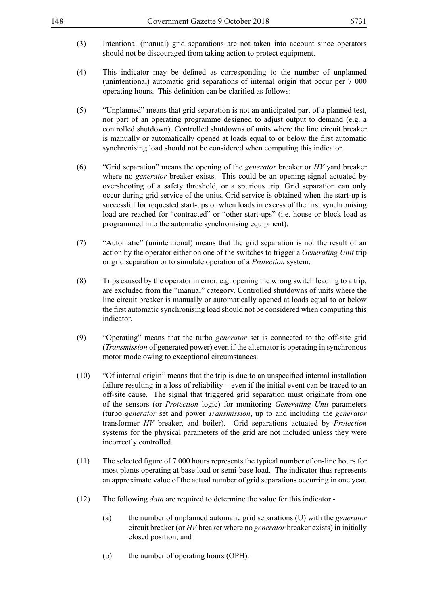- (3) Intentional (manual) grid separations are not taken into account since operators should not be discouraged from taking action to protect equipment.
- (4) This indicator may be defined as corresponding to the number of unplanned (unintentional) automatic grid separations of internal origin that occur per 7 000 operating hours. This definition can be clarified as follows:
- (5) "Unplanned" means that grid separation is not an anticipated part of a planned test, nor part of an operating programme designed to adjust output to demand (e.g. a controlled shutdown). Controlled shutdowns of units where the line circuit breaker is manually or automatically opened at loads equal to or below the first automatic synchronising load should not be considered when computing this indicator.
- (6) "Grid separation" means the opening of the *generator* breaker or *HV* yard breaker where no *generator* breaker exists. This could be an opening signal actuated by overshooting of a safety threshold, or a spurious trip. Grid separation can only occur during grid service of the units. Grid service is obtained when the start-up is successful for requested start-ups or when loads in excess of the first synchronising load are reached for "contracted" or "other start-ups" (i.e. house or block load as programmed into the automatic synchronising equipment).
- (7) "Automatic" (unintentional) means that the grid separation is not the result of an action by the operator either on one of the switches to trigger a *Generating Unit* trip or grid separation or to simulate operation of a *Protection* system.
- (8) Trips caused by the operator in error, e.g. opening the wrong switch leading to a trip, are excluded from the "manual" category. Controlled shutdowns of units where the line circuit breaker is manually or automatically opened at loads equal to or below the first automatic synchronising load should not be considered when computing this indicator.
- (9) "Operating" means that the turbo *generator* set is connected to the off-site grid (*Transmission* of generated power) even if the alternator is operating in synchronous motor mode owing to exceptional circumstances.
- (10) "Of internal origin" means that the trip is due to an unspecified internal installation failure resulting in a loss of reliability – even if the initial event can be traced to an off-site cause. The signal that triggered grid separation must originate from one of the sensors (or *Protection* logic) for monitoring *Generating Unit* parameters (turbo *generator* set and power *Transmission*, up to and including the *generator* transformer *HV* breaker, and boiler). Grid separations actuated by *Protection* systems for the physical parameters of the grid are not included unless they were incorrectly controlled.
- (11) The selected figure of 7 000 hours represents the typical number of on-line hours for most plants operating at base load or semi-base load. The indicator thus represents an approximate value of the actual number of grid separations occurring in one year.
- (12) The following *data* are required to determine the value for this indicator
	- (a) the number of unplanned automatic grid separations (U) with the *generator* circuit breaker (or *HV* breaker where no *generator* breaker exists) in initially closed position; and
	- (b) the number of operating hours (OPH).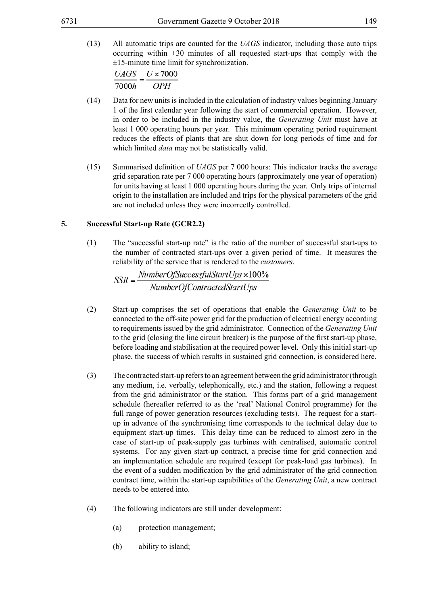(13) All automatic trips are counted for the *UAGS* indicator, including those auto trips occurring within +30 minutes of all requested start-ups that comply with the  $±15$ -minute time limit for synchronization.

 $UAGS$   $U \times 7000$  $7000h$ <sup>-</sup>  $OPH$ 

- (14) Data for new units is included in the calculation of industry values beginning January 1 of the first calendar year following the start of commercial operation. However, in order to be included in the industry value, the *Generating Unit* must have at least 1 000 operating hours per year. This minimum operating period requirement reduces the effects of plants that are shut down for long periods of time and for which limited *data* may not be statistically valid.
- (15) Summarised definition of *UAGS* per 7 000 hours: This indicator tracks the average grid separation rate per 7 000 operating hours (approximately one year of operation) for units having at least 1 000 operating hours during the year. Only trips of internal origin to the installation are included and trips for the physical parameters of the grid are not included unless they were incorrectly controlled.

### **5. Successful Start-up Rate (GCR2.2)**

(1) The "successful start-up rate" is the ratio of the number of successful start-ups to the number of contracted start-ups over a given period of time. It measures the reliability of the service that is rendered to the *customers*.

 $SSR = \frac{NumberOfSuccessfulStartUps \times 100\%}{NumberOfContractedStartUps}$ 

- (2) Start-up comprises the set of operations that enable the *Generating Unit* to be connected to the off-site power grid for the production of electrical energy according to requirements issued by the grid administrator. Connection of the *Generating Unit* to the grid (closing the line circuit breaker) is the purpose of the first start-up phase, before loading and stabilisation at the required power level. Only this initial start-up phase, the success of which results in sustained grid connection, is considered here.
- (3) The contracted start-up refers to an agreement between the grid administrator (through any medium, i.e. verbally, telephonically, etc.) and the station, following a request from the grid administrator or the station. This forms part of a grid management schedule (hereafter referred to as the 'real' National Control programme) for the full range of power generation resources (excluding tests). The request for a startup in advance of the synchronising time corresponds to the technical delay due to equipment start-up times. This delay time can be reduced to almost zero in the case of start-up of peak-supply gas turbines with centralised, automatic control systems. For any given start-up contract, a precise time for grid connection and an implementation schedule are required (except for peak-load gas turbines). In the event of a sudden modification by the grid administrator of the grid connection contract time, within the start-up capabilities of the *Generating Unit*, a new contract needs to be entered into.
- (4) The following indicators are still under development:
	- (a) protection management;
	- (b) ability to island;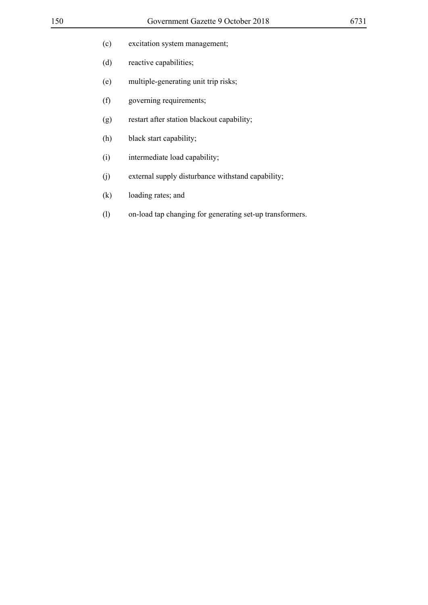- (d) reactive capabilities;
- (e) multiple-generating unit trip risks;
- (f) governing requirements;
- (g) restart after station blackout capability;
- (h) black start capability;
- (i) intermediate load capability;
- (j) external supply disturbance withstand capability;
- (k) loading rates; and
- (l) on-load tap changing for generating set-up transformers.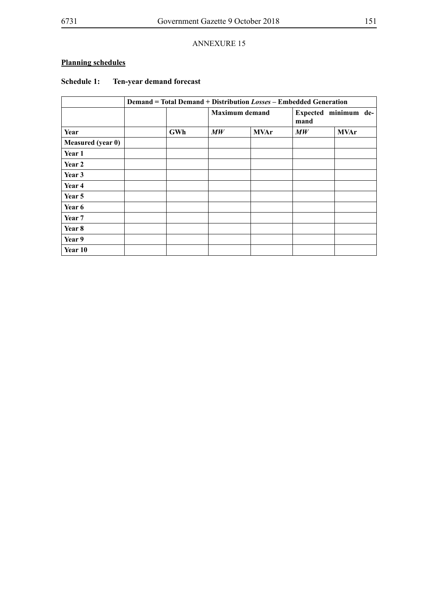# **Planning schedules**

## **Schedule 1: Ten-year demand forecast**

|                   | <b>Demand = Total Demand + Distribution Losses - Embedded Generation</b> |                                |             |                                |             |
|-------------------|--------------------------------------------------------------------------|--------------------------------|-------------|--------------------------------|-------------|
|                   |                                                                          | <b>Maximum</b> demand          |             | Expected minimum de-<br>mand   |             |
| Year              | GWh                                                                      | $\boldsymbol{M}\boldsymbol{W}$ | <b>MVAr</b> | $\boldsymbol{M}\boldsymbol{W}$ | <b>MVAr</b> |
| Measured (year 0) |                                                                          |                                |             |                                |             |
| Year 1            |                                                                          |                                |             |                                |             |
| Year 2            |                                                                          |                                |             |                                |             |
| Year 3            |                                                                          |                                |             |                                |             |
| Year 4            |                                                                          |                                |             |                                |             |
| Year 5            |                                                                          |                                |             |                                |             |
| Year 6            |                                                                          |                                |             |                                |             |
| Year 7            |                                                                          |                                |             |                                |             |
| Year 8            |                                                                          |                                |             |                                |             |
| Year 9            |                                                                          |                                |             |                                |             |
| Year 10           |                                                                          |                                |             |                                |             |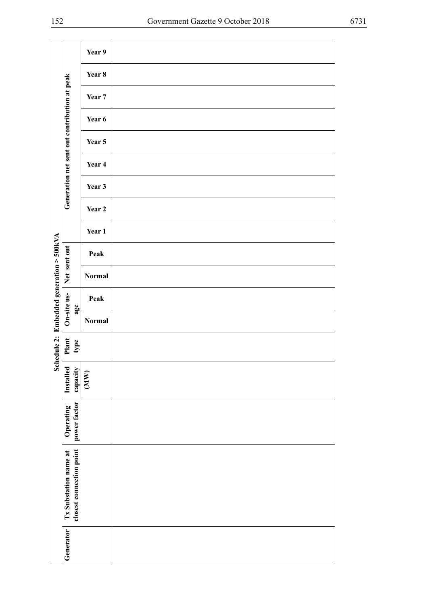|                                         |                                                   | Year 9            |  |
|-----------------------------------------|---------------------------------------------------|-------------------|--|
|                                         |                                                   | Year 8            |  |
|                                         |                                                   | Year <sub>7</sub> |  |
|                                         |                                                   | Year 6            |  |
|                                         | Generation net sent out contribution at peak      | Year 5            |  |
|                                         |                                                   | Year 4            |  |
|                                         |                                                   | Year 3            |  |
|                                         |                                                   | Year 2            |  |
|                                         |                                                   | Year 1            |  |
|                                         |                                                   | Peak              |  |
|                                         | Net sent out                                      | Normal            |  |
|                                         |                                                   |                   |  |
|                                         | On-site us-<br>$\mathbf{age}$                     | Peak              |  |
|                                         |                                                   | Normal            |  |
| edule 2: Embedded generation $>$ 500kVA | Plant<br>type                                     |                   |  |
| Sch                                     | Installed<br>capacity                             | (MW)              |  |
|                                         |                                                   |                   |  |
|                                         | power factor<br>Operating                         |                   |  |
|                                         |                                                   |                   |  |
|                                         | closest connection point<br>Tx Substation name at |                   |  |
|                                         |                                                   |                   |  |
|                                         |                                                   |                   |  |
|                                         |                                                   |                   |  |
|                                         |                                                   |                   |  |
|                                         |                                                   |                   |  |
|                                         | Generator                                         |                   |  |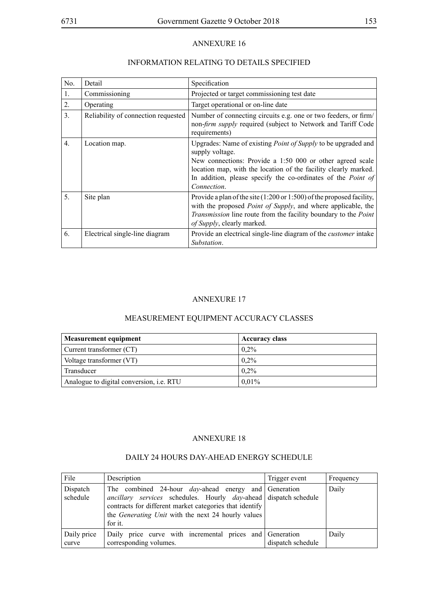### INFORMATION RELATING TO DETAILS SPECIFIED

| No.              | Detail                              | Specification                                                                                                                                                                                                                                                                                                 |
|------------------|-------------------------------------|---------------------------------------------------------------------------------------------------------------------------------------------------------------------------------------------------------------------------------------------------------------------------------------------------------------|
| 1.               | Commissioning                       | Projected or target commissioning test date                                                                                                                                                                                                                                                                   |
| 2.               | Operating                           | Target operational or on-line date                                                                                                                                                                                                                                                                            |
| $\mathfrak{Z}$ . | Reliability of connection requested | Number of connecting circuits e.g. one or two feeders, or firm/<br>non-firm supply required (subject to Network and Tariff Code<br>requirements)                                                                                                                                                              |
| $\overline{4}$ . | Location map.                       | Upgrades: Name of existing <i>Point of Supply</i> to be upgraded and<br>supply voltage.<br>New connections: Provide a 1:50 000 or other agreed scale<br>location map, with the location of the facility clearly marked.<br>In addition, please specify the co-ordinates of the <i>Point of</i><br>Connection. |
| 5 <sub>1</sub>   | Site plan                           | Provide a plan of the site $(1:200 \text{ or } 1:500)$ of the proposed facility,<br>with the proposed <i>Point of Supply</i> , and where applicable, the<br>Transmission line route from the facility boundary to the Point<br>of Supply, clearly marked.                                                     |
| 6.               | Electrical single-line diagram      | Provide an electrical single-line diagram of the <i>customer</i> intake<br>Substation.                                                                                                                                                                                                                        |

#### ANNEXURE 17

# MEASUREMENT EQUIPMENT ACCURACY CLASSES

| <b>Measurement equipment</b>                    | <b>Accuracy class</b> |
|-------------------------------------------------|-----------------------|
| Current transformer (CT)                        | $0.2\%$               |
| Voltage transformer (VT)                        | $0.2\%$               |
| Transducer                                      | $0.2\%$               |
| Analogue to digital conversion, <i>i.e.</i> RTU | 0.01%                 |

#### ANNEXURE 18

| File                 | Description                                                                                                                                                                                                                                                                        | Trigger event     | Frequency |
|----------------------|------------------------------------------------------------------------------------------------------------------------------------------------------------------------------------------------------------------------------------------------------------------------------------|-------------------|-----------|
| Dispatch<br>schedule | The combined 24-hour <i>day</i> -ahead energy and Generation<br><i>ancillary services</i> schedules. Hourly <i>day</i> -ahead dispatch schedule<br>contracts for different market categories that identify<br>the <i>Generating Unit</i> with the next 24 hourly values<br>for it. |                   | Daily     |
| Daily price<br>curve | Daily price curve with incremental prices and Generation<br>corresponding volumes.                                                                                                                                                                                                 | dispatch schedule | Daily     |

#### DAILY 24 HOURS DAY-AHEAD ENERGY SCHEDULE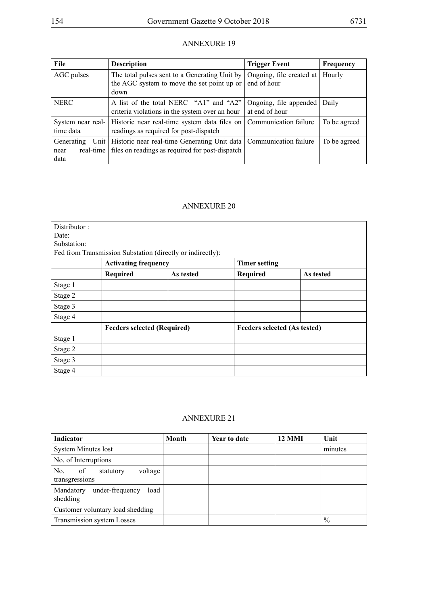| File                                    | <b>Description</b>                                                                                                             | <b>Trigger Event</b>                     | Frequency    |
|-----------------------------------------|--------------------------------------------------------------------------------------------------------------------------------|------------------------------------------|--------------|
| AGC pulses                              | The total pulses sent to a Generating Unit by<br>the AGC system to move the set point up or<br>down                            | Ongoing, file created at<br>end of hour  | Hourly       |
| <b>NERC</b>                             | A list of the total NERC "A1" and "A2"<br>criteria violations in the system over an hour                                       | Ongoing, file appended<br>at end of hour | Daily        |
| time data                               | System near real-   Historic near real-time system data files on  <br>readings as required for post-dispatch                   | Communication failure                    | To be agreed |
| Generating<br>real-time<br>near<br>data | Unit   Historic near real-time Generating Unit data   Communication failure<br>files on readings as required for post-dispatch |                                          | To be agreed |

#### ANNEXURE 20

| Distributor: |                                    |                                                            |                              |           |
|--------------|------------------------------------|------------------------------------------------------------|------------------------------|-----------|
| Date:        |                                    |                                                            |                              |           |
| Substation:  |                                    |                                                            |                              |           |
|              |                                    | Fed from Transmission Substation (directly or indirectly): |                              |           |
|              | <b>Activating frequency</b>        |                                                            | <b>Timer setting</b>         |           |
|              | <b>Required</b>                    | As tested                                                  | Required                     | As tested |
| Stage 1      |                                    |                                                            |                              |           |
| Stage 2      |                                    |                                                            |                              |           |
| Stage 3      |                                    |                                                            |                              |           |
| Stage 4      |                                    |                                                            |                              |           |
|              | <b>Feeders selected (Required)</b> |                                                            | Feeders selected (As tested) |           |
| Stage 1      |                                    |                                                            |                              |           |
| Stage 2      |                                    |                                                            |                              |           |
| Stage 3      |                                    |                                                            |                              |           |
| Stage 4      |                                    |                                                            |                              |           |

#### ANNEXURE 21

| <b>Indicator</b>                                    | Month | Year to date | <b>12 MMI</b> | Unit          |
|-----------------------------------------------------|-------|--------------|---------------|---------------|
| <b>System Minutes lost</b>                          |       |              |               | minutes       |
| No. of Interruptions                                |       |              |               |               |
| of<br>voltage<br>No.<br>statutory<br>transgressions |       |              |               |               |
| under-frequency<br>Mandatory<br>load<br>shedding    |       |              |               |               |
| Customer voluntary load shedding                    |       |              |               |               |
| Transmission system Losses                          |       |              |               | $\frac{0}{0}$ |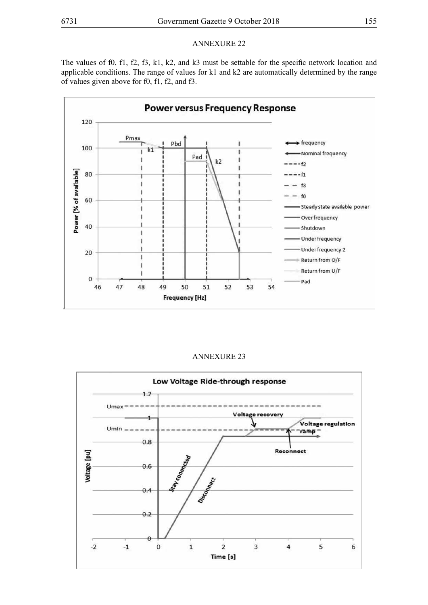The values of f0, f1, f2, f3, k1, k2, and k3 must be settable for the specific network location and applicable conditions. The range of values for k1 and k2 are automatically determined by the range of values given above for f0, f1, f2, and f3.



#### ANNEXURE 23

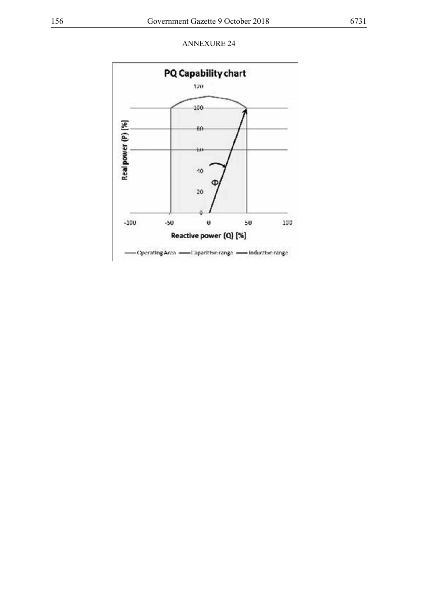